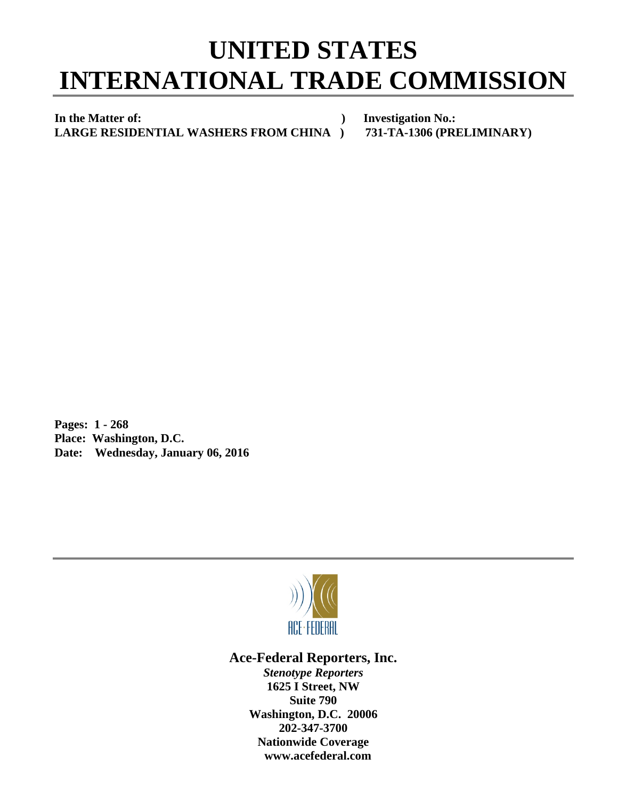## **UNITED STATES INTERNATIONAL TRADE COMMISSION**

In the Matter of: **and The Matter of: Investigation No.: LARGE RESIDENTIAL WASHERS FROM CHINA ) 731-TA-1306 (PRELIMINARY)** 

**Pages: 1 - 268 Place: Washington, D.C. Date: Wednesday, January 06, 2016** 



**Ace-Federal Reporters, Inc.** 

*Stenotype Reporters*  **1625 I Street, NW Suite 790 Washington, D.C. 20006 202-347-3700 Nationwide Coverage www.acefederal.com**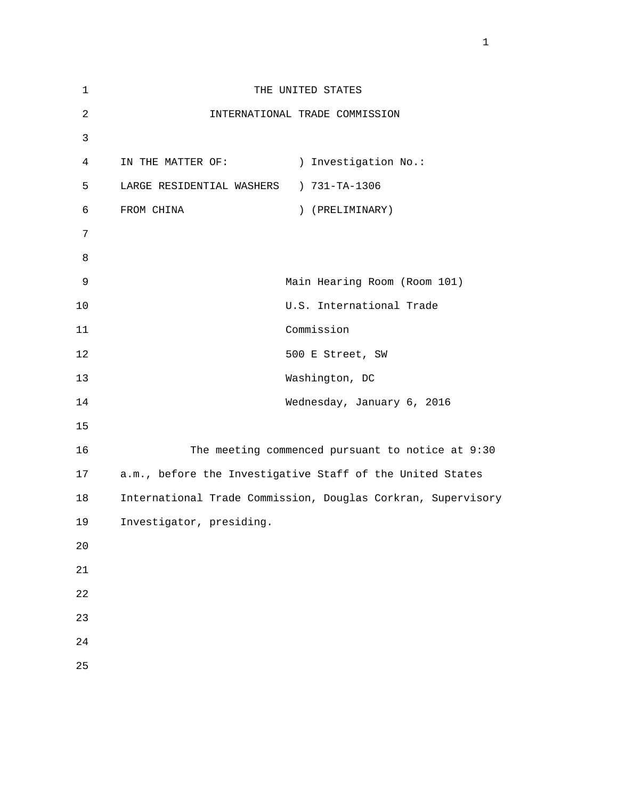| $\mathbf 1$    |                           | THE UNITED STATES                                            |
|----------------|---------------------------|--------------------------------------------------------------|
| $\overline{2}$ |                           | INTERNATIONAL TRADE COMMISSION                               |
| 3              |                           |                                                              |
| $\overline{4}$ | IN THE MATTER OF:         | ) Investigation No.:                                         |
| 5              | LARGE RESIDENTIAL WASHERS | ) 731-TA-1306                                                |
| 6              | FROM CHINA                | ) (PRELIMINARY)                                              |
| 7              |                           |                                                              |
| 8              |                           |                                                              |
| 9              |                           | Main Hearing Room (Room 101)                                 |
| 10             |                           | U.S. International Trade                                     |
| 11             |                           | Commission                                                   |
| 12             |                           | 500 E Street, SW                                             |
| 13             |                           | Washington, DC                                               |
| 14             |                           | Wednesday, January 6, 2016                                   |
| 15             |                           |                                                              |
| 16             |                           | The meeting commenced pursuant to notice at 9:30             |
| 17             |                           | a.m., before the Investigative Staff of the United States    |
| 18             |                           | International Trade Commission, Douglas Corkran, Supervisory |
| 19             | Investigator, presiding.  |                                                              |
| 20             |                           |                                                              |
| 21             |                           |                                                              |
| 22             |                           |                                                              |
| 23             |                           |                                                              |
| 24             |                           |                                                              |
| 25             |                           |                                                              |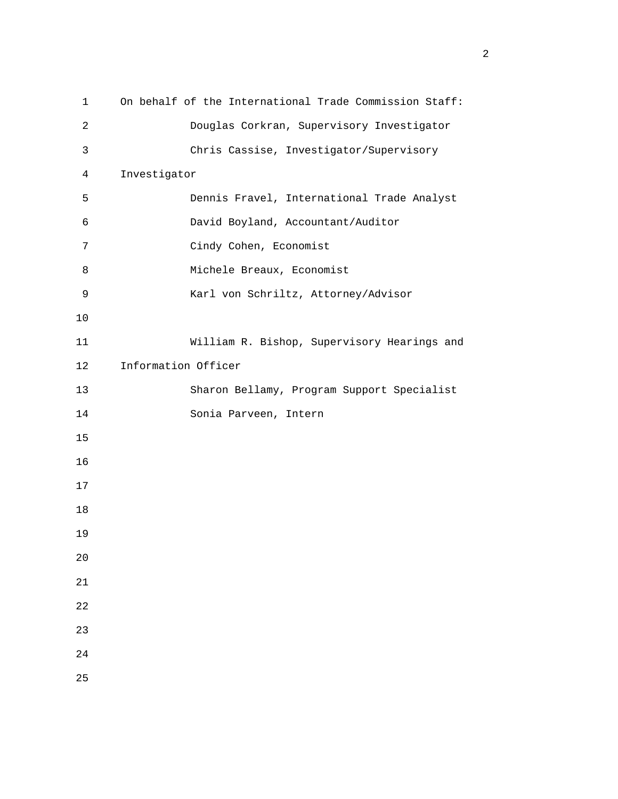| 1              |                     | On behalf of the International Trade Commission Staff: |
|----------------|---------------------|--------------------------------------------------------|
| 2              |                     | Douglas Corkran, Supervisory Investigator              |
| $\mathsf{3}$   |                     | Chris Cassise, Investigator/Supervisory                |
| $\overline{4}$ | Investigator        |                                                        |
| 5              |                     | Dennis Fravel, International Trade Analyst             |
| 6              |                     | David Boyland, Accountant/Auditor                      |
| 7              |                     | Cindy Cohen, Economist                                 |
| 8              |                     | Michele Breaux, Economist                              |
| 9              |                     | Karl von Schriltz, Attorney/Advisor                    |
| 10             |                     |                                                        |
| 11             |                     | William R. Bishop, Supervisory Hearings and            |
| 12             | Information Officer |                                                        |
| 13             |                     | Sharon Bellamy, Program Support Specialist             |
| 14             |                     | Sonia Parveen, Intern                                  |
| 15             |                     |                                                        |
| 16             |                     |                                                        |
| 17             |                     |                                                        |
| 18             |                     |                                                        |
| 19             |                     |                                                        |
| 20             |                     |                                                        |
| 21             |                     |                                                        |
| 22             |                     |                                                        |
| 23             |                     |                                                        |
| 24             |                     |                                                        |
| 25             |                     |                                                        |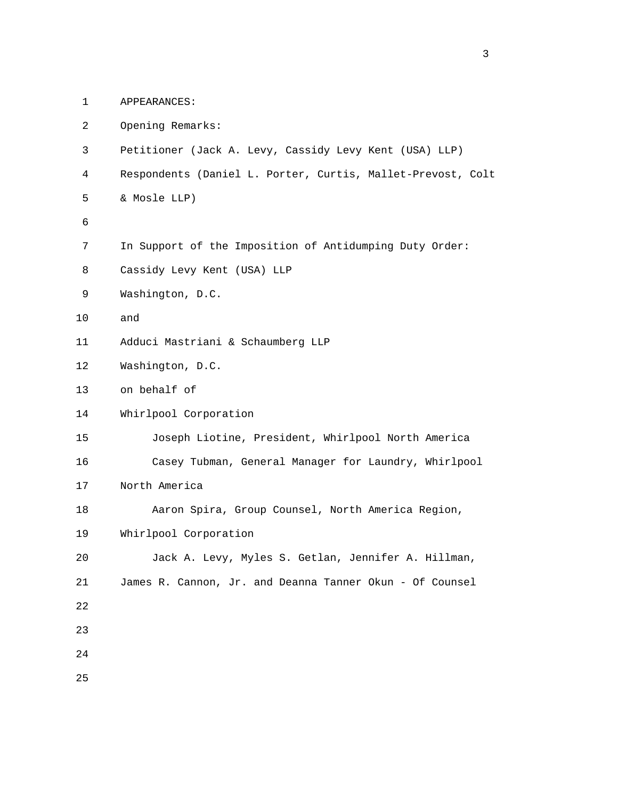1 APPEARANCES:

| 2  | Opening Remarks:                                            |
|----|-------------------------------------------------------------|
| 3  | Petitioner (Jack A. Levy, Cassidy Levy Kent (USA) LLP)      |
| 4  | Respondents (Daniel L. Porter, Curtis, Mallet-Prevost, Colt |
| 5  | & Mosle LLP)                                                |
| 6  |                                                             |
| 7  | In Support of the Imposition of Antidumping Duty Order:     |
| 8  | Cassidy Levy Kent (USA) LLP                                 |
| 9  | Washington, D.C.                                            |
| 10 | and                                                         |
| 11 | Adduci Mastriani & Schaumberg LLP                           |
| 12 | Washington, D.C.                                            |
| 13 | on behalf of                                                |
| 14 | Whirlpool Corporation                                       |
| 15 | Joseph Liotine, President, Whirlpool North America          |
| 16 | Casey Tubman, General Manager for Laundry, Whirlpool        |
| 17 | North America                                               |
| 18 | Aaron Spira, Group Counsel, North America Region,           |
| 19 | Whirlpool Corporation                                       |
| 20 | Jack A. Levy, Myles S. Getlan, Jennifer A. Hillman,         |
| 21 | James R. Cannon, Jr. and Deanna Tanner Okun - Of Counsel    |
| 22 |                                                             |
| 23 |                                                             |
| 24 |                                                             |
| 25 |                                                             |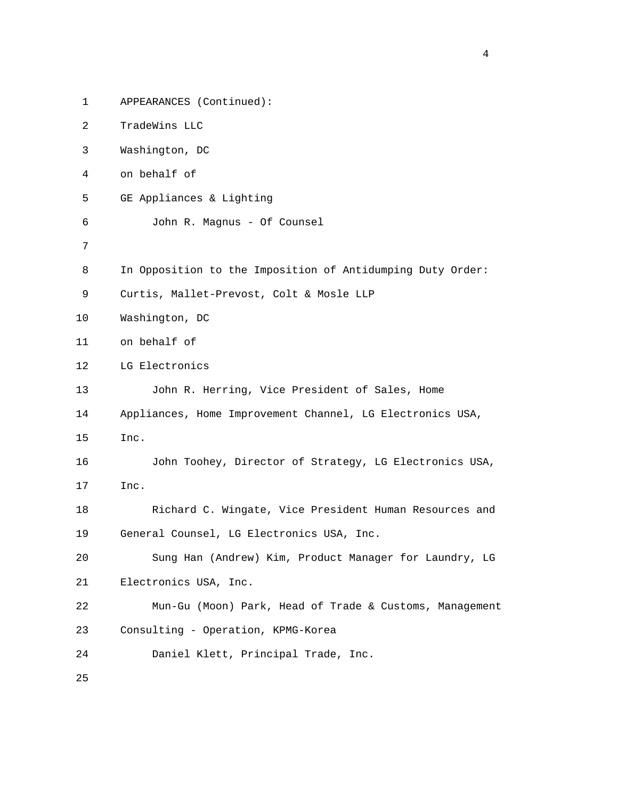| $\mathbf 1$ | APPEARANCES (Continued):                                   |
|-------------|------------------------------------------------------------|
| 2           | TradeWins LLC                                              |
| 3           | Washington, DC                                             |
| 4           | on behalf of                                               |
| 5           | GE Appliances & Lighting                                   |
| 6           | John R. Magnus - Of Counsel                                |
| 7           |                                                            |
| 8           | In Opposition to the Imposition of Antidumping Duty Order: |
| 9           | Curtis, Mallet-Prevost, Colt & Mosle LLP                   |
| 10          | Washington, DC                                             |
| 11          | on behalf of                                               |
| 12          | LG Electronics                                             |
| 13          | John R. Herring, Vice President of Sales, Home             |
| 14          | Appliances, Home Improvement Channel, LG Electronics USA,  |
| 15          | Inc.                                                       |
| 16          | John Toohey, Director of Strategy, LG Electronics USA,     |
| 17          | Inc.                                                       |
| 18          | Richard C. Wingate, Vice President Human Resources and     |
| 19          | General Counsel, LG Electronics USA, Inc.                  |
| 20          | Sung Han (Andrew) Kim, Product Manager for Laundry, LG     |
| 21          | Electronics USA, Inc.                                      |
| 22          | Mun-Gu (Moon) Park, Head of Trade & Customs, Management    |
| 23          | Consulting - Operation, KPMG-Korea                         |
| 24          | Daniel Klett, Principal Trade, Inc.                        |
| 25          |                                                            |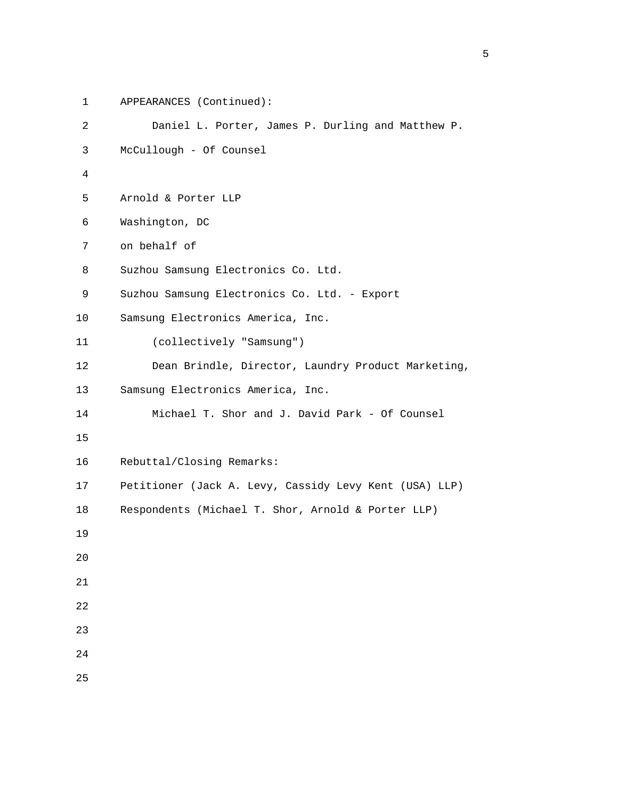```
 1 APPEARANCES (Continued): 
          2 Daniel L. Porter, James P. Durling and Matthew P. 
          3 McCullough - Of Counsel 
4 
          5 Arnold & Porter LLP 
          6 Washington, DC 
          7 on behalf of 
          8 Suzhou Samsung Electronics Co. Ltd. 
          9 Suzhou Samsung Electronics Co. Ltd. - Export 
         10 Samsung Electronics America, Inc. 
         11 (collectively "Samsung") 
         12 Dean Brindle, Director, Laundry Product Marketing, 
         13 Samsung Electronics America, Inc. 
         14 Michael T. Shor and J. David Park - Of Counsel 
         15 
         16 Rebuttal/Closing Remarks: 
         17 Petitioner (Jack A. Levy, Cassidy Levy Kent (USA) LLP) 
         18 Respondents (Michael T. Shor, Arnold & Porter LLP) 
         19 
         20 
         21 
         22 
         23 
         24
```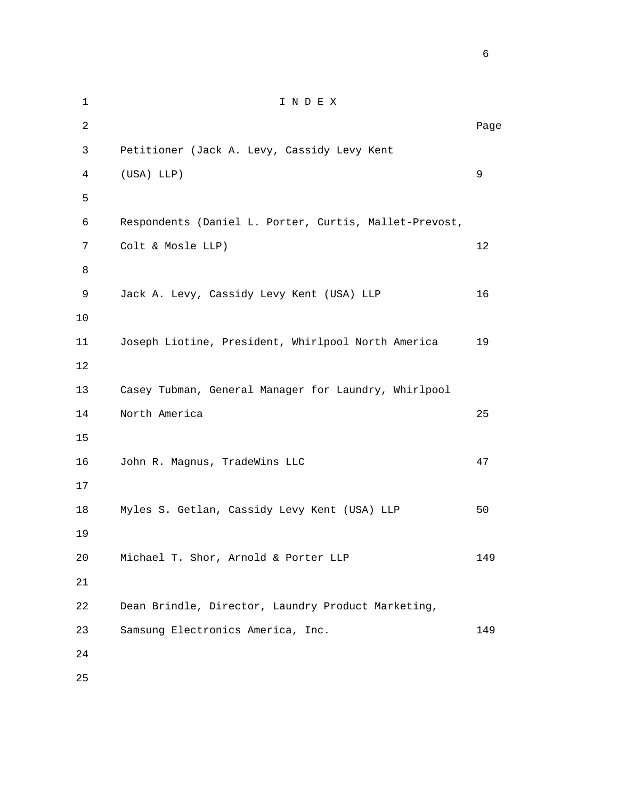1 I N D E X 2 **Page 12** Page 2 **Page 2** Page 2 Page 2 Page 2 Page 2 Page 2 Page 2 Page 2 Page 2 Page 2 Page 2 Page 2 Page 2 Page 2 Page 2 Page 2 Page 2 Page 2 Page 2 Page 2 Page 2 Page 2 Page 2 Page 2 Page 2 Page 2 Page 2 Page 2 Page 3 Petitioner (Jack A. Levy, Cassidy Levy Kent 4 (USA) LLP) 9  $5<sub>5</sub>$  6 Respondents (Daniel L. Porter, Curtis, Mallet-Prevost, 7 Colt & Mosle LLP) 12 8 9 Jack A. Levy, Cassidy Levy Kent (USA) LLP 16 10 11 Joseph Liotine, President, Whirlpool North America 19 12 13 Casey Tubman, General Manager for Laundry, Whirlpool 14 North America 25 15 16 John R. Magnus, TradeWins LLC 47 17 18 Myles S. Getlan, Cassidy Levy Kent (USA) LLP 50 19 20 Michael T. Shor, Arnold & Porter LLP 149 21 22 Dean Brindle, Director, Laundry Product Marketing, 23 Samsung Electronics America, Inc. 149 24

 $\sim$  6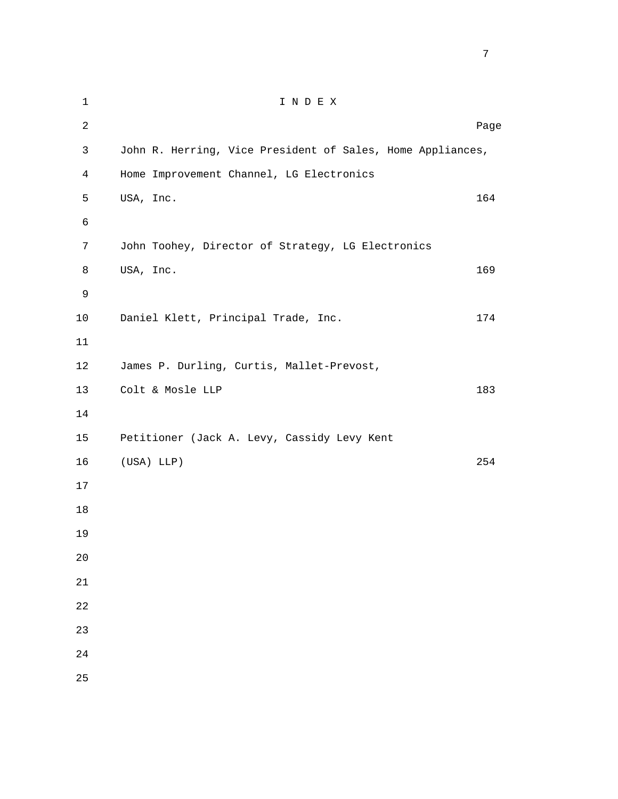1 I N D E X 2 **Page 12** Page 2 **Page 2** Page 2 Page 2 Page 2 Page 2 Page 2 Page 2 Page 2 Page 2 Page 2 Page 2 Page 2 Page 2 Page 2 Page 2 Page 2 Page 2 Page 2 Page 2 Page 2 Page 2 Page 2 Page 2 Page 2 Page 2 Page 2 Page 2 Page 2 Page 3 John R. Herring, Vice President of Sales, Home Appliances, 4 Home Improvement Channel, LG Electronics 5 USA, Inc. 164 6 7 John Toohey, Director of Strategy, LG Electronics 8 USA, Inc. 169 9 10 Daniel Klett, Principal Trade, Inc. 174 11 12 James P. Durling, Curtis, Mallet-Prevost, 13 Colt & Mosle LLP 183 14 15 Petitioner (Jack A. Levy, Cassidy Levy Kent 16 (USA) LLP) 254 17 18 19 20 21 22 23 24 25

<u>2003: The contract of the contract of the contract of the contract of the contract of the contract of the con</u>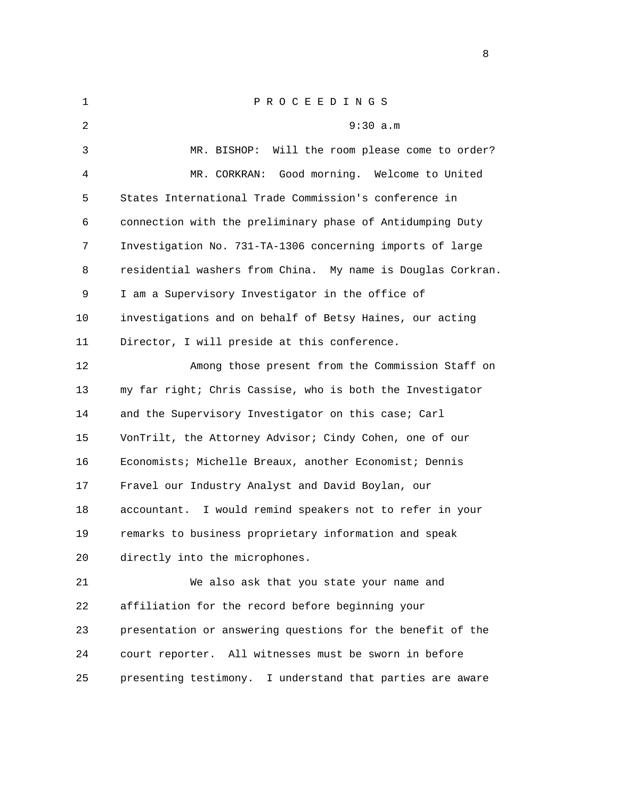| $\mathbf 1$ | P R O C E E D I N G S                                       |
|-------------|-------------------------------------------------------------|
| 2           | 9:30 a.m                                                    |
| 3           | Will the room please come to order?<br>MR. BISHOP:          |
| 4           | Good morning. Welcome to United<br>MR. CORKRAN:             |
| 5           | States International Trade Commission's conference in       |
| 6           | connection with the preliminary phase of Antidumping Duty   |
| 7           | Investigation No. 731-TA-1306 concerning imports of large   |
| 8           | residential washers from China. My name is Douglas Corkran. |
| 9           | I am a Supervisory Investigator in the office of            |
| 10          | investigations and on behalf of Betsy Haines, our acting    |
| 11          | Director, I will preside at this conference.                |
| 12          | Among those present from the Commission Staff on            |
| 13          | my far right; Chris Cassise, who is both the Investigator   |
| 14          | and the Supervisory Investigator on this case; Carl         |
| 15          | VonTrilt, the Attorney Advisor; Cindy Cohen, one of our     |
| 16          | Economists; Michelle Breaux, another Economist; Dennis      |
| 17          | Fravel our Industry Analyst and David Boylan, our           |
| 18          | accountant. I would remind speakers not to refer in your    |
| 19          | remarks to business proprietary information and speak       |
| 20          | directly into the microphones.                              |
| 21          | We also ask that you state your name and                    |
| 22          | affiliation for the record before beginning your            |
| 23          | presentation or answering questions for the benefit of the  |
| 24          | All witnesses must be sworn in before<br>court reporter.    |
|             |                                                             |

25 presenting testimony. I understand that parties are aware

experience of the state of the state of the state of the state of the state of the state of the state of the s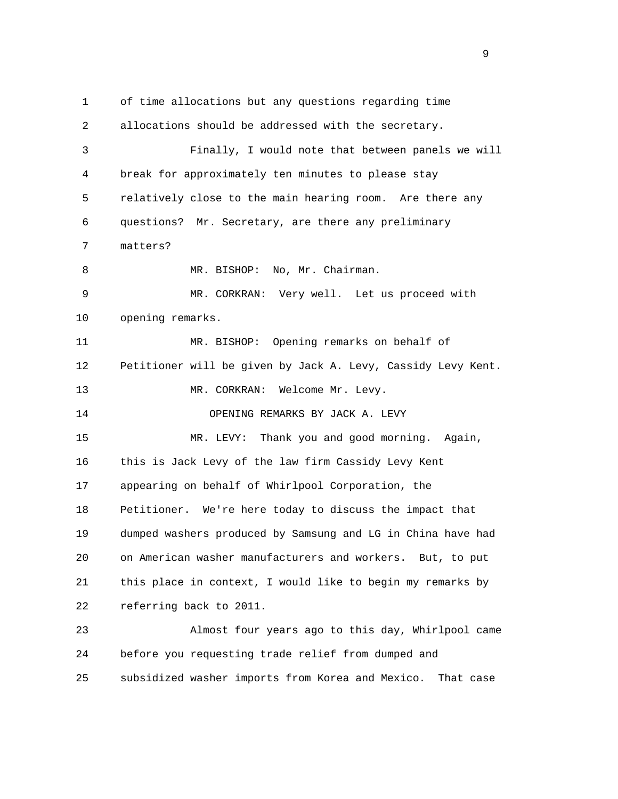1 of time allocations but any questions regarding time 2 allocations should be addressed with the secretary. 3 Finally, I would note that between panels we will 4 break for approximately ten minutes to please stay 5 relatively close to the main hearing room. Are there any 6 questions? Mr. Secretary, are there any preliminary 7 matters? 8 MR. BISHOP: No, Mr. Chairman. 9 MR. CORKRAN: Very well. Let us proceed with 10 opening remarks. 11 MR. BISHOP: Opening remarks on behalf of 12 Petitioner will be given by Jack A. Levy, Cassidy Levy Kent. 13 MR. CORKRAN: Welcome Mr. Levy. 14 OPENING REMARKS BY JACK A. LEVY 15 MR. LEVY: Thank you and good morning. Again, 16 this is Jack Levy of the law firm Cassidy Levy Kent 17 appearing on behalf of Whirlpool Corporation, the 18 Petitioner. We're here today to discuss the impact that 19 dumped washers produced by Samsung and LG in China have had 20 on American washer manufacturers and workers. But, to put 21 this place in context, I would like to begin my remarks by 22 referring back to 2011. 23 Almost four years ago to this day, Whirlpool came 24 before you requesting trade relief from dumped and 25 subsidized washer imports from Korea and Mexico. That case

en de la provincia de la provincia de la provincia de la provincia de la provincia de la provincia de la provi<br>1900 : la provincia de la provincia de la provincia de la provincia de la provincia de la provincia de la prov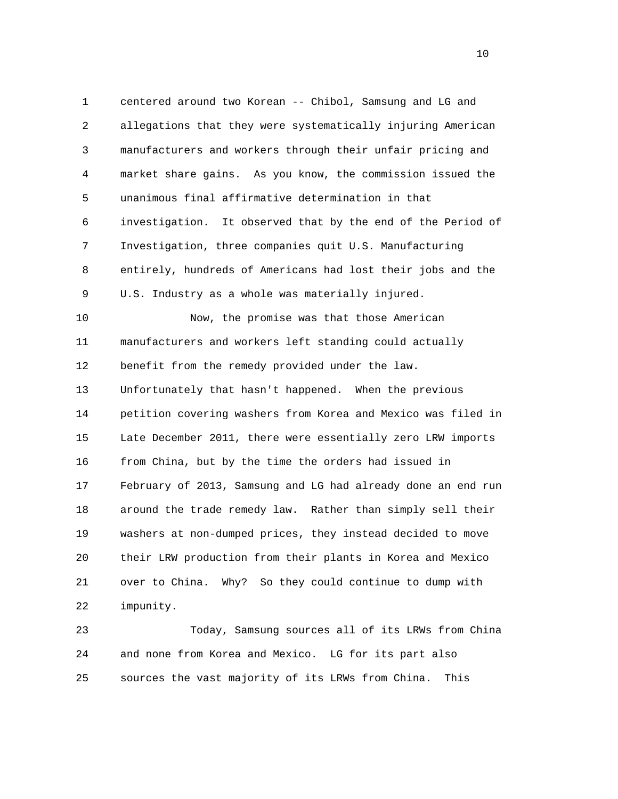1 centered around two Korean -- Chibol, Samsung and LG and 2 allegations that they were systematically injuring American 3 manufacturers and workers through their unfair pricing and 4 market share gains. As you know, the commission issued the 5 unanimous final affirmative determination in that 6 investigation. It observed that by the end of the Period of 7 Investigation, three companies quit U.S. Manufacturing 8 entirely, hundreds of Americans had lost their jobs and the 9 U.S. Industry as a whole was materially injured. 10 Now, the promise was that those American 11 manufacturers and workers left standing could actually 12 benefit from the remedy provided under the law. 13 Unfortunately that hasn't happened. When the previous 14 petition covering washers from Korea and Mexico was filed in 15 Late December 2011, there were essentially zero LRW imports 16 from China, but by the time the orders had issued in 17 February of 2013, Samsung and LG had already done an end run 18 around the trade remedy law. Rather than simply sell their 19 washers at non-dumped prices, they instead decided to move 20 their LRW production from their plants in Korea and Mexico 21 over to China. Why? So they could continue to dump with 22 impunity.

 23 Today, Samsung sources all of its LRWs from China 24 and none from Korea and Mexico. LG for its part also 25 sources the vast majority of its LRWs from China. This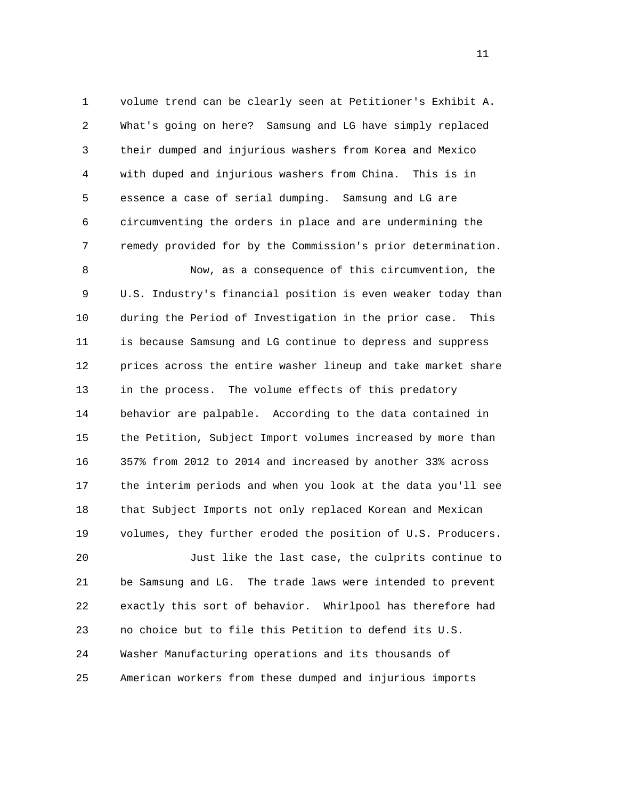1 volume trend can be clearly seen at Petitioner's Exhibit A. 2 What's going on here? Samsung and LG have simply replaced 3 their dumped and injurious washers from Korea and Mexico 4 with duped and injurious washers from China. This is in 5 essence a case of serial dumping. Samsung and LG are 6 circumventing the orders in place and are undermining the 7 remedy provided for by the Commission's prior determination.

 8 Now, as a consequence of this circumvention, the 9 U.S. Industry's financial position is even weaker today than 10 during the Period of Investigation in the prior case. This 11 is because Samsung and LG continue to depress and suppress 12 prices across the entire washer lineup and take market share 13 in the process. The volume effects of this predatory 14 behavior are palpable. According to the data contained in 15 the Petition, Subject Import volumes increased by more than 16 357% from 2012 to 2014 and increased by another 33% across 17 the interim periods and when you look at the data you'll see 18 that Subject Imports not only replaced Korean and Mexican 19 volumes, they further eroded the position of U.S. Producers.

 20 Just like the last case, the culprits continue to 21 be Samsung and LG. The trade laws were intended to prevent 22 exactly this sort of behavior. Whirlpool has therefore had 23 no choice but to file this Petition to defend its U.S. 24 Washer Manufacturing operations and its thousands of 25 American workers from these dumped and injurious imports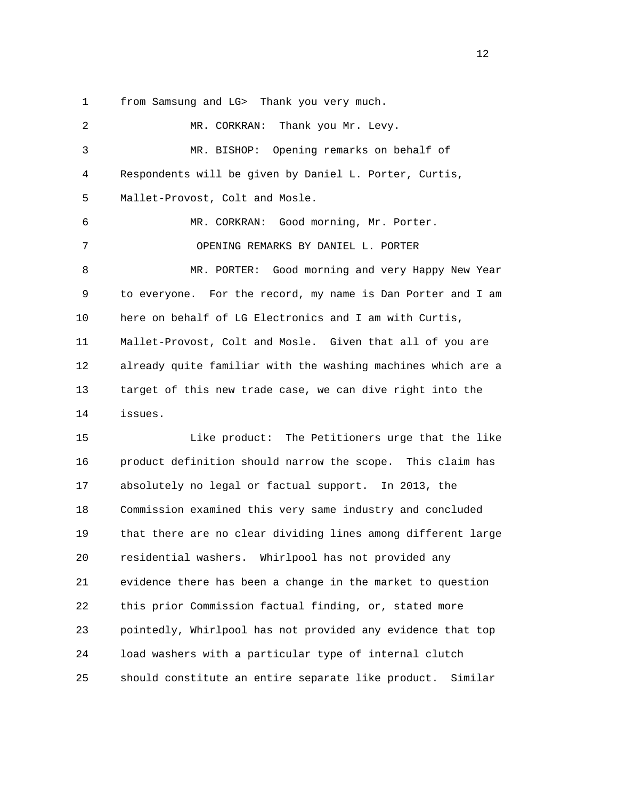1 from Samsung and LG> Thank you very much.

2 MR. CORKRAN: Thank you Mr. Levy. 3 MR. BISHOP: Opening remarks on behalf of 4 Respondents will be given by Daniel L. Porter, Curtis, 5 Mallet-Provost, Colt and Mosle. 6 MR. CORKRAN: Good morning, Mr. Porter. 7 OPENING REMARKS BY DANIEL L. PORTER 8 MR. PORTER: Good morning and very Happy New Year 9 to everyone. For the record, my name is Dan Porter and I am 10 here on behalf of LG Electronics and I am with Curtis, 11 Mallet-Provost, Colt and Mosle. Given that all of you are 12 already quite familiar with the washing machines which are a 13 target of this new trade case, we can dive right into the 14 issues. 15 Like product: The Petitioners urge that the like 16 product definition should narrow the scope. This claim has 17 absolutely no legal or factual support. In 2013, the 18 Commission examined this very same industry and concluded 19 that there are no clear dividing lines among different large 20 residential washers. Whirlpool has not provided any 21 evidence there has been a change in the market to question 22 this prior Commission factual finding, or, stated more 23 pointedly, Whirlpool has not provided any evidence that top 24 load washers with a particular type of internal clutch 25 should constitute an entire separate like product. Similar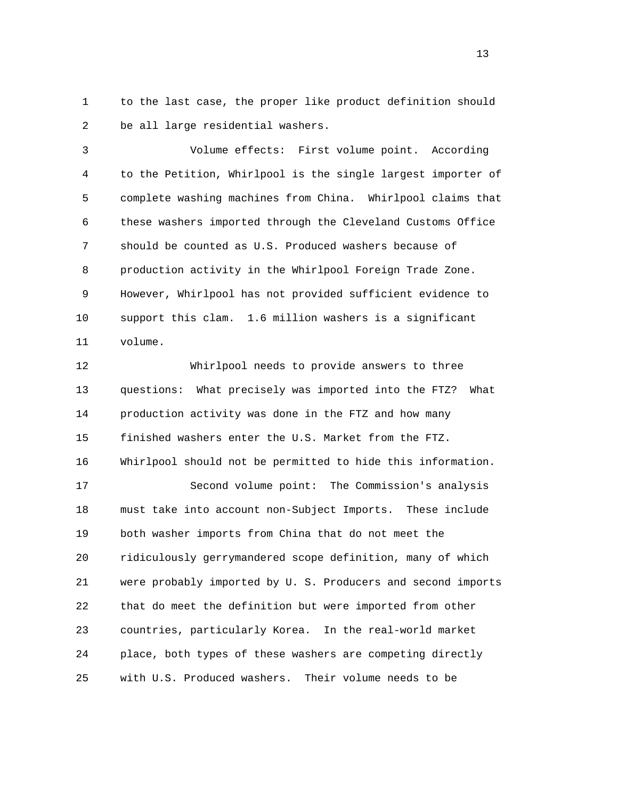1 to the last case, the proper like product definition should 2 be all large residential washers.

 3 Volume effects: First volume point. According 4 to the Petition, Whirlpool is the single largest importer of 5 complete washing machines from China. Whirlpool claims that 6 these washers imported through the Cleveland Customs Office 7 should be counted as U.S. Produced washers because of 8 production activity in the Whirlpool Foreign Trade Zone. 9 However, Whirlpool has not provided sufficient evidence to 10 support this clam. 1.6 million washers is a significant 11 volume.

 12 Whirlpool needs to provide answers to three 13 questions: What precisely was imported into the FTZ? What 14 production activity was done in the FTZ and how many 15 finished washers enter the U.S. Market from the FTZ. 16 Whirlpool should not be permitted to hide this information. 17 Second volume point: The Commission's analysis 18 must take into account non-Subject Imports. These include 19 both washer imports from China that do not meet the 20 ridiculously gerrymandered scope definition, many of which 21 were probably imported by U. S. Producers and second imports 22 that do meet the definition but were imported from other 23 countries, particularly Korea. In the real-world market 24 place, both types of these washers are competing directly 25 with U.S. Produced washers. Their volume needs to be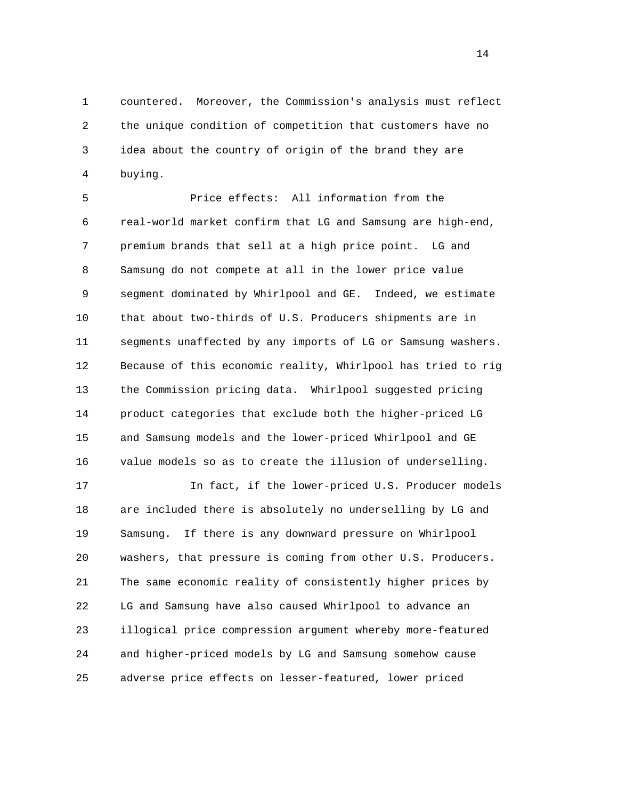1 countered. Moreover, the Commission's analysis must reflect 2 the unique condition of competition that customers have no 3 idea about the country of origin of the brand they are 4 buying.

 5 Price effects: All information from the 6 real-world market confirm that LG and Samsung are high-end, 7 premium brands that sell at a high price point. LG and 8 Samsung do not compete at all in the lower price value 9 segment dominated by Whirlpool and GE. Indeed, we estimate 10 that about two-thirds of U.S. Producers shipments are in 11 segments unaffected by any imports of LG or Samsung washers. 12 Because of this economic reality, Whirlpool has tried to rig 13 the Commission pricing data. Whirlpool suggested pricing 14 product categories that exclude both the higher-priced LG 15 and Samsung models and the lower-priced Whirlpool and GE 16 value models so as to create the illusion of underselling.

 17 In fact, if the lower-priced U.S. Producer models 18 are included there is absolutely no underselling by LG and 19 Samsung. If there is any downward pressure on Whirlpool 20 washers, that pressure is coming from other U.S. Producers. 21 The same economic reality of consistently higher prices by 22 LG and Samsung have also caused Whirlpool to advance an 23 illogical price compression argument whereby more-featured 24 and higher-priced models by LG and Samsung somehow cause 25 adverse price effects on lesser-featured, lower priced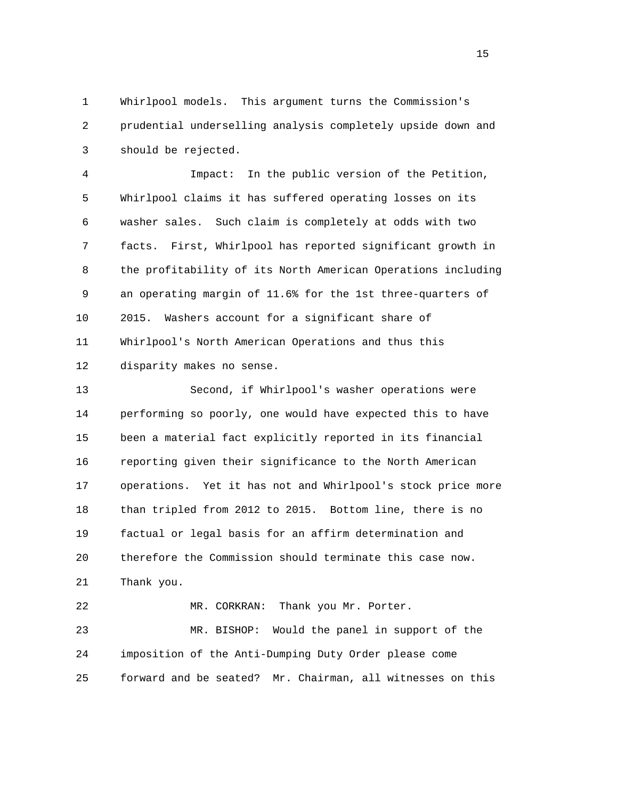1 Whirlpool models. This argument turns the Commission's 2 prudential underselling analysis completely upside down and 3 should be rejected.

 4 Impact: In the public version of the Petition, 5 Whirlpool claims it has suffered operating losses on its 6 washer sales. Such claim is completely at odds with two 7 facts. First, Whirlpool has reported significant growth in 8 the profitability of its North American Operations including 9 an operating margin of 11.6% for the 1st three-quarters of 10 2015. Washers account for a significant share of 11 Whirlpool's North American Operations and thus this 12 disparity makes no sense.

 13 Second, if Whirlpool's washer operations were 14 performing so poorly, one would have expected this to have 15 been a material fact explicitly reported in its financial 16 reporting given their significance to the North American 17 operations. Yet it has not and Whirlpool's stock price more 18 than tripled from 2012 to 2015. Bottom line, there is no 19 factual or legal basis for an affirm determination and 20 therefore the Commission should terminate this case now. 21 Thank you. 22 MR. CORKRAN: Thank you Mr. Porter.

 23 MR. BISHOP: Would the panel in support of the 24 imposition of the Anti-Dumping Duty Order please come 25 forward and be seated? Mr. Chairman, all witnesses on this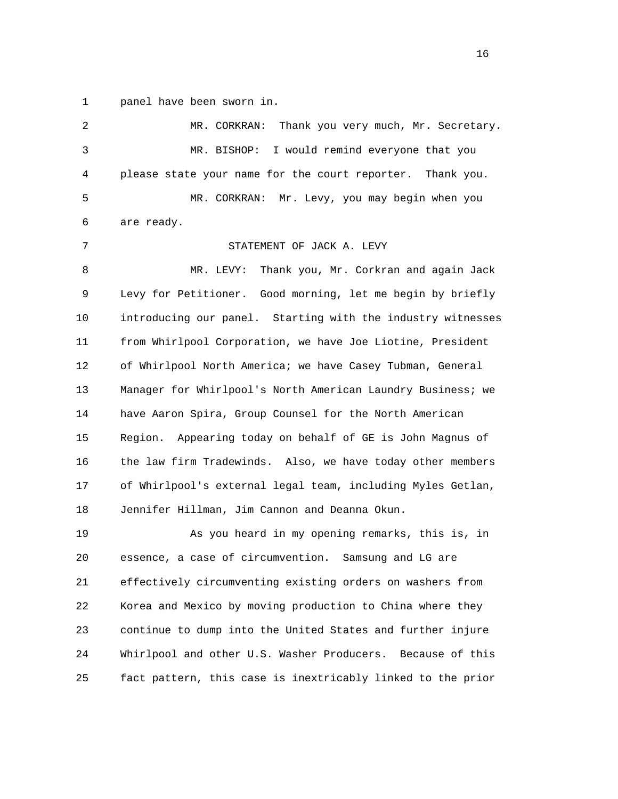1 panel have been sworn in.

 2 MR. CORKRAN: Thank you very much, Mr. Secretary. 3 MR. BISHOP: I would remind everyone that you 4 please state your name for the court reporter. Thank you. 5 MR. CORKRAN: Mr. Levy, you may begin when you 6 are ready. 7 STATEMENT OF JACK A. LEVY 8 MR. LEVY: Thank you, Mr. Corkran and again Jack 9 Levy for Petitioner. Good morning, let me begin by briefly 10 introducing our panel. Starting with the industry witnesses 11 from Whirlpool Corporation, we have Joe Liotine, President 12 of Whirlpool North America; we have Casey Tubman, General 13 Manager for Whirlpool's North American Laundry Business; we 14 have Aaron Spira, Group Counsel for the North American 15 Region. Appearing today on behalf of GE is John Magnus of 16 the law firm Tradewinds. Also, we have today other members 17 of Whirlpool's external legal team, including Myles Getlan, 18 Jennifer Hillman, Jim Cannon and Deanna Okun. 19 As you heard in my opening remarks, this is, in 20 essence, a case of circumvention. Samsung and LG are 21 effectively circumventing existing orders on washers from 22 Korea and Mexico by moving production to China where they 23 continue to dump into the United States and further injure 24 Whirlpool and other U.S. Washer Producers. Because of this 25 fact pattern, this case is inextricably linked to the prior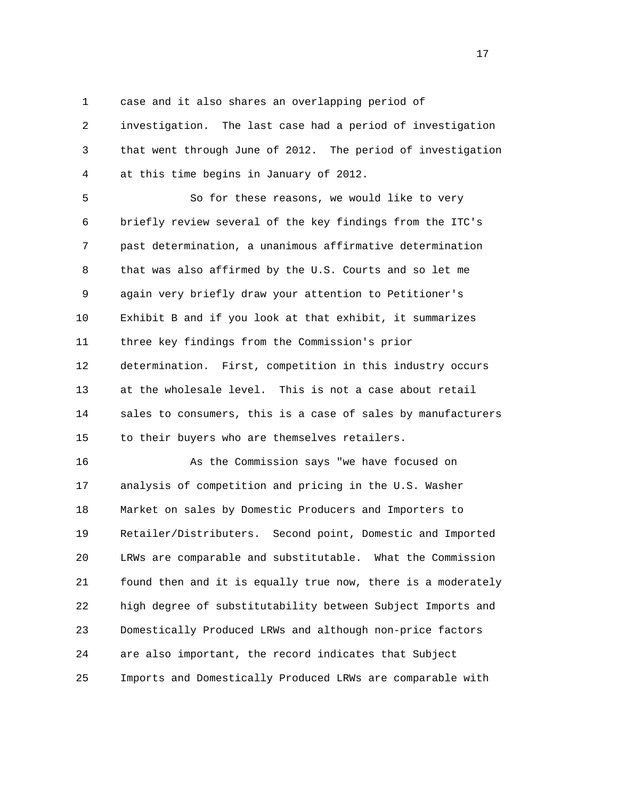1 case and it also shares an overlapping period of

 2 investigation. The last case had a period of investigation 3 that went through June of 2012. The period of investigation 4 at this time begins in January of 2012.

 5 So for these reasons, we would like to very 6 briefly review several of the key findings from the ITC's 7 past determination, a unanimous affirmative determination 8 that was also affirmed by the U.S. Courts and so let me 9 again very briefly draw your attention to Petitioner's 10 Exhibit B and if you look at that exhibit, it summarizes 11 three key findings from the Commission's prior 12 determination. First, competition in this industry occurs 13 at the wholesale level. This is not a case about retail 14 sales to consumers, this is a case of sales by manufacturers 15 to their buyers who are themselves retailers.

 16 As the Commission says "we have focused on 17 analysis of competition and pricing in the U.S. Washer 18 Market on sales by Domestic Producers and Importers to 19 Retailer/Distributers. Second point, Domestic and Imported 20 LRWs are comparable and substitutable. What the Commission 21 found then and it is equally true now, there is a moderately 22 high degree of substitutability between Subject Imports and 23 Domestically Produced LRWs and although non-price factors 24 are also important, the record indicates that Subject 25 Imports and Domestically Produced LRWs are comparable with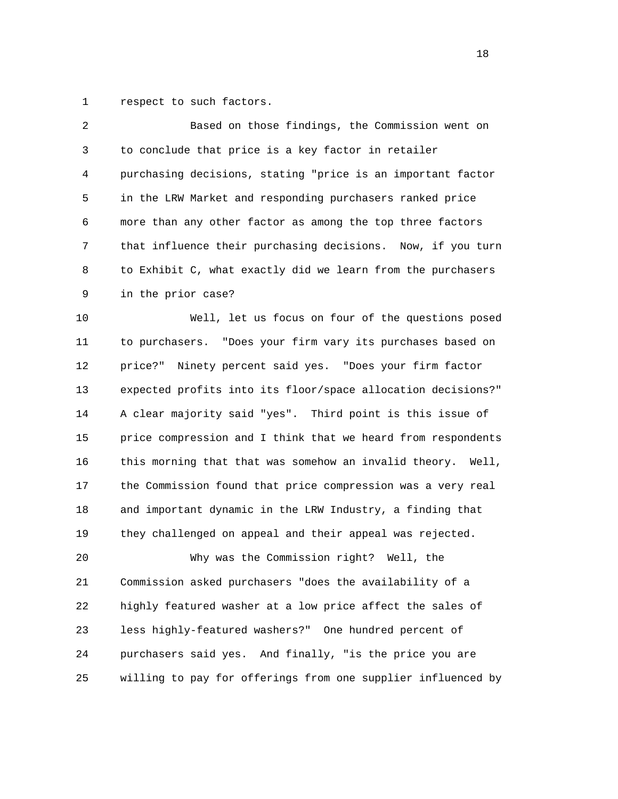1 respect to such factors.

| 2  | Based on those findings, the Commission went on                |
|----|----------------------------------------------------------------|
| 3  | to conclude that price is a key factor in retailer             |
| 4  | purchasing decisions, stating "price is an important factor    |
| 5  | in the LRW Market and responding purchasers ranked price       |
| 6  | more than any other factor as among the top three factors      |
| 7  | that influence their purchasing decisions. Now, if you turn    |
| 8  | to Exhibit C, what exactly did we learn from the purchasers    |
| 9  | in the prior case?                                             |
| 10 | Well, let us focus on four of the questions posed              |
| 11 | to purchasers. "Does your firm vary its purchases based on     |
| 12 | Ninety percent said yes. "Does your firm factor<br>price?"     |
| 13 | expected profits into its floor/space allocation decisions?"   |
| 14 | A clear majority said "yes". Third point is this issue of      |
| 15 | price compression and I think that we heard from respondents   |
| 16 | this morning that that was somehow an invalid theory.<br>Well, |
| 17 | the Commission found that price compression was a very real    |
| 18 | and important dynamic in the LRW Industry, a finding that      |
| 19 | they challenged on appeal and their appeal was rejected.       |
| 20 | Why was the Commission right?<br>Well, the                     |
| 21 | Commission asked purchasers "does the availability of a        |
| 22 | highly featured washer at a low price affect the sales of      |
| 23 | less highly-featured washers?" One hundred percent of          |
| 24 | purchasers said yes. And finally, "is the price you are        |
| 25 | willing to pay for offerings from one supplier influenced by   |

n 18 ann an 18 an t-Iomraid ann an 18 an t-Iomraid ann an 18 an t-Iomraid ann an 18 an t-Iomraid ann an 18 an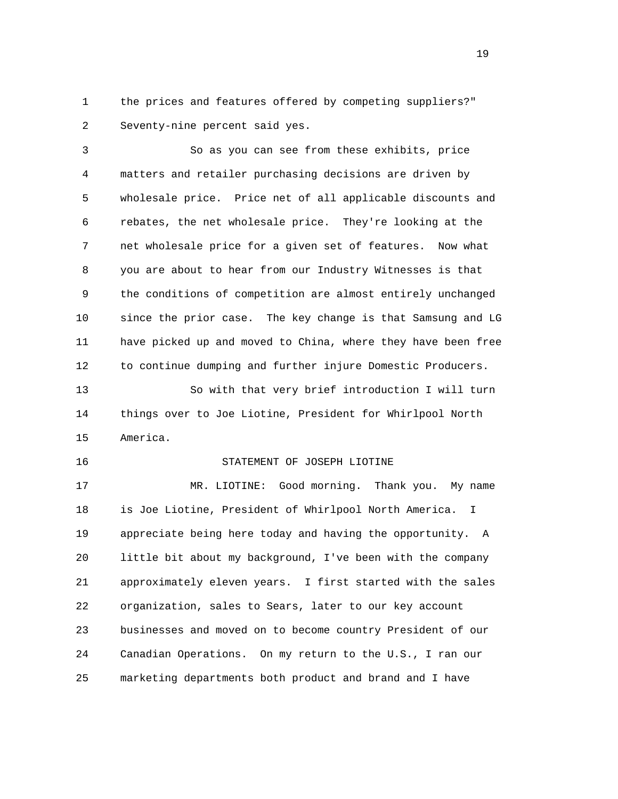1 the prices and features offered by competing suppliers?" 2 Seventy-nine percent said yes.

 3 So as you can see from these exhibits, price 4 matters and retailer purchasing decisions are driven by 5 wholesale price. Price net of all applicable discounts and 6 rebates, the net wholesale price. They're looking at the 7 net wholesale price for a given set of features. Now what 8 you are about to hear from our Industry Witnesses is that 9 the conditions of competition are almost entirely unchanged 10 since the prior case. The key change is that Samsung and LG 11 have picked up and moved to China, where they have been free 12 to continue dumping and further injure Domestic Producers.

 13 So with that very brief introduction I will turn 14 things over to Joe Liotine, President for Whirlpool North 15 America.

## 16 STATEMENT OF JOSEPH LIOTINE

 17 MR. LIOTINE: Good morning. Thank you. My name 18 is Joe Liotine, President of Whirlpool North America. I 19 appreciate being here today and having the opportunity. A 20 little bit about my background, I've been with the company 21 approximately eleven years. I first started with the sales 22 organization, sales to Sears, later to our key account 23 businesses and moved on to become country President of our 24 Canadian Operations. On my return to the U.S., I ran our 25 marketing departments both product and brand and I have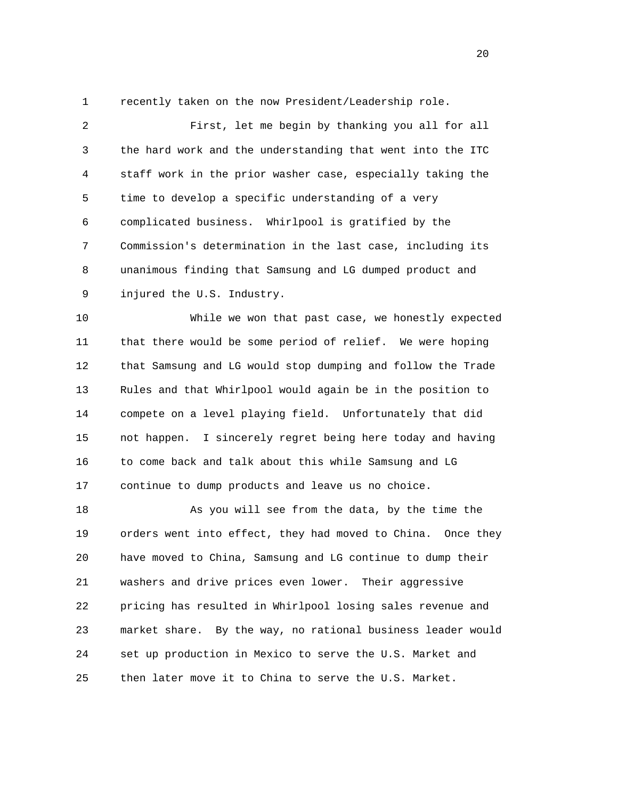1 recently taken on the now President/Leadership role.

 2 First, let me begin by thanking you all for all 3 the hard work and the understanding that went into the ITC 4 staff work in the prior washer case, especially taking the 5 time to develop a specific understanding of a very 6 complicated business. Whirlpool is gratified by the 7 Commission's determination in the last case, including its 8 unanimous finding that Samsung and LG dumped product and 9 injured the U.S. Industry.

 10 While we won that past case, we honestly expected 11 that there would be some period of relief. We were hoping 12 that Samsung and LG would stop dumping and follow the Trade 13 Rules and that Whirlpool would again be in the position to 14 compete on a level playing field. Unfortunately that did 15 not happen. I sincerely regret being here today and having 16 to come back and talk about this while Samsung and LG 17 continue to dump products and leave us no choice.

 18 As you will see from the data, by the time the 19 orders went into effect, they had moved to China. Once they 20 have moved to China, Samsung and LG continue to dump their 21 washers and drive prices even lower. Their aggressive 22 pricing has resulted in Whirlpool losing sales revenue and 23 market share. By the way, no rational business leader would 24 set up production in Mexico to serve the U.S. Market and 25 then later move it to China to serve the U.S. Market.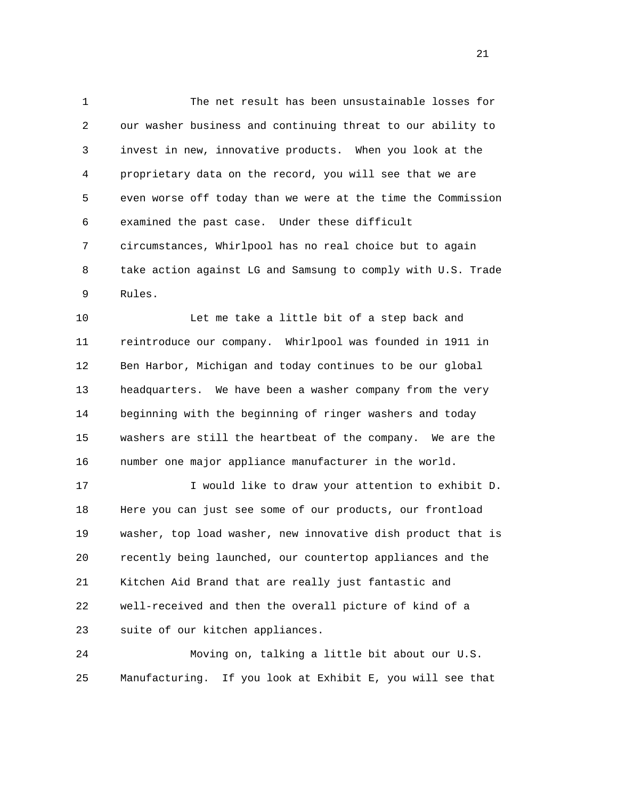1 The net result has been unsustainable losses for 2 our washer business and continuing threat to our ability to 3 invest in new, innovative products. When you look at the 4 proprietary data on the record, you will see that we are 5 even worse off today than we were at the time the Commission 6 examined the past case. Under these difficult 7 circumstances, Whirlpool has no real choice but to again 8 take action against LG and Samsung to comply with U.S. Trade 9 Rules.

 10 Let me take a little bit of a step back and 11 reintroduce our company. Whirlpool was founded in 1911 in 12 Ben Harbor, Michigan and today continues to be our global 13 headquarters. We have been a washer company from the very 14 beginning with the beginning of ringer washers and today 15 washers are still the heartbeat of the company. We are the 16 number one major appliance manufacturer in the world.

 17 I would like to draw your attention to exhibit D. 18 Here you can just see some of our products, our frontload 19 washer, top load washer, new innovative dish product that is 20 recently being launched, our countertop appliances and the 21 Kitchen Aid Brand that are really just fantastic and 22 well-received and then the overall picture of kind of a 23 suite of our kitchen appliances.

 24 Moving on, talking a little bit about our U.S. 25 Manufacturing. If you look at Exhibit E, you will see that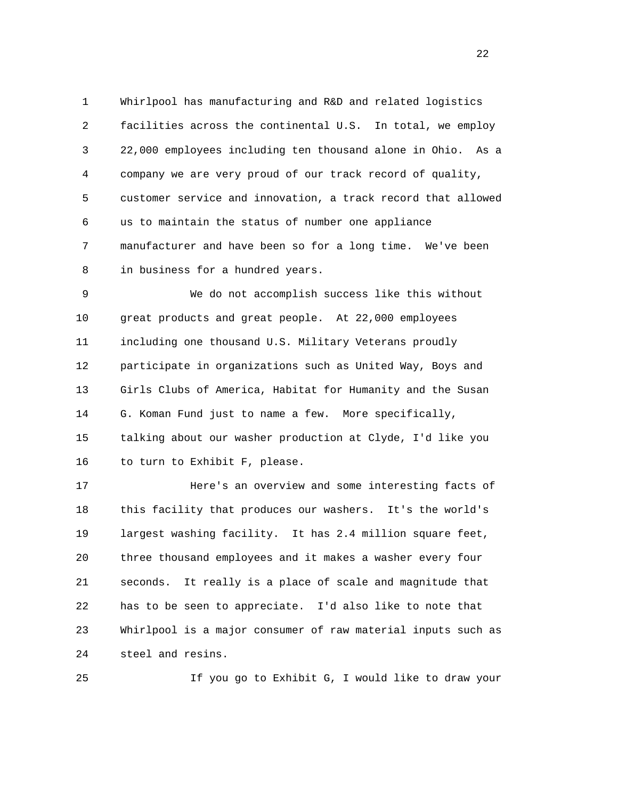1 Whirlpool has manufacturing and R&D and related logistics 2 facilities across the continental U.S. In total, we employ 3 22,000 employees including ten thousand alone in Ohio. As a 4 company we are very proud of our track record of quality, 5 customer service and innovation, a track record that allowed 6 us to maintain the status of number one appliance 7 manufacturer and have been so for a long time. We've been 8 in business for a hundred years.

 9 We do not accomplish success like this without 10 great products and great people. At 22,000 employees 11 including one thousand U.S. Military Veterans proudly 12 participate in organizations such as United Way, Boys and 13 Girls Clubs of America, Habitat for Humanity and the Susan 14 G. Koman Fund just to name a few. More specifically, 15 talking about our washer production at Clyde, I'd like you 16 to turn to Exhibit F, please.

 17 Here's an overview and some interesting facts of 18 this facility that produces our washers. It's the world's 19 largest washing facility. It has 2.4 million square feet, 20 three thousand employees and it makes a washer every four 21 seconds. It really is a place of scale and magnitude that 22 has to be seen to appreciate. I'd also like to note that 23 Whirlpool is a major consumer of raw material inputs such as 24 steel and resins.

25 If you go to Exhibit G, I would like to draw your

22 a set of the state of the state of the state of the state of the state of the state of the state of the state of the state of the state of the state of the state of the state of the state of the state of the state of th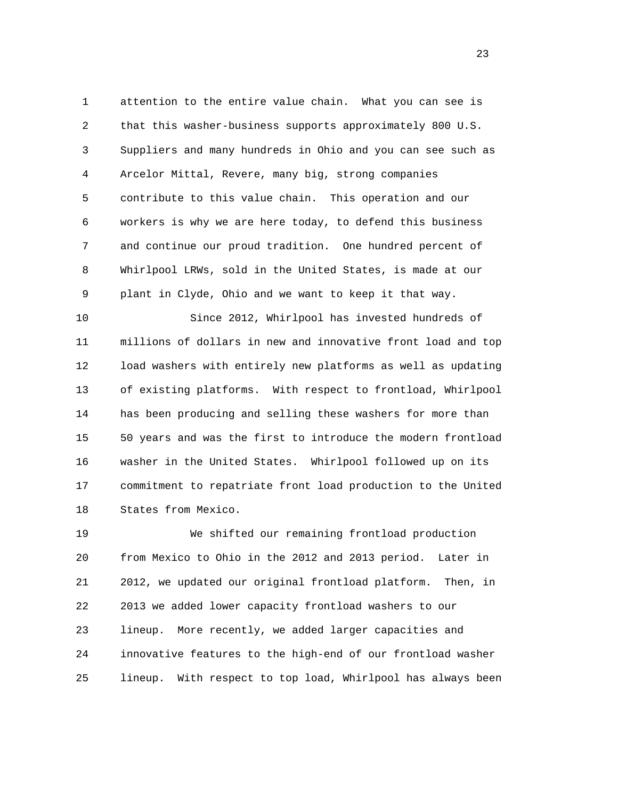1 attention to the entire value chain. What you can see is 2 that this washer-business supports approximately 800 U.S. 3 Suppliers and many hundreds in Ohio and you can see such as 4 Arcelor Mittal, Revere, many big, strong companies 5 contribute to this value chain. This operation and our 6 workers is why we are here today, to defend this business 7 and continue our proud tradition. One hundred percent of 8 Whirlpool LRWs, sold in the United States, is made at our 9 plant in Clyde, Ohio and we want to keep it that way.

 10 Since 2012, Whirlpool has invested hundreds of 11 millions of dollars in new and innovative front load and top 12 load washers with entirely new platforms as well as updating 13 of existing platforms. With respect to frontload, Whirlpool 14 has been producing and selling these washers for more than 15 50 years and was the first to introduce the modern frontload 16 washer in the United States. Whirlpool followed up on its 17 commitment to repatriate front load production to the United 18 States from Mexico.

 19 We shifted our remaining frontload production 20 from Mexico to Ohio in the 2012 and 2013 period. Later in 21 2012, we updated our original frontload platform. Then, in 22 2013 we added lower capacity frontload washers to our 23 lineup. More recently, we added larger capacities and 24 innovative features to the high-end of our frontload washer 25 lineup. With respect to top load, Whirlpool has always been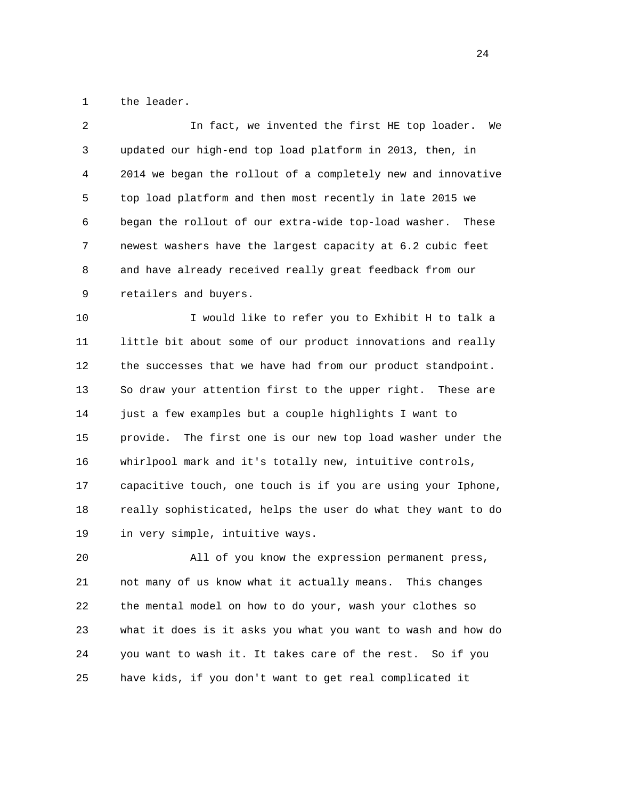1 the leader.

| 2  | In fact, we invented the first HE top loader.<br>We            |
|----|----------------------------------------------------------------|
| 3  | updated our high-end top load platform in 2013, then, in       |
| 4  | 2014 we began the rollout of a completely new and innovative   |
| 5  | top load platform and then most recently in late 2015 we       |
| 6  | began the rollout of our extra-wide top-load washer.<br>These  |
| 7  | newest washers have the largest capacity at 6.2 cubic feet     |
| 8  | and have already received really great feedback from our       |
| 9  | retailers and buyers.                                          |
| 10 | I would like to refer you to Exhibit H to talk a               |
| 11 | little bit about some of our product innovations and really    |
| 12 | the successes that we have had from our product standpoint.    |
| 13 | So draw your attention first to the upper right.<br>These are  |
| 14 | just a few examples but a couple highlights I want to          |
| 15 | The first one is our new top load washer under the<br>provide. |
| 16 | whirlpool mark and it's totally new, intuitive controls,       |
| 17 | capacitive touch, one touch is if you are using your Iphone,   |
| 18 | really sophisticated, helps the user do what they want to do   |
| 19 | in very simple, intuitive ways.                                |
| 20 | All of you know the expression permanent press,                |
| 21 | not many of us know what it actually means.<br>This changes    |
| 22 | the mental model on how to do your, wash your clothes so       |
| 23 | what it does is it asks you what you want to wash and how do   |

25 have kids, if you don't want to get real complicated it

24 you want to wash it. It takes care of the rest. So if you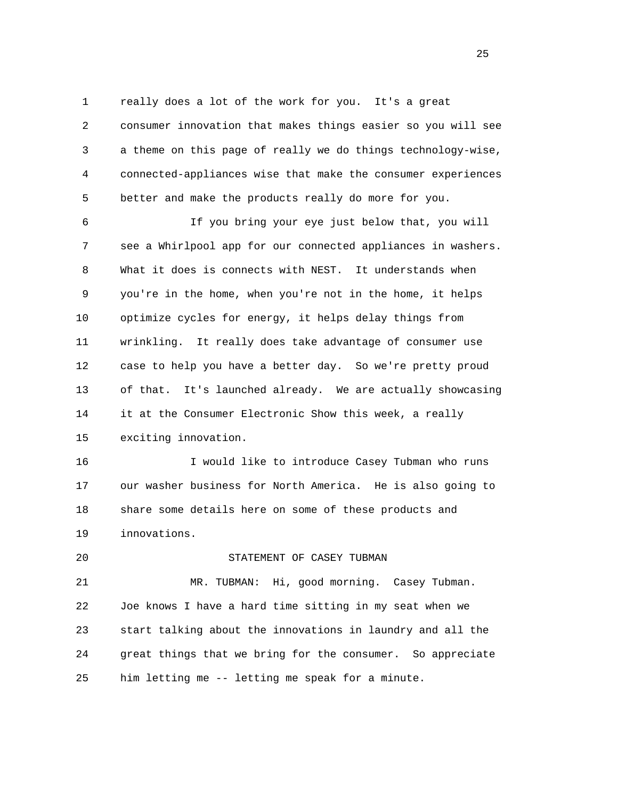1 really does a lot of the work for you. It's a great 2 consumer innovation that makes things easier so you will see 3 a theme on this page of really we do things technology-wise, 4 connected-appliances wise that make the consumer experiences 5 better and make the products really do more for you.

 6 If you bring your eye just below that, you will 7 see a Whirlpool app for our connected appliances in washers. 8 What it does is connects with NEST. It understands when 9 you're in the home, when you're not in the home, it helps 10 optimize cycles for energy, it helps delay things from 11 wrinkling. It really does take advantage of consumer use 12 case to help you have a better day. So we're pretty proud 13 of that. It's launched already. We are actually showcasing 14 it at the Consumer Electronic Show this week, a really 15 exciting innovation.

 16 I would like to introduce Casey Tubman who runs 17 our washer business for North America. He is also going to 18 share some details here on some of these products and 19 innovations.

## 20 STATEMENT OF CASEY TUBMAN

 21 MR. TUBMAN: Hi, good morning. Casey Tubman. 22 Joe knows I have a hard time sitting in my seat when we 23 start talking about the innovations in laundry and all the 24 great things that we bring for the consumer. So appreciate 25 him letting me -- letting me speak for a minute.

25 and 25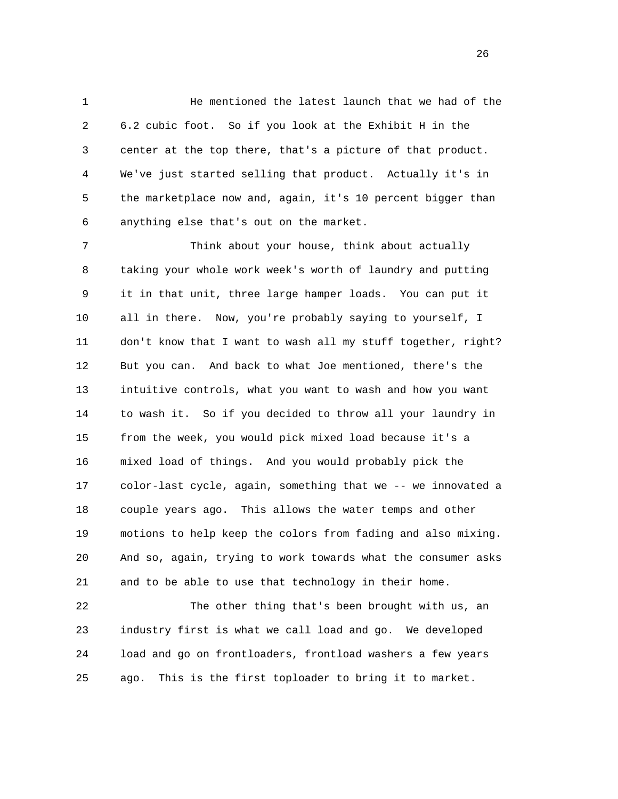1 He mentioned the latest launch that we had of the 2 6.2 cubic foot. So if you look at the Exhibit H in the 3 center at the top there, that's a picture of that product. 4 We've just started selling that product. Actually it's in 5 the marketplace now and, again, it's 10 percent bigger than 6 anything else that's out on the market.

 7 Think about your house, think about actually 8 taking your whole work week's worth of laundry and putting 9 it in that unit, three large hamper loads. You can put it 10 all in there. Now, you're probably saying to yourself, I 11 don't know that I want to wash all my stuff together, right? 12 But you can. And back to what Joe mentioned, there's the 13 intuitive controls, what you want to wash and how you want 14 to wash it. So if you decided to throw all your laundry in 15 from the week, you would pick mixed load because it's a 16 mixed load of things. And you would probably pick the 17 color-last cycle, again, something that we -- we innovated a 18 couple years ago. This allows the water temps and other 19 motions to help keep the colors from fading and also mixing. 20 And so, again, trying to work towards what the consumer asks 21 and to be able to use that technology in their home.

 22 The other thing that's been brought with us, an 23 industry first is what we call load and go. We developed 24 load and go on frontloaders, frontload washers a few years 25 ago. This is the first toploader to bring it to market.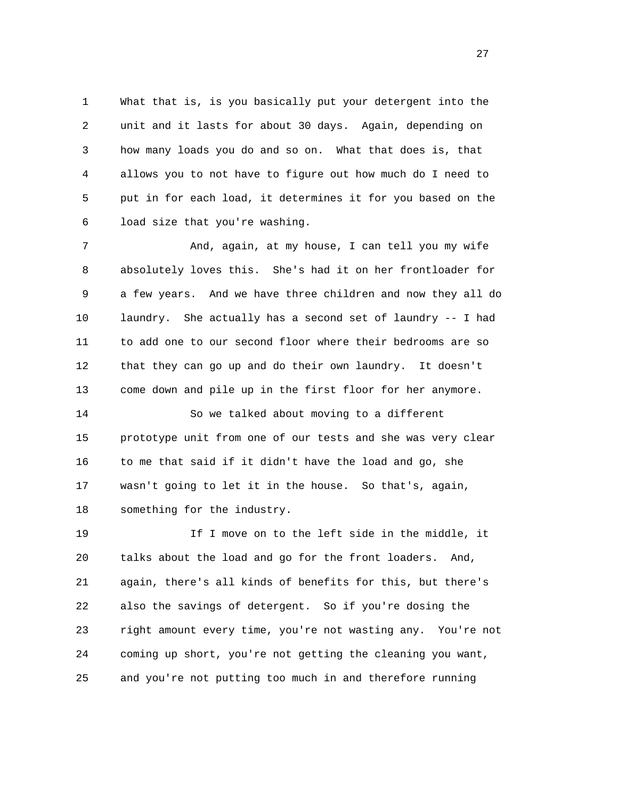1 What that is, is you basically put your detergent into the 2 unit and it lasts for about 30 days. Again, depending on 3 how many loads you do and so on. What that does is, that 4 allows you to not have to figure out how much do I need to 5 put in for each load, it determines it for you based on the 6 load size that you're washing.

7 And, again, at my house, I can tell you my wife 8 absolutely loves this. She's had it on her frontloader for 9 a few years. And we have three children and now they all do 10 laundry. She actually has a second set of laundry -- I had 11 to add one to our second floor where their bedrooms are so 12 that they can go up and do their own laundry. It doesn't 13 come down and pile up in the first floor for her anymore.

 14 So we talked about moving to a different 15 prototype unit from one of our tests and she was very clear 16 to me that said if it didn't have the load and go, she 17 wasn't going to let it in the house. So that's, again, 18 something for the industry.

 19 If I move on to the left side in the middle, it 20 talks about the load and go for the front loaders. And, 21 again, there's all kinds of benefits for this, but there's 22 also the savings of detergent. So if you're dosing the 23 right amount every time, you're not wasting any. You're not 24 coming up short, you're not getting the cleaning you want, 25 and you're not putting too much in and therefore running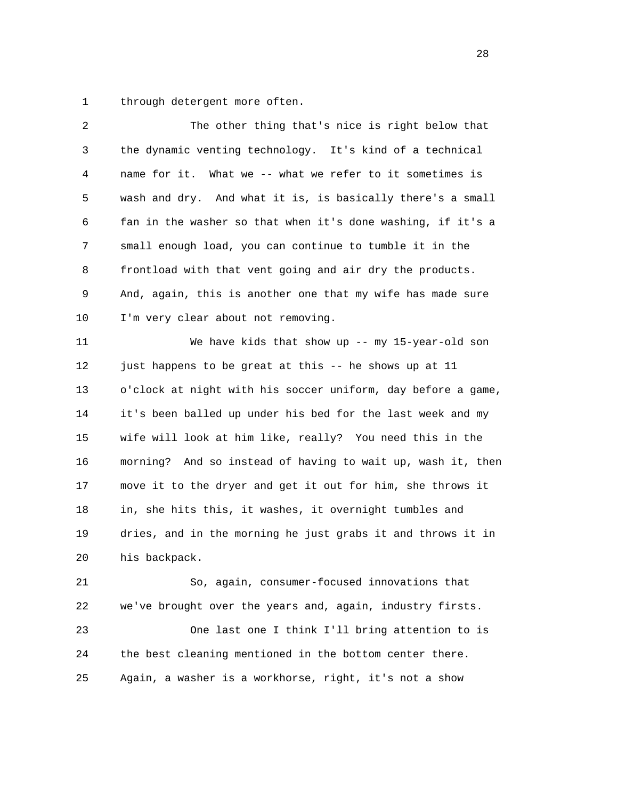1 through detergent more often.

| 2  | The other thing that's nice is right below that              |
|----|--------------------------------------------------------------|
| 3  | the dynamic venting technology. It's kind of a technical     |
| 4  | name for it.<br>What we -- what we refer to it sometimes is  |
| 5  | wash and dry. And what it is, is basically there's a small   |
| 6  | fan in the washer so that when it's done washing, if it's a  |
| 7  | small enough load, you can continue to tumble it in the      |
| 8  | frontload with that vent going and air dry the products.     |
| 9  | And, again, this is another one that my wife has made sure   |
| 10 | I'm very clear about not removing.                           |
| 11 | We have kids that show up -- my 15-year-old son              |
| 12 | just happens to be great at this -- he shows up at 11        |
| 13 | o'clock at night with his soccer uniform, day before a game, |
| 14 | it's been balled up under his bed for the last week and my   |
| 15 | wife will look at him like, really? You need this in the     |
| 16 | morning? And so instead of having to wait up, wash it, then  |
| 17 | move it to the dryer and get it out for him, she throws it   |
| 18 | in, she hits this, it washes, it overnight tumbles and       |
| 19 | dries, and in the morning he just grabs it and throws it in  |
| 20 | his backpack.                                                |
| 21 | So, again, consumer-focused innovations that                 |
| 22 | we've brought over the years and, again, industry firsts.    |
| 23 | One last one I think I'll bring attention to is              |
| 24 | the best cleaning mentioned in the bottom center there.      |
| 25 | Again, a washer is a workhorse, right, it's not a show       |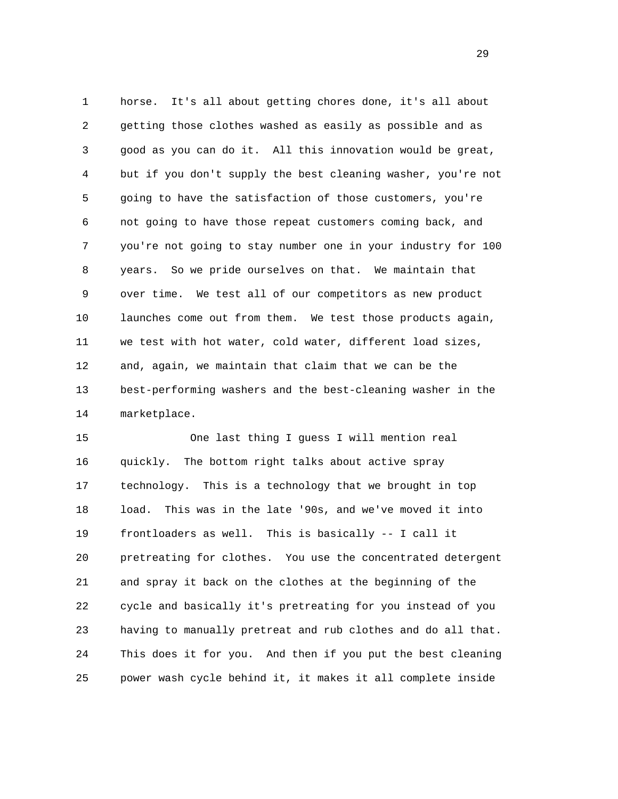1 horse. It's all about getting chores done, it's all about 2 getting those clothes washed as easily as possible and as 3 good as you can do it. All this innovation would be great, 4 but if you don't supply the best cleaning washer, you're not 5 going to have the satisfaction of those customers, you're 6 not going to have those repeat customers coming back, and 7 you're not going to stay number one in your industry for 100 8 years. So we pride ourselves on that. We maintain that 9 over time. We test all of our competitors as new product 10 launches come out from them. We test those products again, 11 we test with hot water, cold water, different load sizes, 12 and, again, we maintain that claim that we can be the 13 best-performing washers and the best-cleaning washer in the 14 marketplace.

 15 One last thing I guess I will mention real 16 quickly. The bottom right talks about active spray 17 technology. This is a technology that we brought in top 18 load. This was in the late '90s, and we've moved it into 19 frontloaders as well. This is basically -- I call it 20 pretreating for clothes. You use the concentrated detergent 21 and spray it back on the clothes at the beginning of the 22 cycle and basically it's pretreating for you instead of you 23 having to manually pretreat and rub clothes and do all that. 24 This does it for you. And then if you put the best cleaning 25 power wash cycle behind it, it makes it all complete inside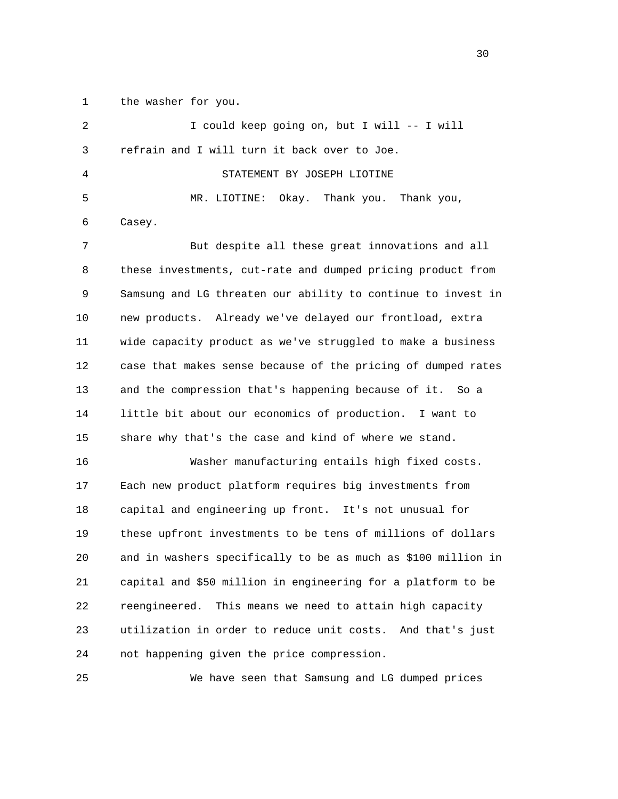1 the washer for you.

| 2  | I could keep going on, but I will -- I will                   |
|----|---------------------------------------------------------------|
| 3  | refrain and I will turn it back over to Joe.                  |
| 4  | STATEMENT BY JOSEPH LIOTINE                                   |
| 5  | Okay. Thank you. Thank you,<br>MR. LIOTINE:                   |
| 6  | Casey.                                                        |
| 7  | But despite all these great innovations and all               |
| 8  | these investments, cut-rate and dumped pricing product from   |
| 9  | Samsung and LG threaten our ability to continue to invest in  |
| 10 | new products. Already we've delayed our frontload, extra      |
| 11 | wide capacity product as we've struggled to make a business   |
| 12 | case that makes sense because of the pricing of dumped rates  |
| 13 | and the compression that's happening because of it. So a      |
| 14 | little bit about our economics of production. I want to       |
| 15 | share why that's the case and kind of where we stand.         |
| 16 | Washer manufacturing entails high fixed costs.                |
| 17 | Each new product platform requires big investments from       |
| 18 | capital and engineering up front. It's not unusual for        |
| 19 | these upfront investments to be tens of millions of dollars   |
| 20 | and in washers specifically to be as much as \$100 million in |
| 21 | capital and \$50 million in engineering for a platform to be  |
| 22 | reengineered.<br>This means we need to attain high capacity   |
| 23 | utilization in order to reduce unit costs. And that's just    |
| 24 | not happening given the price compression.                    |
|    |                                                               |

25 We have seen that Samsung and LG dumped prices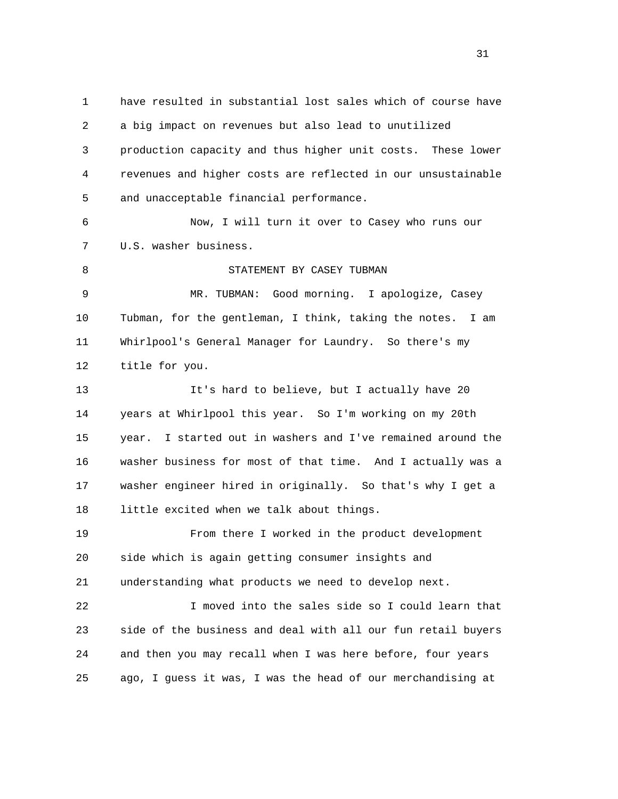1 have resulted in substantial lost sales which of course have 2 a big impact on revenues but also lead to unutilized 3 production capacity and thus higher unit costs. These lower 4 revenues and higher costs are reflected in our unsustainable 5 and unacceptable financial performance. 6 Now, I will turn it over to Casey who runs our 7 U.S. washer business. 8 STATEMENT BY CASEY TUBMAN 9 MR. TUBMAN: Good morning. I apologize, Casey 10 Tubman, for the gentleman, I think, taking the notes. I am 11 Whirlpool's General Manager for Laundry. So there's my 12 title for you. 13 It's hard to believe, but I actually have 20 14 years at Whirlpool this year. So I'm working on my 20th 15 year. I started out in washers and I've remained around the 16 washer business for most of that time. And I actually was a 17 washer engineer hired in originally. So that's why I get a 18 little excited when we talk about things. 19 From there I worked in the product development 20 side which is again getting consumer insights and 21 understanding what products we need to develop next. 22 I moved into the sales side so I could learn that 23 side of the business and deal with all our fun retail buyers 24 and then you may recall when I was here before, four years 25 ago, I guess it was, I was the head of our merchandising at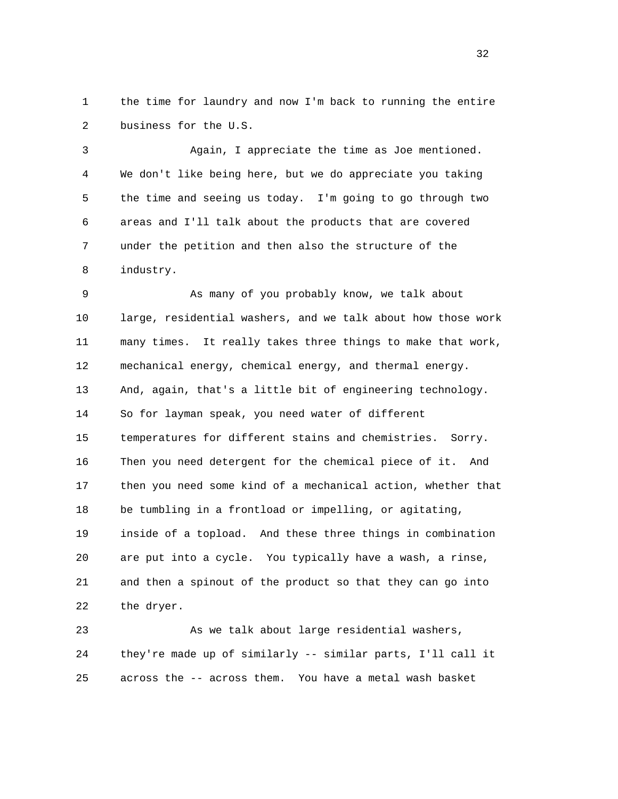1 the time for laundry and now I'm back to running the entire 2 business for the U.S.

 3 Again, I appreciate the time as Joe mentioned. 4 We don't like being here, but we do appreciate you taking 5 the time and seeing us today. I'm going to go through two 6 areas and I'll talk about the products that are covered 7 under the petition and then also the structure of the 8 industry.

 9 As many of you probably know, we talk about 10 large, residential washers, and we talk about how those work 11 many times. It really takes three things to make that work, 12 mechanical energy, chemical energy, and thermal energy. 13 And, again, that's a little bit of engineering technology. 14 So for layman speak, you need water of different 15 temperatures for different stains and chemistries. Sorry. 16 Then you need detergent for the chemical piece of it. And 17 then you need some kind of a mechanical action, whether that 18 be tumbling in a frontload or impelling, or agitating, 19 inside of a topload. And these three things in combination 20 are put into a cycle. You typically have a wash, a rinse, 21 and then a spinout of the product so that they can go into 22 the dryer.

 23 As we talk about large residential washers, 24 they're made up of similarly -- similar parts, I'll call it 25 across the -- across them. You have a metal wash basket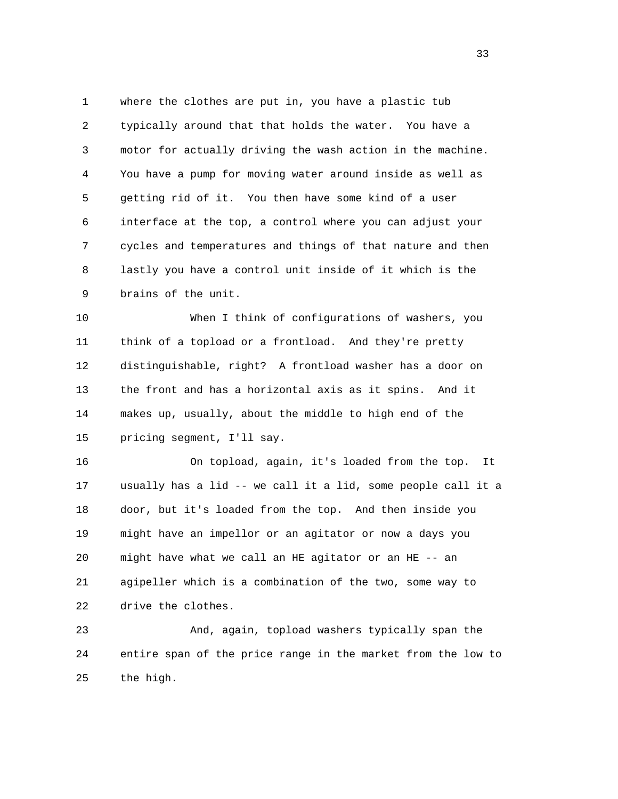1 where the clothes are put in, you have a plastic tub 2 typically around that that holds the water. You have a 3 motor for actually driving the wash action in the machine. 4 You have a pump for moving water around inside as well as 5 getting rid of it. You then have some kind of a user 6 interface at the top, a control where you can adjust your 7 cycles and temperatures and things of that nature and then 8 lastly you have a control unit inside of it which is the 9 brains of the unit.

 10 When I think of configurations of washers, you 11 think of a topload or a frontload. And they're pretty 12 distinguishable, right? A frontload washer has a door on 13 the front and has a horizontal axis as it spins. And it 14 makes up, usually, about the middle to high end of the 15 pricing segment, I'll say.

 16 On topload, again, it's loaded from the top. It 17 usually has a lid -- we call it a lid, some people call it a 18 door, but it's loaded from the top. And then inside you 19 might have an impellor or an agitator or now a days you 20 might have what we call an HE agitator or an HE -- an 21 agipeller which is a combination of the two, some way to 22 drive the clothes.

 23 And, again, topload washers typically span the 24 entire span of the price range in the market from the low to 25 the high.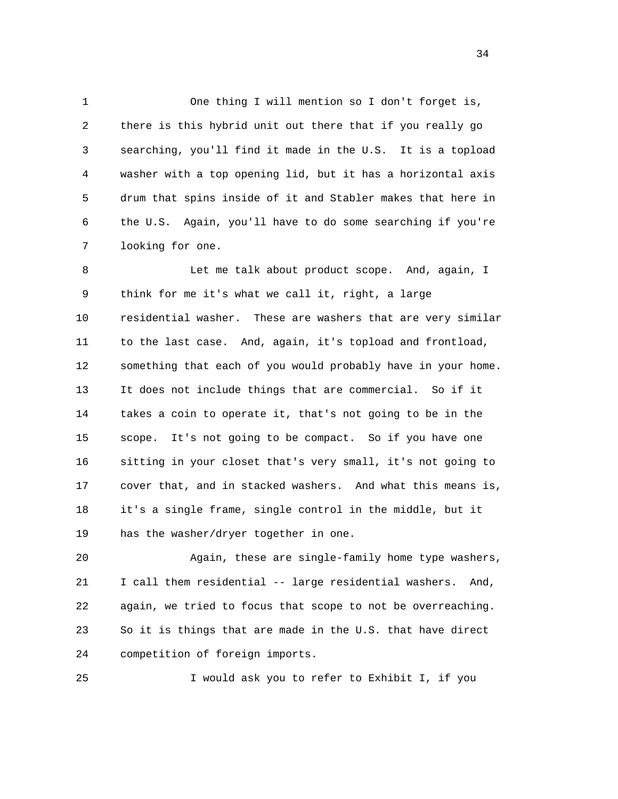1 One thing I will mention so I don't forget is, 2 there is this hybrid unit out there that if you really go 3 searching, you'll find it made in the U.S. It is a topload 4 washer with a top opening lid, but it has a horizontal axis 5 drum that spins inside of it and Stabler makes that here in 6 the U.S. Again, you'll have to do some searching if you're 7 looking for one.

 8 Let me talk about product scope. And, again, I 9 think for me it's what we call it, right, a large 10 residential washer. These are washers that are very similar 11 to the last case. And, again, it's topload and frontload, 12 something that each of you would probably have in your home. 13 It does not include things that are commercial. So if it 14 takes a coin to operate it, that's not going to be in the 15 scope. It's not going to be compact. So if you have one 16 sitting in your closet that's very small, it's not going to 17 cover that, and in stacked washers. And what this means is, 18 it's a single frame, single control in the middle, but it 19 has the washer/dryer together in one.

 20 Again, these are single-family home type washers, 21 I call them residential -- large residential washers. And, 22 again, we tried to focus that scope to not be overreaching. 23 So it is things that are made in the U.S. that have direct 24 competition of foreign imports.

25 I would ask you to refer to Exhibit I, if you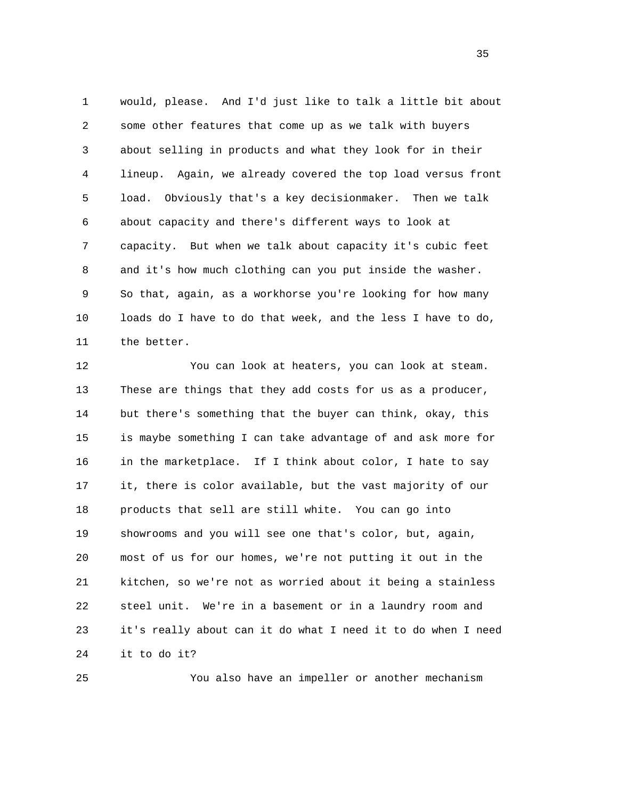1 would, please. And I'd just like to talk a little bit about 2 some other features that come up as we talk with buyers 3 about selling in products and what they look for in their 4 lineup. Again, we already covered the top load versus front 5 load. Obviously that's a key decisionmaker. Then we talk 6 about capacity and there's different ways to look at 7 capacity. But when we talk about capacity it's cubic feet 8 and it's how much clothing can you put inside the washer. 9 So that, again, as a workhorse you're looking for how many 10 loads do I have to do that week, and the less I have to do, 11 the better.

 12 You can look at heaters, you can look at steam. 13 These are things that they add costs for us as a producer, 14 but there's something that the buyer can think, okay, this 15 is maybe something I can take advantage of and ask more for 16 in the marketplace. If I think about color, I hate to say 17 it, there is color available, but the vast majority of our 18 products that sell are still white. You can go into 19 showrooms and you will see one that's color, but, again, 20 most of us for our homes, we're not putting it out in the 21 kitchen, so we're not as worried about it being a stainless 22 steel unit. We're in a basement or in a laundry room and 23 it's really about can it do what I need it to do when I need 24 it to do it?

25 You also have an impeller or another mechanism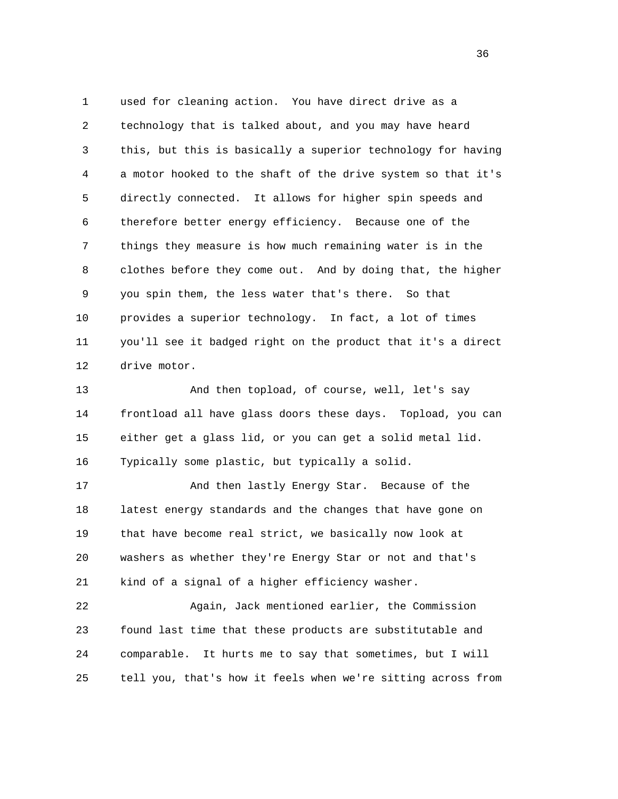1 used for cleaning action. You have direct drive as a 2 technology that is talked about, and you may have heard 3 this, but this is basically a superior technology for having 4 a motor hooked to the shaft of the drive system so that it's 5 directly connected. It allows for higher spin speeds and 6 therefore better energy efficiency. Because one of the 7 things they measure is how much remaining water is in the 8 clothes before they come out. And by doing that, the higher 9 you spin them, the less water that's there. So that 10 provides a superior technology. In fact, a lot of times 11 you'll see it badged right on the product that it's a direct 12 drive motor.

 13 And then topload, of course, well, let's say 14 frontload all have glass doors these days. Topload, you can 15 either get a glass lid, or you can get a solid metal lid. 16 Typically some plastic, but typically a solid.

 17 And then lastly Energy Star. Because of the 18 latest energy standards and the changes that have gone on 19 that have become real strict, we basically now look at 20 washers as whether they're Energy Star or not and that's 21 kind of a signal of a higher efficiency washer.

 22 Again, Jack mentioned earlier, the Commission 23 found last time that these products are substitutable and 24 comparable. It hurts me to say that sometimes, but I will 25 tell you, that's how it feels when we're sitting across from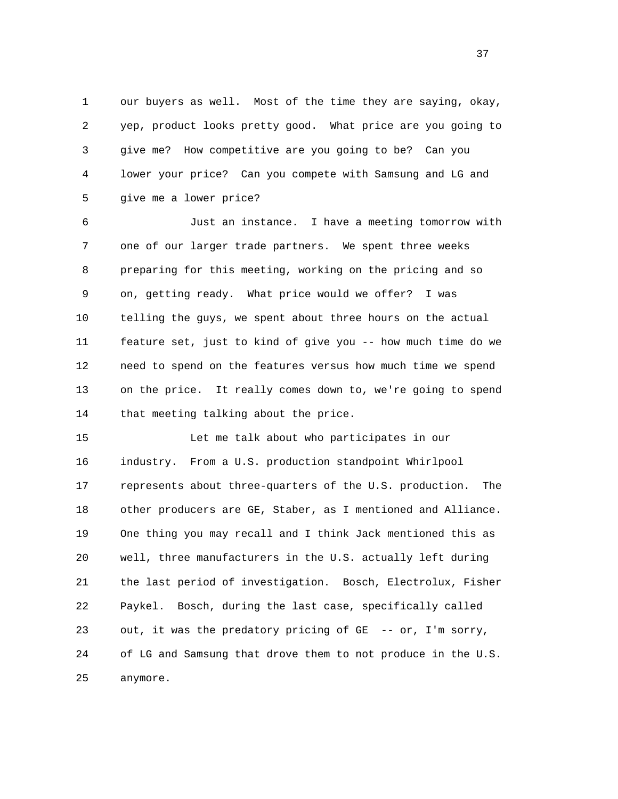1 our buyers as well. Most of the time they are saying, okay, 2 yep, product looks pretty good. What price are you going to 3 give me? How competitive are you going to be? Can you 4 lower your price? Can you compete with Samsung and LG and 5 give me a lower price?

 6 Just an instance. I have a meeting tomorrow with 7 one of our larger trade partners. We spent three weeks 8 preparing for this meeting, working on the pricing and so 9 on, getting ready. What price would we offer? I was 10 telling the guys, we spent about three hours on the actual 11 feature set, just to kind of give you -- how much time do we 12 need to spend on the features versus how much time we spend 13 on the price. It really comes down to, we're going to spend 14 that meeting talking about the price.

 15 Let me talk about who participates in our 16 industry. From a U.S. production standpoint Whirlpool 17 represents about three-quarters of the U.S. production. The 18 other producers are GE, Staber, as I mentioned and Alliance. 19 One thing you may recall and I think Jack mentioned this as 20 well, three manufacturers in the U.S. actually left during 21 the last period of investigation. Bosch, Electrolux, Fisher 22 Paykel. Bosch, during the last case, specifically called 23 out, it was the predatory pricing of GE -- or, I'm sorry, 24 of LG and Samsung that drove them to not produce in the U.S. 25 anymore.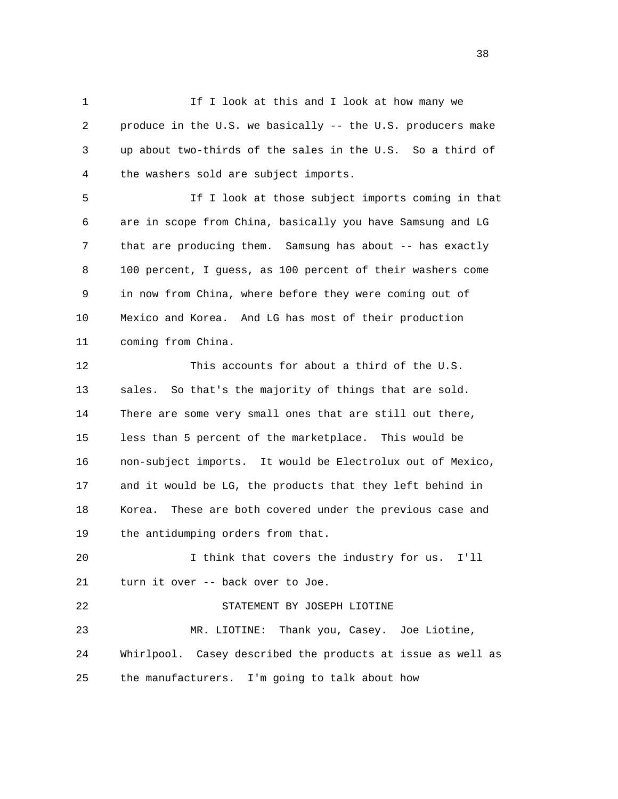1 1 If I look at this and I look at how many we 2 produce in the U.S. we basically -- the U.S. producers make 3 up about two-thirds of the sales in the U.S. So a third of 4 the washers sold are subject imports.

 5 If I look at those subject imports coming in that 6 are in scope from China, basically you have Samsung and LG 7 that are producing them. Samsung has about -- has exactly 8 100 percent, I guess, as 100 percent of their washers come 9 in now from China, where before they were coming out of 10 Mexico and Korea. And LG has most of their production 11 coming from China.

 12 This accounts for about a third of the U.S. 13 sales. So that's the majority of things that are sold. 14 There are some very small ones that are still out there, 15 less than 5 percent of the marketplace. This would be 16 non-subject imports. It would be Electrolux out of Mexico, 17 and it would be LG, the products that they left behind in 18 Korea. These are both covered under the previous case and 19 the antidumping orders from that.

 20 I think that covers the industry for us. I'll 21 turn it over -- back over to Joe.

 22 STATEMENT BY JOSEPH LIOTINE 23 MR. LIOTINE: Thank you, Casey. Joe Liotine, 24 Whirlpool. Casey described the products at issue as well as 25 the manufacturers. I'm going to talk about how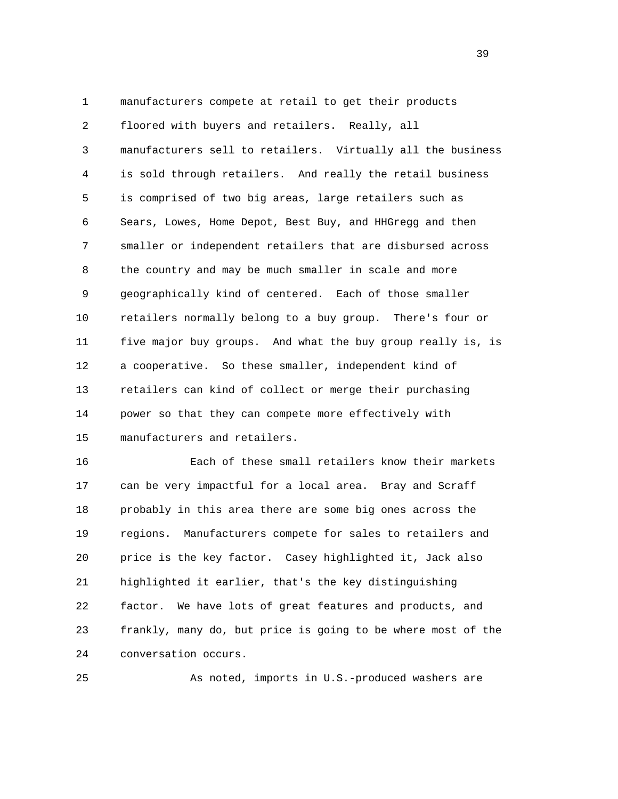1 manufacturers compete at retail to get their products 2 floored with buyers and retailers. Really, all 3 manufacturers sell to retailers. Virtually all the business 4 is sold through retailers. And really the retail business 5 is comprised of two big areas, large retailers such as 6 Sears, Lowes, Home Depot, Best Buy, and HHGregg and then 7 smaller or independent retailers that are disbursed across 8 the country and may be much smaller in scale and more 9 geographically kind of centered. Each of those smaller 10 retailers normally belong to a buy group. There's four or 11 five major buy groups. And what the buy group really is, is 12 a cooperative. So these smaller, independent kind of 13 retailers can kind of collect or merge their purchasing 14 power so that they can compete more effectively with 15 manufacturers and retailers.

 16 Each of these small retailers know their markets 17 can be very impactful for a local area. Bray and Scraff 18 probably in this area there are some big ones across the 19 regions. Manufacturers compete for sales to retailers and 20 price is the key factor. Casey highlighted it, Jack also 21 highlighted it earlier, that's the key distinguishing 22 factor. We have lots of great features and products, and 23 frankly, many do, but price is going to be where most of the 24 conversation occurs.

25 As noted, imports in U.S.-produced washers are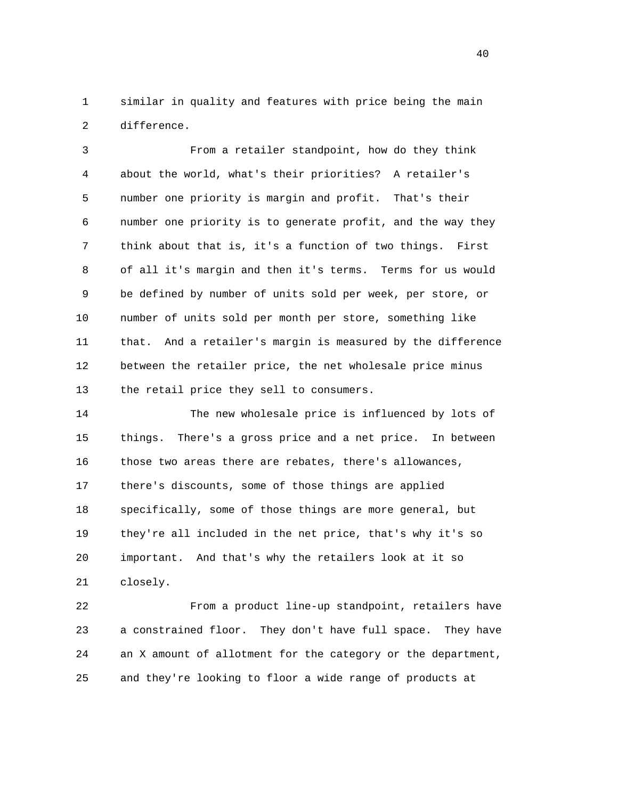1 similar in quality and features with price being the main 2 difference.

 3 From a retailer standpoint, how do they think 4 about the world, what's their priorities? A retailer's 5 number one priority is margin and profit. That's their 6 number one priority is to generate profit, and the way they 7 think about that is, it's a function of two things. First 8 of all it's margin and then it's terms. Terms for us would 9 be defined by number of units sold per week, per store, or 10 number of units sold per month per store, something like 11 that. And a retailer's margin is measured by the difference 12 between the retailer price, the net wholesale price minus 13 the retail price they sell to consumers.

 14 The new wholesale price is influenced by lots of 15 things. There's a gross price and a net price. In between 16 those two areas there are rebates, there's allowances, 17 there's discounts, some of those things are applied 18 specifically, some of those things are more general, but 19 they're all included in the net price, that's why it's so 20 important. And that's why the retailers look at it so 21 closely.

 22 From a product line-up standpoint, retailers have 23 a constrained floor. They don't have full space. They have 24 an X amount of allotment for the category or the department, 25 and they're looking to floor a wide range of products at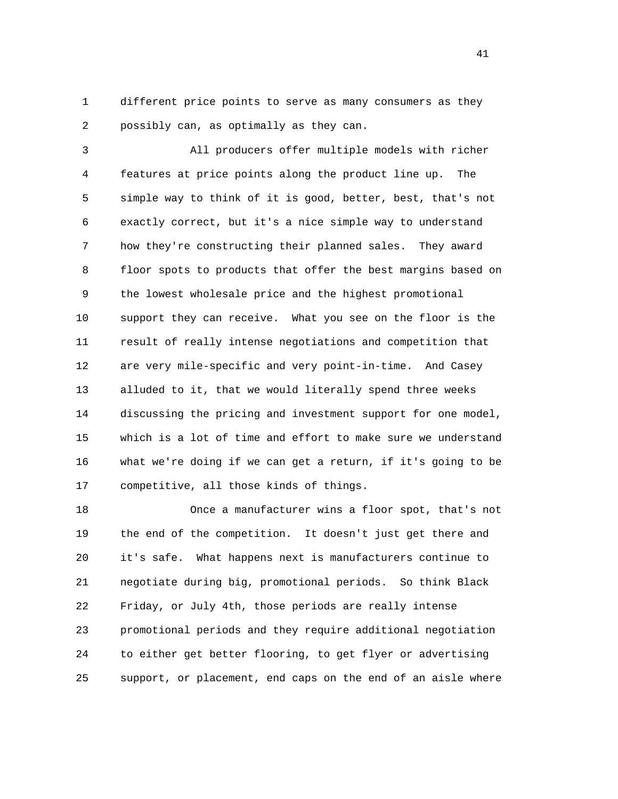1 different price points to serve as many consumers as they 2 possibly can, as optimally as they can.

 3 All producers offer multiple models with richer 4 features at price points along the product line up. The 5 simple way to think of it is good, better, best, that's not 6 exactly correct, but it's a nice simple way to understand 7 how they're constructing their planned sales. They award 8 floor spots to products that offer the best margins based on 9 the lowest wholesale price and the highest promotional 10 support they can receive. What you see on the floor is the 11 result of really intense negotiations and competition that 12 are very mile-specific and very point-in-time. And Casey 13 alluded to it, that we would literally spend three weeks 14 discussing the pricing and investment support for one model, 15 which is a lot of time and effort to make sure we understand 16 what we're doing if we can get a return, if it's going to be 17 competitive, all those kinds of things.

 18 Once a manufacturer wins a floor spot, that's not 19 the end of the competition. It doesn't just get there and 20 it's safe. What happens next is manufacturers continue to 21 negotiate during big, promotional periods. So think Black 22 Friday, or July 4th, those periods are really intense 23 promotional periods and they require additional negotiation 24 to either get better flooring, to get flyer or advertising 25 support, or placement, end caps on the end of an aisle where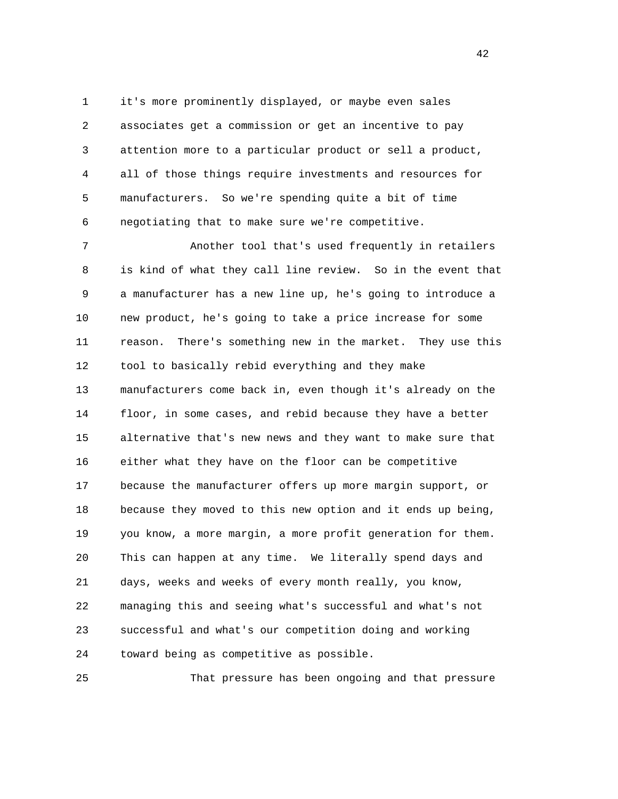1 it's more prominently displayed, or maybe even sales 2 associates get a commission or get an incentive to pay 3 attention more to a particular product or sell a product, 4 all of those things require investments and resources for 5 manufacturers. So we're spending quite a bit of time 6 negotiating that to make sure we're competitive.

 7 Another tool that's used frequently in retailers 8 is kind of what they call line review. So in the event that 9 a manufacturer has a new line up, he's going to introduce a 10 new product, he's going to take a price increase for some 11 reason. There's something new in the market. They use this 12 tool to basically rebid everything and they make 13 manufacturers come back in, even though it's already on the 14 floor, in some cases, and rebid because they have a better 15 alternative that's new news and they want to make sure that 16 either what they have on the floor can be competitive 17 because the manufacturer offers up more margin support, or 18 because they moved to this new option and it ends up being, 19 you know, a more margin, a more profit generation for them. 20 This can happen at any time. We literally spend days and 21 days, weeks and weeks of every month really, you know, 22 managing this and seeing what's successful and what's not 23 successful and what's our competition doing and working 24 toward being as competitive as possible.

25 That pressure has been ongoing and that pressure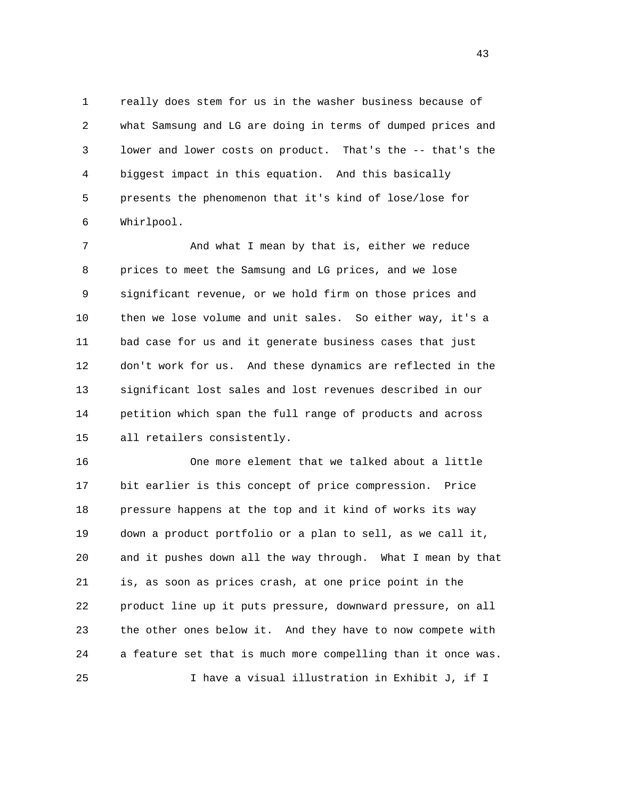1 really does stem for us in the washer business because of 2 what Samsung and LG are doing in terms of dumped prices and 3 lower and lower costs on product. That's the -- that's the 4 biggest impact in this equation. And this basically 5 presents the phenomenon that it's kind of lose/lose for 6 Whirlpool.

7 And what I mean by that is, either we reduce 8 prices to meet the Samsung and LG prices, and we lose 9 significant revenue, or we hold firm on those prices and 10 then we lose volume and unit sales. So either way, it's a 11 bad case for us and it generate business cases that just 12 don't work for us. And these dynamics are reflected in the 13 significant lost sales and lost revenues described in our 14 petition which span the full range of products and across 15 all retailers consistently.

 16 One more element that we talked about a little 17 bit earlier is this concept of price compression. Price 18 pressure happens at the top and it kind of works its way 19 down a product portfolio or a plan to sell, as we call it, 20 and it pushes down all the way through. What I mean by that 21 is, as soon as prices crash, at one price point in the 22 product line up it puts pressure, downward pressure, on all 23 the other ones below it. And they have to now compete with 24 a feature set that is much more compelling than it once was. 25 I have a visual illustration in Exhibit J, if I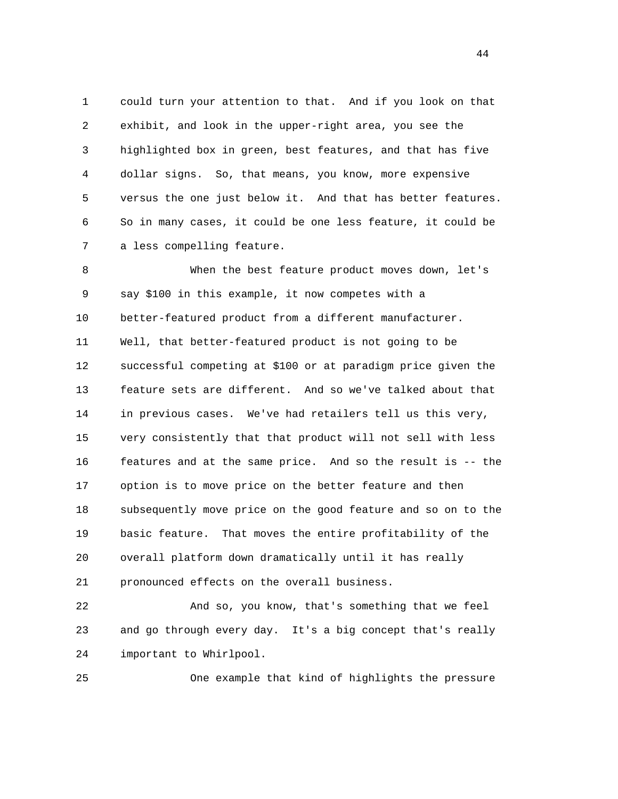1 could turn your attention to that. And if you look on that 2 exhibit, and look in the upper-right area, you see the 3 highlighted box in green, best features, and that has five 4 dollar signs. So, that means, you know, more expensive 5 versus the one just below it. And that has better features. 6 So in many cases, it could be one less feature, it could be 7 a less compelling feature.

 8 When the best feature product moves down, let's 9 say \$100 in this example, it now competes with a 10 better-featured product from a different manufacturer. 11 Well, that better-featured product is not going to be 12 successful competing at \$100 or at paradigm price given the 13 feature sets are different. And so we've talked about that 14 in previous cases. We've had retailers tell us this very, 15 very consistently that that product will not sell with less 16 features and at the same price. And so the result is -- the 17 option is to move price on the better feature and then 18 subsequently move price on the good feature and so on to the 19 basic feature. That moves the entire profitability of the 20 overall platform down dramatically until it has really 21 pronounced effects on the overall business.

 22 And so, you know, that's something that we feel 23 and go through every day. It's a big concept that's really 24 important to Whirlpool.

25 One example that kind of highlights the pressure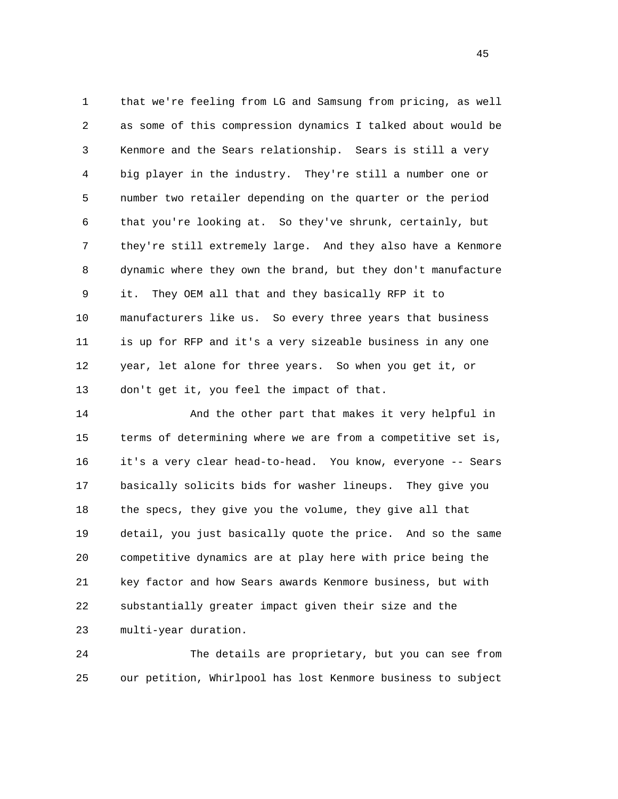1 that we're feeling from LG and Samsung from pricing, as well 2 as some of this compression dynamics I talked about would be 3 Kenmore and the Sears relationship. Sears is still a very 4 big player in the industry. They're still a number one or 5 number two retailer depending on the quarter or the period 6 that you're looking at. So they've shrunk, certainly, but 7 they're still extremely large. And they also have a Kenmore 8 dynamic where they own the brand, but they don't manufacture 9 it. They OEM all that and they basically RFP it to 10 manufacturers like us. So every three years that business 11 is up for RFP and it's a very sizeable business in any one 12 year, let alone for three years. So when you get it, or 13 don't get it, you feel the impact of that.

 14 And the other part that makes it very helpful in 15 terms of determining where we are from a competitive set is, 16 it's a very clear head-to-head. You know, everyone -- Sears 17 basically solicits bids for washer lineups. They give you 18 the specs, they give you the volume, they give all that 19 detail, you just basically quote the price. And so the same 20 competitive dynamics are at play here with price being the 21 key factor and how Sears awards Kenmore business, but with 22 substantially greater impact given their size and the 23 multi-year duration.

 24 The details are proprietary, but you can see from 25 our petition, Whirlpool has lost Kenmore business to subject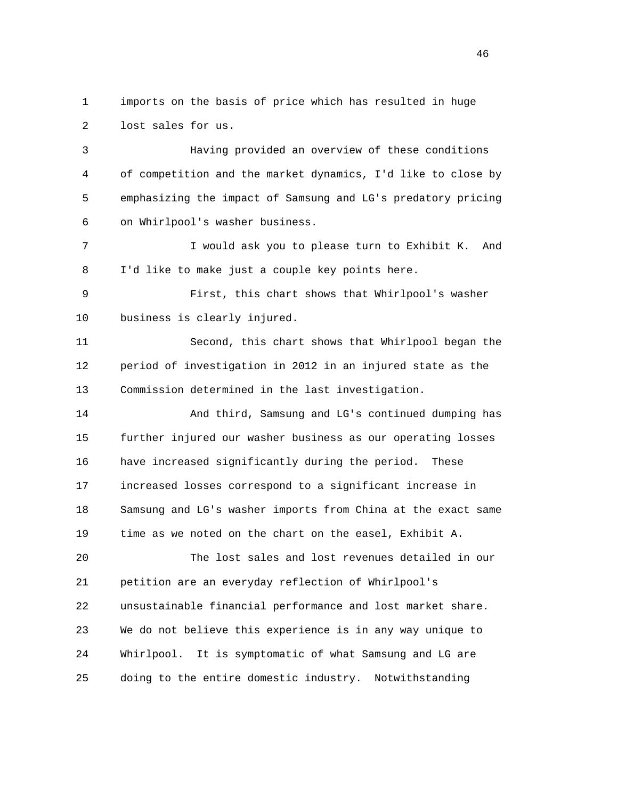1 imports on the basis of price which has resulted in huge 2 lost sales for us.

 3 Having provided an overview of these conditions 4 of competition and the market dynamics, I'd like to close by 5 emphasizing the impact of Samsung and LG's predatory pricing 6 on Whirlpool's washer business.

 7 I would ask you to please turn to Exhibit K. And 8 I'd like to make just a couple key points here.

 9 First, this chart shows that Whirlpool's washer 10 business is clearly injured.

 11 Second, this chart shows that Whirlpool began the 12 period of investigation in 2012 in an injured state as the 13 Commission determined in the last investigation.

 14 And third, Samsung and LG's continued dumping has 15 further injured our washer business as our operating losses 16 have increased significantly during the period. These 17 increased losses correspond to a significant increase in 18 Samsung and LG's washer imports from China at the exact same 19 time as we noted on the chart on the easel, Exhibit A.

 20 The lost sales and lost revenues detailed in our 21 petition are an everyday reflection of Whirlpool's 22 unsustainable financial performance and lost market share. 23 We do not believe this experience is in any way unique to 24 Whirlpool. It is symptomatic of what Samsung and LG are 25 doing to the entire domestic industry. Notwithstanding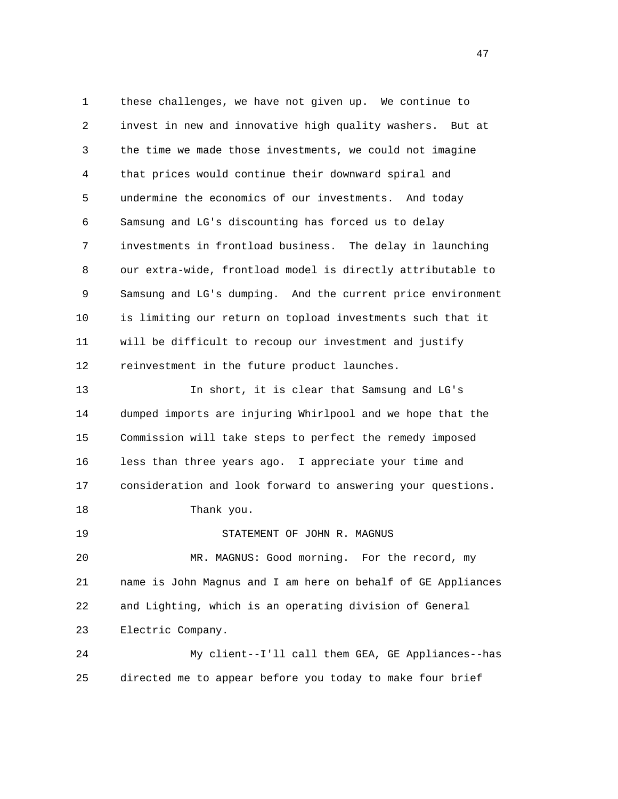1 these challenges, we have not given up. We continue to 2 invest in new and innovative high quality washers. But at 3 the time we made those investments, we could not imagine 4 that prices would continue their downward spiral and 5 undermine the economics of our investments. And today 6 Samsung and LG's discounting has forced us to delay 7 investments in frontload business. The delay in launching 8 our extra-wide, frontload model is directly attributable to 9 Samsung and LG's dumping. And the current price environment 10 is limiting our return on topload investments such that it 11 will be difficult to recoup our investment and justify 12 reinvestment in the future product launches. 13 In short, it is clear that Samsung and LG's 14 dumped imports are injuring Whirlpool and we hope that the 15 Commission will take steps to perfect the remedy imposed 16 less than three years ago. I appreciate your time and 17 consideration and look forward to answering your questions. 18 Thank you. 19 STATEMENT OF JOHN R. MAGNUS 20 MR. MAGNUS: Good morning. For the record, my 21 name is John Magnus and I am here on behalf of GE Appliances 22 and Lighting, which is an operating division of General 23 Electric Company. 24 My client--I'll call them GEA, GE Appliances--has 25 directed me to appear before you today to make four brief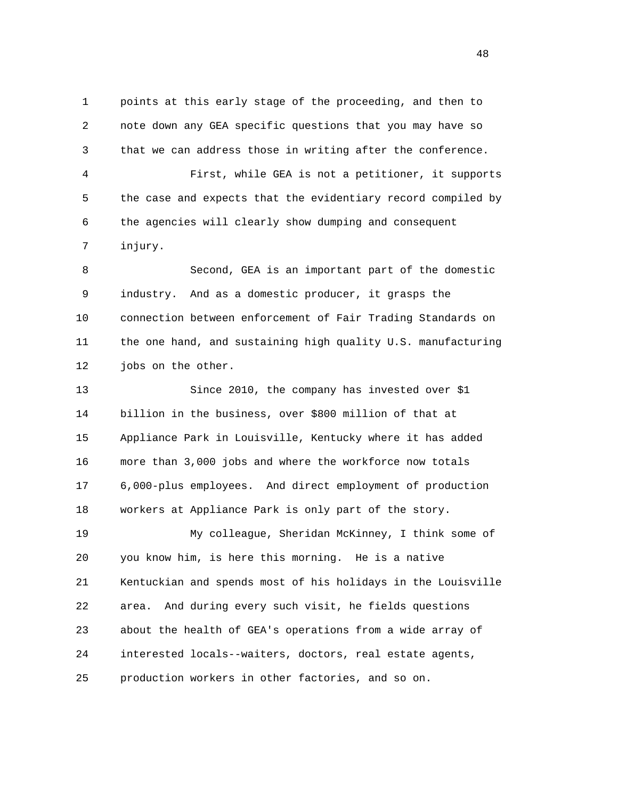1 points at this early stage of the proceeding, and then to 2 note down any GEA specific questions that you may have so 3 that we can address those in writing after the conference. 4 First, while GEA is not a petitioner, it supports 5 the case and expects that the evidentiary record compiled by 6 the agencies will clearly show dumping and consequent 7 injury. 8 Second, GEA is an important part of the domestic 9 industry. And as a domestic producer, it grasps the 10 connection between enforcement of Fair Trading Standards on 11 the one hand, and sustaining high quality U.S. manufacturing 12 jobs on the other. 13 Since 2010, the company has invested over \$1 14 billion in the business, over \$800 million of that at 15 Appliance Park in Louisville, Kentucky where it has added 16 more than 3,000 jobs and where the workforce now totals 17 6,000-plus employees. And direct employment of production 18 workers at Appliance Park is only part of the story. 19 My colleague, Sheridan McKinney, I think some of 20 you know him, is here this morning. He is a native 21 Kentuckian and spends most of his holidays in the Louisville 22 area. And during every such visit, he fields questions 23 about the health of GEA's operations from a wide array of 24 interested locals--waiters, doctors, real estate agents,

25 production workers in other factories, and so on.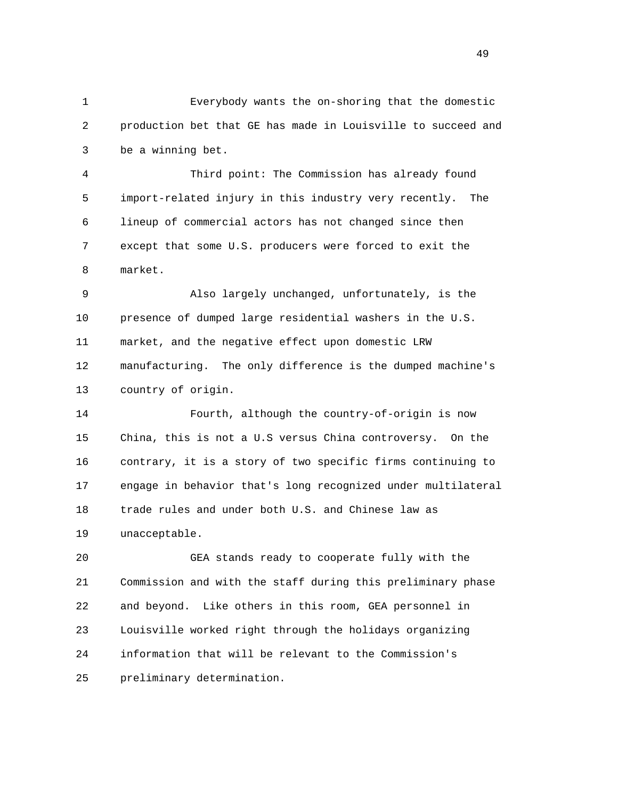1 Everybody wants the on-shoring that the domestic 2 production bet that GE has made in Louisville to succeed and 3 be a winning bet.

 4 Third point: The Commission has already found 5 import-related injury in this industry very recently. The 6 lineup of commercial actors has not changed since then 7 except that some U.S. producers were forced to exit the 8 market.

 9 Also largely unchanged, unfortunately, is the 10 presence of dumped large residential washers in the U.S. 11 market, and the negative effect upon domestic LRW 12 manufacturing. The only difference is the dumped machine's 13 country of origin.

 14 Fourth, although the country-of-origin is now 15 China, this is not a U.S versus China controversy. On the 16 contrary, it is a story of two specific firms continuing to 17 engage in behavior that's long recognized under multilateral 18 trade rules and under both U.S. and Chinese law as 19 unacceptable.

 20 GEA stands ready to cooperate fully with the 21 Commission and with the staff during this preliminary phase 22 and beyond. Like others in this room, GEA personnel in 23 Louisville worked right through the holidays organizing 24 information that will be relevant to the Commission's 25 preliminary determination.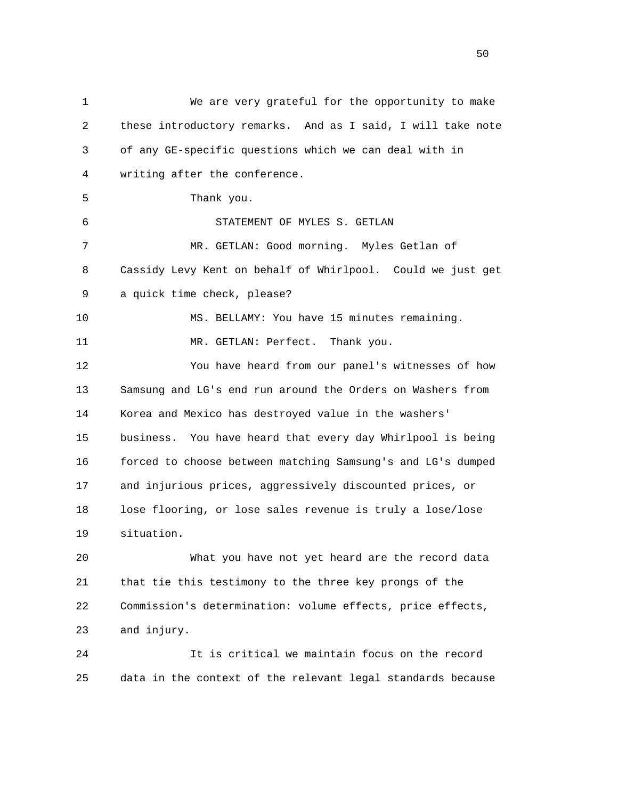1 We are very grateful for the opportunity to make 2 these introductory remarks. And as I said, I will take note 3 of any GE-specific questions which we can deal with in 4 writing after the conference. 5 Thank you. 6 STATEMENT OF MYLES S. GETLAN 7 MR. GETLAN: Good morning. Myles Getlan of 8 Cassidy Levy Kent on behalf of Whirlpool. Could we just get 9 a quick time check, please? 10 MS. BELLAMY: You have 15 minutes remaining. 11 MR. GETLAN: Perfect. Thank you. 12 You have heard from our panel's witnesses of how 13 Samsung and LG's end run around the Orders on Washers from 14 Korea and Mexico has destroyed value in the washers' 15 business. You have heard that every day Whirlpool is being 16 forced to choose between matching Samsung's and LG's dumped 17 and injurious prices, aggressively discounted prices, or 18 lose flooring, or lose sales revenue is truly a lose/lose 19 situation. 20 What you have not yet heard are the record data 21 that tie this testimony to the three key prongs of the 22 Commission's determination: volume effects, price effects, 23 and injury. 24 It is critical we maintain focus on the record 25 data in the context of the relevant legal standards because

 $50<sub>50</sub>$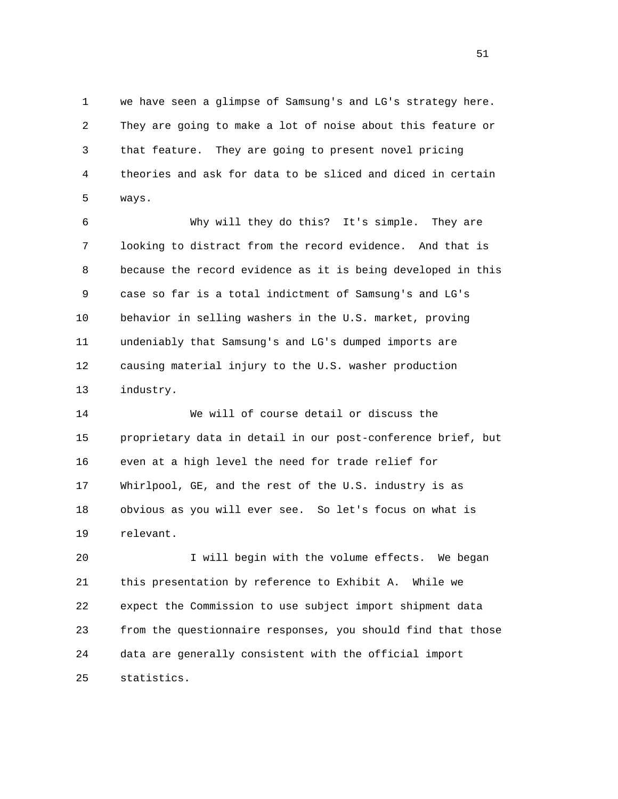1 we have seen a glimpse of Samsung's and LG's strategy here. 2 They are going to make a lot of noise about this feature or 3 that feature. They are going to present novel pricing 4 theories and ask for data to be sliced and diced in certain 5 ways.

 6 Why will they do this? It's simple. They are 7 looking to distract from the record evidence. And that is 8 because the record evidence as it is being developed in this 9 case so far is a total indictment of Samsung's and LG's 10 behavior in selling washers in the U.S. market, proving 11 undeniably that Samsung's and LG's dumped imports are 12 causing material injury to the U.S. washer production 13 industry.

 14 We will of course detail or discuss the 15 proprietary data in detail in our post-conference brief, but 16 even at a high level the need for trade relief for 17 Whirlpool, GE, and the rest of the U.S. industry is as 18 obvious as you will ever see. So let's focus on what is 19 relevant.

 20 I will begin with the volume effects. We began 21 this presentation by reference to Exhibit A. While we 22 expect the Commission to use subject import shipment data 23 from the questionnaire responses, you should find that those 24 data are generally consistent with the official import 25 statistics.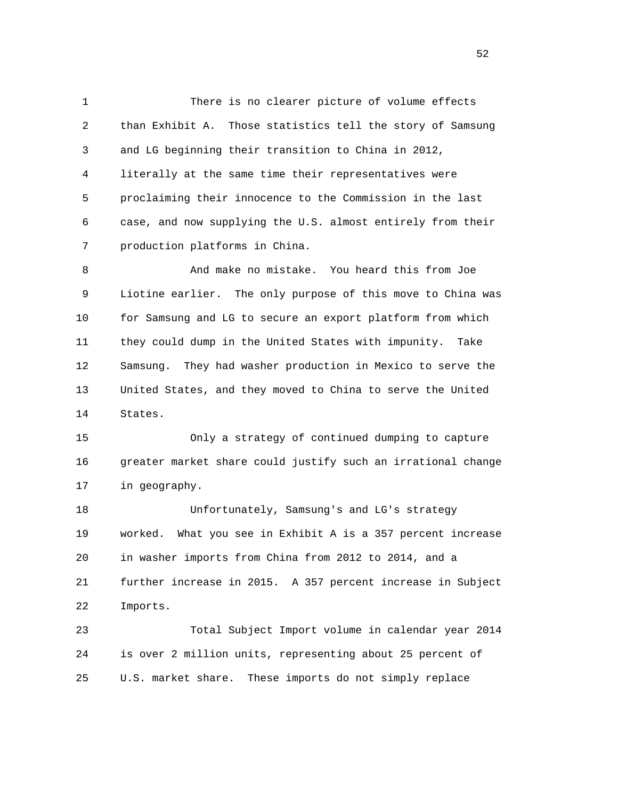1 There is no clearer picture of volume effects 2 than Exhibit A. Those statistics tell the story of Samsung 3 and LG beginning their transition to China in 2012, 4 literally at the same time their representatives were 5 proclaiming their innocence to the Commission in the last 6 case, and now supplying the U.S. almost entirely from their 7 production platforms in China.

8 And make no mistake. You heard this from Joe 9 Liotine earlier. The only purpose of this move to China was 10 for Samsung and LG to secure an export platform from which 11 they could dump in the United States with impunity. Take 12 Samsung. They had washer production in Mexico to serve the 13 United States, and they moved to China to serve the United 14 States.

 15 Only a strategy of continued dumping to capture 16 greater market share could justify such an irrational change 17 in geography.

 18 Unfortunately, Samsung's and LG's strategy 19 worked. What you see in Exhibit A is a 357 percent increase 20 in washer imports from China from 2012 to 2014, and a 21 further increase in 2015. A 357 percent increase in Subject 22 Imports.

 23 Total Subject Import volume in calendar year 2014 24 is over 2 million units, representing about 25 percent of 25 U.S. market share. These imports do not simply replace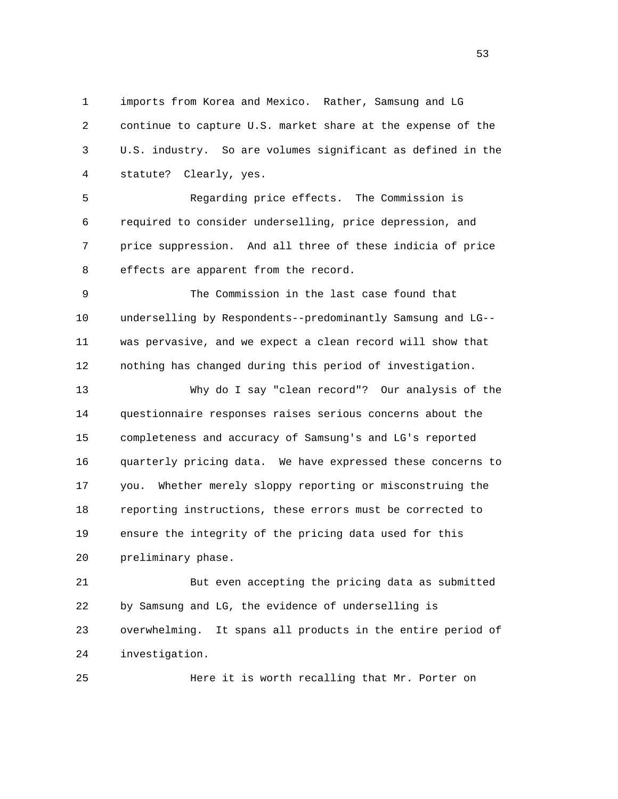1 imports from Korea and Mexico. Rather, Samsung and LG 2 continue to capture U.S. market share at the expense of the 3 U.S. industry. So are volumes significant as defined in the 4 statute? Clearly, yes.

 5 Regarding price effects. The Commission is 6 required to consider underselling, price depression, and 7 price suppression. And all three of these indicia of price 8 effects are apparent from the record.

 9 The Commission in the last case found that 10 underselling by Respondents--predominantly Samsung and LG-- 11 was pervasive, and we expect a clean record will show that 12 nothing has changed during this period of investigation.

 13 Why do I say "clean record"? Our analysis of the 14 questionnaire responses raises serious concerns about the 15 completeness and accuracy of Samsung's and LG's reported 16 quarterly pricing data. We have expressed these concerns to 17 you. Whether merely sloppy reporting or misconstruing the 18 reporting instructions, these errors must be corrected to 19 ensure the integrity of the pricing data used for this 20 preliminary phase.

 21 But even accepting the pricing data as submitted 22 by Samsung and LG, the evidence of underselling is 23 overwhelming. It spans all products in the entire period of 24 investigation.

25 Here it is worth recalling that Mr. Porter on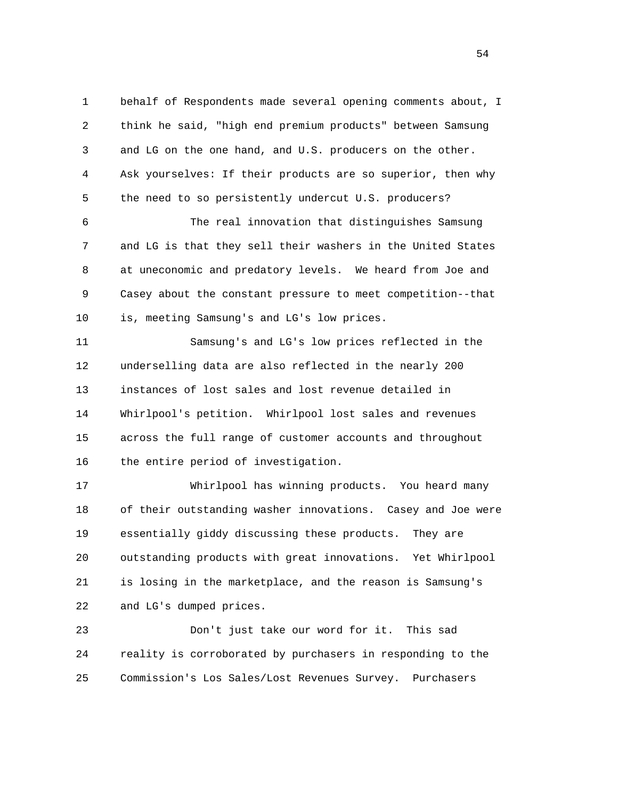1 behalf of Respondents made several opening comments about, I 2 think he said, "high end premium products" between Samsung 3 and LG on the one hand, and U.S. producers on the other. 4 Ask yourselves: If their products are so superior, then why 5 the need to so persistently undercut U.S. producers?

 6 The real innovation that distinguishes Samsung 7 and LG is that they sell their washers in the United States 8 at uneconomic and predatory levels. We heard from Joe and 9 Casey about the constant pressure to meet competition--that 10 is, meeting Samsung's and LG's low prices.

 11 Samsung's and LG's low prices reflected in the 12 underselling data are also reflected in the nearly 200 13 instances of lost sales and lost revenue detailed in 14 Whirlpool's petition. Whirlpool lost sales and revenues 15 across the full range of customer accounts and throughout 16 the entire period of investigation.

 17 Whirlpool has winning products. You heard many 18 of their outstanding washer innovations. Casey and Joe were 19 essentially giddy discussing these products. They are 20 outstanding products with great innovations. Yet Whirlpool 21 is losing in the marketplace, and the reason is Samsung's 22 and LG's dumped prices.

 23 Don't just take our word for it. This sad 24 reality is corroborated by purchasers in responding to the 25 Commission's Los Sales/Lost Revenues Survey. Purchasers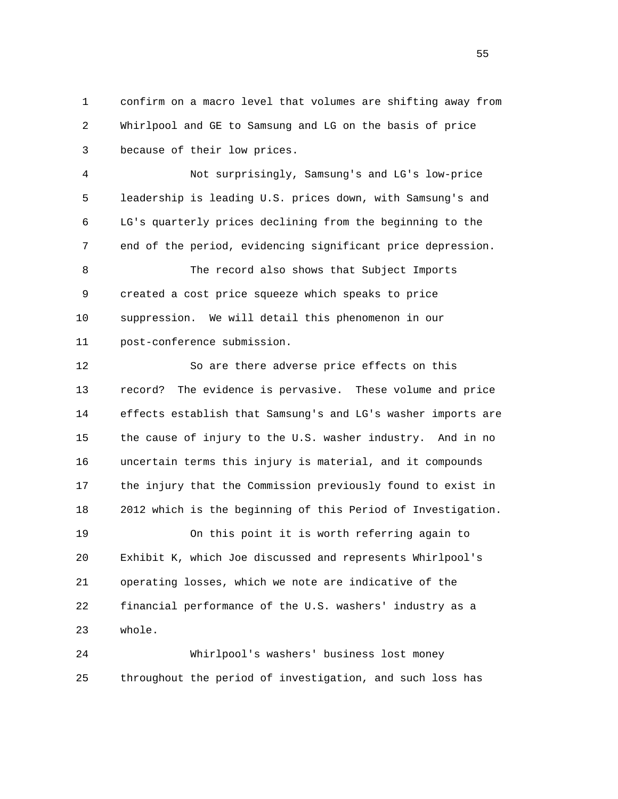1 confirm on a macro level that volumes are shifting away from 2 Whirlpool and GE to Samsung and LG on the basis of price 3 because of their low prices.

 4 Not surprisingly, Samsung's and LG's low-price 5 leadership is leading U.S. prices down, with Samsung's and 6 LG's quarterly prices declining from the beginning to the 7 end of the period, evidencing significant price depression.

 8 The record also shows that Subject Imports 9 created a cost price squeeze which speaks to price 10 suppression. We will detail this phenomenon in our 11 post-conference submission.

 12 So are there adverse price effects on this 13 record? The evidence is pervasive. These volume and price 14 effects establish that Samsung's and LG's washer imports are 15 the cause of injury to the U.S. washer industry. And in no 16 uncertain terms this injury is material, and it compounds 17 the injury that the Commission previously found to exist in 18 2012 which is the beginning of this Period of Investigation. 19 On this point it is worth referring again to 20 Exhibit K, which Joe discussed and represents Whirlpool's 21 operating losses, which we note are indicative of the

 22 financial performance of the U.S. washers' industry as a 23 whole.

 24 Whirlpool's washers' business lost money 25 throughout the period of investigation, and such loss has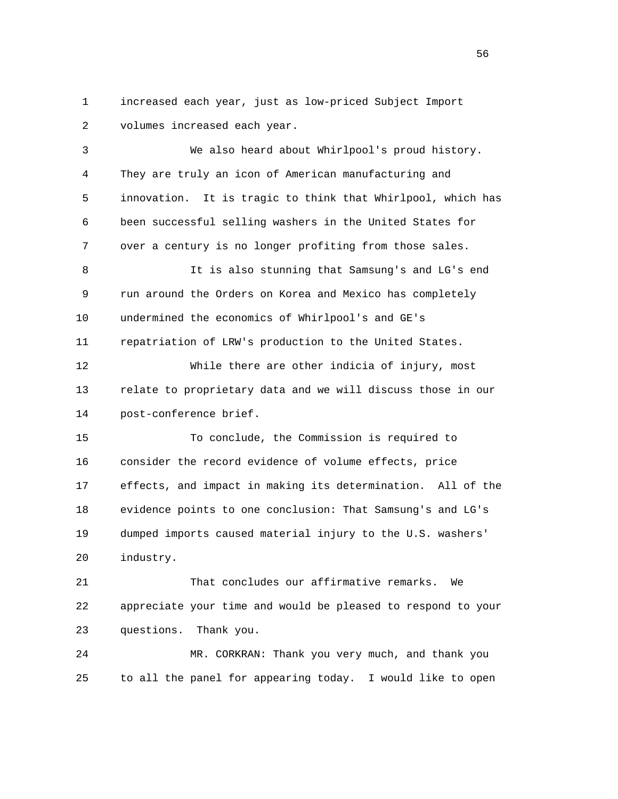1 increased each year, just as low-priced Subject Import 2 volumes increased each year.

 3 We also heard about Whirlpool's proud history. 4 They are truly an icon of American manufacturing and 5 innovation. It is tragic to think that Whirlpool, which has 6 been successful selling washers in the United States for 7 over a century is no longer profiting from those sales. 8 It is also stunning that Samsung's and LG's end 9 run around the Orders on Korea and Mexico has completely 10 undermined the economics of Whirlpool's and GE's 11 repatriation of LRW's production to the United States. 12 While there are other indicia of injury, most 13 relate to proprietary data and we will discuss those in our 14 post-conference brief. 15 To conclude, the Commission is required to 16 consider the record evidence of volume effects, price 17 effects, and impact in making its determination. All of the 18 evidence points to one conclusion: That Samsung's and LG's 19 dumped imports caused material injury to the U.S. washers' 20 industry.

 21 That concludes our affirmative remarks. We 22 appreciate your time and would be pleased to respond to your 23 questions. Thank you.

 24 MR. CORKRAN: Thank you very much, and thank you 25 to all the panel for appearing today. I would like to open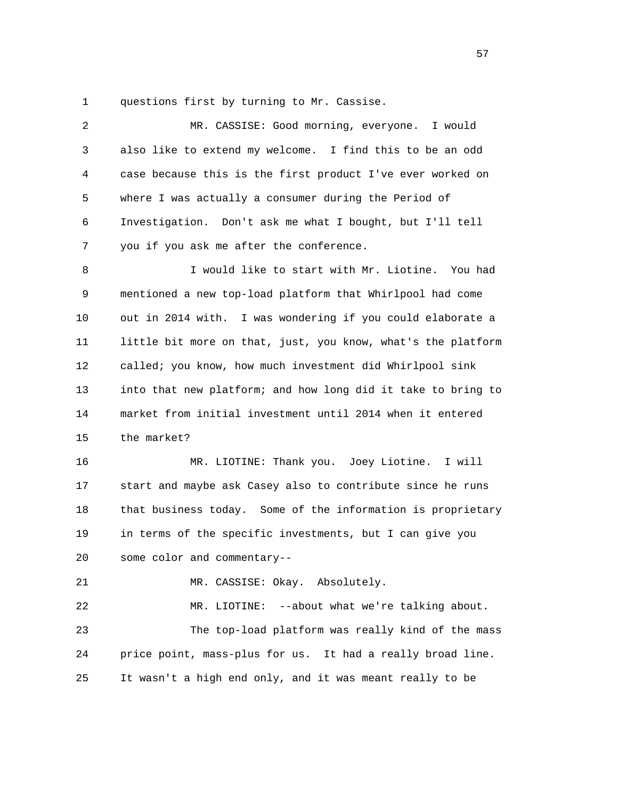1 questions first by turning to Mr. Cassise.

 2 MR. CASSISE: Good morning, everyone. I would 3 also like to extend my welcome. I find this to be an odd 4 case because this is the first product I've ever worked on 5 where I was actually a consumer during the Period of 6 Investigation. Don't ask me what I bought, but I'll tell 7 you if you ask me after the conference. 8 I would like to start with Mr. Liotine. You had 9 mentioned a new top-load platform that Whirlpool had come 10 out in 2014 with. I was wondering if you could elaborate a 11 little bit more on that, just, you know, what's the platform 12 called; you know, how much investment did Whirlpool sink 13 into that new platform; and how long did it take to bring to 14 market from initial investment until 2014 when it entered 15 the market? 16 MR. LIOTINE: Thank you. Joey Liotine. I will 17 start and maybe ask Casey also to contribute since he runs 18 that business today. Some of the information is proprietary 19 in terms of the specific investments, but I can give you 20 some color and commentary-- 21 MR. CASSISE: Okay. Absolutely.

 22 MR. LIOTINE: --about what we're talking about. 23 The top-load platform was really kind of the mass 24 price point, mass-plus for us. It had a really broad line. 25 It wasn't a high end only, and it was meant really to be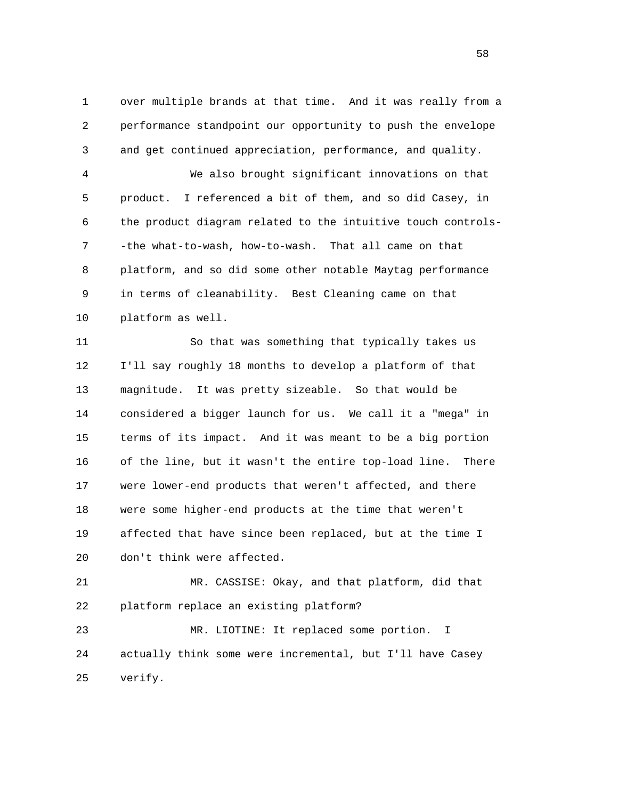1 over multiple brands at that time. And it was really from a 2 performance standpoint our opportunity to push the envelope 3 and get continued appreciation, performance, and quality.

 4 We also brought significant innovations on that 5 product. I referenced a bit of them, and so did Casey, in 6 the product diagram related to the intuitive touch controls- 7 -the what-to-wash, how-to-wash. That all came on that 8 platform, and so did some other notable Maytag performance 9 in terms of cleanability. Best Cleaning came on that 10 platform as well.

 11 So that was something that typically takes us 12 I'll say roughly 18 months to develop a platform of that 13 magnitude. It was pretty sizeable. So that would be 14 considered a bigger launch for us. We call it a "mega" in 15 terms of its impact. And it was meant to be a big portion 16 of the line, but it wasn't the entire top-load line. There 17 were lower-end products that weren't affected, and there 18 were some higher-end products at the time that weren't 19 affected that have since been replaced, but at the time I 20 don't think were affected.

 21 MR. CASSISE: Okay, and that platform, did that 22 platform replace an existing platform?

 23 MR. LIOTINE: It replaced some portion. I 24 actually think some were incremental, but I'll have Casey 25 verify.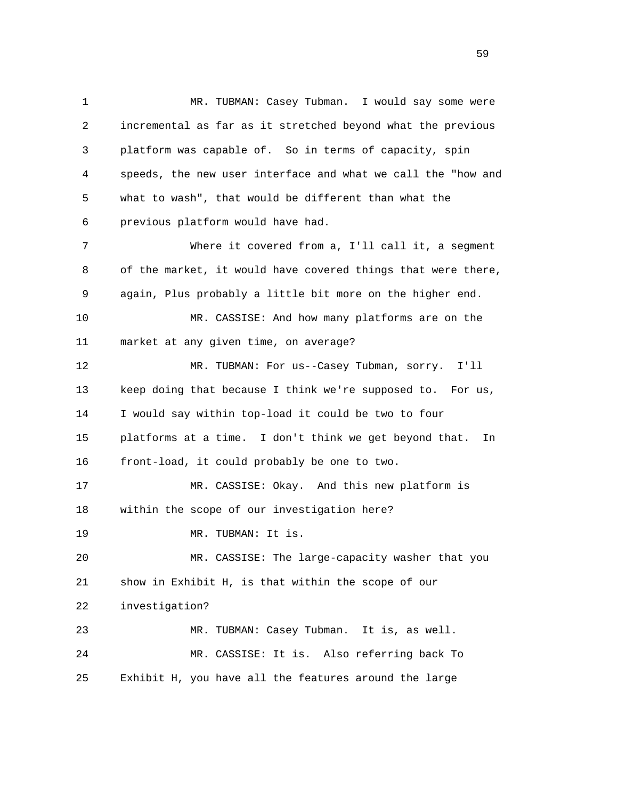1 MR. TUBMAN: Casey Tubman. I would say some were 2 incremental as far as it stretched beyond what the previous 3 platform was capable of. So in terms of capacity, spin 4 speeds, the new user interface and what we call the "how and 5 what to wash", that would be different than what the 6 previous platform would have had. 7 Where it covered from a, I'll call it, a segment 8 of the market, it would have covered things that were there, 9 again, Plus probably a little bit more on the higher end. 10 MR. CASSISE: And how many platforms are on the 11 market at any given time, on average? 12 MR. TUBMAN: For us--Casey Tubman, sorry. I'll 13 keep doing that because I think we're supposed to. For us, 14 I would say within top-load it could be two to four 15 platforms at a time. I don't think we get beyond that. In 16 front-load, it could probably be one to two. 17 MR. CASSISE: Okay. And this new platform is 18 within the scope of our investigation here? 19 MR. TUBMAN: It is. 20 MR. CASSISE: The large-capacity washer that you 21 show in Exhibit H, is that within the scope of our 22 investigation? 23 MR. TUBMAN: Casey Tubman. It is, as well. 24 MR. CASSISE: It is. Also referring back To 25 Exhibit H, you have all the features around the large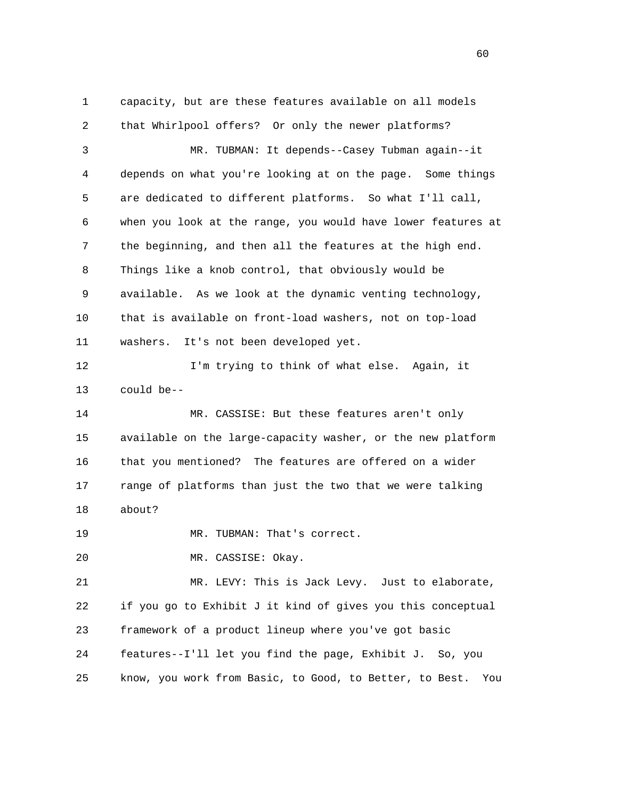1 capacity, but are these features available on all models 2 that Whirlpool offers? Or only the newer platforms? 3 MR. TUBMAN: It depends--Casey Tubman again--it 4 depends on what you're looking at on the page. Some things 5 are dedicated to different platforms. So what I'll call, 6 when you look at the range, you would have lower features at 7 the beginning, and then all the features at the high end. 8 Things like a knob control, that obviously would be 9 available. As we look at the dynamic venting technology, 10 that is available on front-load washers, not on top-load 11 washers. It's not been developed yet. 12 I'm trying to think of what else. Again, it 13 could be-- 14 MR. CASSISE: But these features aren't only 15 available on the large-capacity washer, or the new platform 16 that you mentioned? The features are offered on a wider 17 range of platforms than just the two that we were talking 18 about? 19 MR. TUBMAN: That's correct. 20 MR. CASSISE: Okay. 21 MR. LEVY: This is Jack Levy. Just to elaborate, 22 if you go to Exhibit J it kind of gives you this conceptual 23 framework of a product lineup where you've got basic 24 features--I'll let you find the page, Exhibit J. So, you 25 know, you work from Basic, to Good, to Better, to Best. You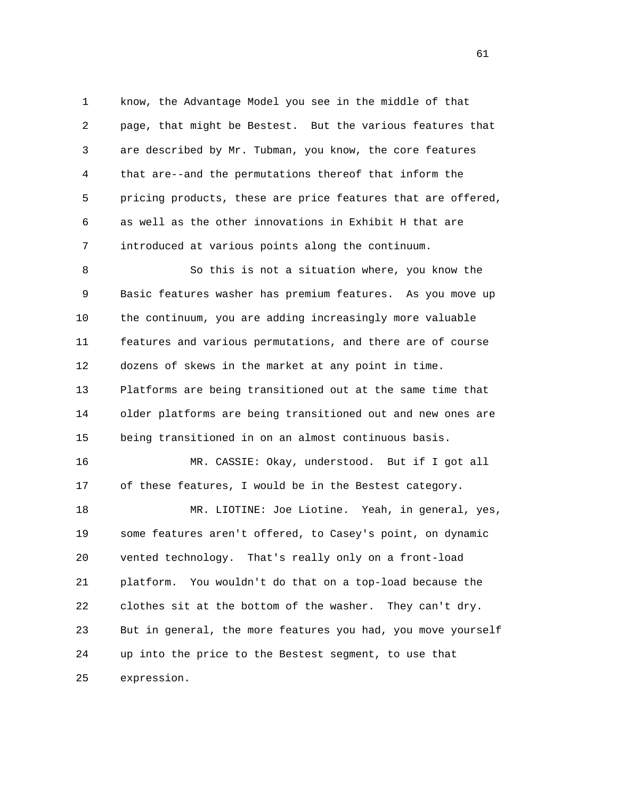1 know, the Advantage Model you see in the middle of that 2 page, that might be Bestest. But the various features that 3 are described by Mr. Tubman, you know, the core features 4 that are--and the permutations thereof that inform the 5 pricing products, these are price features that are offered, 6 as well as the other innovations in Exhibit H that are 7 introduced at various points along the continuum.

 8 So this is not a situation where, you know the 9 Basic features washer has premium features. As you move up 10 the continuum, you are adding increasingly more valuable 11 features and various permutations, and there are of course 12 dozens of skews in the market at any point in time. 13 Platforms are being transitioned out at the same time that 14 older platforms are being transitioned out and new ones are 15 being transitioned in on an almost continuous basis. 16 MR. CASSIE: Okay, understood. But if I got all 17 of these features, I would be in the Bestest category. 18 MR. LIOTINE: Joe Liotine. Yeah, in general, yes,

 19 some features aren't offered, to Casey's point, on dynamic 20 vented technology. That's really only on a front-load 21 platform. You wouldn't do that on a top-load because the 22 clothes sit at the bottom of the washer. They can't dry. 23 But in general, the more features you had, you move yourself 24 up into the price to the Bestest segment, to use that 25 expression.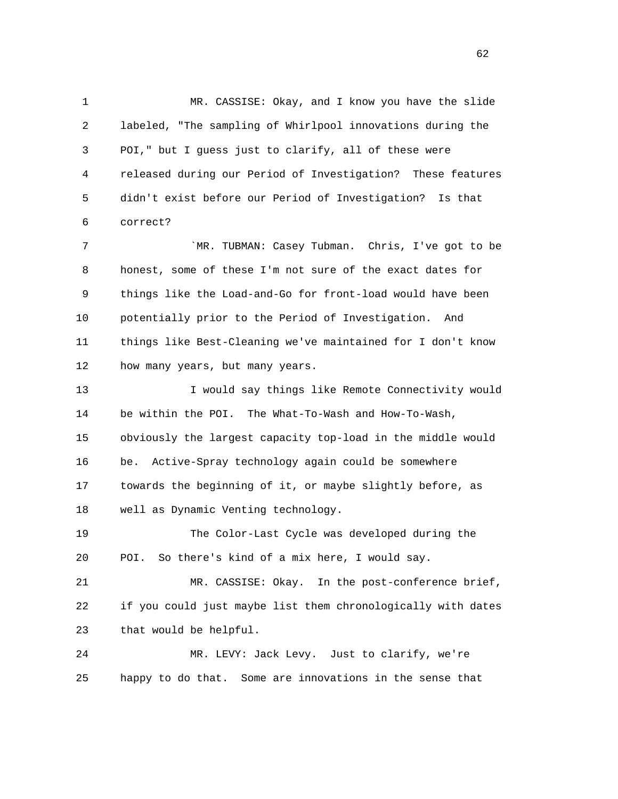1 MR. CASSISE: Okay, and I know you have the slide 2 labeled, "The sampling of Whirlpool innovations during the 3 POI," but I guess just to clarify, all of these were 4 released during our Period of Investigation? These features 5 didn't exist before our Period of Investigation? Is that 6 correct?

7 THE STR THE STRING TO SAME STRING TO MANY: Casey Tubman. Chris, I've got to be 8 honest, some of these I'm not sure of the exact dates for 9 things like the Load-and-Go for front-load would have been 10 potentially prior to the Period of Investigation. And 11 things like Best-Cleaning we've maintained for I don't know 12 how many years, but many years.

 13 I would say things like Remote Connectivity would 14 be within the POI. The What-To-Wash and How-To-Wash, 15 obviously the largest capacity top-load in the middle would 16 be. Active-Spray technology again could be somewhere 17 towards the beginning of it, or maybe slightly before, as 18 well as Dynamic Venting technology.

 19 The Color-Last Cycle was developed during the 20 POI. So there's kind of a mix here, I would say.

 21 MR. CASSISE: Okay. In the post-conference brief, 22 if you could just maybe list them chronologically with dates 23 that would be helpful.

 24 MR. LEVY: Jack Levy. Just to clarify, we're 25 happy to do that. Some are innovations in the sense that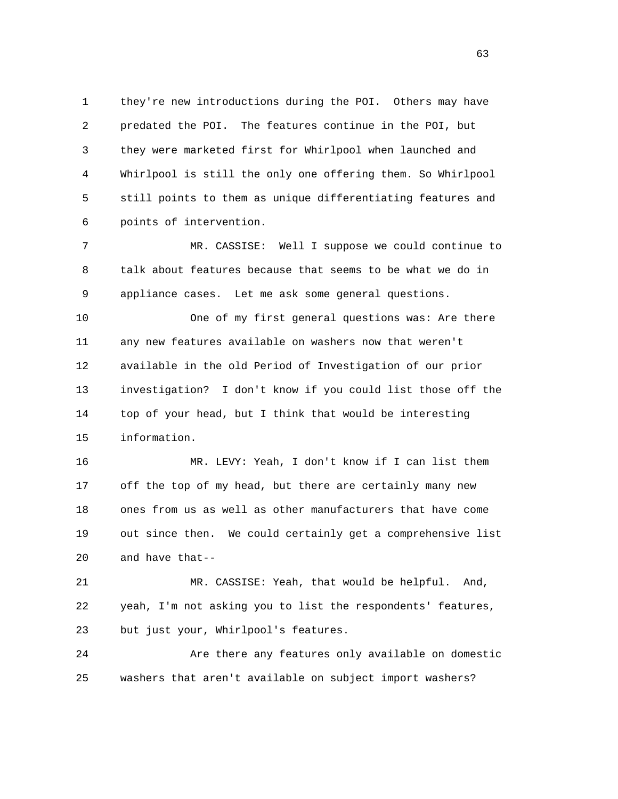1 they're new introductions during the POI. Others may have 2 predated the POI. The features continue in the POI, but 3 they were marketed first for Whirlpool when launched and 4 Whirlpool is still the only one offering them. So Whirlpool 5 still points to them as unique differentiating features and 6 points of intervention.

 7 MR. CASSISE: Well I suppose we could continue to 8 talk about features because that seems to be what we do in 9 appliance cases. Let me ask some general questions.

 10 One of my first general questions was: Are there 11 any new features available on washers now that weren't 12 available in the old Period of Investigation of our prior 13 investigation? I don't know if you could list those off the 14 top of your head, but I think that would be interesting 15 information.

 16 MR. LEVY: Yeah, I don't know if I can list them 17 off the top of my head, but there are certainly many new 18 ones from us as well as other manufacturers that have come 19 out since then. We could certainly get a comprehensive list 20 and have that--

 21 MR. CASSISE: Yeah, that would be helpful. And, 22 yeah, I'm not asking you to list the respondents' features, 23 but just your, Whirlpool's features.

 24 Are there any features only available on domestic 25 washers that aren't available on subject import washers?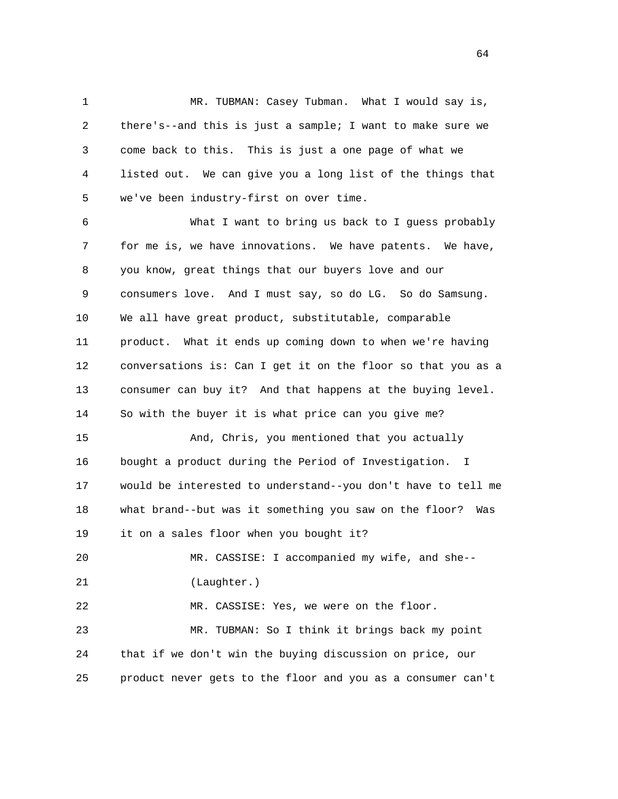1 MR. TUBMAN: Casey Tubman. What I would say is, 2 there's--and this is just a sample; I want to make sure we 3 come back to this. This is just a one page of what we 4 listed out. We can give you a long list of the things that 5 we've been industry-first on over time.

 6 What I want to bring us back to I guess probably 7 for me is, we have innovations. We have patents. We have, 8 you know, great things that our buyers love and our 9 consumers love. And I must say, so do LG. So do Samsung. 10 We all have great product, substitutable, comparable 11 product. What it ends up coming down to when we're having 12 conversations is: Can I get it on the floor so that you as a 13 consumer can buy it? And that happens at the buying level. 14 So with the buyer it is what price can you give me? 15 And, Chris, you mentioned that you actually 16 bought a product during the Period of Investigation. I 17 would be interested to understand--you don't have to tell me 18 what brand--but was it something you saw on the floor? Was 19 it on a sales floor when you bought it? 20 MR. CASSISE: I accompanied my wife, and she-- 21 (Laughter.) 22 MR. CASSISE: Yes, we were on the floor. 23 MR. TUBMAN: So I think it brings back my point 24 that if we don't win the buying discussion on price, our 25 product never gets to the floor and you as a consumer can't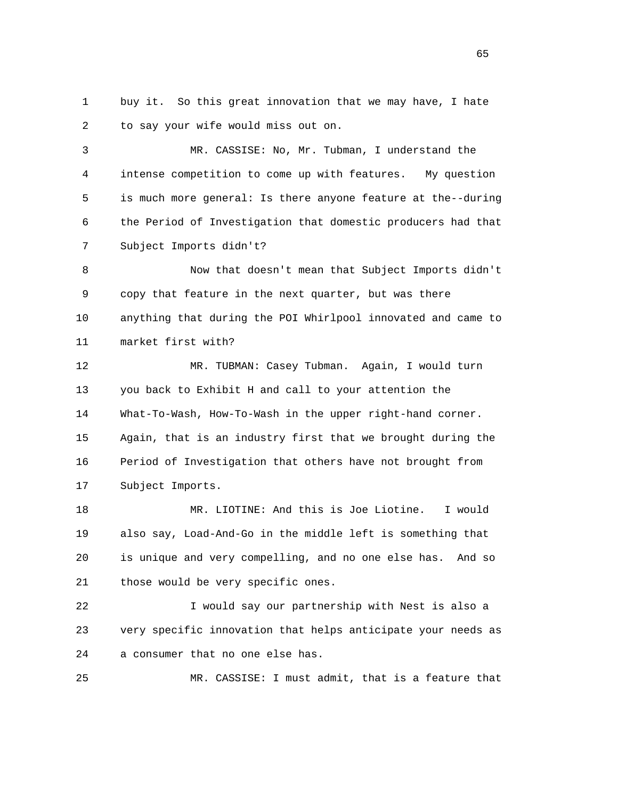1 buy it. So this great innovation that we may have, I hate 2 to say your wife would miss out on.

 3 MR. CASSISE: No, Mr. Tubman, I understand the 4 intense competition to come up with features. My question 5 is much more general: Is there anyone feature at the--during 6 the Period of Investigation that domestic producers had that 7 Subject Imports didn't?

 8 Now that doesn't mean that Subject Imports didn't 9 copy that feature in the next quarter, but was there 10 anything that during the POI Whirlpool innovated and came to 11 market first with?

 12 MR. TUBMAN: Casey Tubman. Again, I would turn 13 you back to Exhibit H and call to your attention the 14 What-To-Wash, How-To-Wash in the upper right-hand corner. 15 Again, that is an industry first that we brought during the 16 Period of Investigation that others have not brought from 17 Subject Imports.

 18 MR. LIOTINE: And this is Joe Liotine. I would 19 also say, Load-And-Go in the middle left is something that 20 is unique and very compelling, and no one else has. And so 21 those would be very specific ones.

 22 I would say our partnership with Nest is also a 23 very specific innovation that helps anticipate your needs as 24 a consumer that no one else has.

25 MR. CASSISE: I must admit, that is a feature that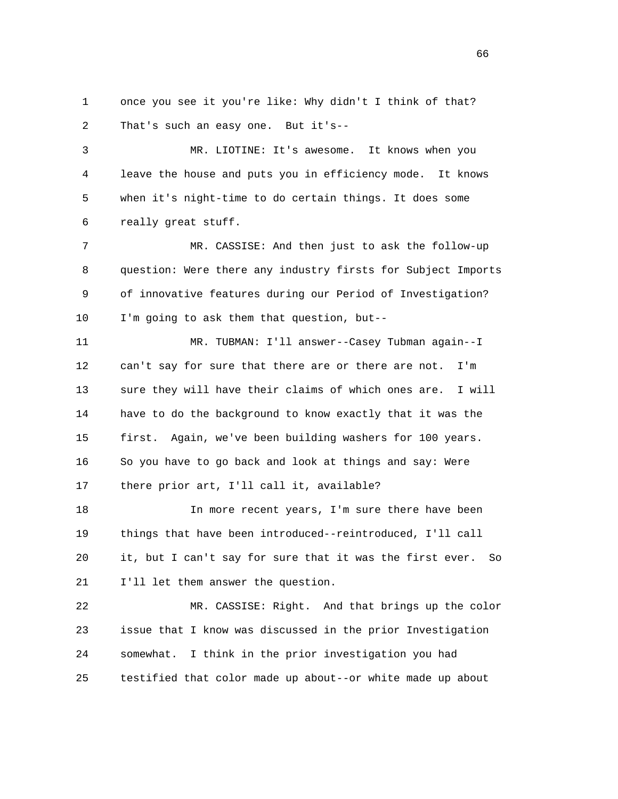1 once you see it you're like: Why didn't I think of that? 2 That's such an easy one. But it's--

 3 MR. LIOTINE: It's awesome. It knows when you 4 leave the house and puts you in efficiency mode. It knows 5 when it's night-time to do certain things. It does some 6 really great stuff.

 7 MR. CASSISE: And then just to ask the follow-up 8 question: Were there any industry firsts for Subject Imports 9 of innovative features during our Period of Investigation? 10 I'm going to ask them that question, but--

 11 MR. TUBMAN: I'll answer--Casey Tubman again--I 12 can't say for sure that there are or there are not. I'm 13 sure they will have their claims of which ones are. I will 14 have to do the background to know exactly that it was the 15 first. Again, we've been building washers for 100 years. 16 So you have to go back and look at things and say: Were 17 there prior art, I'll call it, available?

 18 In more recent years, I'm sure there have been 19 things that have been introduced--reintroduced, I'll call 20 it, but I can't say for sure that it was the first ever. So 21 I'll let them answer the question.

 22 MR. CASSISE: Right. And that brings up the color 23 issue that I know was discussed in the prior Investigation 24 somewhat. I think in the prior investigation you had 25 testified that color made up about--or white made up about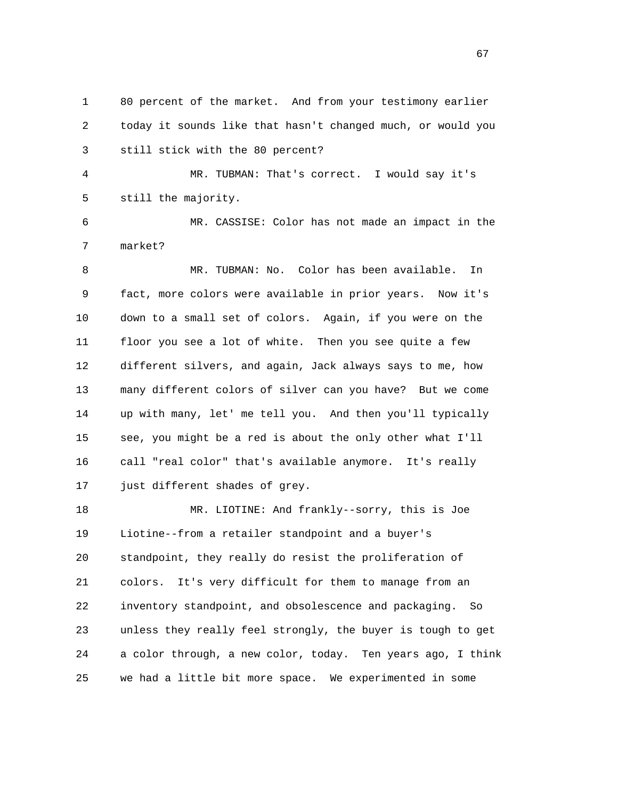1 80 percent of the market. And from your testimony earlier 2 today it sounds like that hasn't changed much, or would you 3 still stick with the 80 percent?

 4 MR. TUBMAN: That's correct. I would say it's 5 still the majority.

 6 MR. CASSISE: Color has not made an impact in the 7 market?

 8 MR. TUBMAN: No. Color has been available. In 9 fact, more colors were available in prior years. Now it's 10 down to a small set of colors. Again, if you were on the 11 floor you see a lot of white. Then you see quite a few 12 different silvers, and again, Jack always says to me, how 13 many different colors of silver can you have? But we come 14 up with many, let' me tell you. And then you'll typically 15 see, you might be a red is about the only other what I'll 16 call "real color" that's available anymore. It's really 17 just different shades of grey.

 18 MR. LIOTINE: And frankly--sorry, this is Joe 19 Liotine--from a retailer standpoint and a buyer's 20 standpoint, they really do resist the proliferation of 21 colors. It's very difficult for them to manage from an 22 inventory standpoint, and obsolescence and packaging. So 23 unless they really feel strongly, the buyer is tough to get 24 a color through, a new color, today. Ten years ago, I think 25 we had a little bit more space. We experimented in some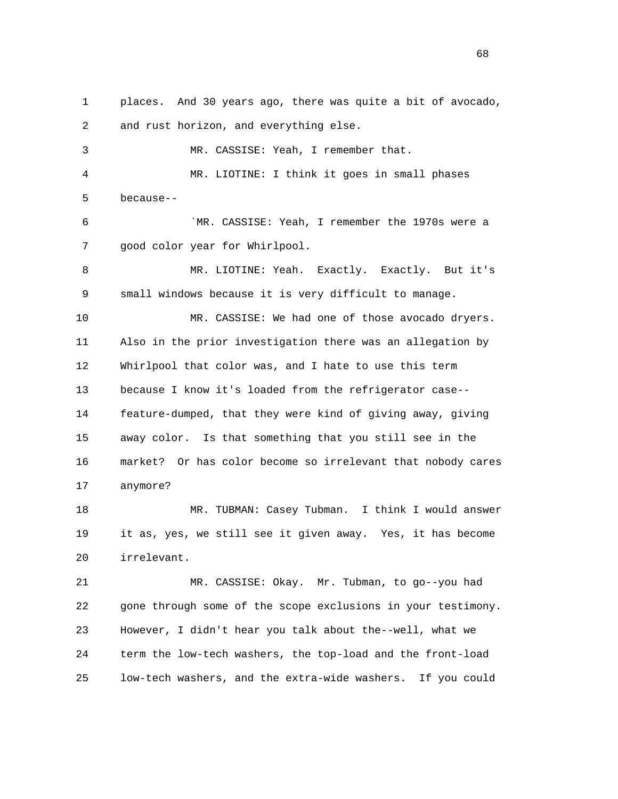1 places. And 30 years ago, there was quite a bit of avocado, 2 and rust horizon, and everything else. 3 MR. CASSISE: Yeah, I remember that. 4 MR. LIOTINE: I think it goes in small phases 5 because-- 6 `MR. CASSISE: Yeah, I remember the 1970s were a 7 good color year for Whirlpool. 8 MR. LIOTINE: Yeah. Exactly. Exactly. But it's 9 small windows because it is very difficult to manage. 10 MR. CASSISE: We had one of those avocado dryers. 11 Also in the prior investigation there was an allegation by 12 Whirlpool that color was, and I hate to use this term 13 because I know it's loaded from the refrigerator case-- 14 feature-dumped, that they were kind of giving away, giving 15 away color. Is that something that you still see in the 16 market? Or has color become so irrelevant that nobody cares 17 anymore? 18 MR. TUBMAN: Casey Tubman. I think I would answer 19 it as, yes, we still see it given away. Yes, it has become 20 irrelevant. 21 MR. CASSISE: Okay. Mr. Tubman, to go--you had 22 gone through some of the scope exclusions in your testimony. 23 However, I didn't hear you talk about the--well, what we 24 term the low-tech washers, the top-load and the front-load

25 low-tech washers, and the extra-wide washers. If you could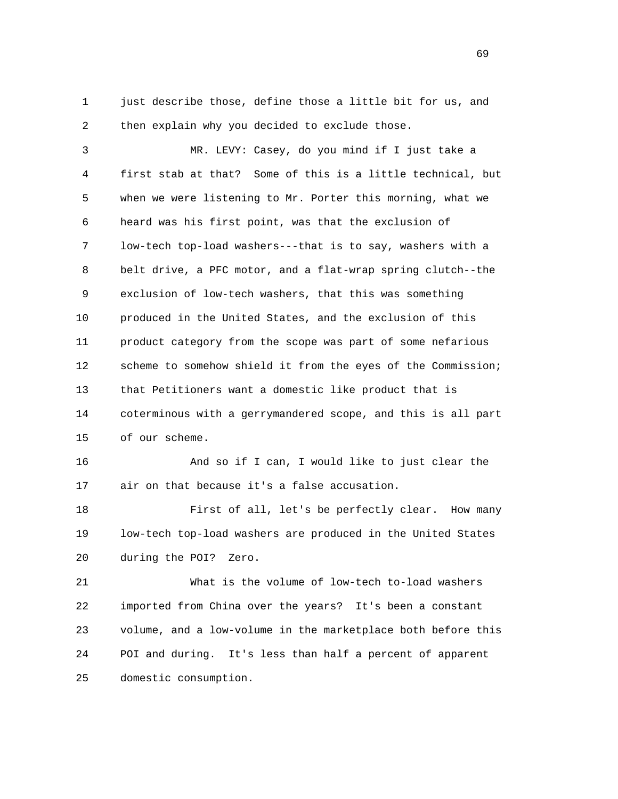1 just describe those, define those a little bit for us, and 2 then explain why you decided to exclude those.

 3 MR. LEVY: Casey, do you mind if I just take a 4 first stab at that? Some of this is a little technical, but 5 when we were listening to Mr. Porter this morning, what we 6 heard was his first point, was that the exclusion of 7 low-tech top-load washers---that is to say, washers with a 8 belt drive, a PFC motor, and a flat-wrap spring clutch--the 9 exclusion of low-tech washers, that this was something 10 produced in the United States, and the exclusion of this 11 product category from the scope was part of some nefarious 12 scheme to somehow shield it from the eyes of the Commission; 13 that Petitioners want a domestic like product that is 14 coterminous with a gerrymandered scope, and this is all part 15 of our scheme.

 16 And so if I can, I would like to just clear the 17 air on that because it's a false accusation.

 18 First of all, let's be perfectly clear. How many 19 low-tech top-load washers are produced in the United States 20 during the POI? Zero.

 21 What is the volume of low-tech to-load washers 22 imported from China over the years? It's been a constant 23 volume, and a low-volume in the marketplace both before this 24 POI and during. It's less than half a percent of apparent 25 domestic consumption.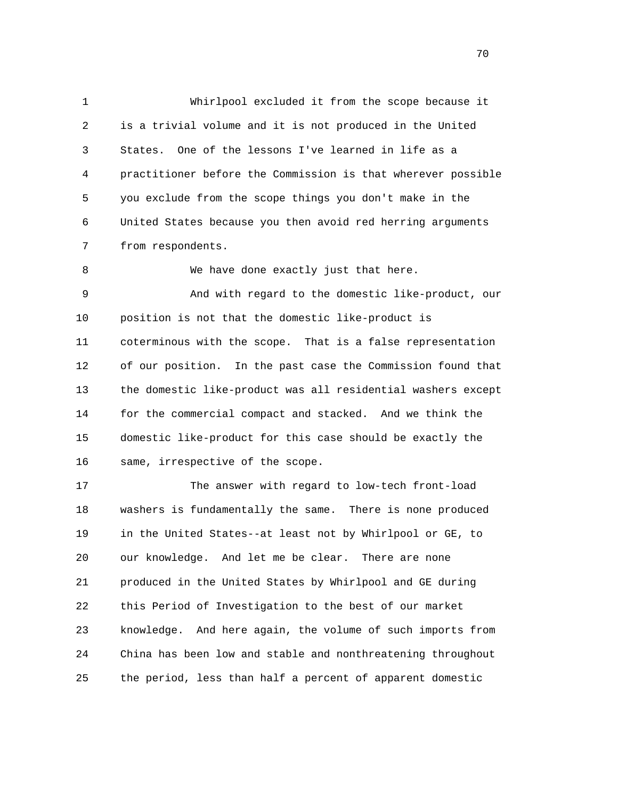1 Whirlpool excluded it from the scope because it 2 is a trivial volume and it is not produced in the United 3 States. One of the lessons I've learned in life as a 4 practitioner before the Commission is that wherever possible 5 you exclude from the scope things you don't make in the 6 United States because you then avoid red herring arguments 7 from respondents.

 9 And with regard to the domestic like-product, our 10 position is not that the domestic like-product is 11 coterminous with the scope. That is a false representation 12 of our position. In the past case the Commission found that 13 the domestic like-product was all residential washers except 14 for the commercial compact and stacked. And we think the 15 domestic like-product for this case should be exactly the 16 same, irrespective of the scope.

8 We have done exactly just that here.

 17 The answer with regard to low-tech front-load 18 washers is fundamentally the same. There is none produced 19 in the United States--at least not by Whirlpool or GE, to 20 our knowledge. And let me be clear. There are none 21 produced in the United States by Whirlpool and GE during 22 this Period of Investigation to the best of our market 23 knowledge. And here again, the volume of such imports from 24 China has been low and stable and nonthreatening throughout 25 the period, less than half a percent of apparent domestic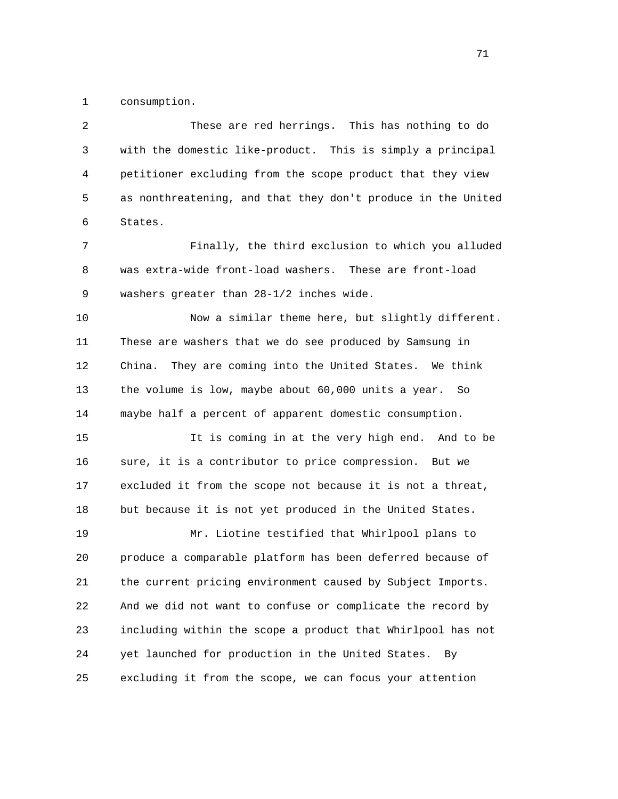1 consumption.

 2 These are red herrings. This has nothing to do 3 with the domestic like-product. This is simply a principal 4 petitioner excluding from the scope product that they view 5 as nonthreatening, and that they don't produce in the United 6 States.

 7 Finally, the third exclusion to which you alluded 8 was extra-wide front-load washers. These are front-load 9 washers greater than 28-1/2 inches wide.

 10 Now a similar theme here, but slightly different. 11 These are washers that we do see produced by Samsung in 12 China. They are coming into the United States. We think 13 the volume is low, maybe about 60,000 units a year. So 14 maybe half a percent of apparent domestic consumption.

 15 It is coming in at the very high end. And to be 16 sure, it is a contributor to price compression. But we 17 excluded it from the scope not because it is not a threat, 18 but because it is not yet produced in the United States.

 19 Mr. Liotine testified that Whirlpool plans to 20 produce a comparable platform has been deferred because of 21 the current pricing environment caused by Subject Imports. 22 And we did not want to confuse or complicate the record by 23 including within the scope a product that Whirlpool has not 24 yet launched for production in the United States. By 25 excluding it from the scope, we can focus your attention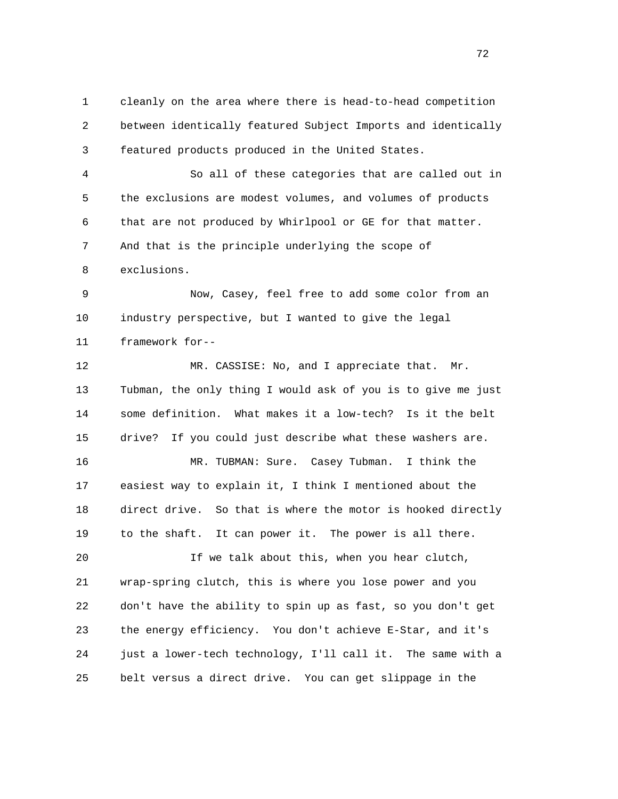1 cleanly on the area where there is head-to-head competition 2 between identically featured Subject Imports and identically 3 featured products produced in the United States.

 4 So all of these categories that are called out in 5 the exclusions are modest volumes, and volumes of products 6 that are not produced by Whirlpool or GE for that matter. 7 And that is the principle underlying the scope of 8 exclusions.

 9 Now, Casey, feel free to add some color from an 10 industry perspective, but I wanted to give the legal 11 framework for--

12 MR. CASSISE: No, and I appreciate that. Mr. 13 Tubman, the only thing I would ask of you is to give me just 14 some definition. What makes it a low-tech? Is it the belt 15 drive? If you could just describe what these washers are.

 16 MR. TUBMAN: Sure. Casey Tubman. I think the 17 easiest way to explain it, I think I mentioned about the 18 direct drive. So that is where the motor is hooked directly 19 to the shaft. It can power it. The power is all there.

 20 If we talk about this, when you hear clutch, 21 wrap-spring clutch, this is where you lose power and you 22 don't have the ability to spin up as fast, so you don't get 23 the energy efficiency. You don't achieve E-Star, and it's 24 just a lower-tech technology, I'll call it. The same with a 25 belt versus a direct drive. You can get slippage in the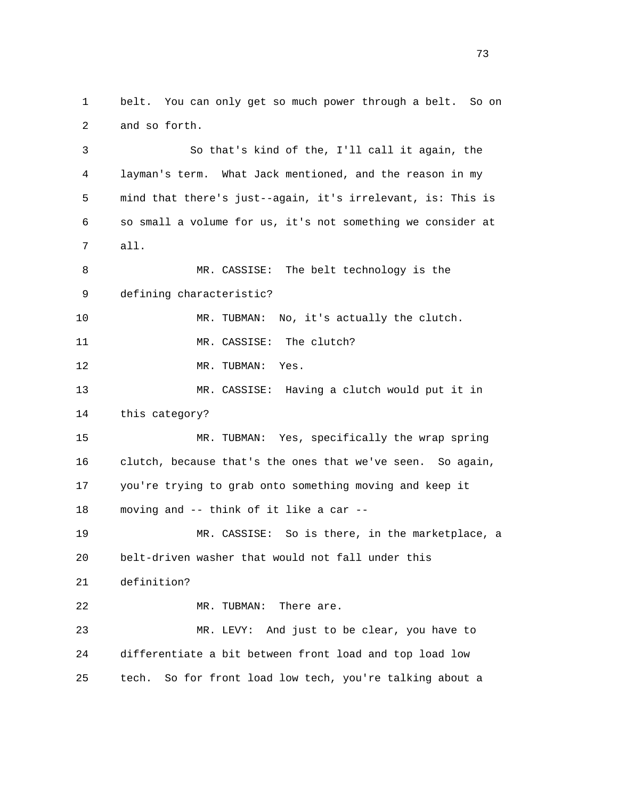1 belt. You can only get so much power through a belt. So on 2 and so forth. 3 So that's kind of the, I'll call it again, the 4 layman's term. What Jack mentioned, and the reason in my 5 mind that there's just--again, it's irrelevant, is: This is 6 so small a volume for us, it's not something we consider at 7 all. 8 MR. CASSISE: The belt technology is the 9 defining characteristic? 10 MR. TUBMAN: No, it's actually the clutch. 11 MR. CASSISE: The clutch? 12 MR. TUBMAN: Yes. 13 MR. CASSISE: Having a clutch would put it in 14 this category? 15 MR. TUBMAN: Yes, specifically the wrap spring 16 clutch, because that's the ones that we've seen. So again, 17 you're trying to grab onto something moving and keep it 18 moving and -- think of it like a car -- 19 MR. CASSISE: So is there, in the marketplace, a 20 belt-driven washer that would not fall under this 21 definition? 22 MR. TUBMAN: There are. 23 MR. LEVY: And just to be clear, you have to 24 differentiate a bit between front load and top load low 25 tech. So for front load low tech, you're talking about a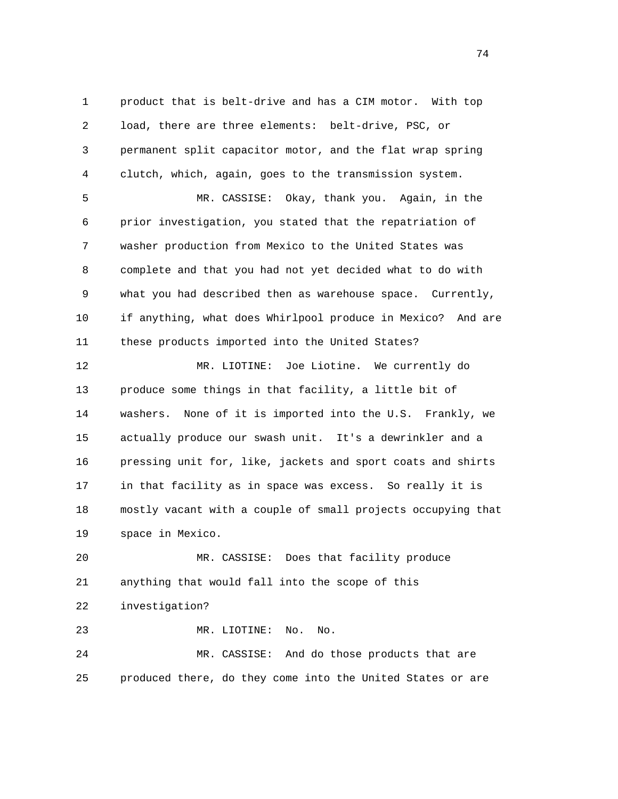1 product that is belt-drive and has a CIM motor. With top 2 load, there are three elements: belt-drive, PSC, or 3 permanent split capacitor motor, and the flat wrap spring 4 clutch, which, again, goes to the transmission system.

 5 MR. CASSISE: Okay, thank you. Again, in the 6 prior investigation, you stated that the repatriation of 7 washer production from Mexico to the United States was 8 complete and that you had not yet decided what to do with 9 what you had described then as warehouse space. Currently, 10 if anything, what does Whirlpool produce in Mexico? And are 11 these products imported into the United States?

 12 MR. LIOTINE: Joe Liotine. We currently do 13 produce some things in that facility, a little bit of 14 washers. None of it is imported into the U.S. Frankly, we 15 actually produce our swash unit. It's a dewrinkler and a 16 pressing unit for, like, jackets and sport coats and shirts 17 in that facility as in space was excess. So really it is 18 mostly vacant with a couple of small projects occupying that 19 space in Mexico.

 20 MR. CASSISE: Does that facility produce 21 anything that would fall into the scope of this 22 investigation? 23 MR. LIOTINE: No. No.

 24 MR. CASSISE: And do those products that are 25 produced there, do they come into the United States or are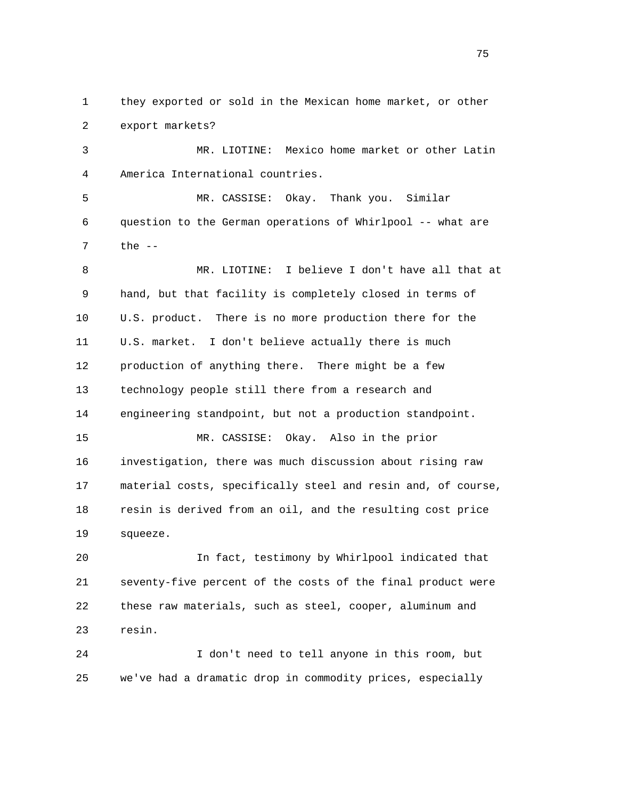1 they exported or sold in the Mexican home market, or other 2 export markets? 3 MR. LIOTINE: Mexico home market or other Latin 4 America International countries. 5 MR. CASSISE: Okay. Thank you. Similar 6 question to the German operations of Whirlpool -- what are 7 the -- 8 MR. LIOTINE: I believe I don't have all that at 9 hand, but that facility is completely closed in terms of 10 U.S. product. There is no more production there for the 11 U.S. market. I don't believe actually there is much 12 production of anything there. There might be a few 13 technology people still there from a research and 14 engineering standpoint, but not a production standpoint. 15 MR. CASSISE: Okay. Also in the prior 16 investigation, there was much discussion about rising raw 17 material costs, specifically steel and resin and, of course, 18 resin is derived from an oil, and the resulting cost price 19 squeeze. 20 In fact, testimony by Whirlpool indicated that 21 seventy-five percent of the costs of the final product were 22 these raw materials, such as steel, cooper, aluminum and 23 resin. 24 I don't need to tell anyone in this room, but

25 we've had a dramatic drop in commodity prices, especially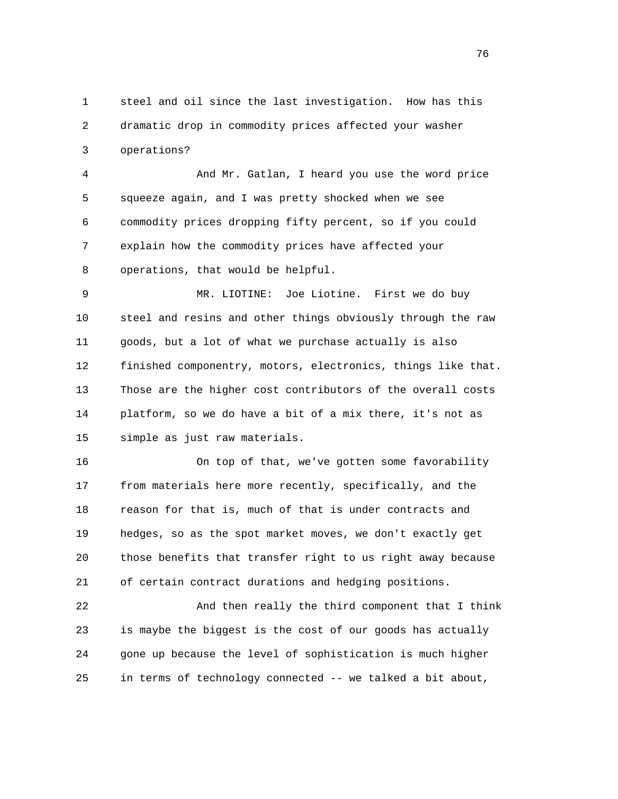1 steel and oil since the last investigation. How has this 2 dramatic drop in commodity prices affected your washer 3 operations?

 4 And Mr. Gatlan, I heard you use the word price 5 squeeze again, and I was pretty shocked when we see 6 commodity prices dropping fifty percent, so if you could 7 explain how the commodity prices have affected your 8 operations, that would be helpful.

 9 MR. LIOTINE: Joe Liotine. First we do buy 10 steel and resins and other things obviously through the raw 11 goods, but a lot of what we purchase actually is also 12 finished componentry, motors, electronics, things like that. 13 Those are the higher cost contributors of the overall costs 14 platform, so we do have a bit of a mix there, it's not as 15 simple as just raw materials.

 16 On top of that, we've gotten some favorability 17 from materials here more recently, specifically, and the 18 reason for that is, much of that is under contracts and 19 hedges, so as the spot market moves, we don't exactly get 20 those benefits that transfer right to us right away because 21 of certain contract durations and hedging positions.

 22 And then really the third component that I think 23 is maybe the biggest is the cost of our goods has actually 24 gone up because the level of sophistication is much higher 25 in terms of technology connected -- we talked a bit about,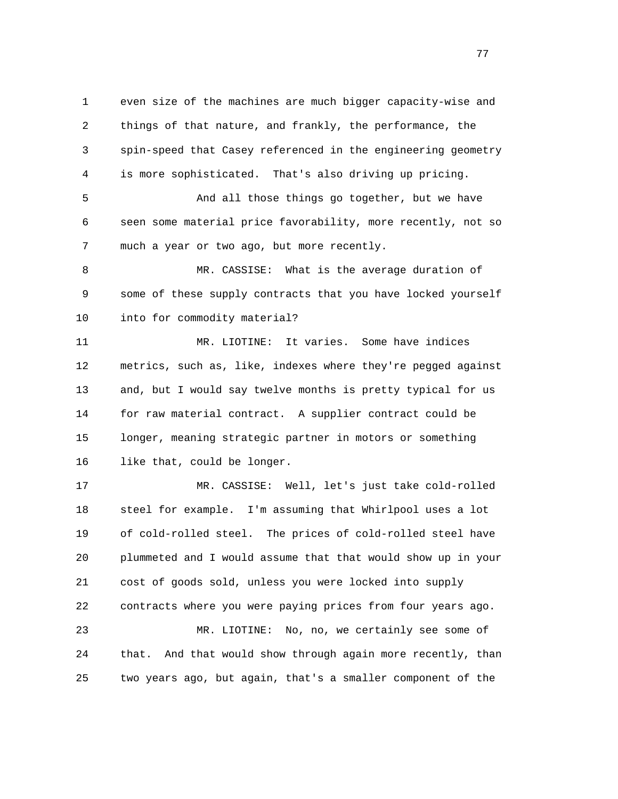1 even size of the machines are much bigger capacity-wise and 2 things of that nature, and frankly, the performance, the 3 spin-speed that Casey referenced in the engineering geometry 4 is more sophisticated. That's also driving up pricing.

 5 And all those things go together, but we have 6 seen some material price favorability, more recently, not so 7 much a year or two ago, but more recently.

 8 MR. CASSISE: What is the average duration of 9 some of these supply contracts that you have locked yourself 10 into for commodity material?

 11 MR. LIOTINE: It varies. Some have indices 12 metrics, such as, like, indexes where they're pegged against 13 and, but I would say twelve months is pretty typical for us 14 for raw material contract. A supplier contract could be 15 longer, meaning strategic partner in motors or something 16 like that, could be longer.

 17 MR. CASSISE: Well, let's just take cold-rolled 18 steel for example. I'm assuming that Whirlpool uses a lot 19 of cold-rolled steel. The prices of cold-rolled steel have 20 plummeted and I would assume that that would show up in your 21 cost of goods sold, unless you were locked into supply 22 contracts where you were paying prices from four years ago. 23 MR. LIOTINE: No, no, we certainly see some of

 24 that. And that would show through again more recently, than 25 two years ago, but again, that's a smaller component of the

na na matsay na matsay na matsay na matsay na matsay na matsay na matsay na matsay na matsay na matsay na mats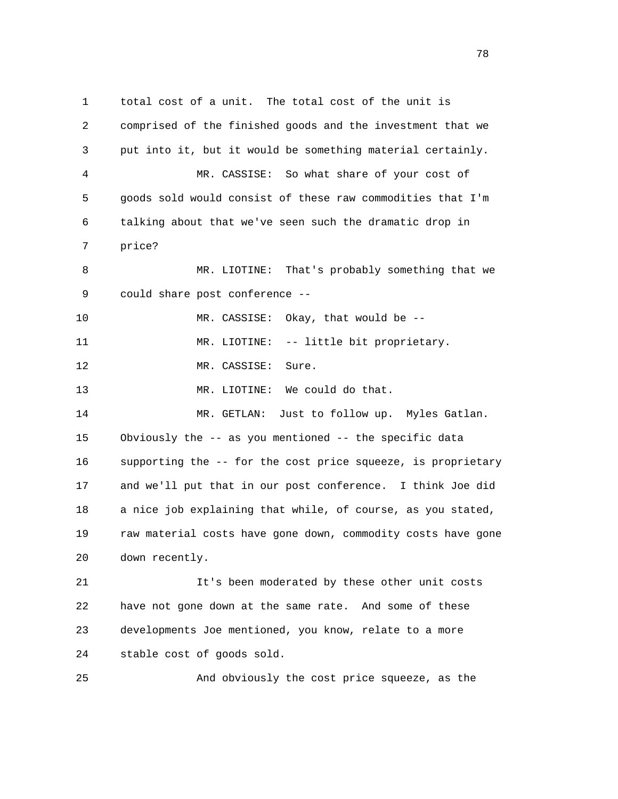1 total cost of a unit. The total cost of the unit is 2 comprised of the finished goods and the investment that we 3 put into it, but it would be something material certainly. 4 MR. CASSISE: So what share of your cost of 5 goods sold would consist of these raw commodities that I'm 6 talking about that we've seen such the dramatic drop in 7 price? 8 MR. LIOTINE: That's probably something that we 9 could share post conference -- 10 MR. CASSISE: Okay, that would be -- 11 MR. LIOTINE: -- little bit proprietary. 12 MR. CASSISE: Sure. 13 MR. LIOTINE: We could do that. 14 MR. GETLAN: Just to follow up. Myles Gatlan. 15 Obviously the -- as you mentioned -- the specific data 16 supporting the -- for the cost price squeeze, is proprietary 17 and we'll put that in our post conference. I think Joe did 18 a nice job explaining that while, of course, as you stated, 19 raw material costs have gone down, commodity costs have gone 20 down recently. 21 It's been moderated by these other unit costs 22 have not gone down at the same rate. And some of these 23 developments Joe mentioned, you know, relate to a more 24 stable cost of goods sold.

25 And obviously the cost price squeeze, as the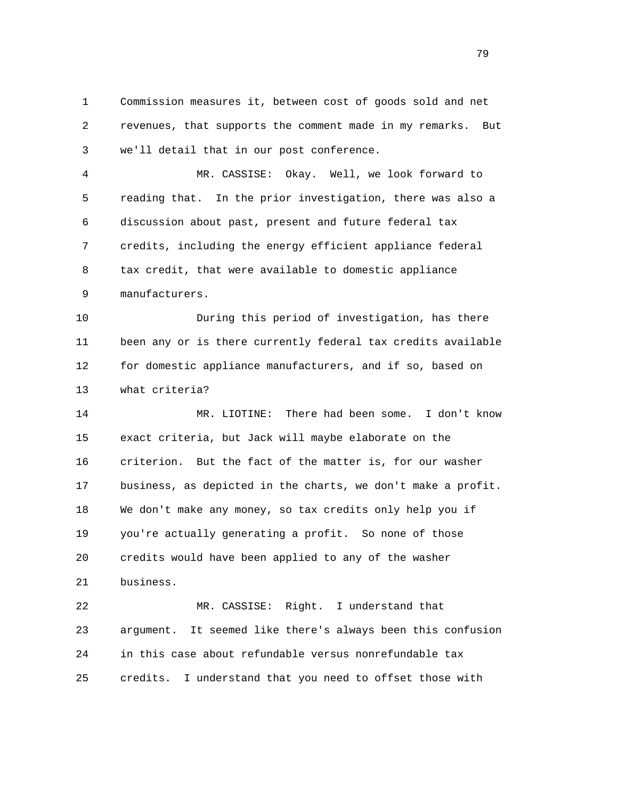1 Commission measures it, between cost of goods sold and net 2 revenues, that supports the comment made in my remarks. But 3 we'll detail that in our post conference.

 4 MR. CASSISE: Okay. Well, we look forward to 5 reading that. In the prior investigation, there was also a 6 discussion about past, present and future federal tax 7 credits, including the energy efficient appliance federal 8 tax credit, that were available to domestic appliance 9 manufacturers.

 10 During this period of investigation, has there 11 been any or is there currently federal tax credits available 12 for domestic appliance manufacturers, and if so, based on 13 what criteria?

 14 MR. LIOTINE: There had been some. I don't know 15 exact criteria, but Jack will maybe elaborate on the 16 criterion. But the fact of the matter is, for our washer 17 business, as depicted in the charts, we don't make a profit. 18 We don't make any money, so tax credits only help you if 19 you're actually generating a profit. So none of those 20 credits would have been applied to any of the washer 21 business.

 22 MR. CASSISE: Right. I understand that 23 argument. It seemed like there's always been this confusion 24 in this case about refundable versus nonrefundable tax 25 credits. I understand that you need to offset those with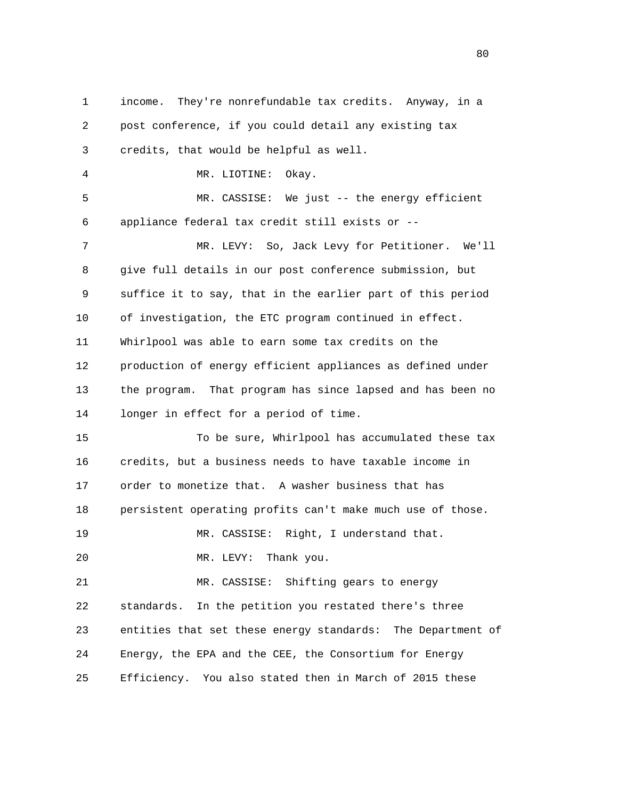1 income. They're nonrefundable tax credits. Anyway, in a 2 post conference, if you could detail any existing tax 3 credits, that would be helpful as well. 4 MR. LIOTINE: Okay. 5 MR. CASSISE: We just -- the energy efficient 6 appliance federal tax credit still exists or -- 7 MR. LEVY: So, Jack Levy for Petitioner. We'll 8 give full details in our post conference submission, but 9 suffice it to say, that in the earlier part of this period 10 of investigation, the ETC program continued in effect. 11 Whirlpool was able to earn some tax credits on the 12 production of energy efficient appliances as defined under 13 the program. That program has since lapsed and has been no 14 longer in effect for a period of time. 15 To be sure, Whirlpool has accumulated these tax 16 credits, but a business needs to have taxable income in 17 order to monetize that. A washer business that has 18 persistent operating profits can't make much use of those. 19 MR. CASSISE: Right, I understand that. 20 MR. LEVY: Thank you. 21 MR. CASSISE: Shifting gears to energy 22 standards. In the petition you restated there's three 23 entities that set these energy standards: The Department of 24 Energy, the EPA and the CEE, the Consortium for Energy 25 Efficiency. You also stated then in March of 2015 these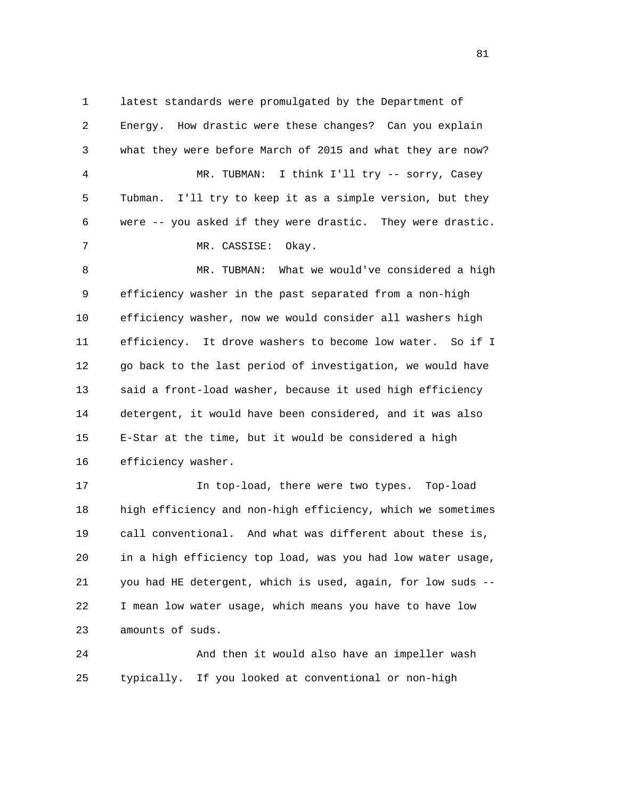1 latest standards were promulgated by the Department of 2 Energy. How drastic were these changes? Can you explain 3 what they were before March of 2015 and what they are now? 4 MR. TUBMAN: I think I'll try -- sorry, Casey 5 Tubman. I'll try to keep it as a simple version, but they 6 were -- you asked if they were drastic. They were drastic. 7 MR. CASSISE: Okay. 8 MR. TUBMAN: What we would've considered a high 9 efficiency washer in the past separated from a non-high 10 efficiency washer, now we would consider all washers high 11 efficiency. It drove washers to become low water. So if I 12 go back to the last period of investigation, we would have 13 said a front-load washer, because it used high efficiency 14 detergent, it would have been considered, and it was also 15 E-Star at the time, but it would be considered a high 16 efficiency washer.

 17 In top-load, there were two types. Top-load 18 high efficiency and non-high efficiency, which we sometimes 19 call conventional. And what was different about these is, 20 in a high efficiency top load, was you had low water usage, 21 you had HE detergent, which is used, again, for low suds -- 22 I mean low water usage, which means you have to have low 23 amounts of suds.

24 And then it would also have an impeller wash 25 typically. If you looked at conventional or non-high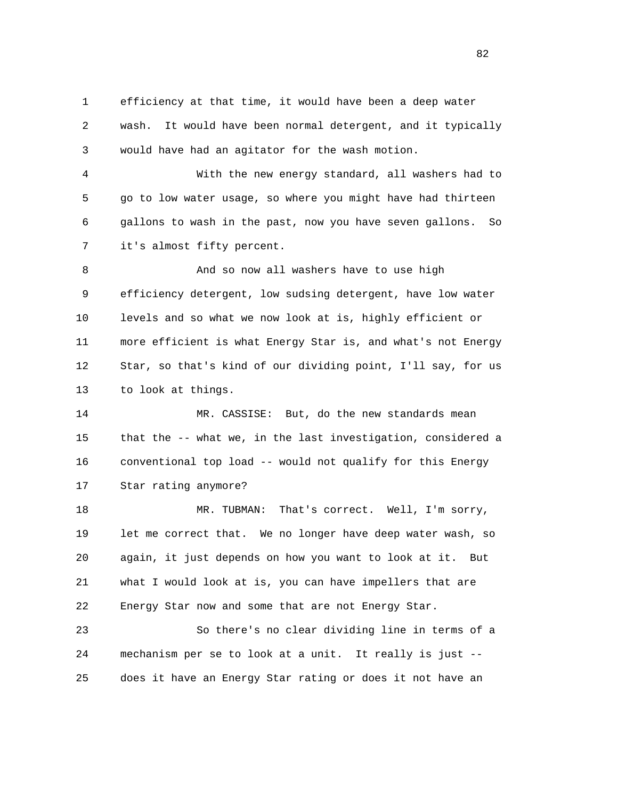1 efficiency at that time, it would have been a deep water 2 wash. It would have been normal detergent, and it typically 3 would have had an agitator for the wash motion.

 4 With the new energy standard, all washers had to 5 go to low water usage, so where you might have had thirteen 6 gallons to wash in the past, now you have seven gallons. So 7 it's almost fifty percent.

 8 And so now all washers have to use high 9 efficiency detergent, low sudsing detergent, have low water 10 levels and so what we now look at is, highly efficient or 11 more efficient is what Energy Star is, and what's not Energy 12 Star, so that's kind of our dividing point, I'll say, for us 13 to look at things.

 14 MR. CASSISE: But, do the new standards mean 15 that the -- what we, in the last investigation, considered a 16 conventional top load -- would not qualify for this Energy 17 Star rating anymore?

 18 MR. TUBMAN: That's correct. Well, I'm sorry, 19 let me correct that. We no longer have deep water wash, so 20 again, it just depends on how you want to look at it. But 21 what I would look at is, you can have impellers that are 22 Energy Star now and some that are not Energy Star.

 23 So there's no clear dividing line in terms of a 24 mechanism per se to look at a unit. It really is just -- 25 does it have an Energy Star rating or does it not have an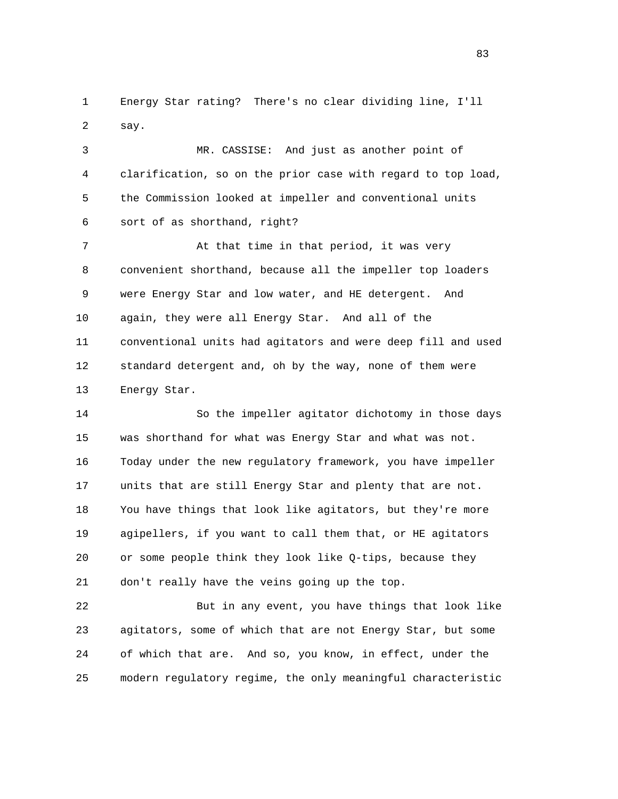1 Energy Star rating? There's no clear dividing line, I'll 2 say.

 3 MR. CASSISE: And just as another point of 4 clarification, so on the prior case with regard to top load, 5 the Commission looked at impeller and conventional units 6 sort of as shorthand, right?

7 At that time in that period, it was very 8 convenient shorthand, because all the impeller top loaders 9 were Energy Star and low water, and HE detergent. And 10 again, they were all Energy Star. And all of the 11 conventional units had agitators and were deep fill and used 12 standard detergent and, oh by the way, none of them were 13 Energy Star.

 14 So the impeller agitator dichotomy in those days 15 was shorthand for what was Energy Star and what was not. 16 Today under the new regulatory framework, you have impeller 17 units that are still Energy Star and plenty that are not. 18 You have things that look like agitators, but they're more 19 agipellers, if you want to call them that, or HE agitators 20 or some people think they look like Q-tips, because they 21 don't really have the veins going up the top.

 22 But in any event, you have things that look like 23 agitators, some of which that are not Energy Star, but some 24 of which that are. And so, you know, in effect, under the 25 modern regulatory regime, the only meaningful characteristic

<u>83</u>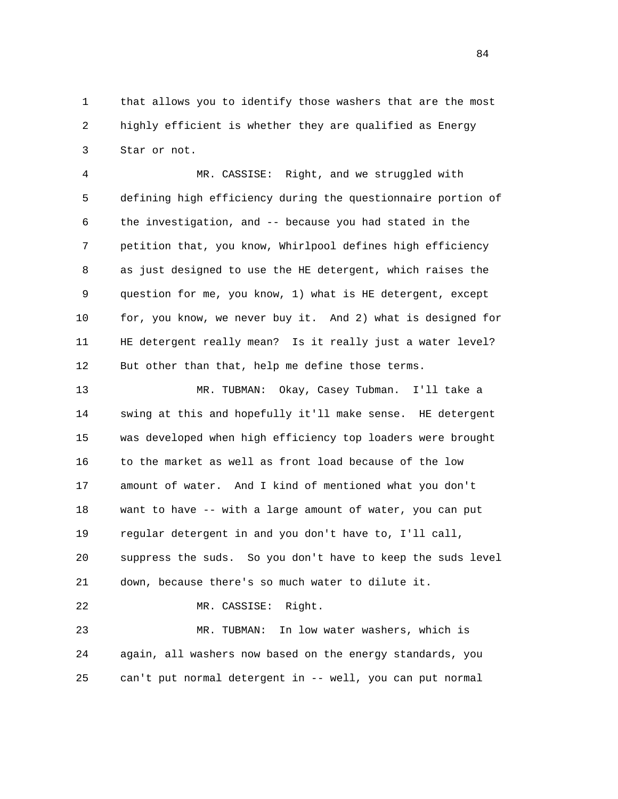1 that allows you to identify those washers that are the most 2 highly efficient is whether they are qualified as Energy 3 Star or not.

 4 MR. CASSISE: Right, and we struggled with 5 defining high efficiency during the questionnaire portion of 6 the investigation, and -- because you had stated in the 7 petition that, you know, Whirlpool defines high efficiency 8 as just designed to use the HE detergent, which raises the 9 question for me, you know, 1) what is HE detergent, except 10 for, you know, we never buy it. And 2) what is designed for 11 HE detergent really mean? Is it really just a water level? 12 But other than that, help me define those terms.

 13 MR. TUBMAN: Okay, Casey Tubman. I'll take a 14 swing at this and hopefully it'll make sense. HE detergent 15 was developed when high efficiency top loaders were brought 16 to the market as well as front load because of the low 17 amount of water. And I kind of mentioned what you don't 18 want to have -- with a large amount of water, you can put 19 regular detergent in and you don't have to, I'll call, 20 suppress the suds. So you don't have to keep the suds level 21 down, because there's so much water to dilute it. 22 MR. CASSISE: Right. 23 MR. TUBMAN: In low water washers, which is

 24 again, all washers now based on the energy standards, you 25 can't put normal detergent in -- well, you can put normal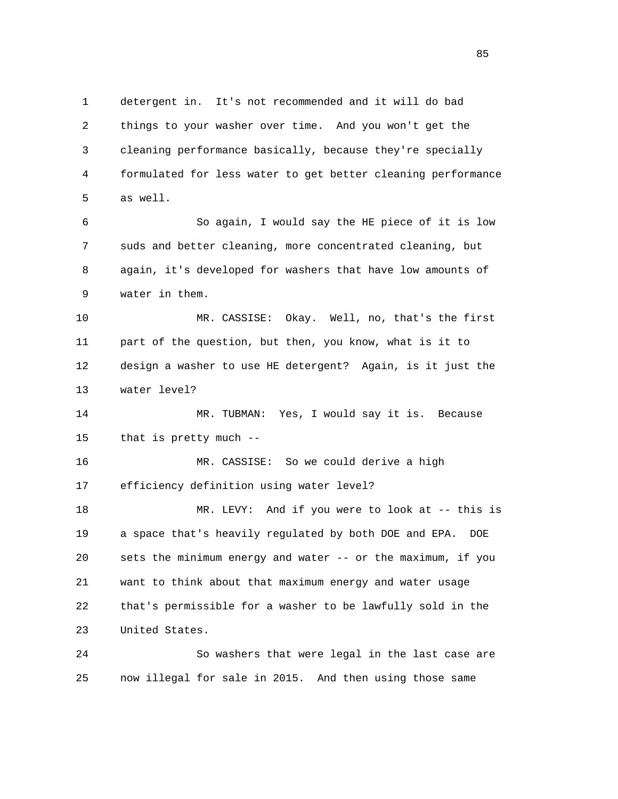1 detergent in. It's not recommended and it will do bad 2 things to your washer over time. And you won't get the 3 cleaning performance basically, because they're specially 4 formulated for less water to get better cleaning performance 5 as well. 6 So again, I would say the HE piece of it is low 7 suds and better cleaning, more concentrated cleaning, but 8 again, it's developed for washers that have low amounts of 9 water in them. 10 MR. CASSISE: Okay. Well, no, that's the first 11 part of the question, but then, you know, what is it to 12 design a washer to use HE detergent? Again, is it just the 13 water level? 14 MR. TUBMAN: Yes, I would say it is. Because 15 that is pretty much -- 16 MR. CASSISE: So we could derive a high 17 efficiency definition using water level? 18 MR. LEVY: And if you were to look at -- this is 19 a space that's heavily regulated by both DOE and EPA. DOE 20 sets the minimum energy and water -- or the maximum, if you 21 want to think about that maximum energy and water usage 22 that's permissible for a washer to be lawfully sold in the

 24 So washers that were legal in the last case are 25 now illegal for sale in 2015. And then using those same

23 United States.

<u>85</u>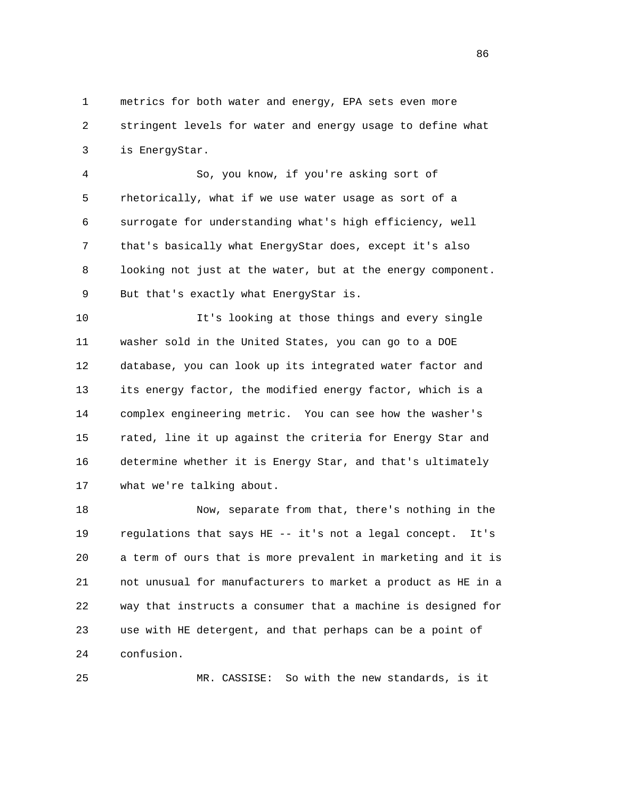1 metrics for both water and energy, EPA sets even more 2 stringent levels for water and energy usage to define what 3 is EnergyStar.

 4 So, you know, if you're asking sort of 5 rhetorically, what if we use water usage as sort of a 6 surrogate for understanding what's high efficiency, well 7 that's basically what EnergyStar does, except it's also 8 looking not just at the water, but at the energy component. 9 But that's exactly what EnergyStar is.

 10 It's looking at those things and every single 11 washer sold in the United States, you can go to a DOE 12 database, you can look up its integrated water factor and 13 its energy factor, the modified energy factor, which is a 14 complex engineering metric. You can see how the washer's 15 rated, line it up against the criteria for Energy Star and 16 determine whether it is Energy Star, and that's ultimately 17 what we're talking about.

 18 Now, separate from that, there's nothing in the 19 regulations that says HE -- it's not a legal concept. It's 20 a term of ours that is more prevalent in marketing and it is 21 not unusual for manufacturers to market a product as HE in a 22 way that instructs a consumer that a machine is designed for 23 use with HE detergent, and that perhaps can be a point of 24 confusion.

25 MR. CASSISE: So with the new standards, is it

<u>86 and 2001 and 2002 and 2003 and 2003 and 2003 and 2003 and 2003 and 2003 and 2003 and 2003 and 2003 and 200</u>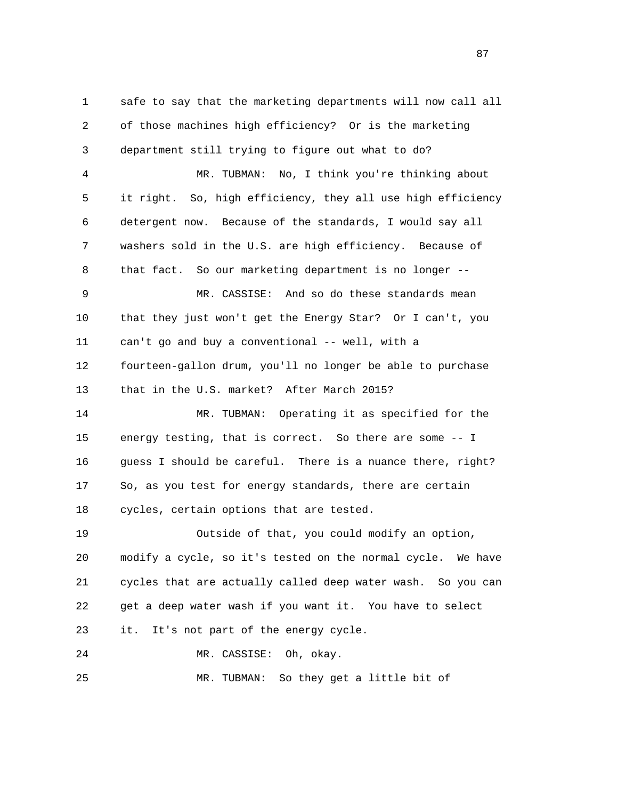1 safe to say that the marketing departments will now call all 2 of those machines high efficiency? Or is the marketing 3 department still trying to figure out what to do? 4 MR. TUBMAN: No, I think you're thinking about 5 it right. So, high efficiency, they all use high efficiency 6 detergent now. Because of the standards, I would say all 7 washers sold in the U.S. are high efficiency. Because of 8 that fact. So our marketing department is no longer -- 9 MR. CASSISE: And so do these standards mean 10 that they just won't get the Energy Star? Or I can't, you 11 can't go and buy a conventional -- well, with a 12 fourteen-gallon drum, you'll no longer be able to purchase 13 that in the U.S. market? After March 2015? 14 MR. TUBMAN: Operating it as specified for the 15 energy testing, that is correct. So there are some -- I 16 guess I should be careful. There is a nuance there, right? 17 So, as you test for energy standards, there are certain 18 cycles, certain options that are tested. 19 Outside of that, you could modify an option, 20 modify a cycle, so it's tested on the normal cycle. We have 21 cycles that are actually called deep water wash. So you can 22 get a deep water wash if you want it. You have to select 23 it. It's not part of the energy cycle. 24 MR. CASSISE: Oh, okay. 25 MR. TUBMAN: So they get a little bit of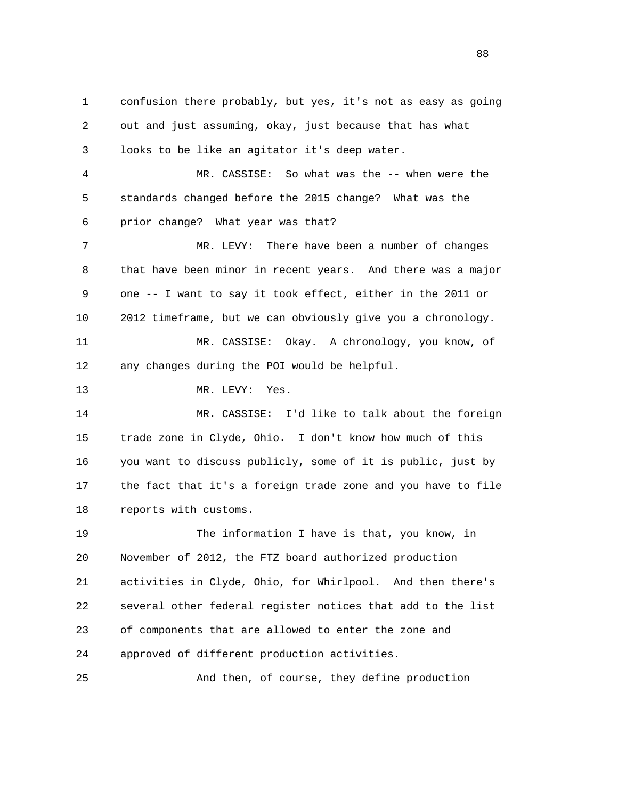1 confusion there probably, but yes, it's not as easy as going 2 out and just assuming, okay, just because that has what 3 looks to be like an agitator it's deep water. 4 MR. CASSISE: So what was the -- when were the 5 standards changed before the 2015 change? What was the 6 prior change? What year was that? 7 MR. LEVY: There have been a number of changes 8 that have been minor in recent years. And there was a major 9 one -- I want to say it took effect, either in the 2011 or 10 2012 timeframe, but we can obviously give you a chronology. 11 MR. CASSISE: Okay. A chronology, you know, of 12 any changes during the POI would be helpful. 13 MR. LEVY: Yes. 14 MR. CASSISE: I'd like to talk about the foreign 15 trade zone in Clyde, Ohio. I don't know how much of this 16 you want to discuss publicly, some of it is public, just by 17 the fact that it's a foreign trade zone and you have to file 18 reports with customs. 19 The information I have is that, you know, in 20 November of 2012, the FTZ board authorized production 21 activities in Clyde, Ohio, for Whirlpool. And then there's 22 several other federal register notices that add to the list 23 of components that are allowed to enter the zone and 24 approved of different production activities. 25 And then, of course, they define production

en and the state of the state of the state of the state of the state of the state of the state of the state of the state of the state of the state of the state of the state of the state of the state of the state of the sta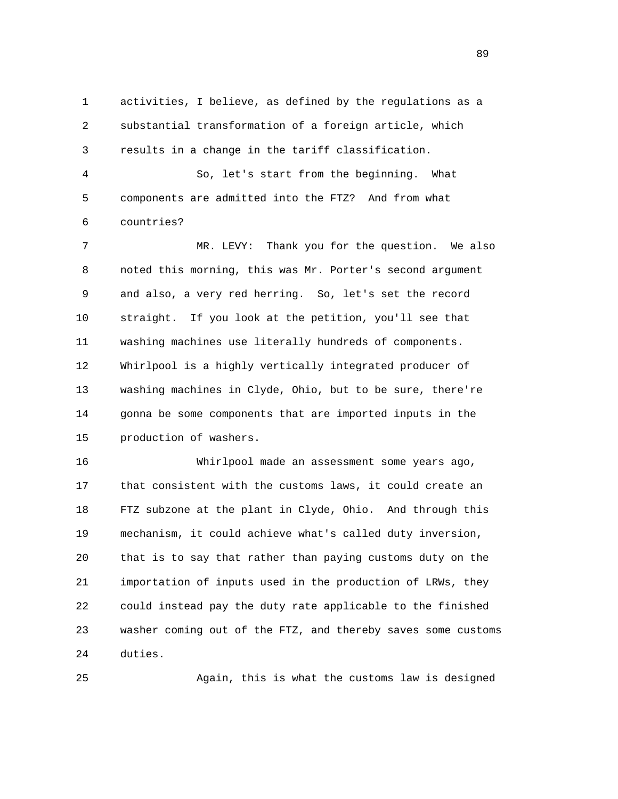1 activities, I believe, as defined by the regulations as a 2 substantial transformation of a foreign article, which 3 results in a change in the tariff classification.

 4 So, let's start from the beginning. What 5 components are admitted into the FTZ? And from what 6 countries?

 7 MR. LEVY: Thank you for the question. We also 8 noted this morning, this was Mr. Porter's second argument 9 and also, a very red herring. So, let's set the record 10 straight. If you look at the petition, you'll see that 11 washing machines use literally hundreds of components. 12 Whirlpool is a highly vertically integrated producer of 13 washing machines in Clyde, Ohio, but to be sure, there're 14 gonna be some components that are imported inputs in the 15 production of washers.

 16 Whirlpool made an assessment some years ago, 17 that consistent with the customs laws, it could create an 18 FTZ subzone at the plant in Clyde, Ohio. And through this 19 mechanism, it could achieve what's called duty inversion, 20 that is to say that rather than paying customs duty on the 21 importation of inputs used in the production of LRWs, they 22 could instead pay the duty rate applicable to the finished 23 washer coming out of the FTZ, and thereby saves some customs 24 duties.

25 Again, this is what the customs law is designed

89 and the state of the state of the state of the state of the state of the state of the state of the state of the state of the state of the state of the state of the state of the state of the state of the state of the sta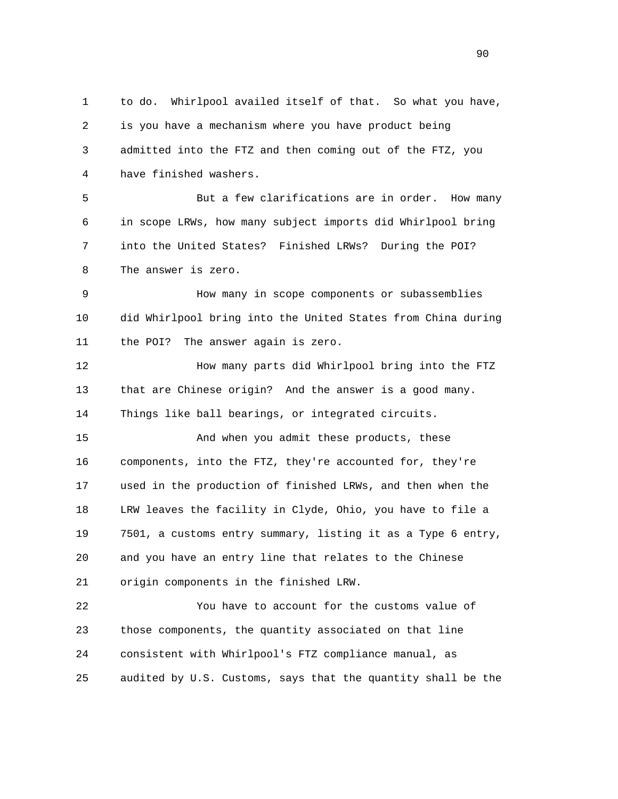1 to do. Whirlpool availed itself of that. So what you have, 2 is you have a mechanism where you have product being 3 admitted into the FTZ and then coming out of the FTZ, you 4 have finished washers. 5 But a few clarifications are in order. How many 6 in scope LRWs, how many subject imports did Whirlpool bring 7 into the United States? Finished LRWs? During the POI? 8 The answer is zero. 9 How many in scope components or subassemblies 10 did Whirlpool bring into the United States from China during 11 the POI? The answer again is zero. 12 How many parts did Whirlpool bring into the FTZ 13 that are Chinese origin? And the answer is a good many. 14 Things like ball bearings, or integrated circuits. 15 And when you admit these products, these 16 components, into the FTZ, they're accounted for, they're 17 used in the production of finished LRWs, and then when the 18 LRW leaves the facility in Clyde, Ohio, you have to file a 19 7501, a customs entry summary, listing it as a Type 6 entry, 20 and you have an entry line that relates to the Chinese 21 origin components in the finished LRW. 22 You have to account for the customs value of 23 those components, the quantity associated on that line 24 consistent with Whirlpool's FTZ compliance manual, as 25 audited by U.S. Customs, says that the quantity shall be the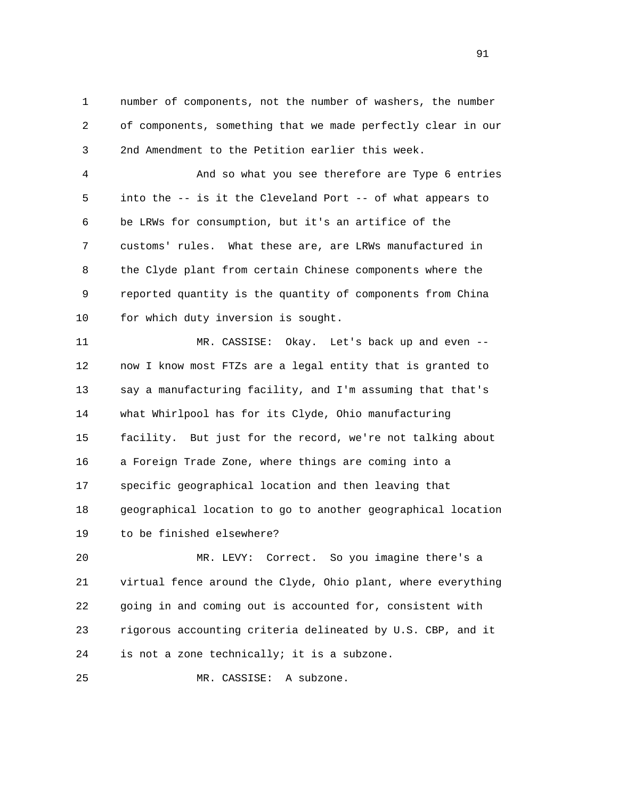1 number of components, not the number of washers, the number 2 of components, something that we made perfectly clear in our 3 2nd Amendment to the Petition earlier this week.

 4 And so what you see therefore are Type 6 entries 5 into the -- is it the Cleveland Port -- of what appears to 6 be LRWs for consumption, but it's an artifice of the 7 customs' rules. What these are, are LRWs manufactured in 8 the Clyde plant from certain Chinese components where the 9 reported quantity is the quantity of components from China 10 for which duty inversion is sought.

 11 MR. CASSISE: Okay. Let's back up and even -- 12 now I know most FTZs are a legal entity that is granted to 13 say a manufacturing facility, and I'm assuming that that's 14 what Whirlpool has for its Clyde, Ohio manufacturing 15 facility. But just for the record, we're not talking about 16 a Foreign Trade Zone, where things are coming into a 17 specific geographical location and then leaving that 18 geographical location to go to another geographical location 19 to be finished elsewhere?

 20 MR. LEVY: Correct. So you imagine there's a 21 virtual fence around the Clyde, Ohio plant, where everything 22 going in and coming out is accounted for, consistent with 23 rigorous accounting criteria delineated by U.S. CBP, and it 24 is not a zone technically; it is a subzone.

25 MR. CASSISE: A subzone.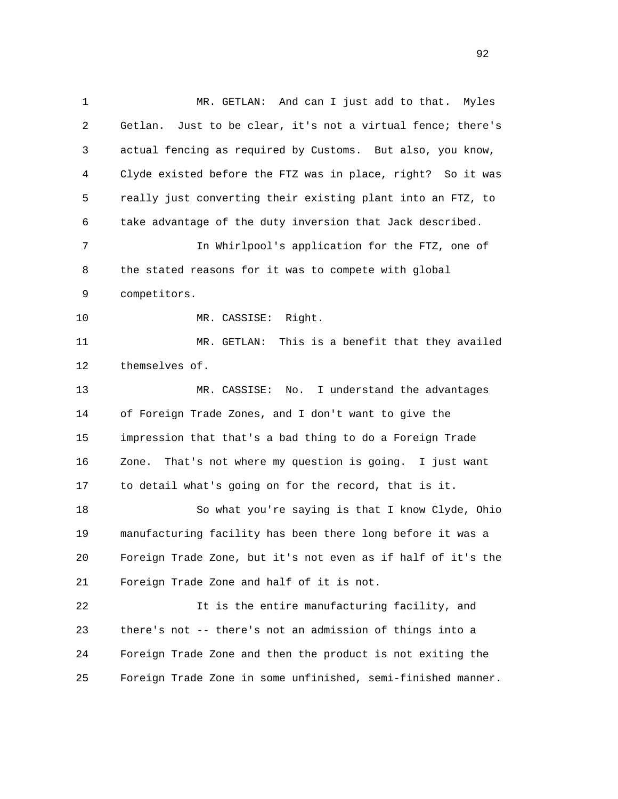1 MR. GETLAN: And can I just add to that. Myles 2 Getlan. Just to be clear, it's not a virtual fence; there's 3 actual fencing as required by Customs. But also, you know, 4 Clyde existed before the FTZ was in place, right? So it was 5 really just converting their existing plant into an FTZ, to 6 take advantage of the duty inversion that Jack described. 7 In Whirlpool's application for the FTZ, one of 8 the stated reasons for it was to compete with global 9 competitors. 10 MR. CASSISE: Right. 11 MR. GETLAN: This is a benefit that they availed 12 themselves of. 13 MR. CASSISE: No. I understand the advantages 14 of Foreign Trade Zones, and I don't want to give the 15 impression that that's a bad thing to do a Foreign Trade 16 Zone. That's not where my question is going. I just want 17 to detail what's going on for the record, that is it. 18 So what you're saying is that I know Clyde, Ohio 19 manufacturing facility has been there long before it was a 20 Foreign Trade Zone, but it's not even as if half of it's the 21 Foreign Trade Zone and half of it is not. 22 It is the entire manufacturing facility, and 23 there's not -- there's not an admission of things into a 24 Foreign Trade Zone and then the product is not exiting the 25 Foreign Trade Zone in some unfinished, semi-finished manner.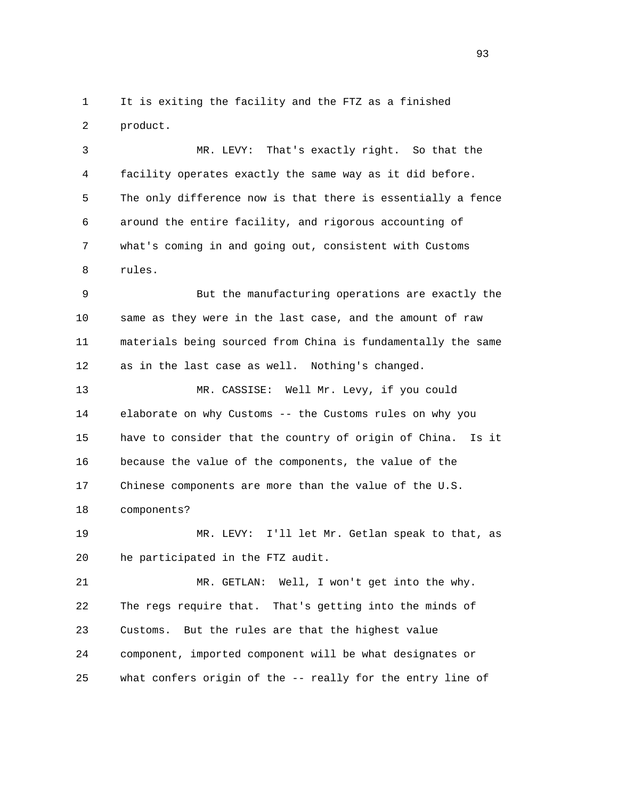1 It is exiting the facility and the FTZ as a finished 2 product.

 3 MR. LEVY: That's exactly right. So that the 4 facility operates exactly the same way as it did before. 5 The only difference now is that there is essentially a fence 6 around the entire facility, and rigorous accounting of 7 what's coming in and going out, consistent with Customs 8 rules.

 9 But the manufacturing operations are exactly the 10 same as they were in the last case, and the amount of raw 11 materials being sourced from China is fundamentally the same 12 as in the last case as well. Nothing's changed.

 13 MR. CASSISE: Well Mr. Levy, if you could 14 elaborate on why Customs -- the Customs rules on why you 15 have to consider that the country of origin of China. Is it 16 because the value of the components, the value of the 17 Chinese components are more than the value of the U.S. 18 components?

 19 MR. LEVY: I'll let Mr. Getlan speak to that, as 20 he participated in the FTZ audit.

 21 MR. GETLAN: Well, I won't get into the why. 22 The regs require that. That's getting into the minds of 23 Customs. But the rules are that the highest value 24 component, imported component will be what designates or 25 what confers origin of the -- really for the entry line of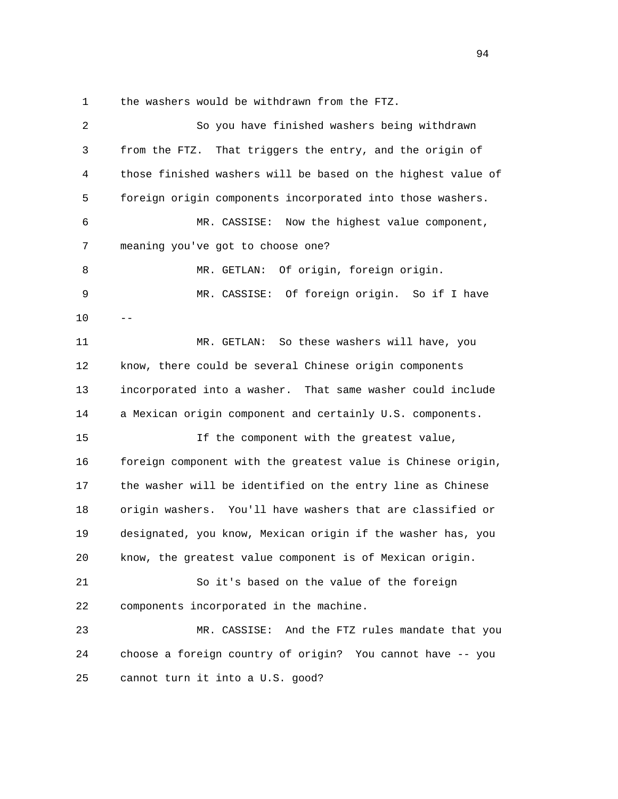1 the washers would be withdrawn from the FTZ.

| 2  | So you have finished washers being withdrawn                 |
|----|--------------------------------------------------------------|
| 3  | from the FTZ. That triggers the entry, and the origin of     |
| 4  | those finished washers will be based on the highest value of |
| 5  | foreign origin components incorporated into those washers.   |
| 6  | Now the highest value component,<br>MR. CASSISE:             |
| 7  | meaning you've got to choose one?                            |
| 8  | Of origin, foreign origin.<br>MR. GETLAN:                    |
| 9  | MR. CASSISE: Of foreign origin. So if I have                 |
| 10 |                                                              |
| 11 | So these washers will have, you<br>MR. GETLAN:               |
| 12 | know, there could be several Chinese origin components       |
| 13 | incorporated into a washer. That same washer could include   |
| 14 | a Mexican origin component and certainly U.S. components.    |
| 15 | If the component with the greatest value,                    |
| 16 | foreign component with the greatest value is Chinese origin, |
| 17 | the washer will be identified on the entry line as Chinese   |
| 18 | origin washers. You'll have washers that are classified or   |
| 19 | designated, you know, Mexican origin if the washer has, you  |
| 20 | know, the greatest value component is of Mexican origin.     |
| 21 | So it's based on the value of the foreign                    |
| 22 | components incorporated in the machine.                      |
| 23 | MR. CASSISE: And the FTZ rules mandate that you              |
| 24 | choose a foreign country of origin? You cannot have -- you   |
| 25 | cannot turn it into a U.S. good?                             |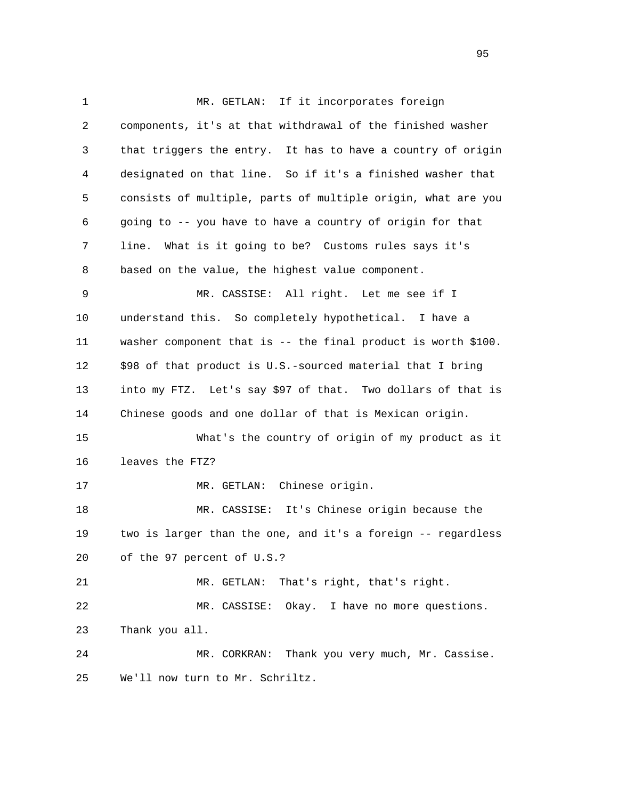1 MR. GETLAN: If it incorporates foreign 2 components, it's at that withdrawal of the finished washer 3 that triggers the entry. It has to have a country of origin 4 designated on that line. So if it's a finished washer that 5 consists of multiple, parts of multiple origin, what are you 6 going to -- you have to have a country of origin for that 7 line. What is it going to be? Customs rules says it's 8 based on the value, the highest value component. 9 MR. CASSISE: All right. Let me see if I 10 understand this. So completely hypothetical. I have a 11 washer component that is -- the final product is worth \$100. 12 \$98 of that product is U.S.-sourced material that I bring 13 into my FTZ. Let's say \$97 of that. Two dollars of that is 14 Chinese goods and one dollar of that is Mexican origin. 15 What's the country of origin of my product as it 16 leaves the FTZ? 17 MR. GETLAN: Chinese origin. 18 MR. CASSISE: It's Chinese origin because the 19 two is larger than the one, and it's a foreign -- regardless 20 of the 97 percent of U.S.? 21 MR. GETLAN: That's right, that's right. 22 MR. CASSISE: Okay. I have no more questions. 23 Thank you all. 24 MR. CORKRAN: Thank you very much, Mr. Cassise. 25 We'll now turn to Mr. Schriltz.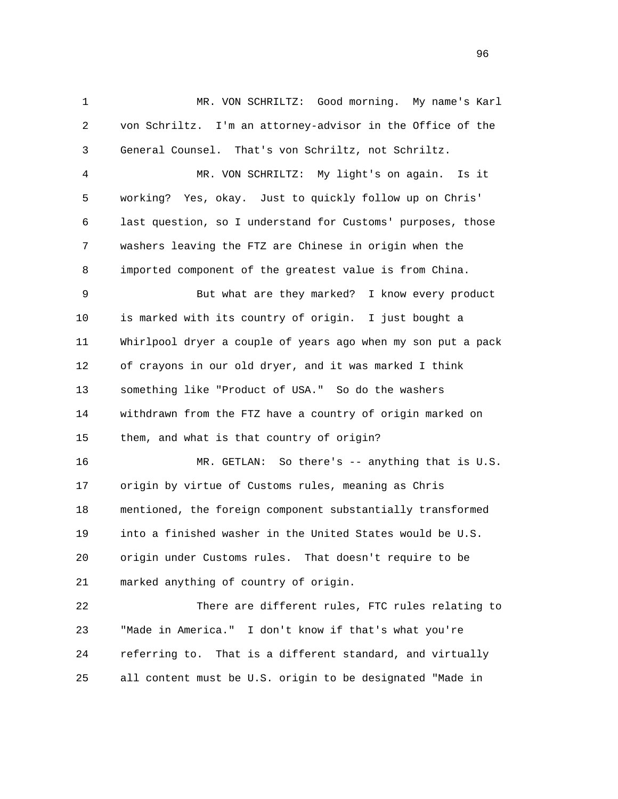1 MR. VON SCHRILTZ: Good morning. My name's Karl 2 von Schriltz. I'm an attorney-advisor in the Office of the 3 General Counsel. That's von Schriltz, not Schriltz.

 4 MR. VON SCHRILTZ: My light's on again. Is it 5 working? Yes, okay. Just to quickly follow up on Chris' 6 last question, so I understand for Customs' purposes, those 7 washers leaving the FTZ are Chinese in origin when the 8 imported component of the greatest value is from China.

 9 But what are they marked? I know every product 10 is marked with its country of origin. I just bought a 11 Whirlpool dryer a couple of years ago when my son put a pack 12 of crayons in our old dryer, and it was marked I think 13 something like "Product of USA." So do the washers 14 withdrawn from the FTZ have a country of origin marked on 15 them, and what is that country of origin?

 16 MR. GETLAN: So there's -- anything that is U.S. 17 origin by virtue of Customs rules, meaning as Chris 18 mentioned, the foreign component substantially transformed 19 into a finished washer in the United States would be U.S. 20 origin under Customs rules. That doesn't require to be 21 marked anything of country of origin.

 22 There are different rules, FTC rules relating to 23 "Made in America." I don't know if that's what you're 24 referring to. That is a different standard, and virtually 25 all content must be U.S. origin to be designated "Made in

<u>96</u>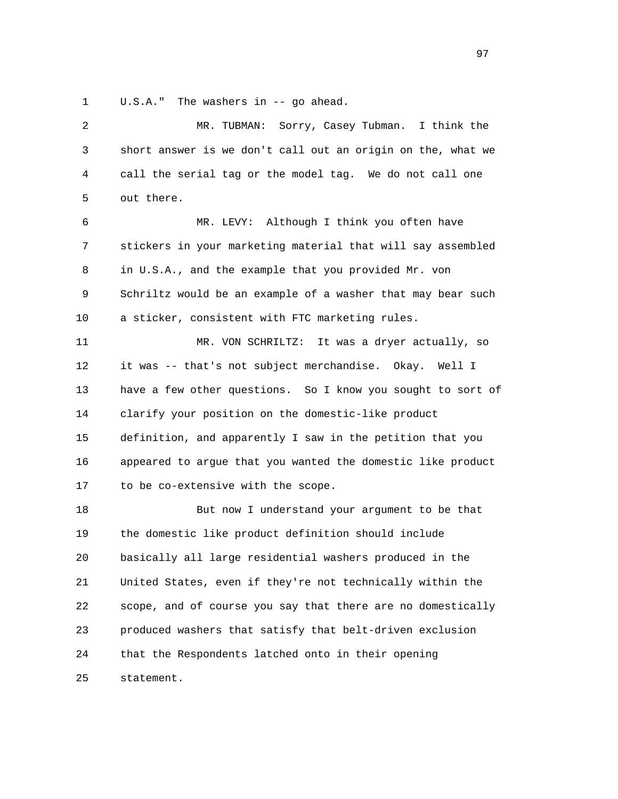1 U.S.A." The washers in -- go ahead.

| 2  | Sorry, Casey Tubman.<br>I think the<br>MR. TUBMAN:          |
|----|-------------------------------------------------------------|
| 3  | short answer is we don't call out an origin on the, what we |
| 4  | call the serial tag or the model tag. We do not call one    |
| 5  | out there.                                                  |
| 6  | MR. LEVY: Although I think you often have                   |
| 7  | stickers in your marketing material that will say assembled |
| 8  | in U.S.A., and the example that you provided Mr. von        |
| 9  | Schriltz would be an example of a washer that may bear such |
| 10 | a sticker, consistent with FTC marketing rules.             |
| 11 | MR. VON SCHRILTZ:<br>It was a dryer actually, so            |
| 12 | it was -- that's not subject merchandise. Okay. Well I      |
| 13 | have a few other questions. So I know you sought to sort of |
| 14 | clarify your position on the domestic-like product          |
| 15 | definition, and apparently I saw in the petition that you   |
| 16 | appeared to argue that you wanted the domestic like product |
| 17 | to be co-extensive with the scope.                          |
| 18 | But now I understand your argument to be that               |
| 19 | the domestic like product definition should include         |
| 20 | basically all large residential washers produced in the     |
| 21 | United States, even if they're not technically within the   |
| 22 | scope, and of course you say that there are no domestically |
| 23 | produced washers that satisfy that belt-driven exclusion    |
| 24 | that the Respondents latched onto in their opening          |
| 25 | statement.                                                  |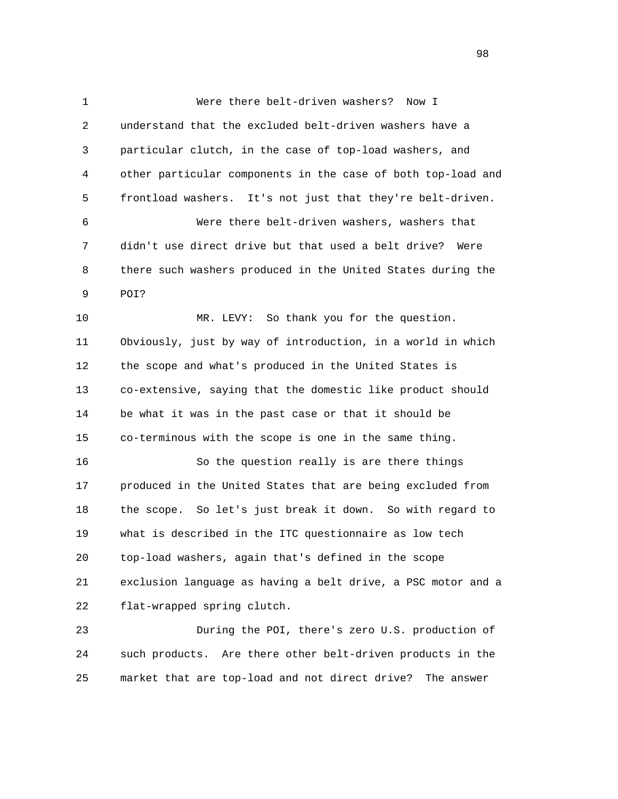1 Were there belt-driven washers? Now I 2 understand that the excluded belt-driven washers have a 3 particular clutch, in the case of top-load washers, and 4 other particular components in the case of both top-load and 5 frontload washers. It's not just that they're belt-driven. 6 Were there belt-driven washers, washers that 7 didn't use direct drive but that used a belt drive? Were 8 there such washers produced in the United States during the 9 POI? 10 MR. LEVY: So thank you for the question. 11 Obviously, just by way of introduction, in a world in which 12 the scope and what's produced in the United States is 13 co-extensive, saying that the domestic like product should 14 be what it was in the past case or that it should be 15 co-terminous with the scope is one in the same thing. 16 So the question really is are there things 17 produced in the United States that are being excluded from 18 the scope. So let's just break it down. So with regard to 19 what is described in the ITC questionnaire as low tech 20 top-load washers, again that's defined in the scope 21 exclusion language as having a belt drive, a PSC motor and a 22 flat-wrapped spring clutch. 23 During the POI, there's zero U.S. production of

 24 such products. Are there other belt-driven products in the 25 market that are top-load and not direct drive? The answer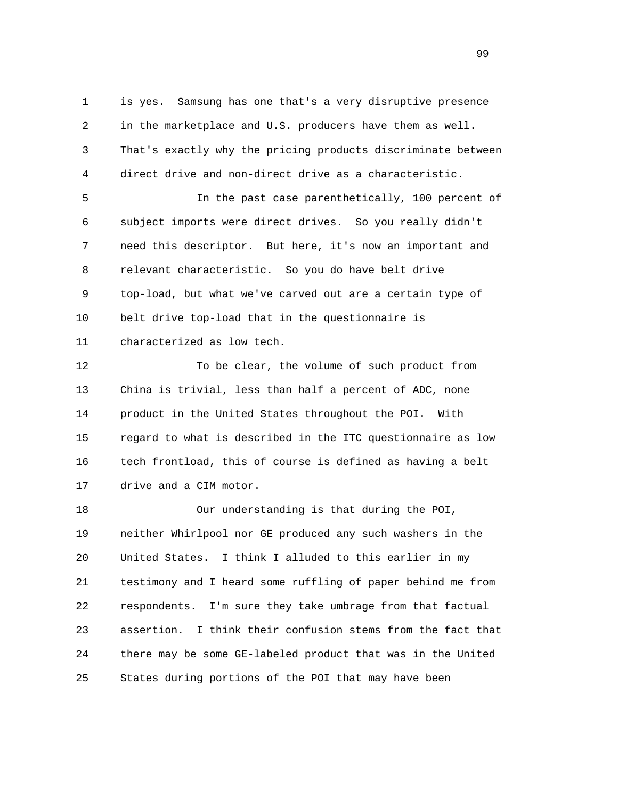1 is yes. Samsung has one that's a very disruptive presence 2 in the marketplace and U.S. producers have them as well. 3 That's exactly why the pricing products discriminate between 4 direct drive and non-direct drive as a characteristic.

 5 In the past case parenthetically, 100 percent of 6 subject imports were direct drives. So you really didn't 7 need this descriptor. But here, it's now an important and 8 relevant characteristic. So you do have belt drive 9 top-load, but what we've carved out are a certain type of 10 belt drive top-load that in the questionnaire is 11 characterized as low tech.

 12 To be clear, the volume of such product from 13 China is trivial, less than half a percent of ADC, none 14 product in the United States throughout the POI. With 15 regard to what is described in the ITC questionnaire as low 16 tech frontload, this of course is defined as having a belt 17 drive and a CIM motor.

 18 Our understanding is that during the POI, 19 neither Whirlpool nor GE produced any such washers in the 20 United States. I think I alluded to this earlier in my 21 testimony and I heard some ruffling of paper behind me from 22 respondents. I'm sure they take umbrage from that factual 23 assertion. I think their confusion stems from the fact that 24 there may be some GE-labeled product that was in the United 25 States during portions of the POI that may have been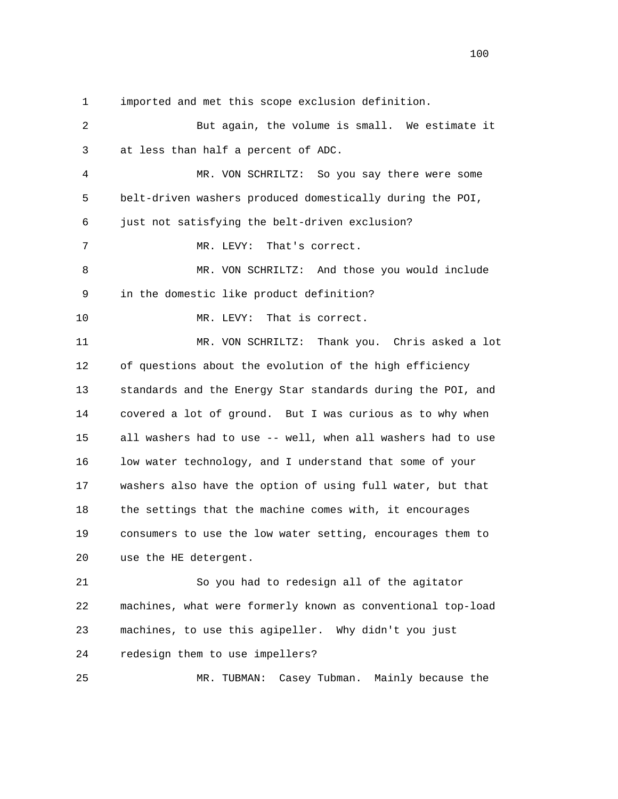1 imported and met this scope exclusion definition.

| 2  | But again, the volume is small. We estimate it              |
|----|-------------------------------------------------------------|
| 3  | at less than half a percent of ADC.                         |
| 4  | MR. VON SCHRILTZ: So you say there were some                |
| 5  | belt-driven washers produced domestically during the POI,   |
| 6  | just not satisfying the belt-driven exclusion?              |
| 7  | That's correct.<br>MR. LEVY:                                |
| 8  | MR. VON SCHRILTZ: And those you would include               |
| 9  | in the domestic like product definition?                    |
| 10 | That is correct.<br>MR. LEVY:                               |
| 11 | MR. VON SCHRILTZ: Thank you. Chris asked a lot              |
| 12 | of questions about the evolution of the high efficiency     |
| 13 | standards and the Energy Star standards during the POI, and |
| 14 | covered a lot of ground. But I was curious as to why when   |
| 15 | all washers had to use -- well, when all washers had to use |
| 16 | low water technology, and I understand that some of your    |
| 17 | washers also have the option of using full water, but that  |
| 18 | the settings that the machine comes with, it encourages     |
| 19 | consumers to use the low water setting, encourages them to  |
| 20 | use the HE detergent.                                       |
| 21 | So you had to redesign all of the agitator                  |
| 22 | machines, what were formerly known as conventional top-load |
| 23 | machines, to use this agipeller. Why didn't you just        |
| 24 | redesign them to use impellers?                             |
| 25 | Casey Tubman. Mainly because the<br>MR. TUBMAN:             |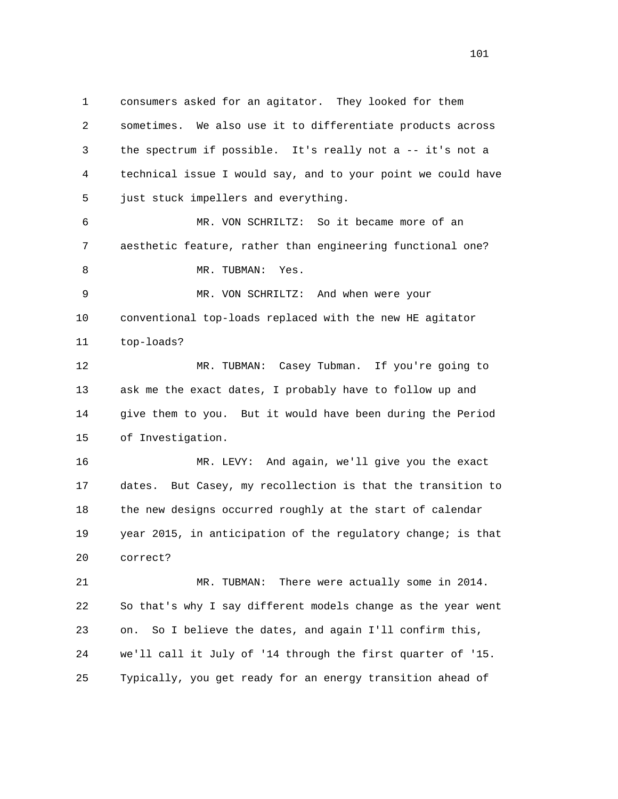1 consumers asked for an agitator. They looked for them 2 sometimes. We also use it to differentiate products across 3 the spectrum if possible. It's really not a -- it's not a 4 technical issue I would say, and to your point we could have 5 just stuck impellers and everything. 6 MR. VON SCHRILTZ: So it became more of an 7 aesthetic feature, rather than engineering functional one? 8 MR. TUBMAN: Yes. 9 MR. VON SCHRILTZ: And when were your 10 conventional top-loads replaced with the new HE agitator 11 top-loads? 12 MR. TUBMAN: Casey Tubman. If you're going to 13 ask me the exact dates, I probably have to follow up and 14 give them to you. But it would have been during the Period 15 of Investigation. 16 MR. LEVY: And again, we'll give you the exact 17 dates. But Casey, my recollection is that the transition to 18 the new designs occurred roughly at the start of calendar 19 year 2015, in anticipation of the regulatory change; is that 20 correct? 21 MR. TUBMAN: There were actually some in 2014. 22 So that's why I say different models change as the year went 23 on. So I believe the dates, and again I'll confirm this, 24 we'll call it July of '14 through the first quarter of '15.

25 Typically, you get ready for an energy transition ahead of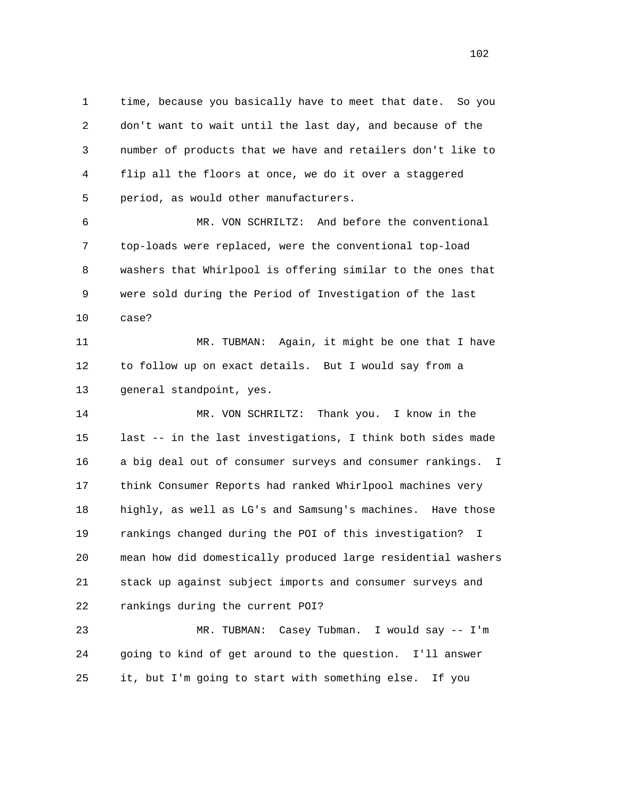1 time, because you basically have to meet that date. So you 2 don't want to wait until the last day, and because of the 3 number of products that we have and retailers don't like to 4 flip all the floors at once, we do it over a staggered 5 period, as would other manufacturers.

 6 MR. VON SCHRILTZ: And before the conventional 7 top-loads were replaced, were the conventional top-load 8 washers that Whirlpool is offering similar to the ones that 9 were sold during the Period of Investigation of the last 10 case?

 11 MR. TUBMAN: Again, it might be one that I have 12 to follow up on exact details. But I would say from a 13 general standpoint, yes.

 14 MR. VON SCHRILTZ: Thank you. I know in the 15 last -- in the last investigations, I think both sides made 16 a big deal out of consumer surveys and consumer rankings. I 17 think Consumer Reports had ranked Whirlpool machines very 18 highly, as well as LG's and Samsung's machines. Have those 19 rankings changed during the POI of this investigation? I 20 mean how did domestically produced large residential washers 21 stack up against subject imports and consumer surveys and 22 rankings during the current POI?

 23 MR. TUBMAN: Casey Tubman. I would say -- I'm 24 going to kind of get around to the question. I'll answer 25 it, but I'm going to start with something else. If you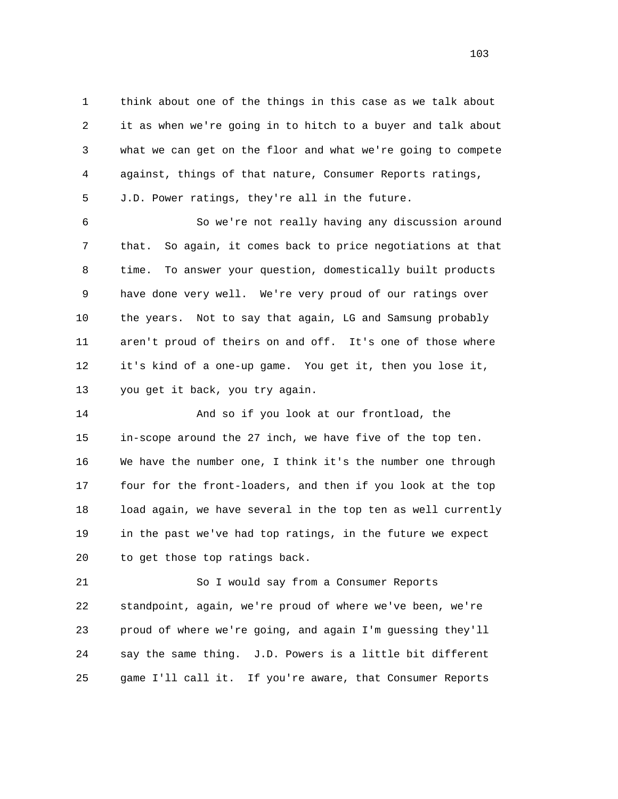1 think about one of the things in this case as we talk about 2 it as when we're going in to hitch to a buyer and talk about 3 what we can get on the floor and what we're going to compete 4 against, things of that nature, Consumer Reports ratings,

5 J.D. Power ratings, they're all in the future.

 6 So we're not really having any discussion around 7 that. So again, it comes back to price negotiations at that 8 time. To answer your question, domestically built products 9 have done very well. We're very proud of our ratings over 10 the years. Not to say that again, LG and Samsung probably 11 aren't proud of theirs on and off. It's one of those where 12 it's kind of a one-up game. You get it, then you lose it, 13 you get it back, you try again.

 14 And so if you look at our frontload, the 15 in-scope around the 27 inch, we have five of the top ten. 16 We have the number one, I think it's the number one through 17 four for the front-loaders, and then if you look at the top 18 load again, we have several in the top ten as well currently 19 in the past we've had top ratings, in the future we expect 20 to get those top ratings back.

 21 So I would say from a Consumer Reports 22 standpoint, again, we're proud of where we've been, we're 23 proud of where we're going, and again I'm guessing they'll 24 say the same thing. J.D. Powers is a little bit different 25 game I'll call it. If you're aware, that Consumer Reports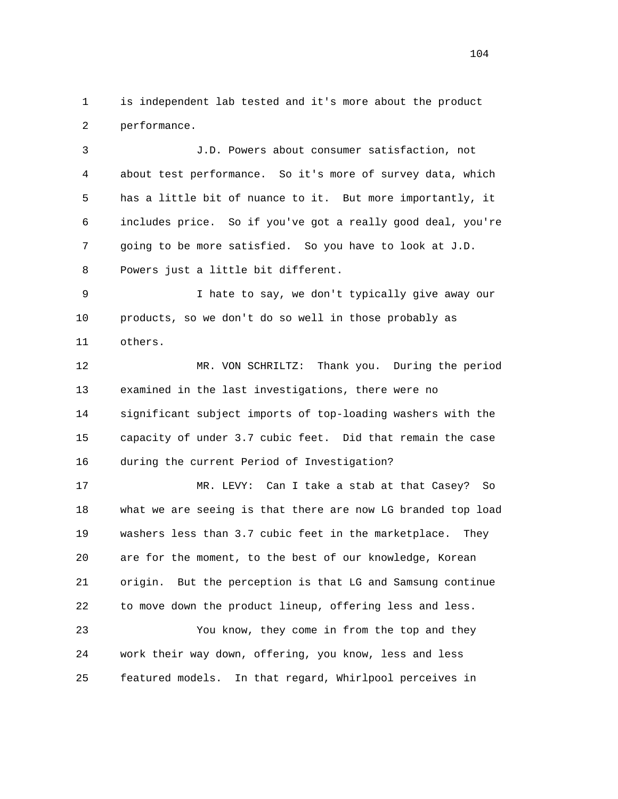1 is independent lab tested and it's more about the product 2 performance.

 3 J.D. Powers about consumer satisfaction, not 4 about test performance. So it's more of survey data, which 5 has a little bit of nuance to it. But more importantly, it 6 includes price. So if you've got a really good deal, you're 7 going to be more satisfied. So you have to look at J.D. 8 Powers just a little bit different.

 9 I hate to say, we don't typically give away our 10 products, so we don't do so well in those probably as 11 others.

 12 MR. VON SCHRILTZ: Thank you. During the period 13 examined in the last investigations, there were no 14 significant subject imports of top-loading washers with the 15 capacity of under 3.7 cubic feet. Did that remain the case 16 during the current Period of Investigation?

 17 MR. LEVY: Can I take a stab at that Casey? So 18 what we are seeing is that there are now LG branded top load 19 washers less than 3.7 cubic feet in the marketplace. They 20 are for the moment, to the best of our knowledge, Korean 21 origin. But the perception is that LG and Samsung continue 22 to move down the product lineup, offering less and less.

 23 You know, they come in from the top and they 24 work their way down, offering, you know, less and less 25 featured models. In that regard, Whirlpool perceives in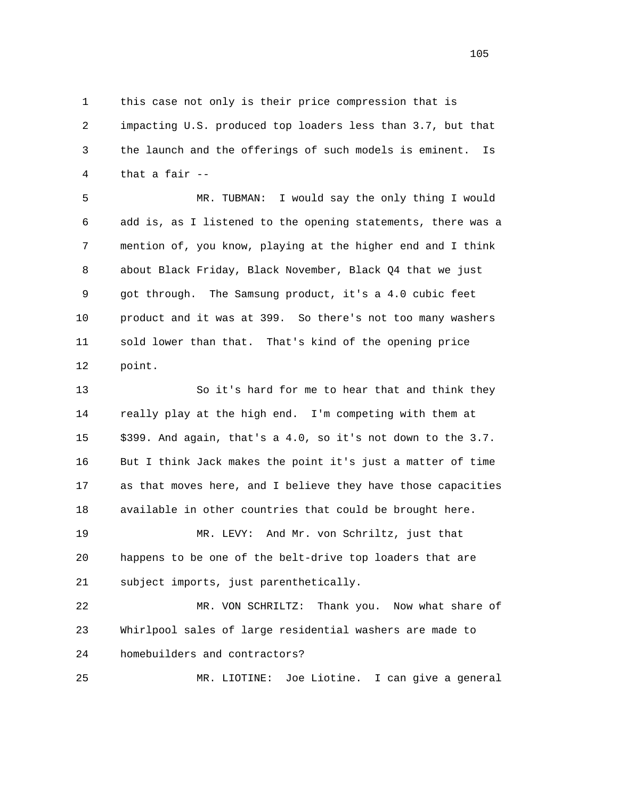1 this case not only is their price compression that is 2 impacting U.S. produced top loaders less than 3.7, but that 3 the launch and the offerings of such models is eminent. Is 4 that a fair --

 5 MR. TUBMAN: I would say the only thing I would 6 add is, as I listened to the opening statements, there was a 7 mention of, you know, playing at the higher end and I think 8 about Black Friday, Black November, Black Q4 that we just 9 got through. The Samsung product, it's a 4.0 cubic feet 10 product and it was at 399. So there's not too many washers 11 sold lower than that. That's kind of the opening price 12 point.

 13 So it's hard for me to hear that and think they 14 really play at the high end. I'm competing with them at 15 \$399. And again, that's a 4.0, so it's not down to the 3.7. 16 But I think Jack makes the point it's just a matter of time 17 as that moves here, and I believe they have those capacities 18 available in other countries that could be brought here. 19 MR. LEVY: And Mr. von Schriltz, just that 20 happens to be one of the belt-drive top loaders that are 21 subject imports, just parenthetically. 22 MR. VON SCHRILTZ: Thank you. Now what share of 23 Whirlpool sales of large residential washers are made to

24 homebuilders and contractors?

25 MR. LIOTINE: Joe Liotine. I can give a general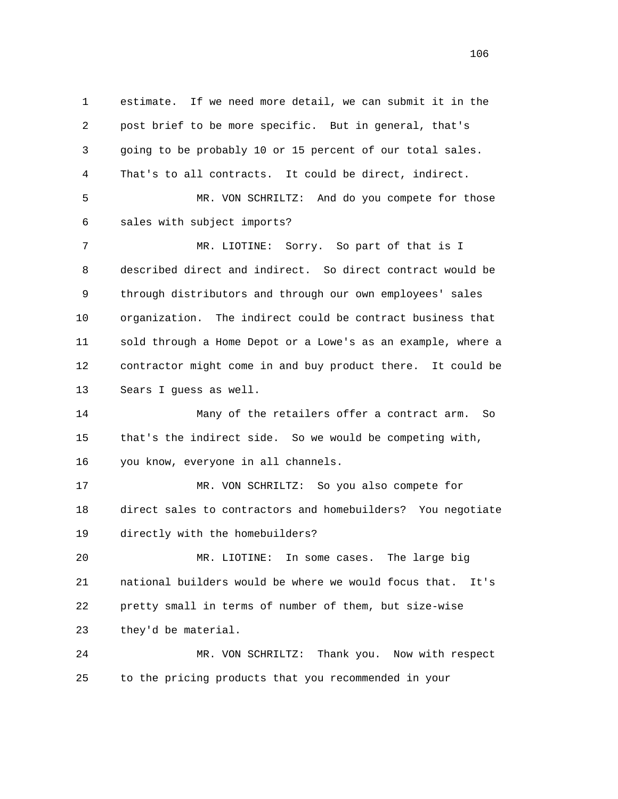1 estimate. If we need more detail, we can submit it in the 2 post brief to be more specific. But in general, that's 3 going to be probably 10 or 15 percent of our total sales. 4 That's to all contracts. It could be direct, indirect. 5 MR. VON SCHRILTZ: And do you compete for those 6 sales with subject imports? 7 MR. LIOTINE: Sorry. So part of that is I 8 described direct and indirect. So direct contract would be 9 through distributors and through our own employees' sales 10 organization. The indirect could be contract business that 11 sold through a Home Depot or a Lowe's as an example, where a 12 contractor might come in and buy product there. It could be 13 Sears I guess as well. 14 Many of the retailers offer a contract arm. So 15 that's the indirect side. So we would be competing with, 16 you know, everyone in all channels. 17 MR. VON SCHRILTZ: So you also compete for 18 direct sales to contractors and homebuilders? You negotiate 19 directly with the homebuilders? 20 MR. LIOTINE: In some cases. The large big 21 national builders would be where we would focus that. It's 22 pretty small in terms of number of them, but size-wise 23 they'd be material. 24 MR. VON SCHRILTZ: Thank you. Now with respect 25 to the pricing products that you recommended in your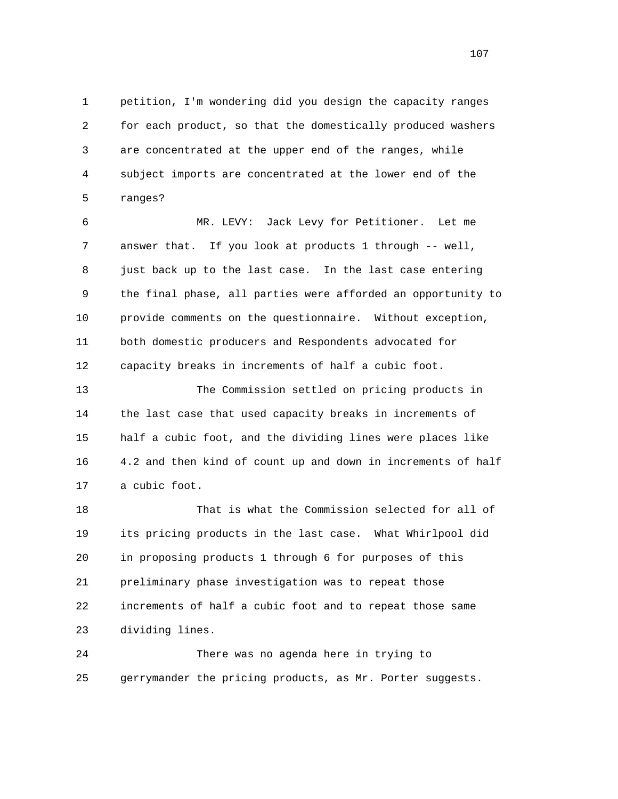1 petition, I'm wondering did you design the capacity ranges 2 for each product, so that the domestically produced washers 3 are concentrated at the upper end of the ranges, while 4 subject imports are concentrated at the lower end of the 5 ranges?

 6 MR. LEVY: Jack Levy for Petitioner. Let me 7 answer that. If you look at products 1 through -- well, 8 just back up to the last case. In the last case entering 9 the final phase, all parties were afforded an opportunity to 10 provide comments on the questionnaire. Without exception, 11 both domestic producers and Respondents advocated for 12 capacity breaks in increments of half a cubic foot.

 13 The Commission settled on pricing products in 14 the last case that used capacity breaks in increments of 15 half a cubic foot, and the dividing lines were places like 16 4.2 and then kind of count up and down in increments of half 17 a cubic foot.

 18 That is what the Commission selected for all of 19 its pricing products in the last case. What Whirlpool did 20 in proposing products 1 through 6 for purposes of this 21 preliminary phase investigation was to repeat those 22 increments of half a cubic foot and to repeat those same 23 dividing lines.

 24 There was no agenda here in trying to 25 gerrymander the pricing products, as Mr. Porter suggests.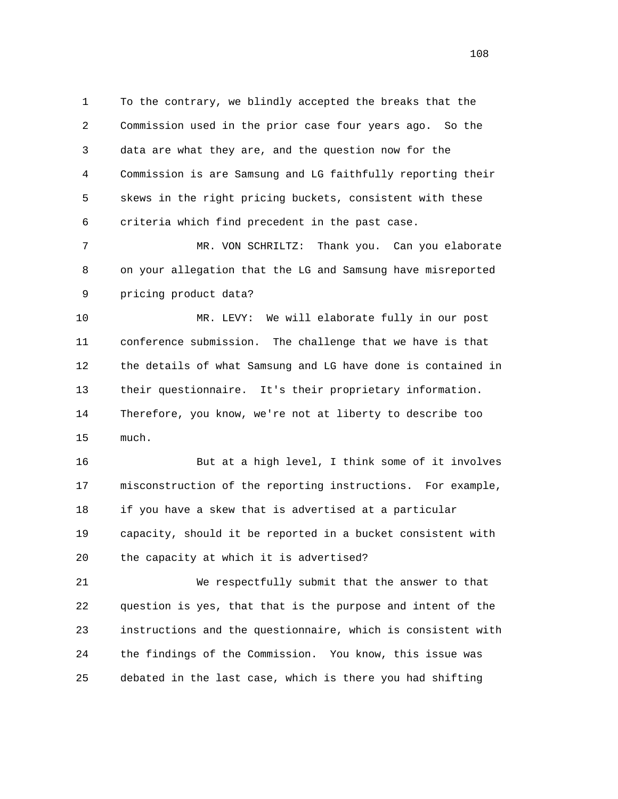1 To the contrary, we blindly accepted the breaks that the 2 Commission used in the prior case four years ago. So the 3 data are what they are, and the question now for the 4 Commission is are Samsung and LG faithfully reporting their 5 skews in the right pricing buckets, consistent with these 6 criteria which find precedent in the past case.

 7 MR. VON SCHRILTZ: Thank you. Can you elaborate 8 on your allegation that the LG and Samsung have misreported 9 pricing product data?

 10 MR. LEVY: We will elaborate fully in our post 11 conference submission. The challenge that we have is that 12 the details of what Samsung and LG have done is contained in 13 their questionnaire. It's their proprietary information. 14 Therefore, you know, we're not at liberty to describe too 15 much.

 16 But at a high level, I think some of it involves 17 misconstruction of the reporting instructions. For example, 18 if you have a skew that is advertised at a particular 19 capacity, should it be reported in a bucket consistent with 20 the capacity at which it is advertised?

 21 We respectfully submit that the answer to that 22 question is yes, that that is the purpose and intent of the 23 instructions and the questionnaire, which is consistent with 24 the findings of the Commission. You know, this issue was 25 debated in the last case, which is there you had shifting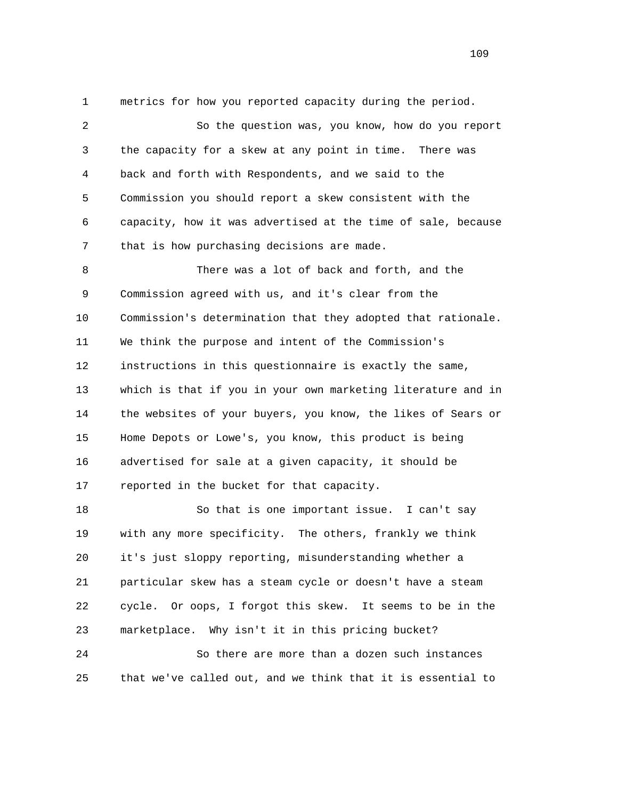1 metrics for how you reported capacity during the period. 2 So the question was, you know, how do you report 3 the capacity for a skew at any point in time. There was 4 back and forth with Respondents, and we said to the 5 Commission you should report a skew consistent with the 6 capacity, how it was advertised at the time of sale, because 7 that is how purchasing decisions are made. 8 There was a lot of back and forth, and the 9 Commission agreed with us, and it's clear from the 10 Commission's determination that they adopted that rationale. 11 We think the purpose and intent of the Commission's 12 instructions in this questionnaire is exactly the same, 13 which is that if you in your own marketing literature and in 14 the websites of your buyers, you know, the likes of Sears or 15 Home Depots or Lowe's, you know, this product is being 16 advertised for sale at a given capacity, it should be 17 reported in the bucket for that capacity. 18 So that is one important issue. I can't say 19 with any more specificity. The others, frankly we think 20 it's just sloppy reporting, misunderstanding whether a 21 particular skew has a steam cycle or doesn't have a steam

 22 cycle. Or oops, I forgot this skew. It seems to be in the 23 marketplace. Why isn't it in this pricing bucket?

 24 So there are more than a dozen such instances 25 that we've called out, and we think that it is essential to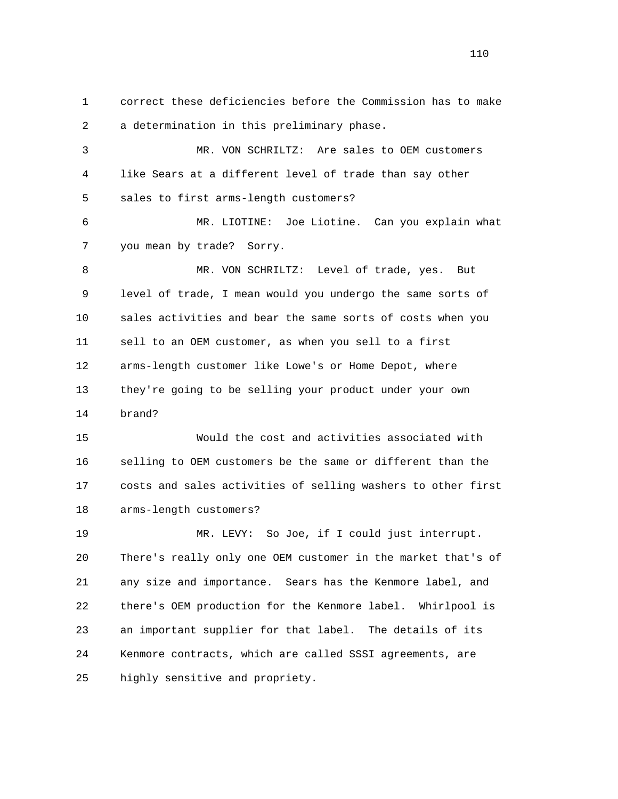1 correct these deficiencies before the Commission has to make 2 a determination in this preliminary phase. 3 MR. VON SCHRILTZ: Are sales to OEM customers 4 like Sears at a different level of trade than say other 5 sales to first arms-length customers? 6 MR. LIOTINE: Joe Liotine. Can you explain what 7 you mean by trade? Sorry. 8 MR. VON SCHRILTZ: Level of trade, yes. But 9 level of trade, I mean would you undergo the same sorts of 10 sales activities and bear the same sorts of costs when you 11 sell to an OEM customer, as when you sell to a first 12 arms-length customer like Lowe's or Home Depot, where 13 they're going to be selling your product under your own 14 brand? 15 Would the cost and activities associated with 16 selling to OEM customers be the same or different than the 17 costs and sales activities of selling washers to other first 18 arms-length customers? 19 MR. LEVY: So Joe, if I could just interrupt. 20 There's really only one OEM customer in the market that's of 21 any size and importance. Sears has the Kenmore label, and 22 there's OEM production for the Kenmore label. Whirlpool is 23 an important supplier for that label. The details of its 24 Kenmore contracts, which are called SSSI agreements, are 25 highly sensitive and propriety.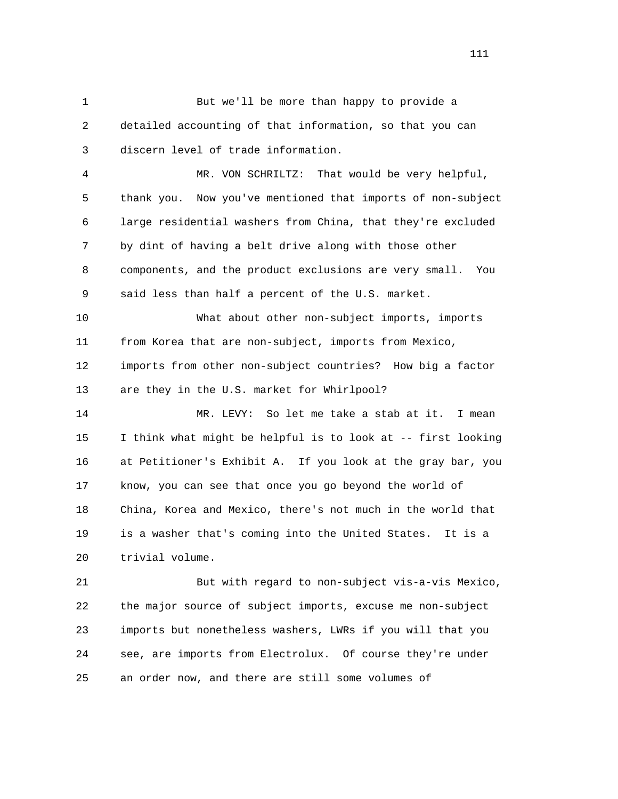1 But we'll be more than happy to provide a 2 detailed accounting of that information, so that you can 3 discern level of trade information.

 4 MR. VON SCHRILTZ: That would be very helpful, 5 thank you. Now you've mentioned that imports of non-subject 6 large residential washers from China, that they're excluded 7 by dint of having a belt drive along with those other 8 components, and the product exclusions are very small. You 9 said less than half a percent of the U.S. market.

 10 What about other non-subject imports, imports 11 from Korea that are non-subject, imports from Mexico, 12 imports from other non-subject countries? How big a factor 13 are they in the U.S. market for Whirlpool?

 14 MR. LEVY: So let me take a stab at it. I mean 15 I think what might be helpful is to look at -- first looking 16 at Petitioner's Exhibit A. If you look at the gray bar, you 17 know, you can see that once you go beyond the world of 18 China, Korea and Mexico, there's not much in the world that 19 is a washer that's coming into the United States. It is a 20 trivial volume.

 21 But with regard to non-subject vis-a-vis Mexico, 22 the major source of subject imports, excuse me non-subject 23 imports but nonetheless washers, LWRs if you will that you 24 see, are imports from Electrolux. Of course they're under 25 an order now, and there are still some volumes of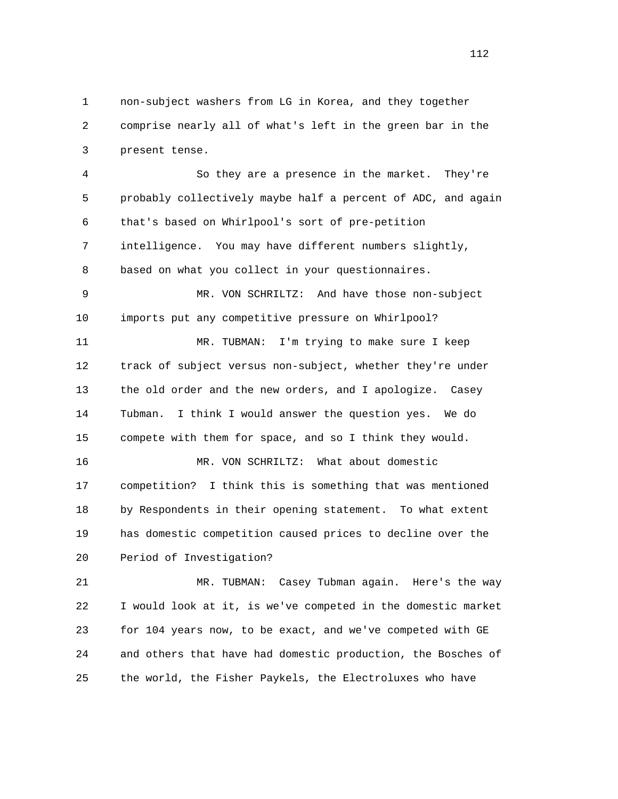1 non-subject washers from LG in Korea, and they together 2 comprise nearly all of what's left in the green bar in the 3 present tense.

 4 So they are a presence in the market. They're 5 probably collectively maybe half a percent of ADC, and again 6 that's based on Whirlpool's sort of pre-petition 7 intelligence. You may have different numbers slightly, 8 based on what you collect in your questionnaires.

 9 MR. VON SCHRILTZ: And have those non-subject 10 imports put any competitive pressure on Whirlpool?

 11 MR. TUBMAN: I'm trying to make sure I keep 12 track of subject versus non-subject, whether they're under 13 the old order and the new orders, and I apologize. Casey 14 Tubman. I think I would answer the question yes. We do 15 compete with them for space, and so I think they would.

 16 MR. VON SCHRILTZ: What about domestic 17 competition? I think this is something that was mentioned 18 by Respondents in their opening statement. To what extent 19 has domestic competition caused prices to decline over the 20 Period of Investigation?

 21 MR. TUBMAN: Casey Tubman again. Here's the way 22 I would look at it, is we've competed in the domestic market 23 for 104 years now, to be exact, and we've competed with GE 24 and others that have had domestic production, the Bosches of 25 the world, the Fisher Paykels, the Electroluxes who have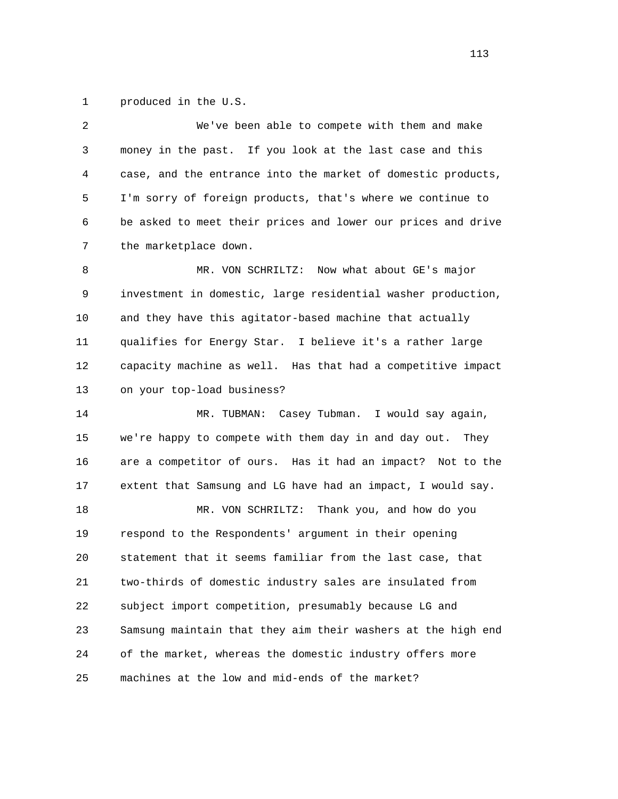1 produced in the U.S.

| 2  | We've been able to compete with them and make                |
|----|--------------------------------------------------------------|
| 3  | money in the past. If you look at the last case and this     |
| 4  | case, and the entrance into the market of domestic products, |
| 5  | I'm sorry of foreign products, that's where we continue to   |
| 6  | be asked to meet their prices and lower our prices and drive |
| 7  | the marketplace down.                                        |
| 8  | MR. VON SCHRILTZ: Now what about GE's major                  |
| 9  | investment in domestic, large residential washer production, |
| 10 | and they have this agitator-based machine that actually      |
| 11 | qualifies for Energy Star. I believe it's a rather large     |
| 12 | capacity machine as well. Has that had a competitive impact  |
| 13 | on your top-load business?                                   |
| 14 | MR. TUBMAN: Casey Tubman. I would say again,                 |
| 15 | we're happy to compete with them day in and day out. They    |
| 16 | are a competitor of ours. Has it had an impact? Not to the   |
| 17 | extent that Samsung and LG have had an impact, I would say.  |
| 18 | Thank you, and how do you<br>MR. VON SCHRILTZ:               |
| 19 | respond to the Respondents' argument in their opening        |
| 20 | statement that it seems familiar from the last case, that    |
| 21 | two-thirds of domestic industry sales are insulated from     |
| 22 | subject import competition, presumably because LG and        |
| 23 | Samsung maintain that they aim their washers at the high end |
| 24 | of the market, whereas the domestic industry offers more     |
| 25 | machines at the low and mid-ends of the market?              |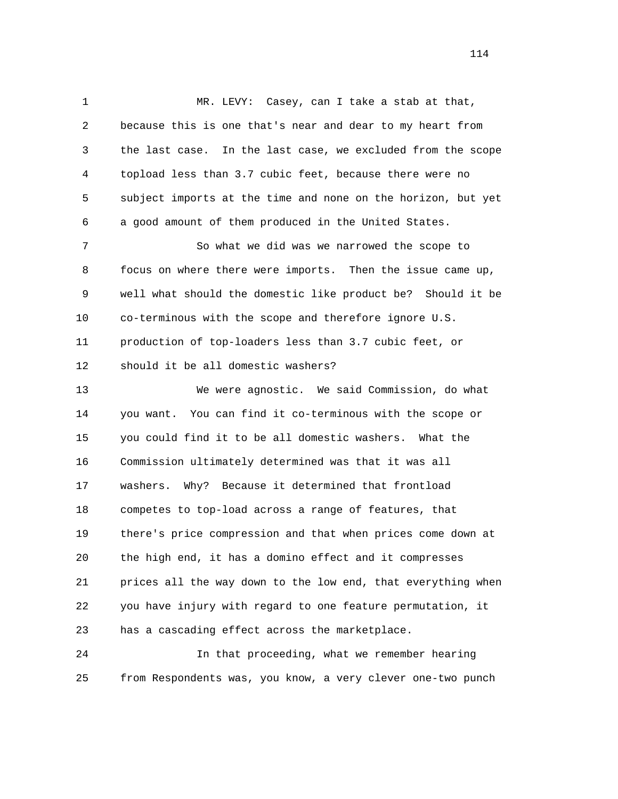1 MR. LEVY: Casey, can I take a stab at that, 2 because this is one that's near and dear to my heart from 3 the last case. In the last case, we excluded from the scope 4 topload less than 3.7 cubic feet, because there were no 5 subject imports at the time and none on the horizon, but yet 6 a good amount of them produced in the United States. 7 So what we did was we narrowed the scope to 8 focus on where there were imports. Then the issue came up, 9 well what should the domestic like product be? Should it be 10 co-terminous with the scope and therefore ignore U.S. 11 production of top-loaders less than 3.7 cubic feet, or 12 should it be all domestic washers? 13 We were agnostic. We said Commission, do what 14 you want. You can find it co-terminous with the scope or 15 you could find it to be all domestic washers. What the 16 Commission ultimately determined was that it was all 17 washers. Why? Because it determined that frontload 18 competes to top-load across a range of features, that 19 there's price compression and that when prices come down at 20 the high end, it has a domino effect and it compresses 21 prices all the way down to the low end, that everything when 22 you have injury with regard to one feature permutation, it 23 has a cascading effect across the marketplace.

 24 In that proceeding, what we remember hearing 25 from Respondents was, you know, a very clever one-two punch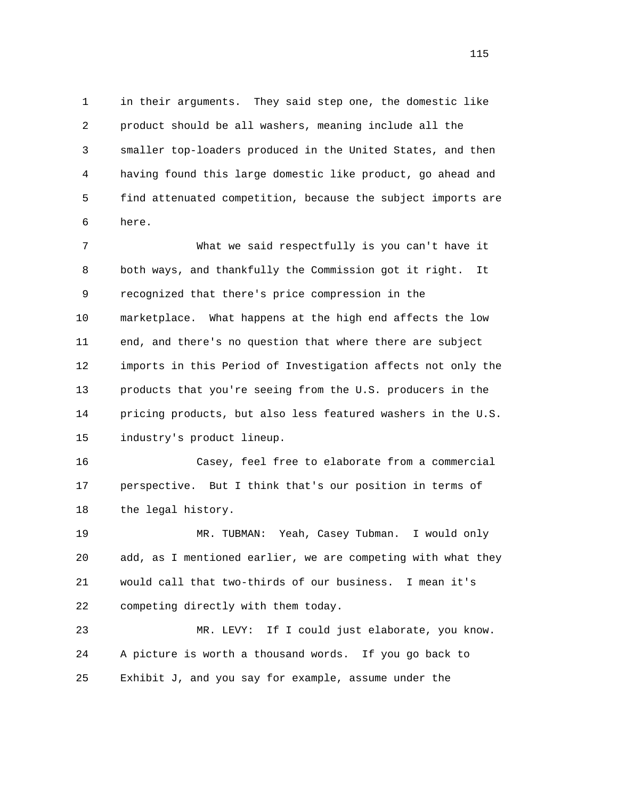1 in their arguments. They said step one, the domestic like 2 product should be all washers, meaning include all the 3 smaller top-loaders produced in the United States, and then 4 having found this large domestic like product, go ahead and 5 find attenuated competition, because the subject imports are 6 here.

 7 What we said respectfully is you can't have it 8 both ways, and thankfully the Commission got it right. It 9 recognized that there's price compression in the 10 marketplace. What happens at the high end affects the low 11 end, and there's no question that where there are subject 12 imports in this Period of Investigation affects not only the 13 products that you're seeing from the U.S. producers in the 14 pricing products, but also less featured washers in the U.S. 15 industry's product lineup.

 16 Casey, feel free to elaborate from a commercial 17 perspective. But I think that's our position in terms of 18 the legal history.

 19 MR. TUBMAN: Yeah, Casey Tubman. I would only 20 add, as I mentioned earlier, we are competing with what they 21 would call that two-thirds of our business. I mean it's 22 competing directly with them today.

 23 MR. LEVY: If I could just elaborate, you know. 24 A picture is worth a thousand words. If you go back to 25 Exhibit J, and you say for example, assume under the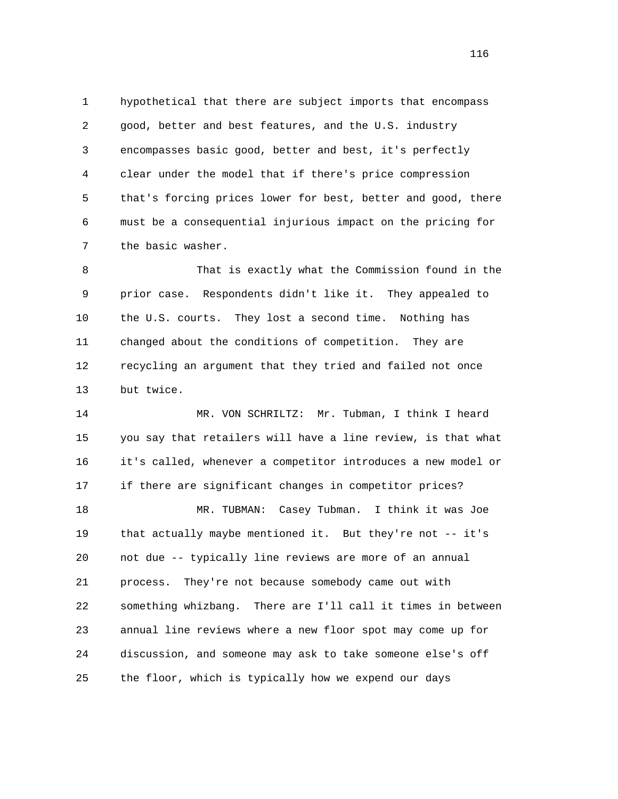1 hypothetical that there are subject imports that encompass 2 good, better and best features, and the U.S. industry 3 encompasses basic good, better and best, it's perfectly 4 clear under the model that if there's price compression 5 that's forcing prices lower for best, better and good, there 6 must be a consequential injurious impact on the pricing for 7 the basic washer.

 8 That is exactly what the Commission found in the 9 prior case. Respondents didn't like it. They appealed to 10 the U.S. courts. They lost a second time. Nothing has 11 changed about the conditions of competition. They are 12 recycling an argument that they tried and failed not once 13 but twice.

 14 MR. VON SCHRILTZ: Mr. Tubman, I think I heard 15 you say that retailers will have a line review, is that what 16 it's called, whenever a competitor introduces a new model or 17 if there are significant changes in competitor prices? 18 MR. TUBMAN: Casey Tubman. I think it was Joe 19 that actually maybe mentioned it. But they're not -- it's 20 not due -- typically line reviews are more of an annual 21 process. They're not because somebody came out with 22 something whizbang. There are I'll call it times in between 23 annual line reviews where a new floor spot may come up for 24 discussion, and someone may ask to take someone else's off 25 the floor, which is typically how we expend our days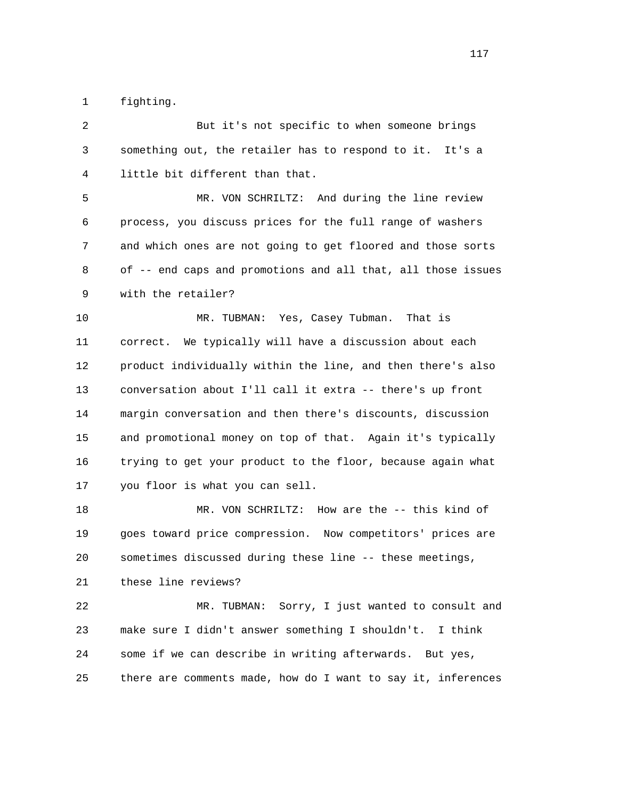1 fighting.

 2 But it's not specific to when someone brings 3 something out, the retailer has to respond to it. It's a 4 little bit different than that. 5 MR. VON SCHRILTZ: And during the line review 6 process, you discuss prices for the full range of washers 7 and which ones are not going to get floored and those sorts 8 of -- end caps and promotions and all that, all those issues 9 with the retailer? 10 MR. TUBMAN: Yes, Casey Tubman. That is 11 correct. We typically will have a discussion about each 12 product individually within the line, and then there's also 13 conversation about I'll call it extra -- there's up front 14 margin conversation and then there's discounts, discussion 15 and promotional money on top of that. Again it's typically 16 trying to get your product to the floor, because again what 17 you floor is what you can sell. 18 MR. VON SCHRILTZ: How are the -- this kind of 19 goes toward price compression. Now competitors' prices are 20 sometimes discussed during these line -- these meetings, 21 these line reviews? 22 MR. TUBMAN: Sorry, I just wanted to consult and 23 make sure I didn't answer something I shouldn't. I think 24 some if we can describe in writing afterwards. But yes, 25 there are comments made, how do I want to say it, inferences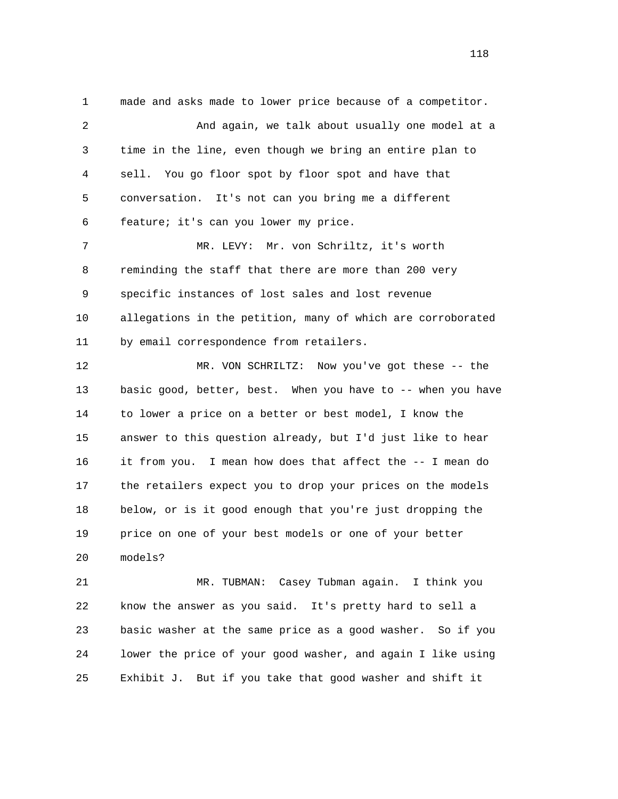1 made and asks made to lower price because of a competitor. 2 And again, we talk about usually one model at a 3 time in the line, even though we bring an entire plan to 4 sell. You go floor spot by floor spot and have that 5 conversation. It's not can you bring me a different 6 feature; it's can you lower my price. 7 MR. LEVY: Mr. von Schriltz, it's worth 8 reminding the staff that there are more than 200 very 9 specific instances of lost sales and lost revenue 10 allegations in the petition, many of which are corroborated 11 by email correspondence from retailers. 12 MR. VON SCHRILTZ: Now you've got these -- the 13 basic good, better, best. When you have to -- when you have 14 to lower a price on a better or best model, I know the 15 answer to this question already, but I'd just like to hear 16 it from you. I mean how does that affect the -- I mean do 17 the retailers expect you to drop your prices on the models 18 below, or is it good enough that you're just dropping the 19 price on one of your best models or one of your better 20 models?

 21 MR. TUBMAN: Casey Tubman again. I think you 22 know the answer as you said. It's pretty hard to sell a 23 basic washer at the same price as a good washer. So if you 24 lower the price of your good washer, and again I like using 25 Exhibit J. But if you take that good washer and shift it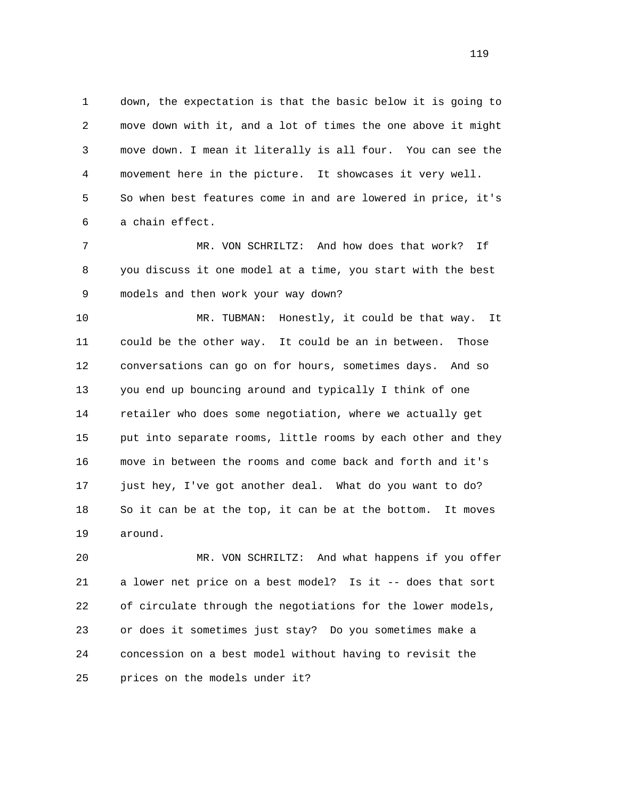1 down, the expectation is that the basic below it is going to 2 move down with it, and a lot of times the one above it might 3 move down. I mean it literally is all four. You can see the 4 movement here in the picture. It showcases it very well. 5 So when best features come in and are lowered in price, it's 6 a chain effect.

 7 MR. VON SCHRILTZ: And how does that work? If 8 you discuss it one model at a time, you start with the best 9 models and then work your way down?

 10 MR. TUBMAN: Honestly, it could be that way. It 11 could be the other way. It could be an in between. Those 12 conversations can go on for hours, sometimes days. And so 13 you end up bouncing around and typically I think of one 14 retailer who does some negotiation, where we actually get 15 put into separate rooms, little rooms by each other and they 16 move in between the rooms and come back and forth and it's 17 just hey, I've got another deal. What do you want to do? 18 So it can be at the top, it can be at the bottom. It moves 19 around.

 20 MR. VON SCHRILTZ: And what happens if you offer 21 a lower net price on a best model? Is it -- does that sort 22 of circulate through the negotiations for the lower models, 23 or does it sometimes just stay? Do you sometimes make a 24 concession on a best model without having to revisit the 25 prices on the models under it?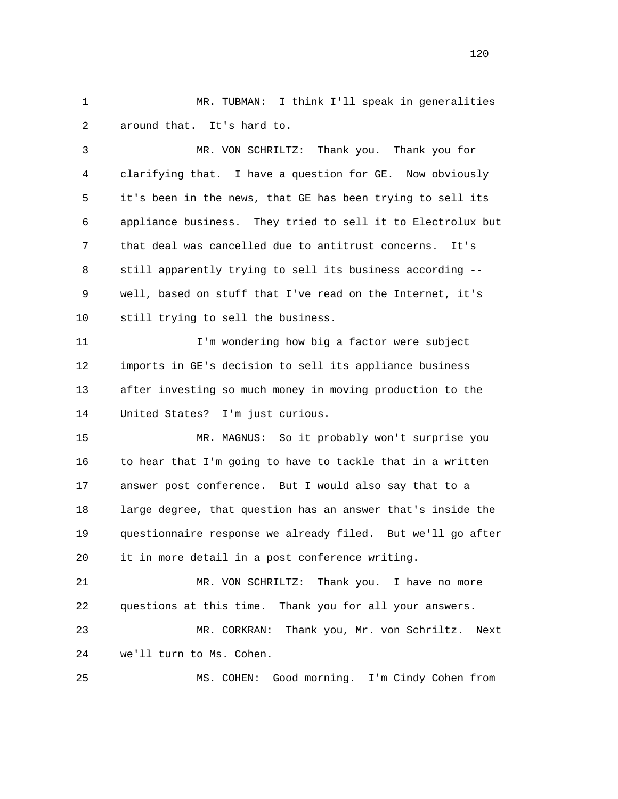1 MR. TUBMAN: I think I'll speak in generalities 2 around that. It's hard to.

 3 MR. VON SCHRILTZ: Thank you. Thank you for 4 clarifying that. I have a question for GE. Now obviously 5 it's been in the news, that GE has been trying to sell its 6 appliance business. They tried to sell it to Electrolux but 7 that deal was cancelled due to antitrust concerns. It's 8 still apparently trying to sell its business according -- 9 well, based on stuff that I've read on the Internet, it's 10 still trying to sell the business.

 11 I'm wondering how big a factor were subject 12 imports in GE's decision to sell its appliance business 13 after investing so much money in moving production to the 14 United States? I'm just curious.

 15 MR. MAGNUS: So it probably won't surprise you 16 to hear that I'm going to have to tackle that in a written 17 answer post conference. But I would also say that to a 18 large degree, that question has an answer that's inside the 19 questionnaire response we already filed. But we'll go after 20 it in more detail in a post conference writing.

 21 MR. VON SCHRILTZ: Thank you. I have no more 22 questions at this time. Thank you for all your answers.

 23 MR. CORKRAN: Thank you, Mr. von Schriltz. Next 24 we'll turn to Ms. Cohen.

25 MS. COHEN: Good morning. I'm Cindy Cohen from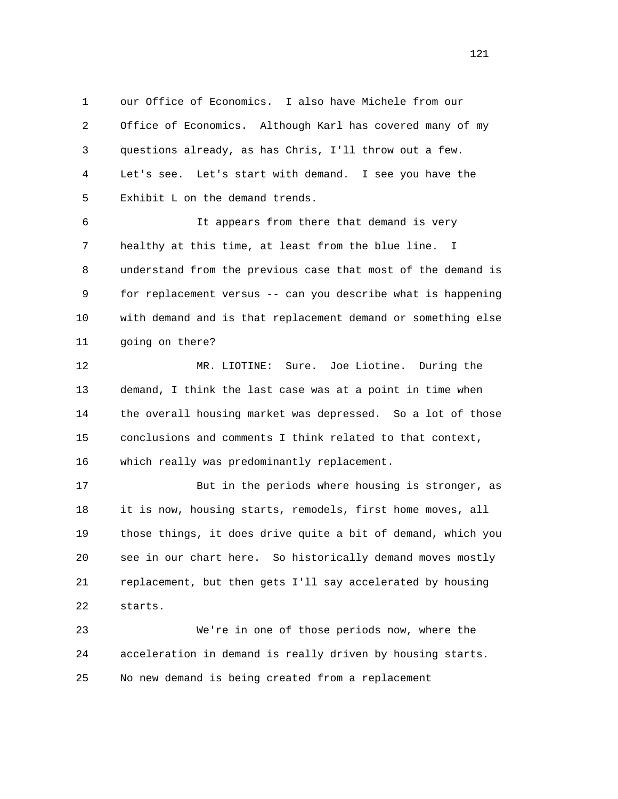1 our Office of Economics. I also have Michele from our 2 Office of Economics. Although Karl has covered many of my 3 questions already, as has Chris, I'll throw out a few. 4 Let's see. Let's start with demand. I see you have the 5 Exhibit L on the demand trends.

 6 It appears from there that demand is very 7 healthy at this time, at least from the blue line. I 8 understand from the previous case that most of the demand is 9 for replacement versus -- can you describe what is happening 10 with demand and is that replacement demand or something else 11 going on there?

 12 MR. LIOTINE: Sure. Joe Liotine. During the 13 demand, I think the last case was at a point in time when 14 the overall housing market was depressed. So a lot of those 15 conclusions and comments I think related to that context, 16 which really was predominantly replacement.

 17 But in the periods where housing is stronger, as 18 it is now, housing starts, remodels, first home moves, all 19 those things, it does drive quite a bit of demand, which you 20 see in our chart here. So historically demand moves mostly 21 replacement, but then gets I'll say accelerated by housing 22 starts.

 23 We're in one of those periods now, where the 24 acceleration in demand is really driven by housing starts. 25 No new demand is being created from a replacement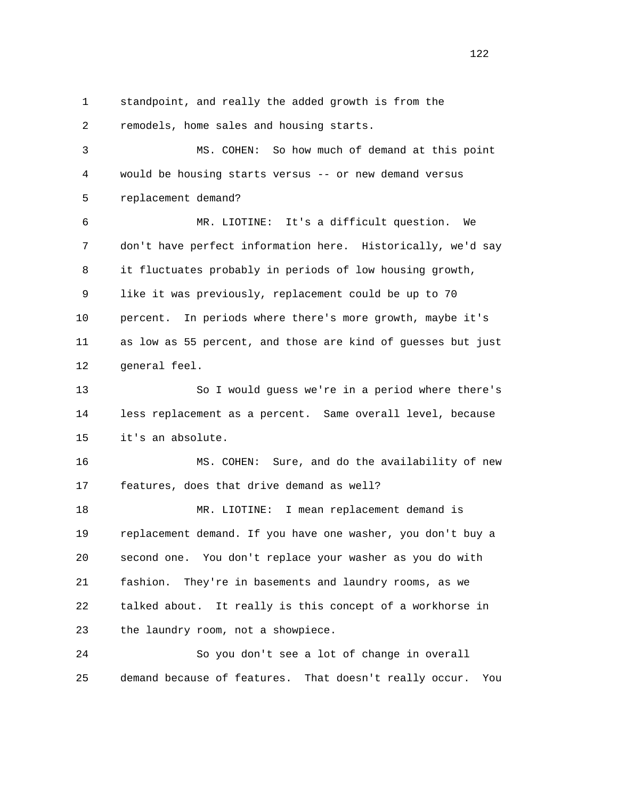1 standpoint, and really the added growth is from the 2 remodels, home sales and housing starts.

 3 MS. COHEN: So how much of demand at this point 4 would be housing starts versus -- or new demand versus 5 replacement demand?

 6 MR. LIOTINE: It's a difficult question. We 7 don't have perfect information here. Historically, we'd say 8 it fluctuates probably in periods of low housing growth, 9 like it was previously, replacement could be up to 70 10 percent. In periods where there's more growth, maybe it's 11 as low as 55 percent, and those are kind of guesses but just 12 general feel.

 13 So I would guess we're in a period where there's 14 less replacement as a percent. Same overall level, because 15 it's an absolute.

 16 MS. COHEN: Sure, and do the availability of new 17 features, does that drive demand as well?

 18 MR. LIOTINE: I mean replacement demand is 19 replacement demand. If you have one washer, you don't buy a 20 second one. You don't replace your washer as you do with 21 fashion. They're in basements and laundry rooms, as we 22 talked about. It really is this concept of a workhorse in 23 the laundry room, not a showpiece.

 24 So you don't see a lot of change in overall 25 demand because of features. That doesn't really occur. You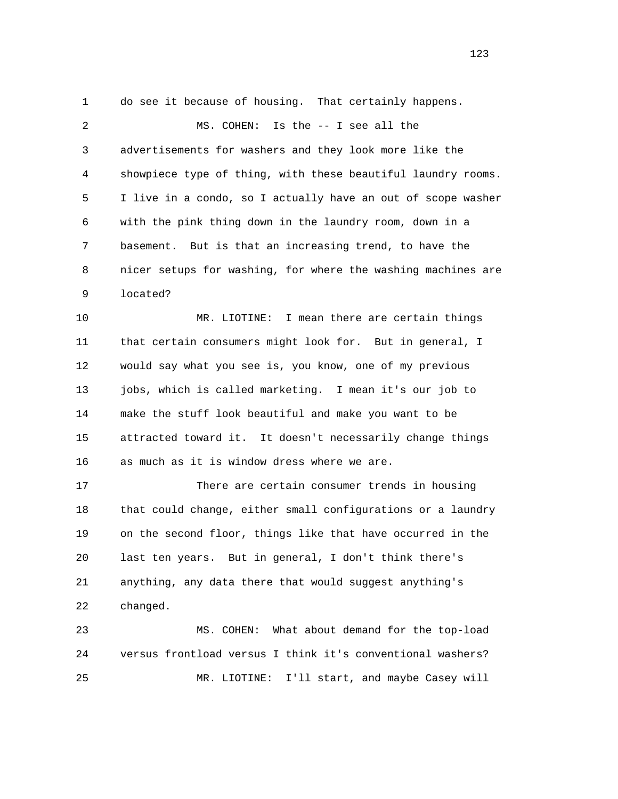1 do see it because of housing. That certainly happens. 2 MS. COHEN: Is the -- I see all the 3 advertisements for washers and they look more like the 4 showpiece type of thing, with these beautiful laundry rooms. 5 I live in a condo, so I actually have an out of scope washer 6 with the pink thing down in the laundry room, down in a 7 basement. But is that an increasing trend, to have the 8 nicer setups for washing, for where the washing machines are 9 located? 10 MR. LIOTINE: I mean there are certain things 11 that certain consumers might look for. But in general, I 12 would say what you see is, you know, one of my previous 13 jobs, which is called marketing. I mean it's our job to 14 make the stuff look beautiful and make you want to be 15 attracted toward it. It doesn't necessarily change things 16 as much as it is window dress where we are. 17 There are certain consumer trends in housing 18 that could change, either small configurations or a laundry 19 on the second floor, things like that have occurred in the 20 last ten years. But in general, I don't think there's 21 anything, any data there that would suggest anything's 22 changed. 23 MS. COHEN: What about demand for the top-load

24 versus frontload versus I think it's conventional washers?

25 MR. LIOTINE: I'll start, and maybe Casey will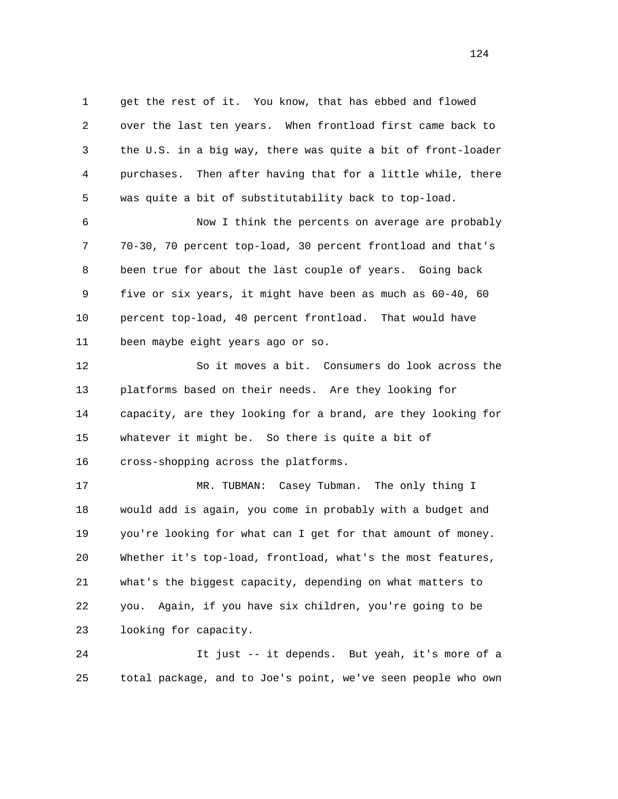1 get the rest of it. You know, that has ebbed and flowed 2 over the last ten years. When frontload first came back to 3 the U.S. in a big way, there was quite a bit of front-loader 4 purchases. Then after having that for a little while, there 5 was quite a bit of substitutability back to top-load.

 6 Now I think the percents on average are probably 7 70-30, 70 percent top-load, 30 percent frontload and that's 8 been true for about the last couple of years. Going back 9 five or six years, it might have been as much as 60-40, 60 10 percent top-load, 40 percent frontload. That would have 11 been maybe eight years ago or so.

 12 So it moves a bit. Consumers do look across the 13 platforms based on their needs. Are they looking for 14 capacity, are they looking for a brand, are they looking for 15 whatever it might be. So there is quite a bit of 16 cross-shopping across the platforms.

 17 MR. TUBMAN: Casey Tubman. The only thing I 18 would add is again, you come in probably with a budget and 19 you're looking for what can I get for that amount of money. 20 Whether it's top-load, frontload, what's the most features, 21 what's the biggest capacity, depending on what matters to 22 you. Again, if you have six children, you're going to be 23 looking for capacity.

 24 It just -- it depends. But yeah, it's more of a 25 total package, and to Joe's point, we've seen people who own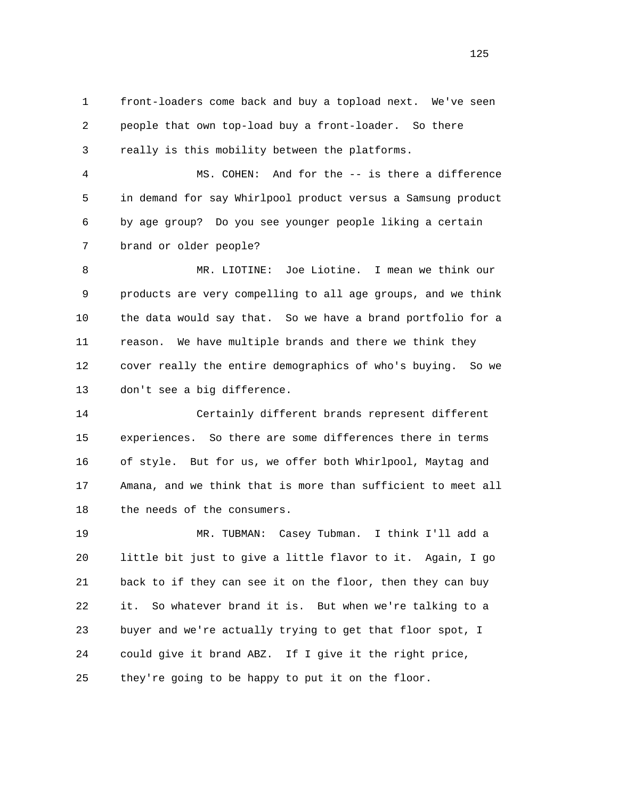1 front-loaders come back and buy a topload next. We've seen 2 people that own top-load buy a front-loader. So there 3 really is this mobility between the platforms.

 4 MS. COHEN: And for the -- is there a difference 5 in demand for say Whirlpool product versus a Samsung product 6 by age group? Do you see younger people liking a certain 7 brand or older people?

 8 MR. LIOTINE: Joe Liotine. I mean we think our 9 products are very compelling to all age groups, and we think 10 the data would say that. So we have a brand portfolio for a 11 reason. We have multiple brands and there we think they 12 cover really the entire demographics of who's buying. So we 13 don't see a big difference.

 14 Certainly different brands represent different 15 experiences. So there are some differences there in terms 16 of style. But for us, we offer both Whirlpool, Maytag and 17 Amana, and we think that is more than sufficient to meet all 18 the needs of the consumers.

 19 MR. TUBMAN: Casey Tubman. I think I'll add a 20 little bit just to give a little flavor to it. Again, I go 21 back to if they can see it on the floor, then they can buy 22 it. So whatever brand it is. But when we're talking to a 23 buyer and we're actually trying to get that floor spot, I 24 could give it brand ABZ. If I give it the right price, 25 they're going to be happy to put it on the floor.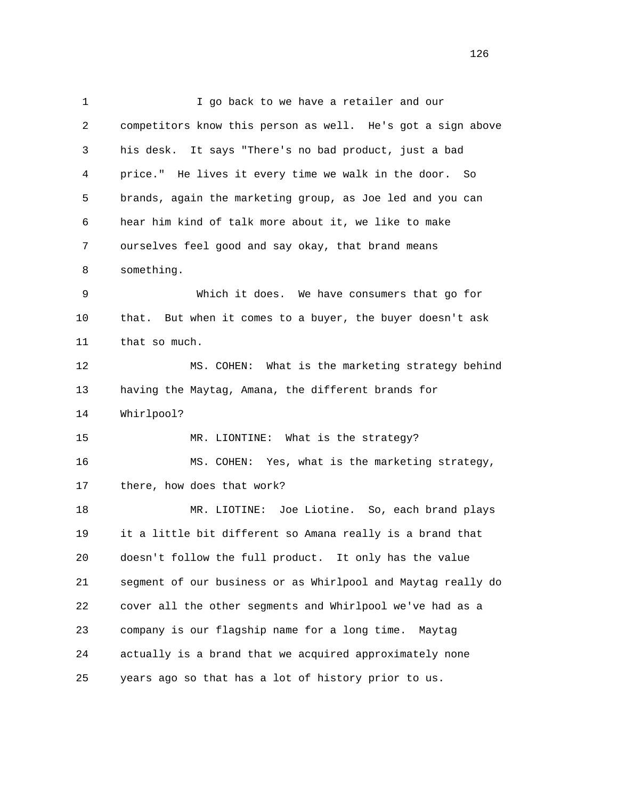1 I go back to we have a retailer and our 2 competitors know this person as well. He's got a sign above 3 his desk. It says "There's no bad product, just a bad 4 price." He lives it every time we walk in the door. So 5 brands, again the marketing group, as Joe led and you can 6 hear him kind of talk more about it, we like to make 7 ourselves feel good and say okay, that brand means 8 something. 9 Which it does. We have consumers that go for 10 that. But when it comes to a buyer, the buyer doesn't ask 11 that so much. 12 MS. COHEN: What is the marketing strategy behind 13 having the Maytag, Amana, the different brands for 14 Whirlpool? 15 MR. LIONTINE: What is the strategy? 16 MS. COHEN: Yes, what is the marketing strategy, 17 there, how does that work? 18 MR. LIOTINE: Joe Liotine. So, each brand plays 19 it a little bit different so Amana really is a brand that 20 doesn't follow the full product. It only has the value 21 segment of our business or as Whirlpool and Maytag really do 22 cover all the other segments and Whirlpool we've had as a 23 company is our flagship name for a long time. Maytag 24 actually is a brand that we acquired approximately none 25 years ago so that has a lot of history prior to us.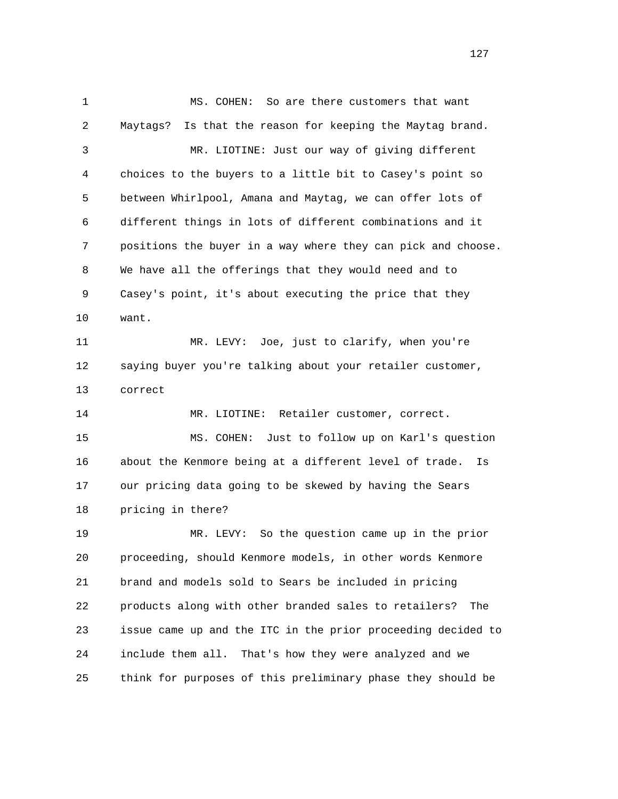1 MS. COHEN: So are there customers that want 2 Maytags? Is that the reason for keeping the Maytag brand. 3 MR. LIOTINE: Just our way of giving different 4 choices to the buyers to a little bit to Casey's point so 5 between Whirlpool, Amana and Maytag, we can offer lots of 6 different things in lots of different combinations and it 7 positions the buyer in a way where they can pick and choose. 8 We have all the offerings that they would need and to 9 Casey's point, it's about executing the price that they 10 want. 11 MR. LEVY: Joe, just to clarify, when you're 12 saying buyer you're talking about your retailer customer, 13 correct 14 MR. LIOTINE: Retailer customer, correct. 15 MS. COHEN: Just to follow up on Karl's question 16 about the Kenmore being at a different level of trade. Is 17 our pricing data going to be skewed by having the Sears 18 pricing in there? 19 MR. LEVY: So the question came up in the prior 20 proceeding, should Kenmore models, in other words Kenmore 21 brand and models sold to Sears be included in pricing 22 products along with other branded sales to retailers? The 23 issue came up and the ITC in the prior proceeding decided to 24 include them all. That's how they were analyzed and we 25 think for purposes of this preliminary phase they should be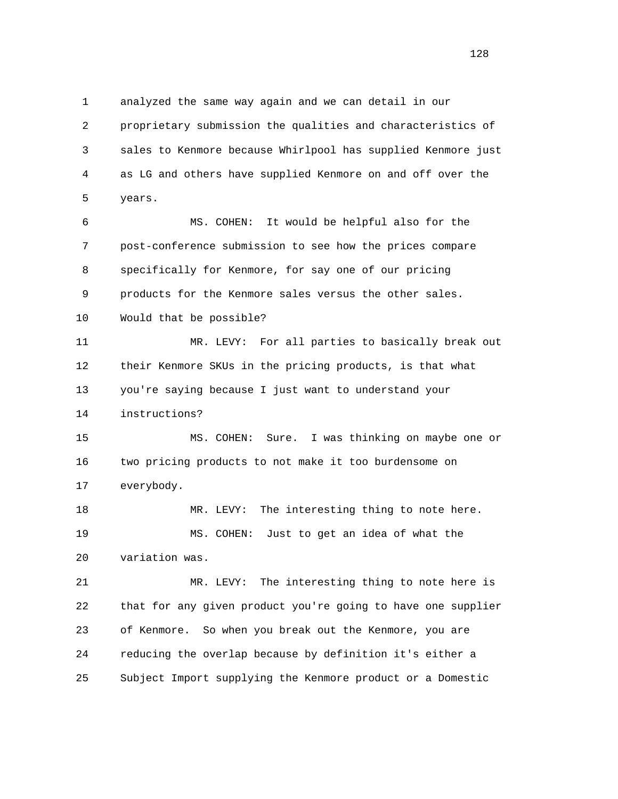1 analyzed the same way again and we can detail in our 2 proprietary submission the qualities and characteristics of 3 sales to Kenmore because Whirlpool has supplied Kenmore just 4 as LG and others have supplied Kenmore on and off over the 5 years.

 6 MS. COHEN: It would be helpful also for the 7 post-conference submission to see how the prices compare 8 specifically for Kenmore, for say one of our pricing 9 products for the Kenmore sales versus the other sales. 10 Would that be possible?

 11 MR. LEVY: For all parties to basically break out 12 their Kenmore SKUs in the pricing products, is that what 13 you're saying because I just want to understand your 14 instructions?

 15 MS. COHEN: Sure. I was thinking on maybe one or 16 two pricing products to not make it too burdensome on 17 everybody.

 18 MR. LEVY: The interesting thing to note here. 19 MS. COHEN: Just to get an idea of what the 20 variation was.

 21 MR. LEVY: The interesting thing to note here is 22 that for any given product you're going to have one supplier 23 of Kenmore. So when you break out the Kenmore, you are 24 reducing the overlap because by definition it's either a 25 Subject Import supplying the Kenmore product or a Domestic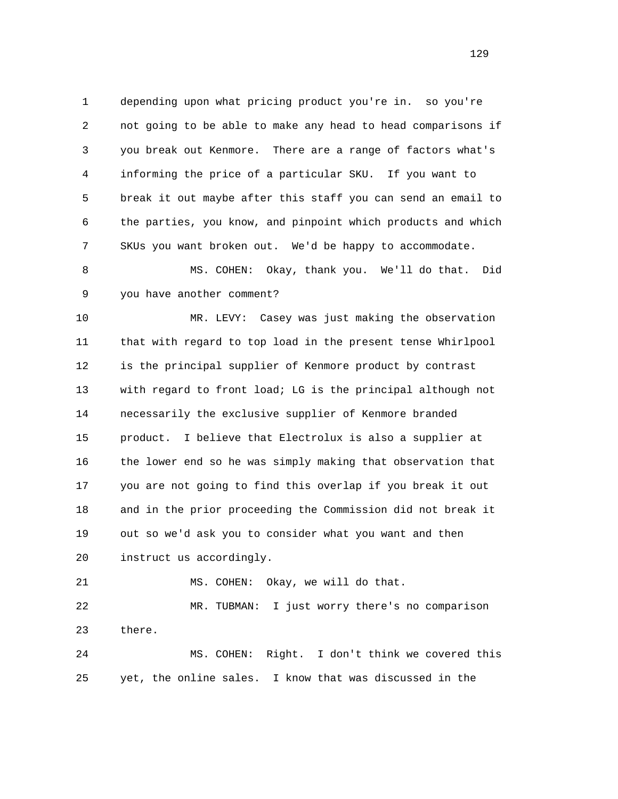1 depending upon what pricing product you're in. so you're 2 not going to be able to make any head to head comparisons if 3 you break out Kenmore. There are a range of factors what's 4 informing the price of a particular SKU. If you want to 5 break it out maybe after this staff you can send an email to 6 the parties, you know, and pinpoint which products and which 7 SKUs you want broken out. We'd be happy to accommodate.

 8 MS. COHEN: Okay, thank you. We'll do that. Did 9 you have another comment?

 10 MR. LEVY: Casey was just making the observation 11 that with regard to top load in the present tense Whirlpool 12 is the principal supplier of Kenmore product by contrast 13 with regard to front load; LG is the principal although not 14 necessarily the exclusive supplier of Kenmore branded 15 product. I believe that Electrolux is also a supplier at 16 the lower end so he was simply making that observation that 17 you are not going to find this overlap if you break it out 18 and in the prior proceeding the Commission did not break it 19 out so we'd ask you to consider what you want and then 20 instruct us accordingly.

21 MS. COHEN: Okay, we will do that.

 22 MR. TUBMAN: I just worry there's no comparison 23 there.

 24 MS. COHEN: Right. I don't think we covered this 25 yet, the online sales. I know that was discussed in the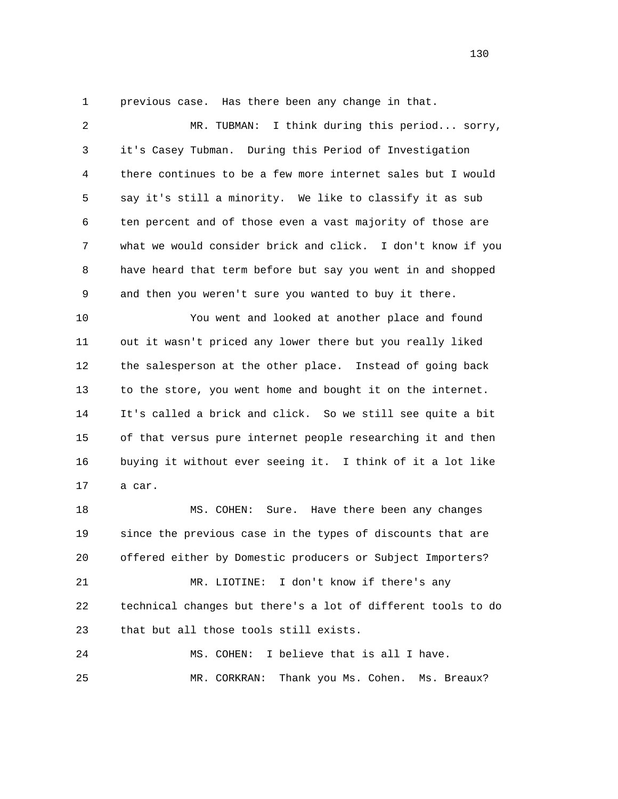1 previous case. Has there been any change in that.

 2 MR. TUBMAN: I think during this period... sorry, 3 it's Casey Tubman. During this Period of Investigation 4 there continues to be a few more internet sales but I would 5 say it's still a minority. We like to classify it as sub 6 ten percent and of those even a vast majority of those are 7 what we would consider brick and click. I don't know if you 8 have heard that term before but say you went in and shopped 9 and then you weren't sure you wanted to buy it there.

 10 You went and looked at another place and found 11 out it wasn't priced any lower there but you really liked 12 the salesperson at the other place. Instead of going back 13 to the store, you went home and bought it on the internet. 14 It's called a brick and click. So we still see quite a bit 15 of that versus pure internet people researching it and then 16 buying it without ever seeing it. I think of it a lot like 17 a car.

 18 MS. COHEN: Sure. Have there been any changes 19 since the previous case in the types of discounts that are 20 offered either by Domestic producers or Subject Importers? 21 MR. LIOTINE: I don't know if there's any 22 technical changes but there's a lot of different tools to do 23 that but all those tools still exists. 24 MS. COHEN: I believe that is all I have.

25 MR. CORKRAN: Thank you Ms. Cohen. Ms. Breaux?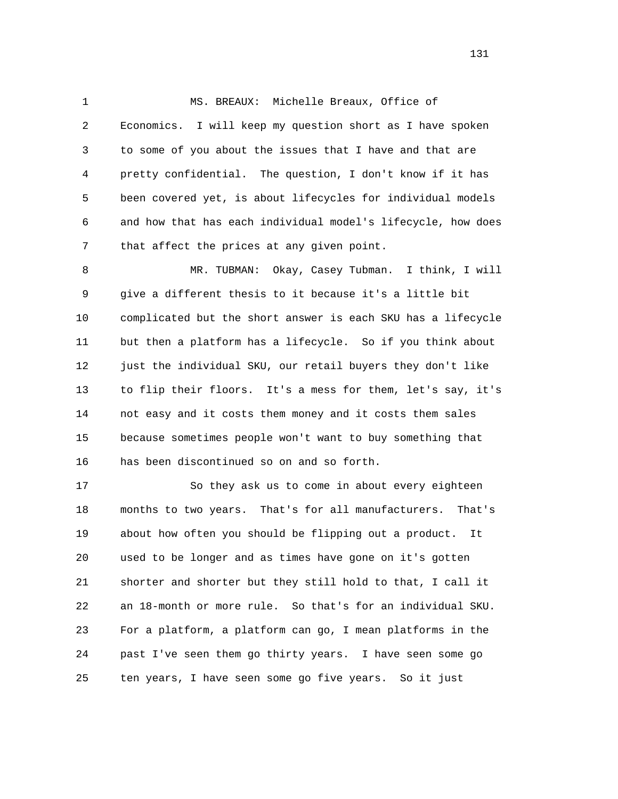1 MS. BREAUX: Michelle Breaux, Office of 2 Economics. I will keep my question short as I have spoken 3 to some of you about the issues that I have and that are 4 pretty confidential. The question, I don't know if it has 5 been covered yet, is about lifecycles for individual models 6 and how that has each individual model's lifecycle, how does 7 that affect the prices at any given point.

 8 MR. TUBMAN: Okay, Casey Tubman. I think, I will 9 give a different thesis to it because it's a little bit 10 complicated but the short answer is each SKU has a lifecycle 11 but then a platform has a lifecycle. So if you think about 12 just the individual SKU, our retail buyers they don't like 13 to flip their floors. It's a mess for them, let's say, it's 14 not easy and it costs them money and it costs them sales 15 because sometimes people won't want to buy something that 16 has been discontinued so on and so forth.

 17 So they ask us to come in about every eighteen 18 months to two years. That's for all manufacturers. That's 19 about how often you should be flipping out a product. It 20 used to be longer and as times have gone on it's gotten 21 shorter and shorter but they still hold to that, I call it 22 an 18-month or more rule. So that's for an individual SKU. 23 For a platform, a platform can go, I mean platforms in the 24 past I've seen them go thirty years. I have seen some go 25 ten years, I have seen some go five years. So it just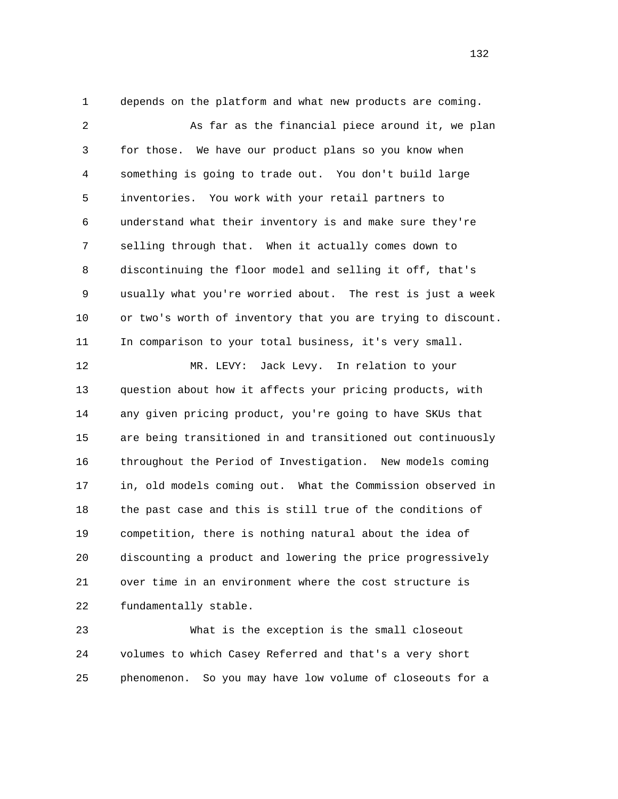1 depends on the platform and what new products are coming.

 2 As far as the financial piece around it, we plan 3 for those. We have our product plans so you know when 4 something is going to trade out. You don't build large 5 inventories. You work with your retail partners to 6 understand what their inventory is and make sure they're 7 selling through that. When it actually comes down to 8 discontinuing the floor model and selling it off, that's 9 usually what you're worried about. The rest is just a week 10 or two's worth of inventory that you are trying to discount. 11 In comparison to your total business, it's very small.

 12 MR. LEVY: Jack Levy. In relation to your 13 question about how it affects your pricing products, with 14 any given pricing product, you're going to have SKUs that 15 are being transitioned in and transitioned out continuously 16 throughout the Period of Investigation. New models coming 17 in, old models coming out. What the Commission observed in 18 the past case and this is still true of the conditions of 19 competition, there is nothing natural about the idea of 20 discounting a product and lowering the price progressively 21 over time in an environment where the cost structure is 22 fundamentally stable.

 23 What is the exception is the small closeout 24 volumes to which Casey Referred and that's a very short 25 phenomenon. So you may have low volume of closeouts for a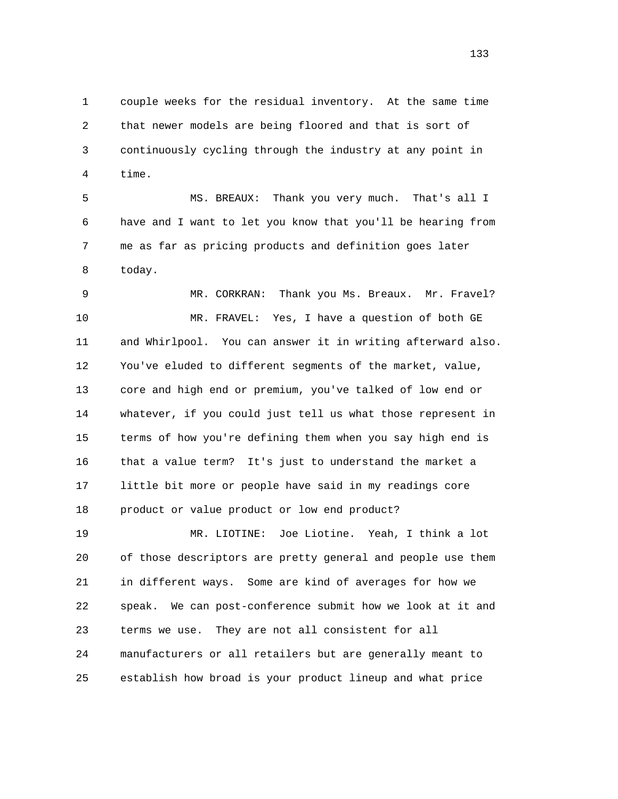1 couple weeks for the residual inventory. At the same time 2 that newer models are being floored and that is sort of 3 continuously cycling through the industry at any point in 4 time.

 5 MS. BREAUX: Thank you very much. That's all I 6 have and I want to let you know that you'll be hearing from 7 me as far as pricing products and definition goes later 8 today.

 9 MR. CORKRAN: Thank you Ms. Breaux. Mr. Fravel? 10 MR. FRAVEL: Yes, I have a question of both GE 11 and Whirlpool. You can answer it in writing afterward also. 12 You've eluded to different segments of the market, value, 13 core and high end or premium, you've talked of low end or 14 whatever, if you could just tell us what those represent in 15 terms of how you're defining them when you say high end is 16 that a value term? It's just to understand the market a 17 little bit more or people have said in my readings core 18 product or value product or low end product? 19 MR. LIOTINE: Joe Liotine. Yeah, I think a lot

 20 of those descriptors are pretty general and people use them 21 in different ways. Some are kind of averages for how we 22 speak. We can post-conference submit how we look at it and 23 terms we use. They are not all consistent for all 24 manufacturers or all retailers but are generally meant to 25 establish how broad is your product lineup and what price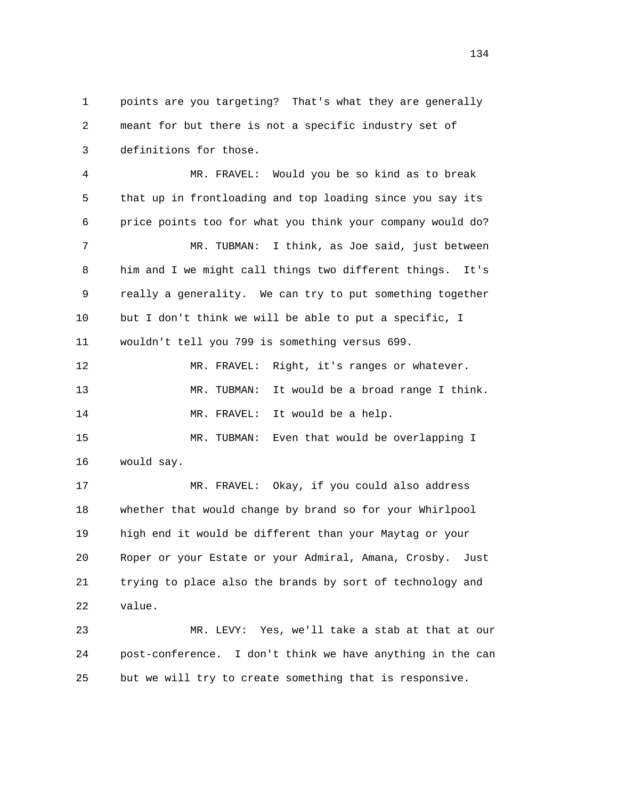1 points are you targeting? That's what they are generally 2 meant for but there is not a specific industry set of 3 definitions for those.

 4 MR. FRAVEL: Would you be so kind as to break 5 that up in frontloading and top loading since you say its 6 price points too for what you think your company would do? 7 MR. TUBMAN: I think, as Joe said, just between 8 him and I we might call things two different things. It's 9 really a generality. We can try to put something together 10 but I don't think we will be able to put a specific, I 11 wouldn't tell you 799 is something versus 699.

 12 MR. FRAVEL: Right, it's ranges or whatever. 13 MR. TUBMAN: It would be a broad range I think. 14 MR. FRAVEL: It would be a help.

 15 MR. TUBMAN: Even that would be overlapping I 16 would say.

 17 MR. FRAVEL: Okay, if you could also address 18 whether that would change by brand so for your Whirlpool 19 high end it would be different than your Maytag or your 20 Roper or your Estate or your Admiral, Amana, Crosby. Just 21 trying to place also the brands by sort of technology and 22 value.

 23 MR. LEVY: Yes, we'll take a stab at that at our 24 post-conference. I don't think we have anything in the can 25 but we will try to create something that is responsive.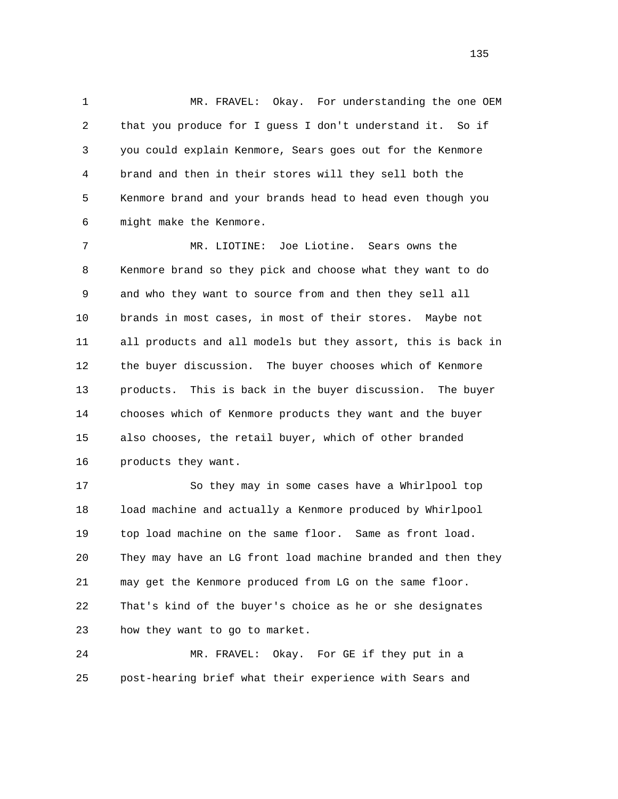1 MR. FRAVEL: Okay. For understanding the one OEM 2 that you produce for I guess I don't understand it. So if 3 you could explain Kenmore, Sears goes out for the Kenmore 4 brand and then in their stores will they sell both the 5 Kenmore brand and your brands head to head even though you 6 might make the Kenmore.

 7 MR. LIOTINE: Joe Liotine. Sears owns the 8 Kenmore brand so they pick and choose what they want to do 9 and who they want to source from and then they sell all 10 brands in most cases, in most of their stores. Maybe not 11 all products and all models but they assort, this is back in 12 the buyer discussion. The buyer chooses which of Kenmore 13 products. This is back in the buyer discussion. The buyer 14 chooses which of Kenmore products they want and the buyer 15 also chooses, the retail buyer, which of other branded 16 products they want.

 17 So they may in some cases have a Whirlpool top 18 load machine and actually a Kenmore produced by Whirlpool 19 top load machine on the same floor. Same as front load. 20 They may have an LG front load machine branded and then they 21 may get the Kenmore produced from LG on the same floor. 22 That's kind of the buyer's choice as he or she designates 23 how they want to go to market.

 24 MR. FRAVEL: Okay. For GE if they put in a 25 post-hearing brief what their experience with Sears and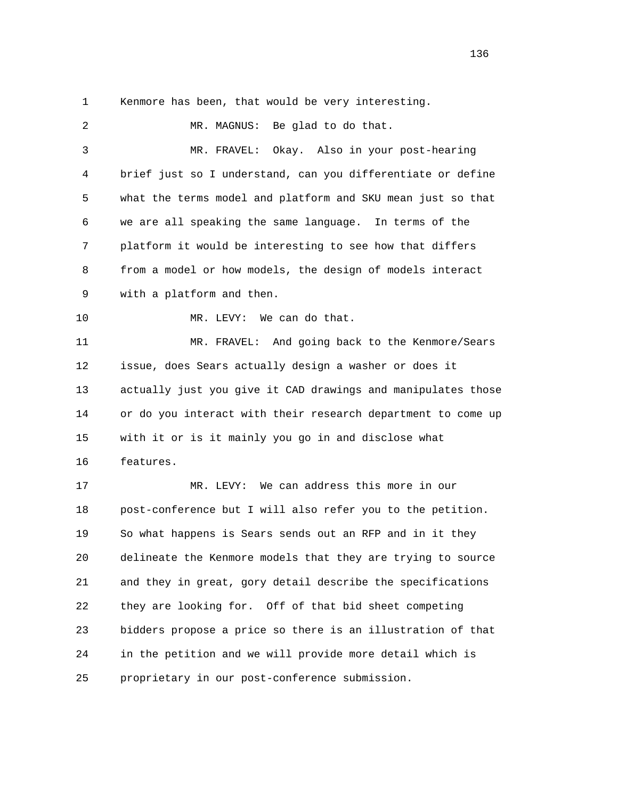1 Kenmore has been, that would be very interesting.

2 MR. MAGNUS: Be glad to do that. 3 MR. FRAVEL: Okay. Also in your post-hearing 4 brief just so I understand, can you differentiate or define 5 what the terms model and platform and SKU mean just so that 6 we are all speaking the same language. In terms of the 7 platform it would be interesting to see how that differs 8 from a model or how models, the design of models interact 9 with a platform and then. 10 MR. LEVY: We can do that. 11 MR. FRAVEL: And going back to the Kenmore/Sears 12 issue, does Sears actually design a washer or does it 13 actually just you give it CAD drawings and manipulates those 14 or do you interact with their research department to come up 15 with it or is it mainly you go in and disclose what 16 features. 17 MR. LEVY: We can address this more in our 18 post-conference but I will also refer you to the petition. 19 So what happens is Sears sends out an RFP and in it they 20 delineate the Kenmore models that they are trying to source 21 and they in great, gory detail describe the specifications 22 they are looking for. Off of that bid sheet competing 23 bidders propose a price so there is an illustration of that 24 in the petition and we will provide more detail which is 25 proprietary in our post-conference submission.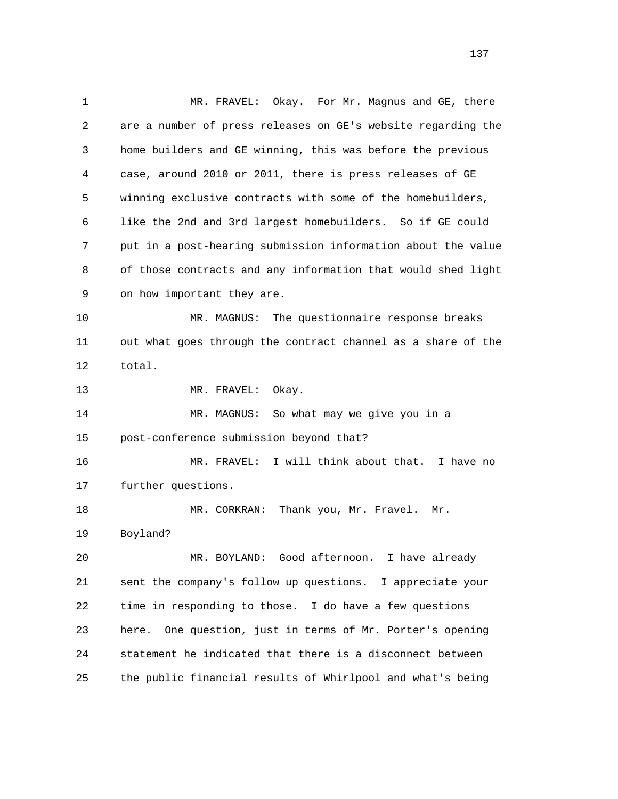1 MR. FRAVEL: Okay. For Mr. Magnus and GE, there 2 are a number of press releases on GE's website regarding the 3 home builders and GE winning, this was before the previous 4 case, around 2010 or 2011, there is press releases of GE 5 winning exclusive contracts with some of the homebuilders, 6 like the 2nd and 3rd largest homebuilders. So if GE could 7 put in a post-hearing submission information about the value 8 of those contracts and any information that would shed light 9 on how important they are. 10 MR. MAGNUS: The questionnaire response breaks 11 out what goes through the contract channel as a share of the 12 total. 13 MR. FRAVEL: Okay. 14 MR. MAGNUS: So what may we give you in a 15 post-conference submission beyond that? 16 MR. FRAVEL: I will think about that. I have no 17 further questions. 18 MR. CORKRAN: Thank you, Mr. Fravel. Mr. 19 Boyland? 20 MR. BOYLAND: Good afternoon. I have already 21 sent the company's follow up questions. I appreciate your 22 time in responding to those. I do have a few questions 23 here. One question, just in terms of Mr. Porter's opening 24 statement he indicated that there is a disconnect between 25 the public financial results of Whirlpool and what's being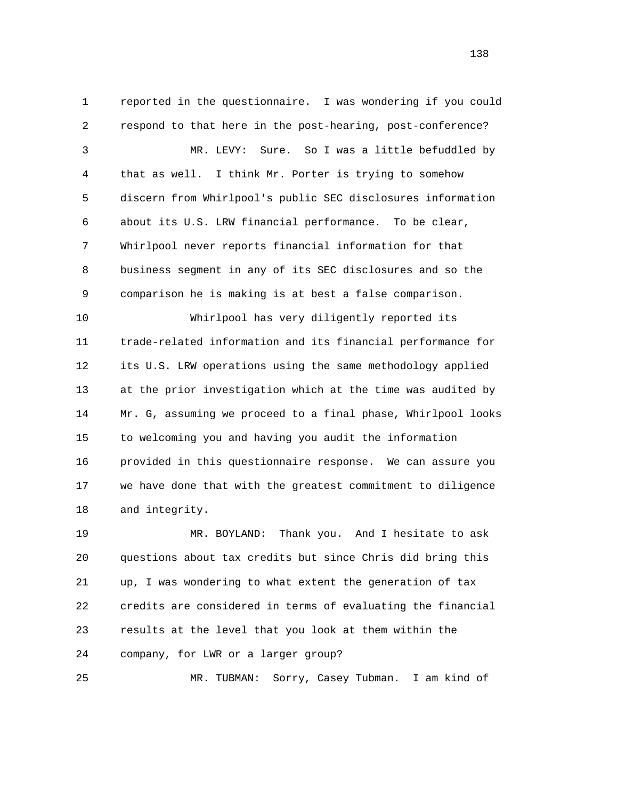1 reported in the questionnaire. I was wondering if you could 2 respond to that here in the post-hearing, post-conference? 3 MR. LEVY: Sure. So I was a little befuddled by 4 that as well. I think Mr. Porter is trying to somehow 5 discern from Whirlpool's public SEC disclosures information 6 about its U.S. LRW financial performance. To be clear, 7 Whirlpool never reports financial information for that 8 business segment in any of its SEC disclosures and so the 9 comparison he is making is at best a false comparison. 10 Whirlpool has very diligently reported its 11 trade-related information and its financial performance for 12 its U.S. LRW operations using the same methodology applied 13 at the prior investigation which at the time was audited by 14 Mr. G, assuming we proceed to a final phase, Whirlpool looks 15 to welcoming you and having you audit the information 16 provided in this questionnaire response. We can assure you

 17 we have done that with the greatest commitment to diligence 18 and integrity.

 19 MR. BOYLAND: Thank you. And I hesitate to ask 20 questions about tax credits but since Chris did bring this 21 up, I was wondering to what extent the generation of tax 22 credits are considered in terms of evaluating the financial 23 results at the level that you look at them within the 24 company, for LWR or a larger group?

25 MR. TUBMAN: Sorry, Casey Tubman. I am kind of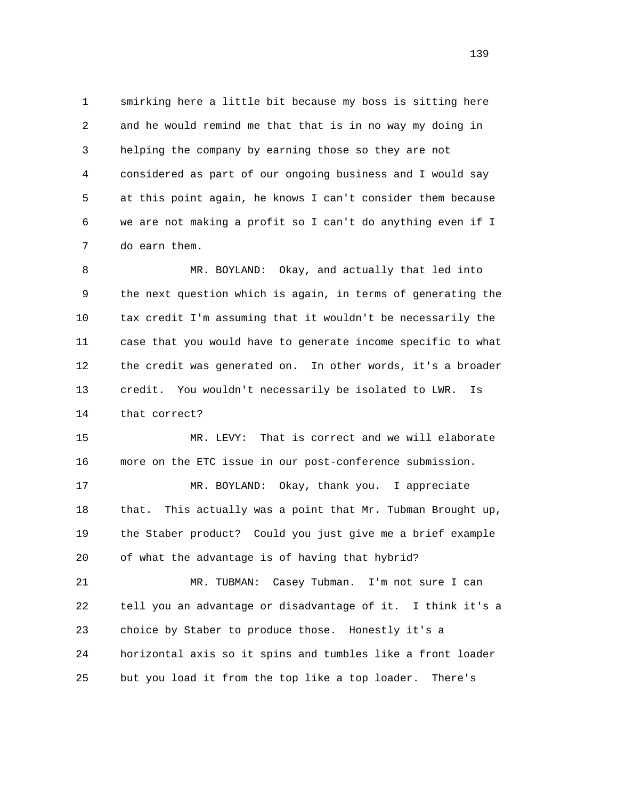1 smirking here a little bit because my boss is sitting here 2 and he would remind me that that is in no way my doing in 3 helping the company by earning those so they are not 4 considered as part of our ongoing business and I would say 5 at this point again, he knows I can't consider them because 6 we are not making a profit so I can't do anything even if I 7 do earn them.

 8 MR. BOYLAND: Okay, and actually that led into 9 the next question which is again, in terms of generating the 10 tax credit I'm assuming that it wouldn't be necessarily the 11 case that you would have to generate income specific to what 12 the credit was generated on. In other words, it's a broader 13 credit. You wouldn't necessarily be isolated to LWR. Is 14 that correct?

 15 MR. LEVY: That is correct and we will elaborate 16 more on the ETC issue in our post-conference submission.

 17 MR. BOYLAND: Okay, thank you. I appreciate 18 that. This actually was a point that Mr. Tubman Brought up, 19 the Staber product? Could you just give me a brief example 20 of what the advantage is of having that hybrid?

 21 MR. TUBMAN: Casey Tubman. I'm not sure I can 22 tell you an advantage or disadvantage of it. I think it's a 23 choice by Staber to produce those. Honestly it's a 24 horizontal axis so it spins and tumbles like a front loader 25 but you load it from the top like a top loader. There's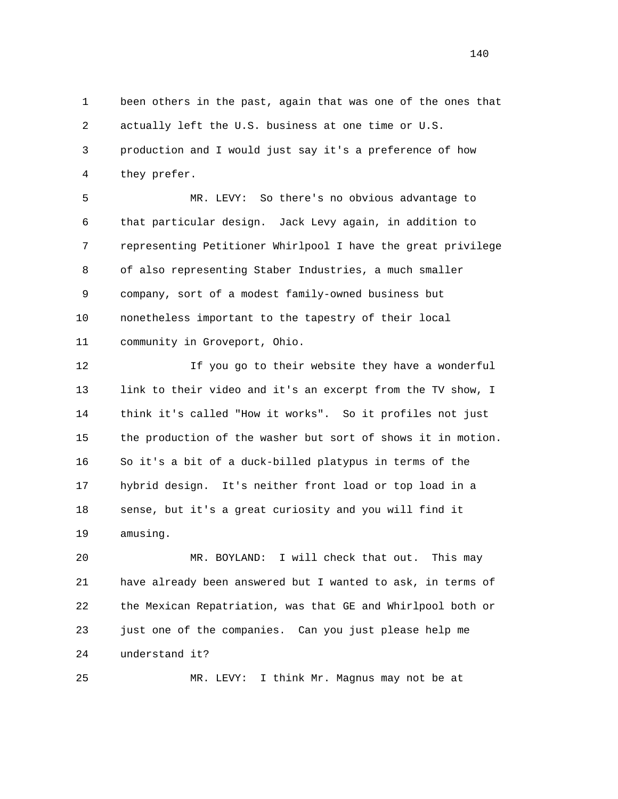1 been others in the past, again that was one of the ones that 2 actually left the U.S. business at one time or U.S. 3 production and I would just say it's a preference of how 4 they prefer.

 5 MR. LEVY: So there's no obvious advantage to 6 that particular design. Jack Levy again, in addition to 7 representing Petitioner Whirlpool I have the great privilege 8 of also representing Staber Industries, a much smaller 9 company, sort of a modest family-owned business but 10 nonetheless important to the tapestry of their local 11 community in Groveport, Ohio.

 12 If you go to their website they have a wonderful 13 link to their video and it's an excerpt from the TV show, I 14 think it's called "How it works". So it profiles not just 15 the production of the washer but sort of shows it in motion. 16 So it's a bit of a duck-billed platypus in terms of the 17 hybrid design. It's neither front load or top load in a 18 sense, but it's a great curiosity and you will find it 19 amusing.

 20 MR. BOYLAND: I will check that out. This may 21 have already been answered but I wanted to ask, in terms of 22 the Mexican Repatriation, was that GE and Whirlpool both or 23 just one of the companies. Can you just please help me 24 understand it?

25 MR. LEVY: I think Mr. Magnus may not be at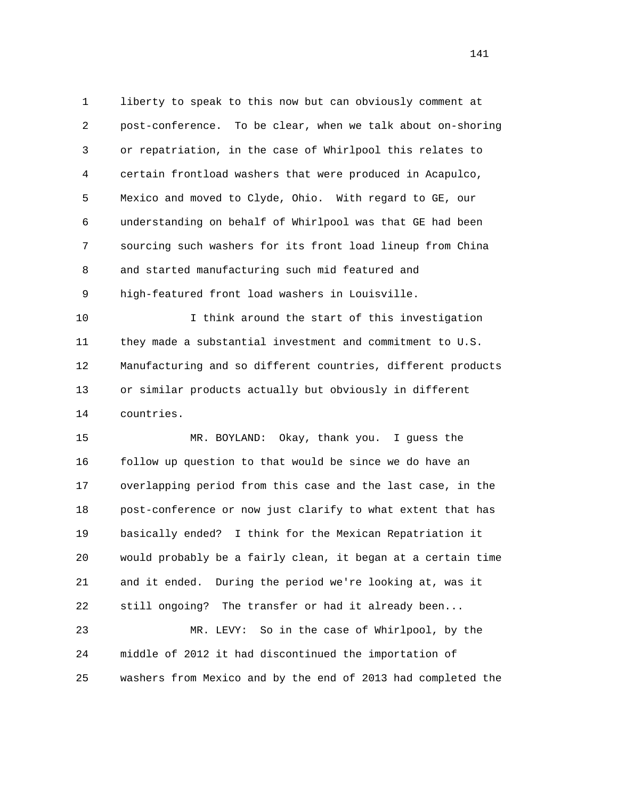1 liberty to speak to this now but can obviously comment at 2 post-conference. To be clear, when we talk about on-shoring 3 or repatriation, in the case of Whirlpool this relates to 4 certain frontload washers that were produced in Acapulco, 5 Mexico and moved to Clyde, Ohio. With regard to GE, our 6 understanding on behalf of Whirlpool was that GE had been 7 sourcing such washers for its front load lineup from China 8 and started manufacturing such mid featured and 9 high-featured front load washers in Louisville.

 10 I think around the start of this investigation 11 they made a substantial investment and commitment to U.S. 12 Manufacturing and so different countries, different products 13 or similar products actually but obviously in different 14 countries.

 15 MR. BOYLAND: Okay, thank you. I guess the 16 follow up question to that would be since we do have an 17 overlapping period from this case and the last case, in the 18 post-conference or now just clarify to what extent that has 19 basically ended? I think for the Mexican Repatriation it 20 would probably be a fairly clean, it began at a certain time 21 and it ended. During the period we're looking at, was it 22 still ongoing? The transfer or had it already been...

 23 MR. LEVY: So in the case of Whirlpool, by the 24 middle of 2012 it had discontinued the importation of 25 washers from Mexico and by the end of 2013 had completed the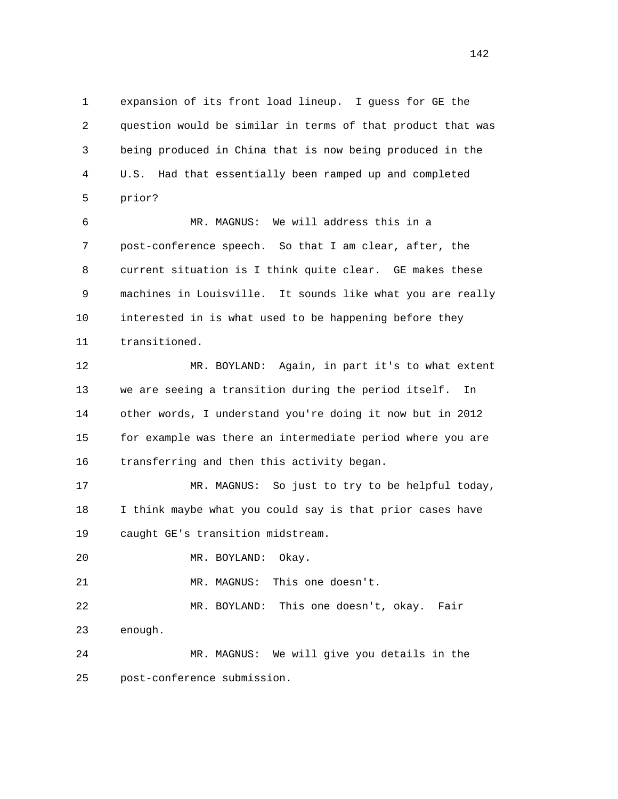1 expansion of its front load lineup. I guess for GE the 2 question would be similar in terms of that product that was 3 being produced in China that is now being produced in the 4 U.S. Had that essentially been ramped up and completed 5 prior?

 6 MR. MAGNUS: We will address this in a 7 post-conference speech. So that I am clear, after, the 8 current situation is I think quite clear. GE makes these 9 machines in Louisville. It sounds like what you are really 10 interested in is what used to be happening before they 11 transitioned.

 12 MR. BOYLAND: Again, in part it's to what extent 13 we are seeing a transition during the period itself. In 14 other words, I understand you're doing it now but in 2012 15 for example was there an intermediate period where you are 16 transferring and then this activity began.

 17 MR. MAGNUS: So just to try to be helpful today, 18 I think maybe what you could say is that prior cases have 19 caught GE's transition midstream.

20 MR. BOYLAND: Okay.

21 MR. MAGNUS: This one doesn't.

 22 MR. BOYLAND: This one doesn't, okay. Fair 23 enough.

 24 MR. MAGNUS: We will give you details in the 25 post-conference submission.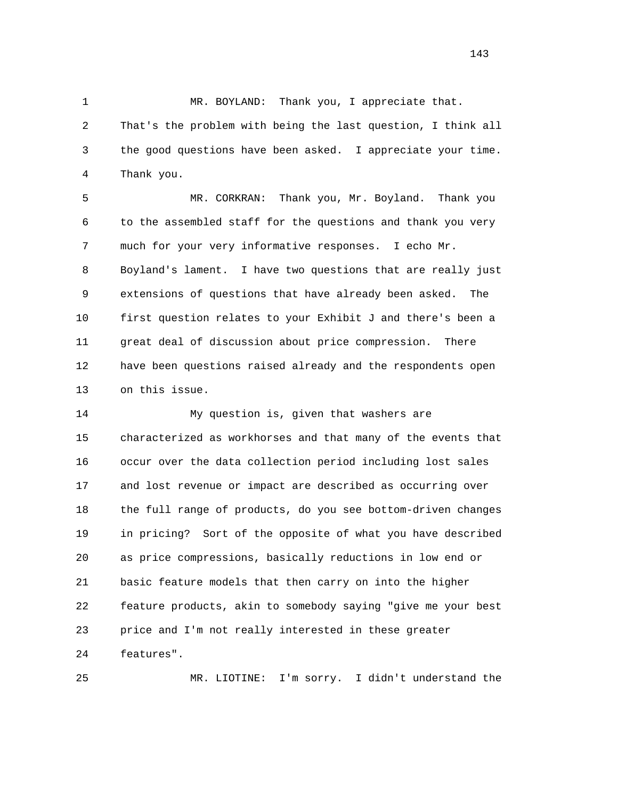1 MR. BOYLAND: Thank you, I appreciate that.

 2 That's the problem with being the last question, I think all 3 the good questions have been asked. I appreciate your time. 4 Thank you.

 5 MR. CORKRAN: Thank you, Mr. Boyland. Thank you 6 to the assembled staff for the questions and thank you very 7 much for your very informative responses. I echo Mr. 8 Boyland's lament. I have two questions that are really just 9 extensions of questions that have already been asked. The 10 first question relates to your Exhibit J and there's been a 11 great deal of discussion about price compression. There 12 have been questions raised already and the respondents open 13 on this issue.

 14 My question is, given that washers are 15 characterized as workhorses and that many of the events that 16 occur over the data collection period including lost sales 17 and lost revenue or impact are described as occurring over 18 the full range of products, do you see bottom-driven changes 19 in pricing? Sort of the opposite of what you have described 20 as price compressions, basically reductions in low end or 21 basic feature models that then carry on into the higher 22 feature products, akin to somebody saying "give me your best 23 price and I'm not really interested in these greater 24 features".

25 MR. LIOTINE: I'm sorry. I didn't understand the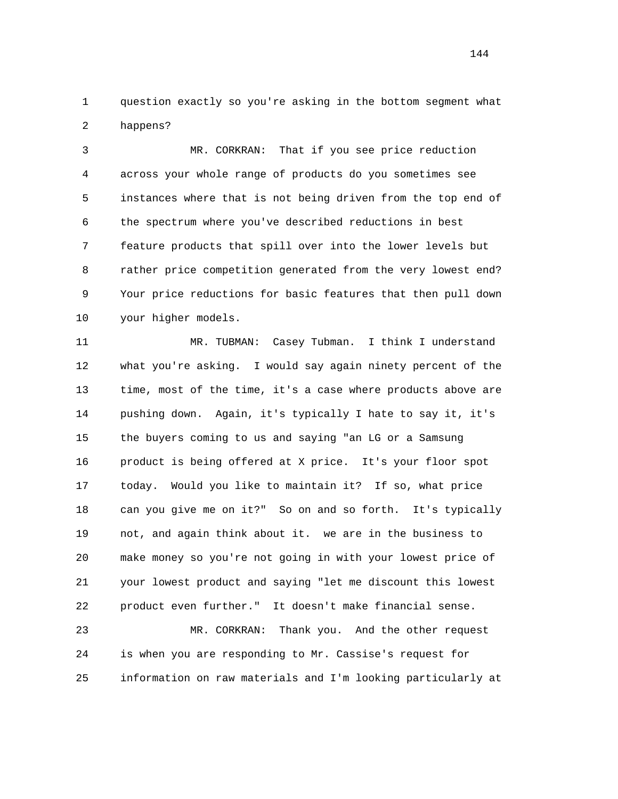1 question exactly so you're asking in the bottom segment what 2 happens?

 3 MR. CORKRAN: That if you see price reduction 4 across your whole range of products do you sometimes see 5 instances where that is not being driven from the top end of 6 the spectrum where you've described reductions in best 7 feature products that spill over into the lower levels but 8 rather price competition generated from the very lowest end? 9 Your price reductions for basic features that then pull down 10 your higher models.

 11 MR. TUBMAN: Casey Tubman. I think I understand 12 what you're asking. I would say again ninety percent of the 13 time, most of the time, it's a case where products above are 14 pushing down. Again, it's typically I hate to say it, it's 15 the buyers coming to us and saying "an LG or a Samsung 16 product is being offered at X price. It's your floor spot 17 today. Would you like to maintain it? If so, what price 18 can you give me on it?" So on and so forth. It's typically 19 not, and again think about it. we are in the business to 20 make money so you're not going in with your lowest price of 21 your lowest product and saying "let me discount this lowest 22 product even further." It doesn't make financial sense.

 23 MR. CORKRAN: Thank you. And the other request 24 is when you are responding to Mr. Cassise's request for 25 information on raw materials and I'm looking particularly at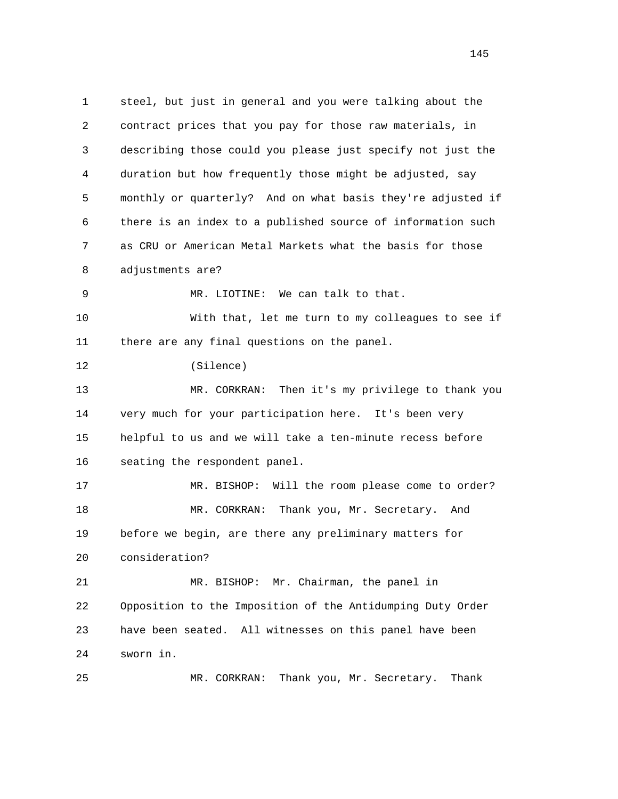1 steel, but just in general and you were talking about the 2 contract prices that you pay for those raw materials, in 3 describing those could you please just specify not just the 4 duration but how frequently those might be adjusted, say 5 monthly or quarterly? And on what basis they're adjusted if 6 there is an index to a published source of information such 7 as CRU or American Metal Markets what the basis for those 8 adjustments are? 9 MR. LIOTINE: We can talk to that. 10 With that, let me turn to my colleagues to see if 11 there are any final questions on the panel. 12 (Silence) 13 MR. CORKRAN: Then it's my privilege to thank you 14 very much for your participation here. It's been very 15 helpful to us and we will take a ten-minute recess before 16 seating the respondent panel. 17 MR. BISHOP: Will the room please come to order? 18 MR. CORKRAN: Thank you, Mr. Secretary. And 19 before we begin, are there any preliminary matters for 20 consideration? 21 MR. BISHOP: Mr. Chairman, the panel in 22 Opposition to the Imposition of the Antidumping Duty Order 23 have been seated. All witnesses on this panel have been 24 sworn in. 25 MR. CORKRAN: Thank you, Mr. Secretary. Thank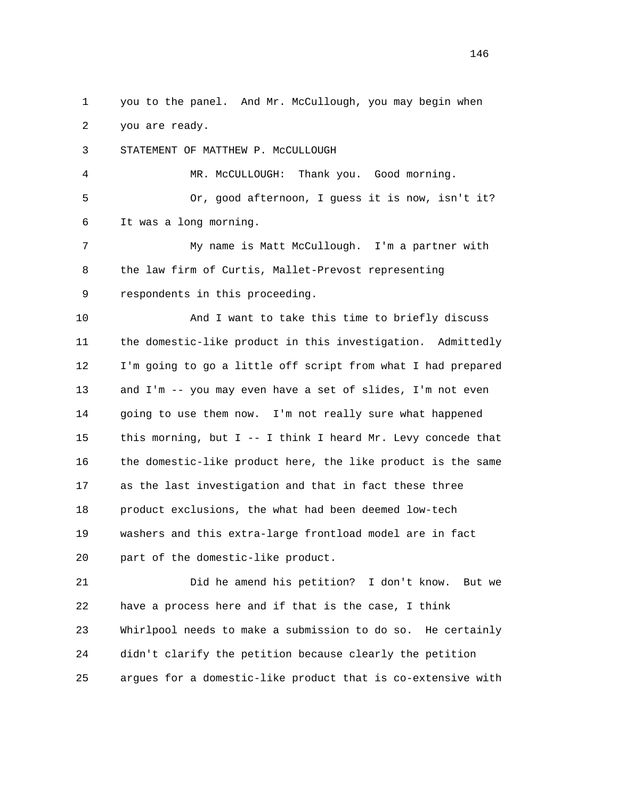1 you to the panel. And Mr. McCullough, you may begin when 2 you are ready.

3 STATEMENT OF MATTHEW P. McCULLOUGH

 4 MR. McCULLOUGH: Thank you. Good morning. 5 Or, good afternoon, I guess it is now, isn't it? 6 It was a long morning.

 7 My name is Matt McCullough. I'm a partner with 8 the law firm of Curtis, Mallet-Prevost representing 9 respondents in this proceeding.

 10 And I want to take this time to briefly discuss 11 the domestic-like product in this investigation. Admittedly 12 I'm going to go a little off script from what I had prepared 13 and I'm -- you may even have a set of slides, I'm not even 14 going to use them now. I'm not really sure what happened 15 this morning, but I -- I think I heard Mr. Levy concede that 16 the domestic-like product here, the like product is the same 17 as the last investigation and that in fact these three 18 product exclusions, the what had been deemed low-tech 19 washers and this extra-large frontload model are in fact 20 part of the domestic-like product.

 21 Did he amend his petition? I don't know. But we 22 have a process here and if that is the case, I think 23 Whirlpool needs to make a submission to do so. He certainly 24 didn't clarify the petition because clearly the petition 25 argues for a domestic-like product that is co-extensive with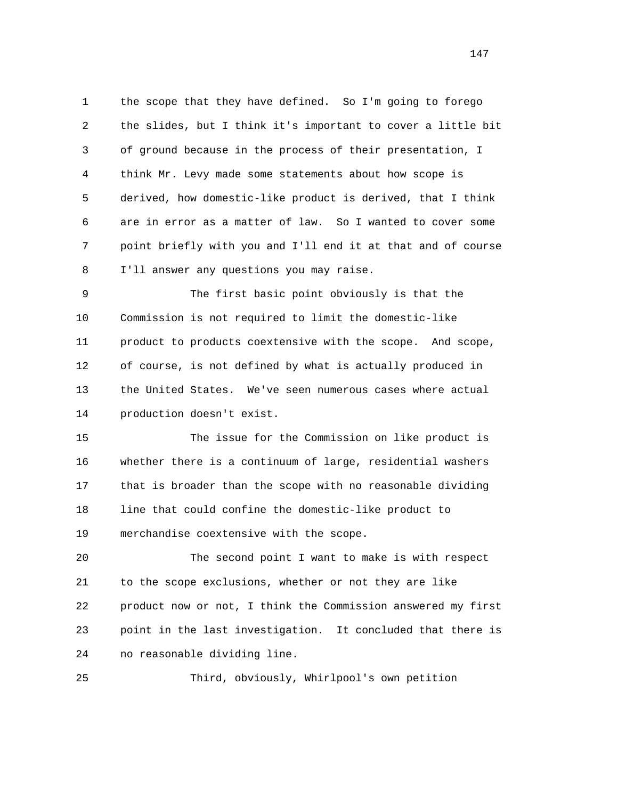1 the scope that they have defined. So I'm going to forego 2 the slides, but I think it's important to cover a little bit 3 of ground because in the process of their presentation, I 4 think Mr. Levy made some statements about how scope is 5 derived, how domestic-like product is derived, that I think 6 are in error as a matter of law. So I wanted to cover some 7 point briefly with you and I'll end it at that and of course 8 I'll answer any questions you may raise.

 9 The first basic point obviously is that the 10 Commission is not required to limit the domestic-like 11 product to products coextensive with the scope. And scope, 12 of course, is not defined by what is actually produced in 13 the United States. We've seen numerous cases where actual 14 production doesn't exist.

 15 The issue for the Commission on like product is 16 whether there is a continuum of large, residential washers 17 that is broader than the scope with no reasonable dividing 18 line that could confine the domestic-like product to 19 merchandise coextensive with the scope.

 20 The second point I want to make is with respect 21 to the scope exclusions, whether or not they are like 22 product now or not, I think the Commission answered my first 23 point in the last investigation. It concluded that there is 24 no reasonable dividing line.

25 Third, obviously, Whirlpool's own petition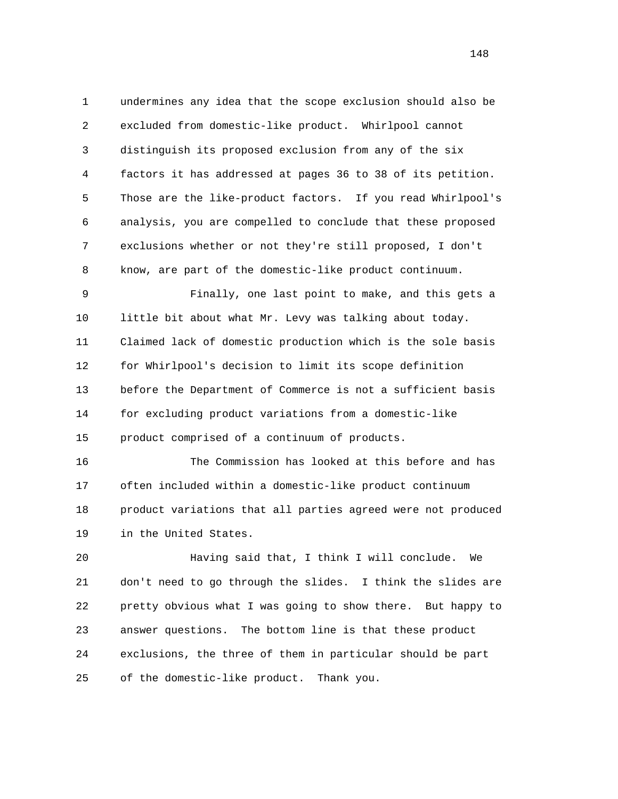1 undermines any idea that the scope exclusion should also be 2 excluded from domestic-like product. Whirlpool cannot 3 distinguish its proposed exclusion from any of the six 4 factors it has addressed at pages 36 to 38 of its petition. 5 Those are the like-product factors. If you read Whirlpool's 6 analysis, you are compelled to conclude that these proposed 7 exclusions whether or not they're still proposed, I don't 8 know, are part of the domestic-like product continuum.

 9 Finally, one last point to make, and this gets a 10 little bit about what Mr. Levy was talking about today. 11 Claimed lack of domestic production which is the sole basis 12 for Whirlpool's decision to limit its scope definition 13 before the Department of Commerce is not a sufficient basis 14 for excluding product variations from a domestic-like 15 product comprised of a continuum of products.

 16 The Commission has looked at this before and has 17 often included within a domestic-like product continuum 18 product variations that all parties agreed were not produced 19 in the United States.

 20 Having said that, I think I will conclude. We 21 don't need to go through the slides. I think the slides are 22 pretty obvious what I was going to show there. But happy to 23 answer questions. The bottom line is that these product 24 exclusions, the three of them in particular should be part 25 of the domestic-like product. Thank you.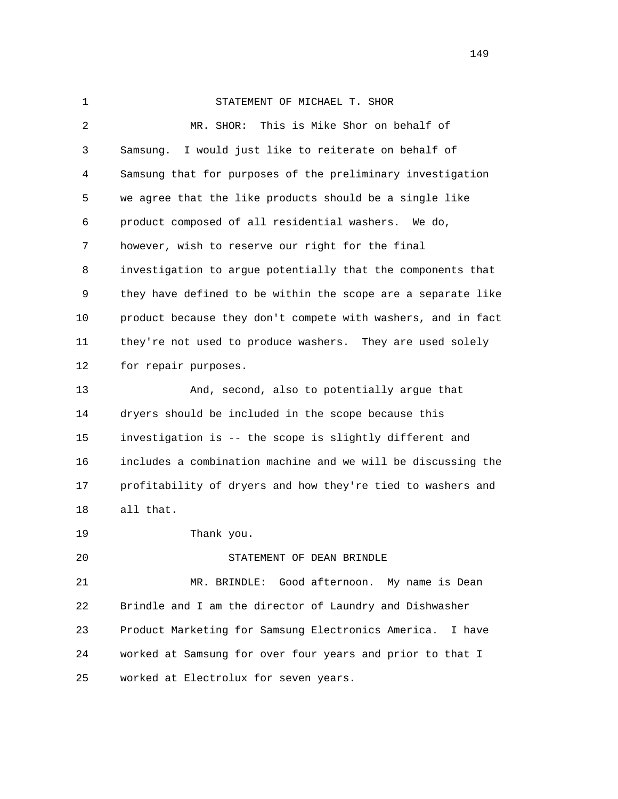| $\mathbf 1$ | STATEMENT OF MICHAEL T. SHOR                                 |
|-------------|--------------------------------------------------------------|
| 2           | This is Mike Shor on behalf of<br>MR. SHOR:                  |
| 3           | I would just like to reiterate on behalf of<br>Samsung.      |
| 4           | Samsung that for purposes of the preliminary investigation   |
| 5           | we agree that the like products should be a single like      |
| 6           | product composed of all residential washers. We do,          |
| 7           | however, wish to reserve our right for the final             |
| 8           | investigation to argue potentially that the components that  |
| 9           | they have defined to be within the scope are a separate like |
| 10          | product because they don't compete with washers, and in fact |
| 11          | they're not used to produce washers. They are used solely    |
| 12          | for repair purposes.                                         |
| 13          | And, second, also to potentially argue that                  |
| 14          | dryers should be included in the scope because this          |
| 15          | investigation is -- the scope is slightly different and      |
| 16          | includes a combination machine and we will be discussing the |
| 17          | profitability of dryers and how they're tied to washers and  |
| 18          | all that.                                                    |
| 19          | Thank you.                                                   |
| 20          | STATEMENT OF DEAN BRINDLE                                    |
| 21          | MR. BRINDLE: Good afternoon. My name is Dean                 |
| 22          | Brindle and I am the director of Laundry and Dishwasher      |
| 23          | Product Marketing for Samsung Electronics America.<br>I have |
| 24          | worked at Samsung for over four years and prior to that I    |
| 25          | worked at Electrolux for seven years.                        |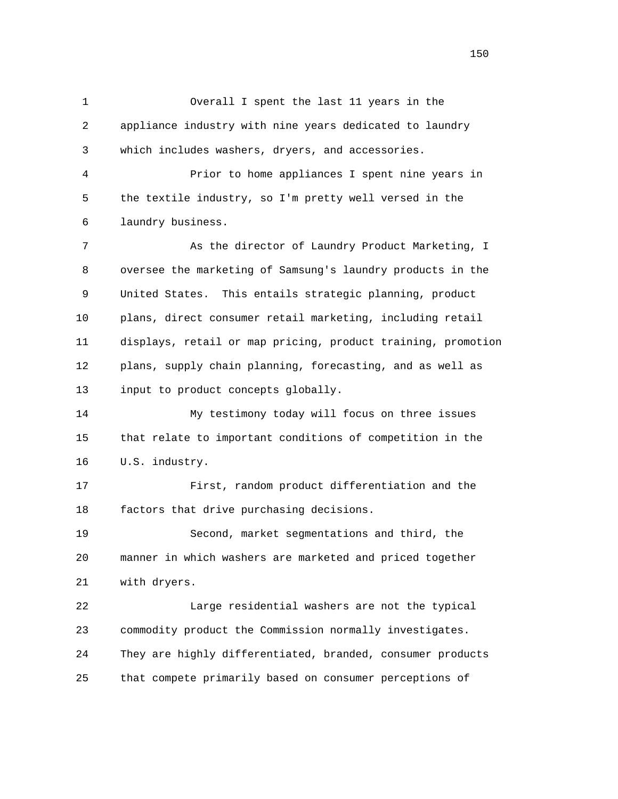1 Overall I spent the last 11 years in the 2 appliance industry with nine years dedicated to laundry 3 which includes washers, dryers, and accessories. 4 Prior to home appliances I spent nine years in 5 the textile industry, so I'm pretty well versed in the 6 laundry business. 7 As the director of Laundry Product Marketing, I 8 oversee the marketing of Samsung's laundry products in the 9 United States. This entails strategic planning, product 10 plans, direct consumer retail marketing, including retail 11 displays, retail or map pricing, product training, promotion 12 plans, supply chain planning, forecasting, and as well as 13 input to product concepts globally. 14 My testimony today will focus on three issues 15 that relate to important conditions of competition in the 16 U.S. industry. 17 First, random product differentiation and the 18 factors that drive purchasing decisions. 19 Second, market segmentations and third, the 20 manner in which washers are marketed and priced together 21 with dryers. 22 Large residential washers are not the typical 23 commodity product the Commission normally investigates. 24 They are highly differentiated, branded, consumer products 25 that compete primarily based on consumer perceptions of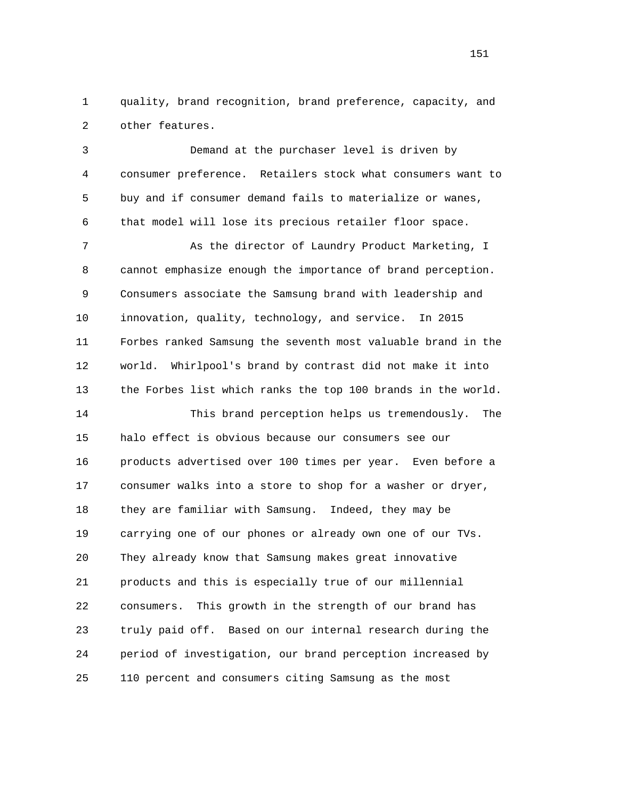1 quality, brand recognition, brand preference, capacity, and 2 other features.

 3 Demand at the purchaser level is driven by 4 consumer preference. Retailers stock what consumers want to 5 buy and if consumer demand fails to materialize or wanes, 6 that model will lose its precious retailer floor space. 7 As the director of Laundry Product Marketing, I 8 cannot emphasize enough the importance of brand perception. 9 Consumers associate the Samsung brand with leadership and 10 innovation, quality, technology, and service. In 2015 11 Forbes ranked Samsung the seventh most valuable brand in the 12 world. Whirlpool's brand by contrast did not make it into 13 the Forbes list which ranks the top 100 brands in the world. 14 This brand perception helps us tremendously. The 15 halo effect is obvious because our consumers see our 16 products advertised over 100 times per year. Even before a 17 consumer walks into a store to shop for a washer or dryer, 18 they are familiar with Samsung. Indeed, they may be 19 carrying one of our phones or already own one of our TVs. 20 They already know that Samsung makes great innovative 21 products and this is especially true of our millennial 22 consumers. This growth in the strength of our brand has

 24 period of investigation, our brand perception increased by 25 110 percent and consumers citing Samsung as the most

23 truly paid off. Based on our internal research during the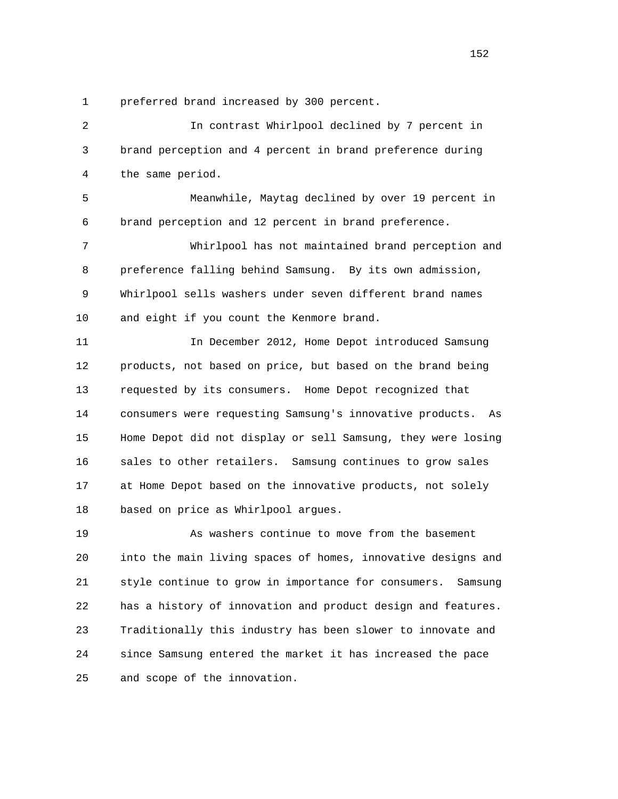1 preferred brand increased by 300 percent.

 2 In contrast Whirlpool declined by 7 percent in 3 brand perception and 4 percent in brand preference during 4 the same period.

 5 Meanwhile, Maytag declined by over 19 percent in 6 brand perception and 12 percent in brand preference.

 7 Whirlpool has not maintained brand perception and 8 preference falling behind Samsung. By its own admission, 9 Whirlpool sells washers under seven different brand names 10 and eight if you count the Kenmore brand.

 11 In December 2012, Home Depot introduced Samsung 12 products, not based on price, but based on the brand being 13 requested by its consumers. Home Depot recognized that 14 consumers were requesting Samsung's innovative products. As 15 Home Depot did not display or sell Samsung, they were losing 16 sales to other retailers. Samsung continues to grow sales 17 at Home Depot based on the innovative products, not solely 18 based on price as Whirlpool argues.

 19 As washers continue to move from the basement 20 into the main living spaces of homes, innovative designs and 21 style continue to grow in importance for consumers. Samsung 22 has a history of innovation and product design and features. 23 Traditionally this industry has been slower to innovate and 24 since Samsung entered the market it has increased the pace 25 and scope of the innovation.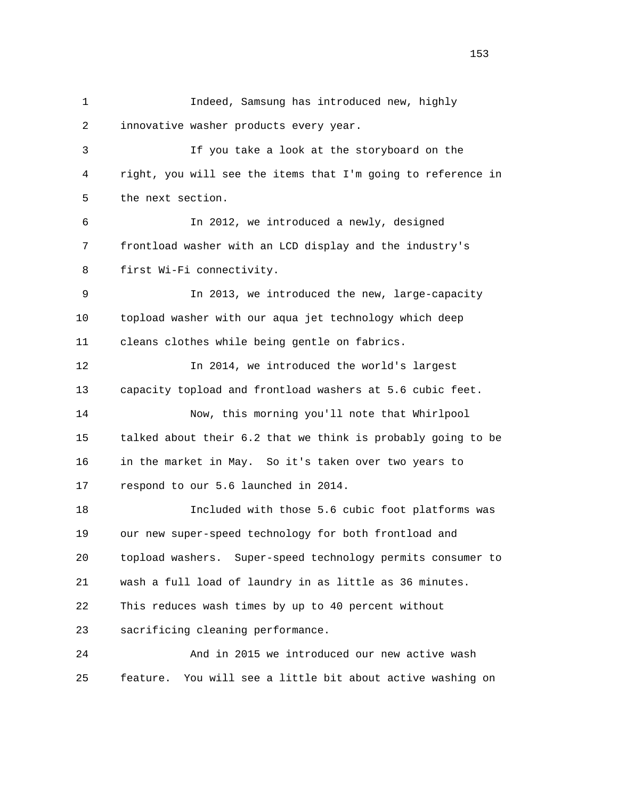1 Indeed, Samsung has introduced new, highly 2 innovative washer products every year. 3 If you take a look at the storyboard on the 4 right, you will see the items that I'm going to reference in 5 the next section. 6 In 2012, we introduced a newly, designed 7 frontload washer with an LCD display and the industry's 8 first Wi-Fi connectivity. 9 In 2013, we introduced the new, large-capacity 10 topload washer with our aqua jet technology which deep 11 cleans clothes while being gentle on fabrics. 12 In 2014, we introduced the world's largest 13 capacity topload and frontload washers at 5.6 cubic feet. 14 Now, this morning you'll note that Whirlpool 15 talked about their 6.2 that we think is probably going to be 16 in the market in May. So it's taken over two years to 17 respond to our 5.6 launched in 2014. 18 Included with those 5.6 cubic foot platforms was 19 our new super-speed technology for both frontload and 20 topload washers. Super-speed technology permits consumer to 21 wash a full load of laundry in as little as 36 minutes. 22 This reduces wash times by up to 40 percent without 23 sacrificing cleaning performance. 24 And in 2015 we introduced our new active wash 25 feature. You will see a little bit about active washing on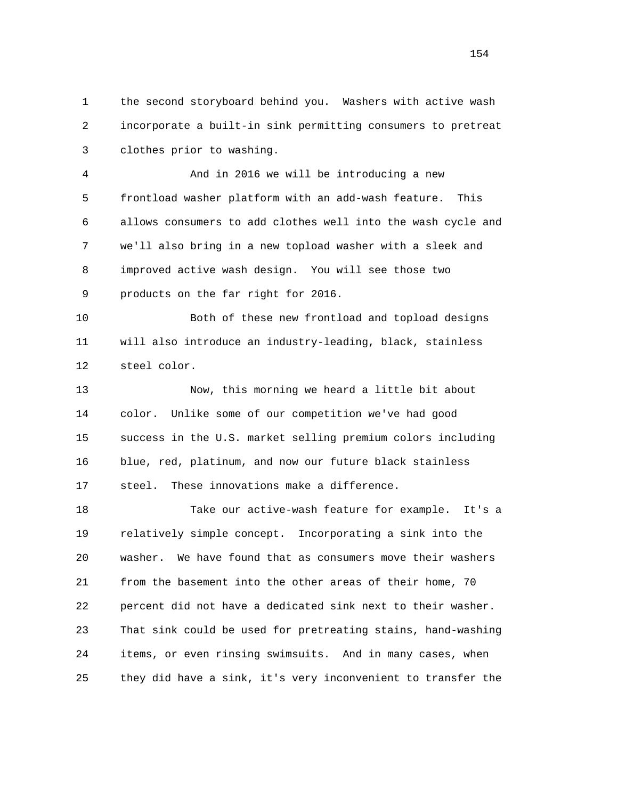1 the second storyboard behind you. Washers with active wash 2 incorporate a built-in sink permitting consumers to pretreat 3 clothes prior to washing.

 4 And in 2016 we will be introducing a new 5 frontload washer platform with an add-wash feature. This 6 allows consumers to add clothes well into the wash cycle and 7 we'll also bring in a new topload washer with a sleek and 8 improved active wash design. You will see those two 9 products on the far right for 2016.

 10 Both of these new frontload and topload designs 11 will also introduce an industry-leading, black, stainless 12 steel color.

 13 Now, this morning we heard a little bit about 14 color. Unlike some of our competition we've had good 15 success in the U.S. market selling premium colors including 16 blue, red, platinum, and now our future black stainless 17 steel. These innovations make a difference.

 18 Take our active-wash feature for example. It's a 19 relatively simple concept. Incorporating a sink into the 20 washer. We have found that as consumers move their washers 21 from the basement into the other areas of their home, 70 22 percent did not have a dedicated sink next to their washer. 23 That sink could be used for pretreating stains, hand-washing 24 items, or even rinsing swimsuits. And in many cases, when 25 they did have a sink, it's very inconvenient to transfer the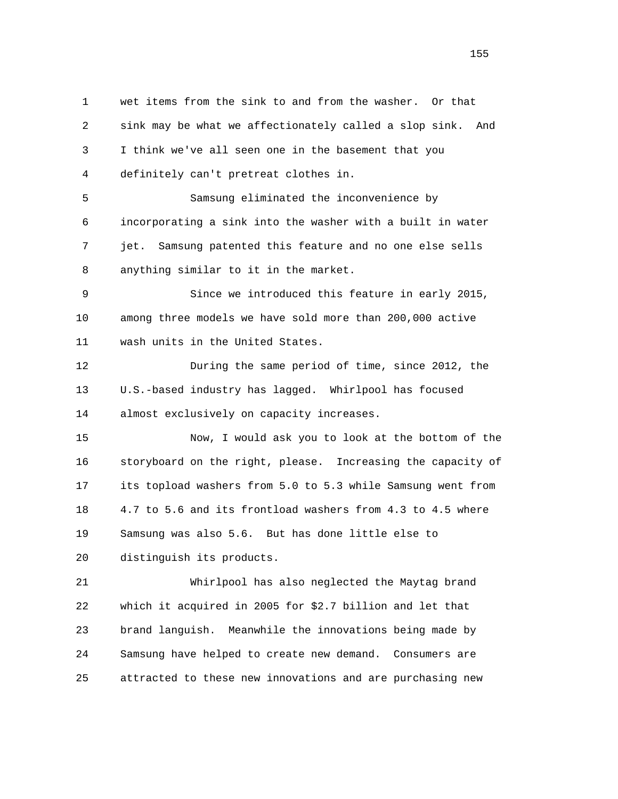1 wet items from the sink to and from the washer. Or that 2 sink may be what we affectionately called a slop sink. And 3 I think we've all seen one in the basement that you 4 definitely can't pretreat clothes in. 5 Samsung eliminated the inconvenience by 6 incorporating a sink into the washer with a built in water 7 jet. Samsung patented this feature and no one else sells 8 anything similar to it in the market. 9 Since we introduced this feature in early 2015, 10 among three models we have sold more than 200,000 active 11 wash units in the United States. 12 During the same period of time, since 2012, the 13 U.S.-based industry has lagged. Whirlpool has focused 14 almost exclusively on capacity increases. 15 Now, I would ask you to look at the bottom of the 16 storyboard on the right, please. Increasing the capacity of 17 its topload washers from 5.0 to 5.3 while Samsung went from 18 4.7 to 5.6 and its frontload washers from 4.3 to 4.5 where 19 Samsung was also 5.6. But has done little else to 20 distinguish its products. 21 Whirlpool has also neglected the Maytag brand 22 which it acquired in 2005 for \$2.7 billion and let that 23 brand languish. Meanwhile the innovations being made by

25 attracted to these new innovations and are purchasing new

24 Samsung have helped to create new demand. Consumers are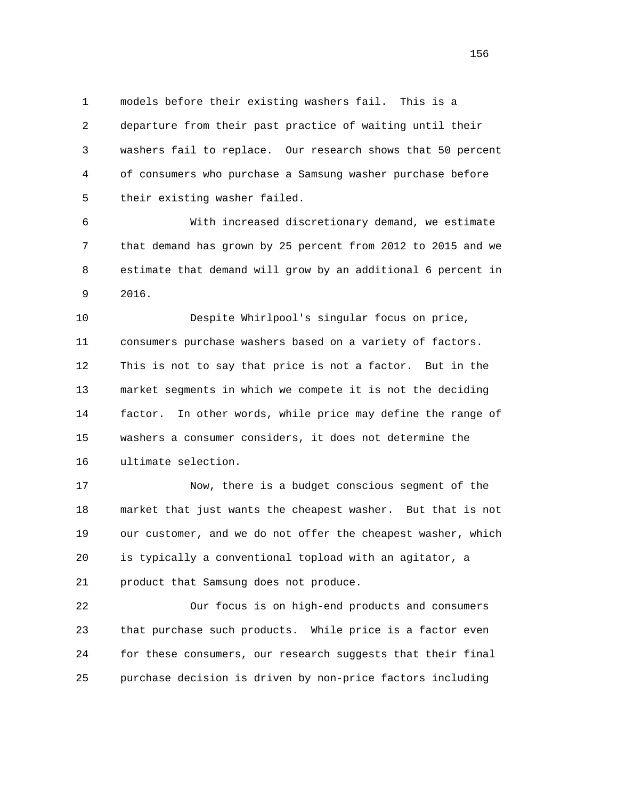1 models before their existing washers fail. This is a 2 departure from their past practice of waiting until their 3 washers fail to replace. Our research shows that 50 percent 4 of consumers who purchase a Samsung washer purchase before 5 their existing washer failed.

 6 With increased discretionary demand, we estimate 7 that demand has grown by 25 percent from 2012 to 2015 and we 8 estimate that demand will grow by an additional 6 percent in 9 2016.

 10 Despite Whirlpool's singular focus on price, 11 consumers purchase washers based on a variety of factors. 12 This is not to say that price is not a factor. But in the 13 market segments in which we compete it is not the deciding 14 factor. In other words, while price may define the range of 15 washers a consumer considers, it does not determine the 16 ultimate selection.

 17 Now, there is a budget conscious segment of the 18 market that just wants the cheapest washer. But that is not 19 our customer, and we do not offer the cheapest washer, which 20 is typically a conventional topload with an agitator, a 21 product that Samsung does not produce.

 22 Our focus is on high-end products and consumers 23 that purchase such products. While price is a factor even 24 for these consumers, our research suggests that their final 25 purchase decision is driven by non-price factors including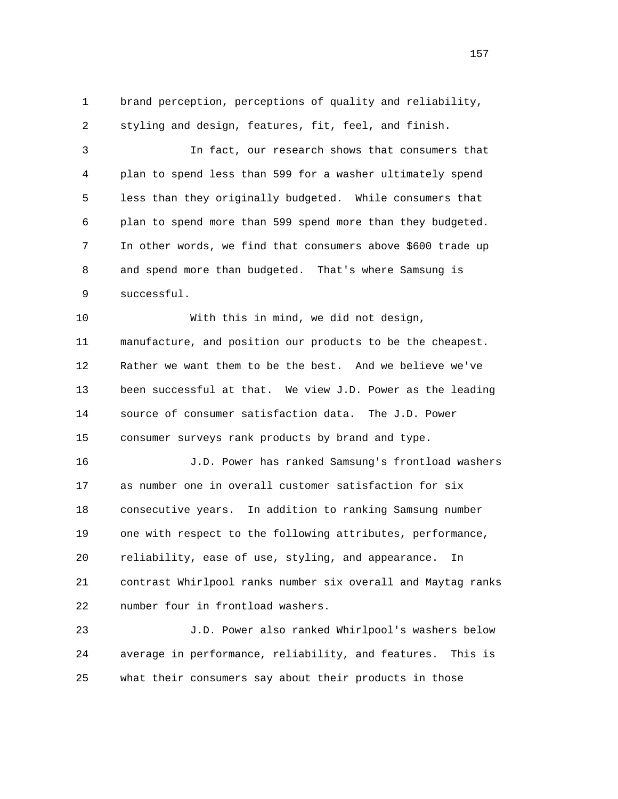1 brand perception, perceptions of quality and reliability, 2 styling and design, features, fit, feel, and finish.

 3 In fact, our research shows that consumers that 4 plan to spend less than 599 for a washer ultimately spend 5 less than they originally budgeted. While consumers that 6 plan to spend more than 599 spend more than they budgeted. 7 In other words, we find that consumers above \$600 trade up 8 and spend more than budgeted. That's where Samsung is 9 successful.

 10 With this in mind, we did not design, 11 manufacture, and position our products to be the cheapest. 12 Rather we want them to be the best. And we believe we've 13 been successful at that. We view J.D. Power as the leading 14 source of consumer satisfaction data. The J.D. Power 15 consumer surveys rank products by brand and type.

 16 J.D. Power has ranked Samsung's frontload washers 17 as number one in overall customer satisfaction for six 18 consecutive years. In addition to ranking Samsung number 19 one with respect to the following attributes, performance, 20 reliability, ease of use, styling, and appearance. In 21 contrast Whirlpool ranks number six overall and Maytag ranks 22 number four in frontload washers.

 23 J.D. Power also ranked Whirlpool's washers below 24 average in performance, reliability, and features. This is 25 what their consumers say about their products in those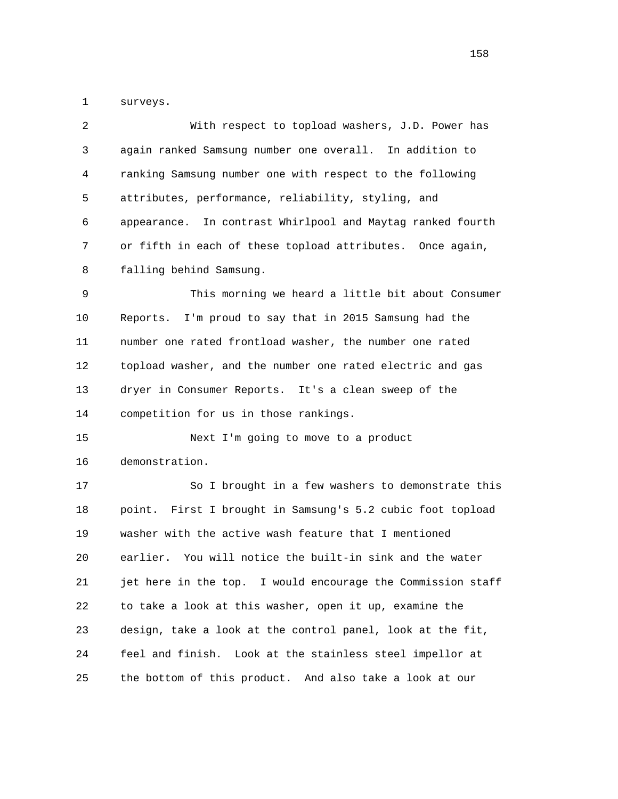1 surveys.

| $\overline{2}$ | With respect to topload washers, J.D. Power has             |
|----------------|-------------------------------------------------------------|
| 3              | again ranked Samsung number one overall. In addition to     |
| 4              | ranking Samsung number one with respect to the following    |
| 5              | attributes, performance, reliability, styling, and          |
| 6              | appearance. In contrast Whirlpool and Maytag ranked fourth  |
| 7              | or fifth in each of these topload attributes. Once again,   |
| 8              | falling behind Samsung.                                     |
| 9              | This morning we heard a little bit about Consumer           |
| 10             | I'm proud to say that in 2015 Samsung had the<br>Reports.   |
| 11             | number one rated frontload washer, the number one rated     |
| 12             | topload washer, and the number one rated electric and gas   |
| 13             | dryer in Consumer Reports. It's a clean sweep of the        |
|                |                                                             |
| 14             | competition for us in those rankings.                       |
| 15             | Next I'm going to move to a product                         |
| 16             | demonstration.                                              |
| 17             | So I brought in a few washers to demonstrate this           |
| 18             | point. First I brought in Samsung's 5.2 cubic foot topload  |
| 19             | washer with the active wash feature that I mentioned        |
| 20             | earlier. You will notice the built-in sink and the water    |
| 21             | jet here in the top. I would encourage the Commission staff |
| 22             | to take a look at this washer, open it up, examine the      |
| 23             | design, take a look at the control panel, look at the fit,  |
| 24             | feel and finish. Look at the stainless steel impellor at    |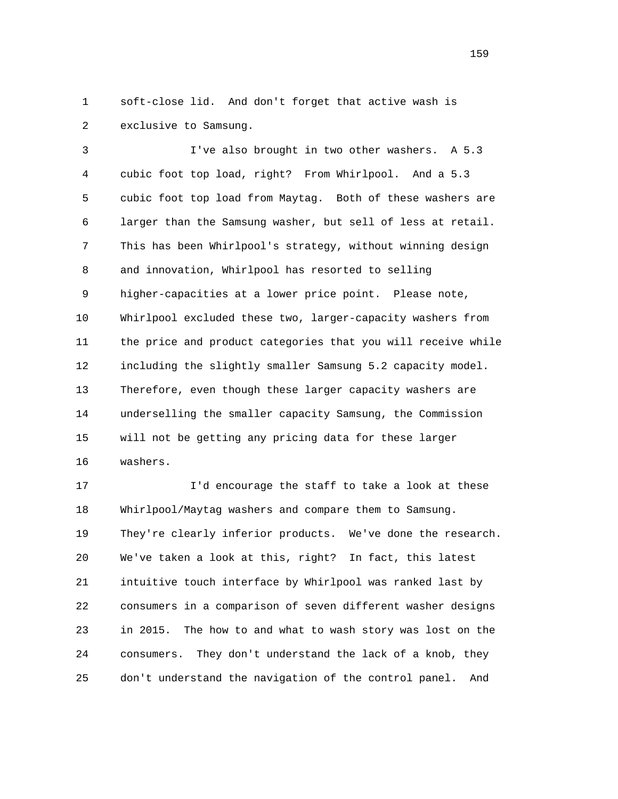1 soft-close lid. And don't forget that active wash is 2 exclusive to Samsung.

 3 I've also brought in two other washers. A 5.3 4 cubic foot top load, right? From Whirlpool. And a 5.3 5 cubic foot top load from Maytag. Both of these washers are 6 larger than the Samsung washer, but sell of less at retail. 7 This has been Whirlpool's strategy, without winning design 8 and innovation, Whirlpool has resorted to selling 9 higher-capacities at a lower price point. Please note, 10 Whirlpool excluded these two, larger-capacity washers from 11 the price and product categories that you will receive while 12 including the slightly smaller Samsung 5.2 capacity model. 13 Therefore, even though these larger capacity washers are 14 underselling the smaller capacity Samsung, the Commission 15 will not be getting any pricing data for these larger 16 washers.

 17 I'd encourage the staff to take a look at these 18 Whirlpool/Maytag washers and compare them to Samsung. 19 They're clearly inferior products. We've done the research. 20 We've taken a look at this, right? In fact, this latest 21 intuitive touch interface by Whirlpool was ranked last by 22 consumers in a comparison of seven different washer designs 23 in 2015. The how to and what to wash story was lost on the 24 consumers. They don't understand the lack of a knob, they 25 don't understand the navigation of the control panel. And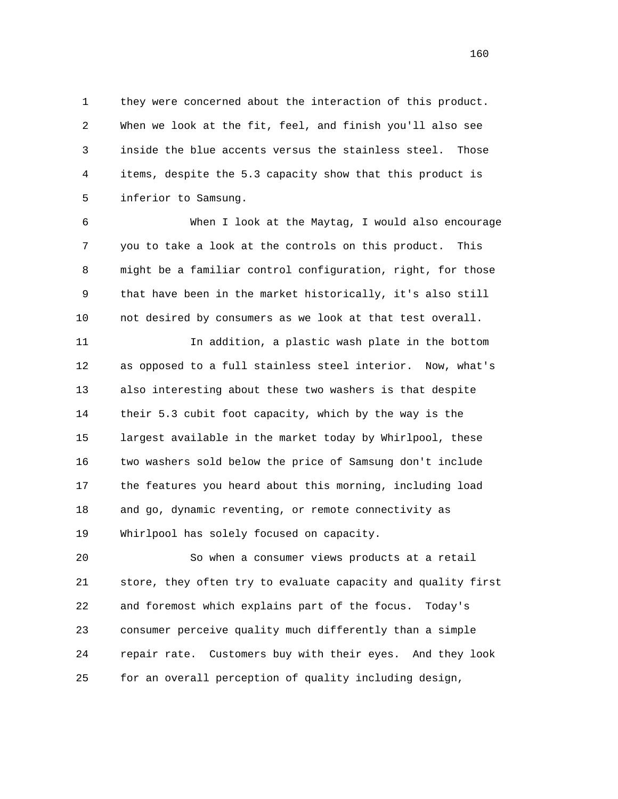1 they were concerned about the interaction of this product. 2 When we look at the fit, feel, and finish you'll also see 3 inside the blue accents versus the stainless steel. Those 4 items, despite the 5.3 capacity show that this product is 5 inferior to Samsung.

 6 When I look at the Maytag, I would also encourage 7 you to take a look at the controls on this product. This 8 might be a familiar control configuration, right, for those 9 that have been in the market historically, it's also still 10 not desired by consumers as we look at that test overall.

 11 In addition, a plastic wash plate in the bottom 12 as opposed to a full stainless steel interior. Now, what's 13 also interesting about these two washers is that despite 14 their 5.3 cubit foot capacity, which by the way is the 15 largest available in the market today by Whirlpool, these 16 two washers sold below the price of Samsung don't include 17 the features you heard about this morning, including load 18 and go, dynamic reventing, or remote connectivity as 19 Whirlpool has solely focused on capacity.

 20 So when a consumer views products at a retail 21 store, they often try to evaluate capacity and quality first 22 and foremost which explains part of the focus. Today's 23 consumer perceive quality much differently than a simple 24 repair rate. Customers buy with their eyes. And they look 25 for an overall perception of quality including design,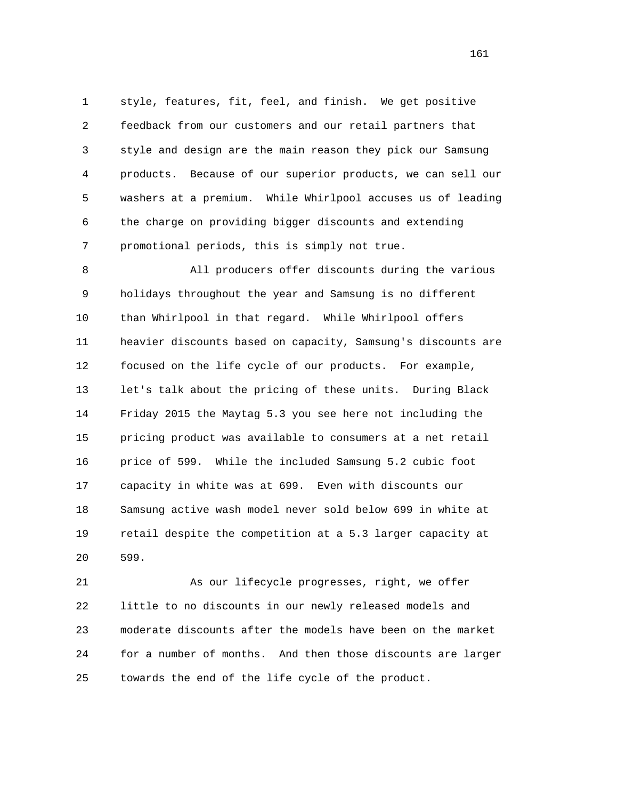1 style, features, fit, feel, and finish. We get positive 2 feedback from our customers and our retail partners that 3 style and design are the main reason they pick our Samsung 4 products. Because of our superior products, we can sell our 5 washers at a premium. While Whirlpool accuses us of leading 6 the charge on providing bigger discounts and extending 7 promotional periods, this is simply not true.

 8 All producers offer discounts during the various 9 holidays throughout the year and Samsung is no different 10 than Whirlpool in that regard. While Whirlpool offers 11 heavier discounts based on capacity, Samsung's discounts are 12 focused on the life cycle of our products. For example, 13 let's talk about the pricing of these units. During Black 14 Friday 2015 the Maytag 5.3 you see here not including the 15 pricing product was available to consumers at a net retail 16 price of 599. While the included Samsung 5.2 cubic foot 17 capacity in white was at 699. Even with discounts our 18 Samsung active wash model never sold below 699 in white at 19 retail despite the competition at a 5.3 larger capacity at 20 599.

 21 As our lifecycle progresses, right, we offer 22 little to no discounts in our newly released models and 23 moderate discounts after the models have been on the market 24 for a number of months. And then those discounts are larger 25 towards the end of the life cycle of the product.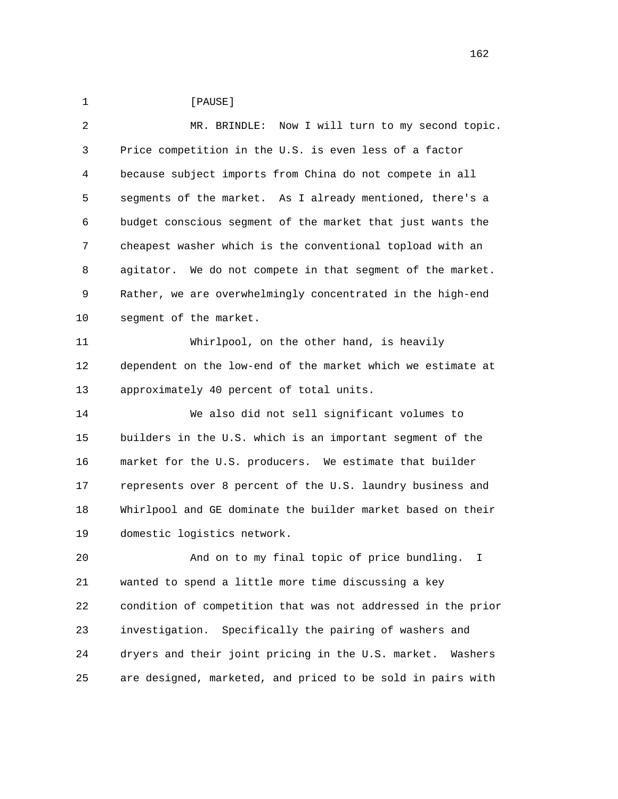1 **[PAUSE]**  2 MR. BRINDLE: Now I will turn to my second topic. 3 Price competition in the U.S. is even less of a factor 4 because subject imports from China do not compete in all 5 segments of the market. As I already mentioned, there's a 6 budget conscious segment of the market that just wants the 7 cheapest washer which is the conventional topload with an 8 agitator. We do not compete in that segment of the market. 9 Rather, we are overwhelmingly concentrated in the high-end 10 segment of the market. 11 Whirlpool, on the other hand, is heavily 12 dependent on the low-end of the market which we estimate at 13 approximately 40 percent of total units. 14 We also did not sell significant volumes to 15 builders in the U.S. which is an important segment of the 16 market for the U.S. producers. We estimate that builder 17 represents over 8 percent of the U.S. laundry business and 18 Whirlpool and GE dominate the builder market based on their 19 domestic logistics network. 20 And on to my final topic of price bundling. I 21 wanted to spend a little more time discussing a key 22 condition of competition that was not addressed in the prior 23 investigation. Specifically the pairing of washers and 24 dryers and their joint pricing in the U.S. market. Washers 25 are designed, marketed, and priced to be sold in pairs with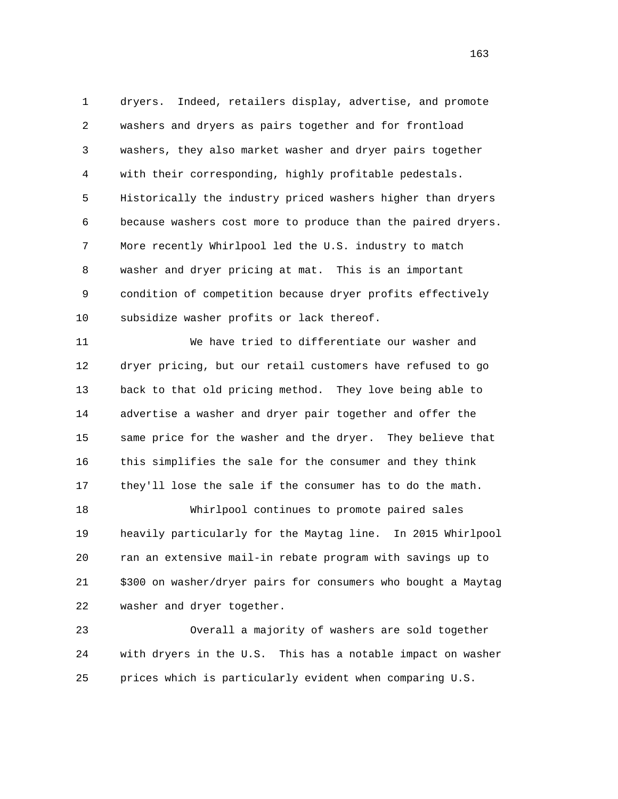1 dryers. Indeed, retailers display, advertise, and promote 2 washers and dryers as pairs together and for frontload 3 washers, they also market washer and dryer pairs together 4 with their corresponding, highly profitable pedestals. 5 Historically the industry priced washers higher than dryers 6 because washers cost more to produce than the paired dryers. 7 More recently Whirlpool led the U.S. industry to match 8 washer and dryer pricing at mat. This is an important 9 condition of competition because dryer profits effectively 10 subsidize washer profits or lack thereof.

 11 We have tried to differentiate our washer and 12 dryer pricing, but our retail customers have refused to go 13 back to that old pricing method. They love being able to 14 advertise a washer and dryer pair together and offer the 15 same price for the washer and the dryer. They believe that 16 this simplifies the sale for the consumer and they think 17 they'll lose the sale if the consumer has to do the math.

 18 Whirlpool continues to promote paired sales 19 heavily particularly for the Maytag line. In 2015 Whirlpool 20 ran an extensive mail-in rebate program with savings up to 21 \$300 on washer/dryer pairs for consumers who bought a Maytag 22 washer and dryer together.

 23 Overall a majority of washers are sold together 24 with dryers in the U.S. This has a notable impact on washer 25 prices which is particularly evident when comparing U.S.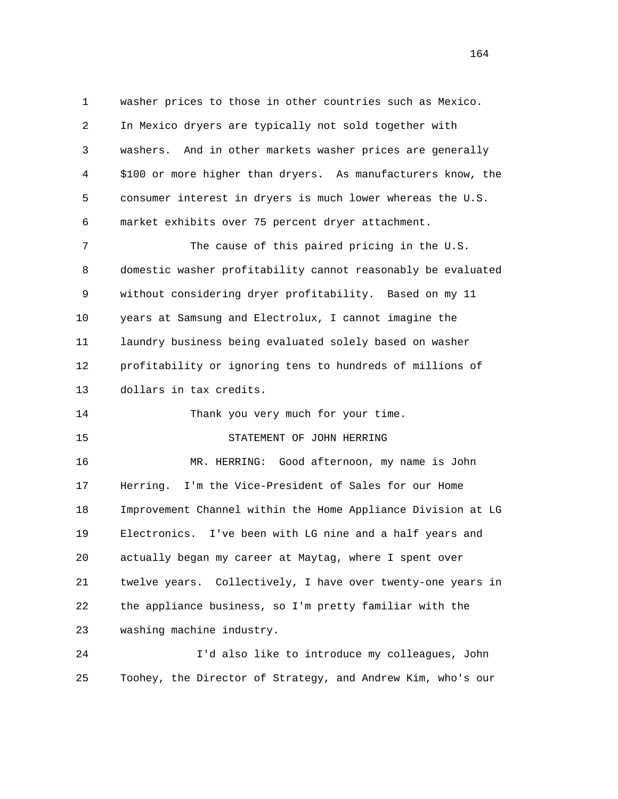1 washer prices to those in other countries such as Mexico. 2 In Mexico dryers are typically not sold together with 3 washers. And in other markets washer prices are generally 4 \$100 or more higher than dryers. As manufacturers know, the 5 consumer interest in dryers is much lower whereas the U.S. 6 market exhibits over 75 percent dryer attachment. 7 The cause of this paired pricing in the U.S. 8 domestic washer profitability cannot reasonably be evaluated 9 without considering dryer profitability. Based on my 11 10 years at Samsung and Electrolux, I cannot imagine the 11 laundry business being evaluated solely based on washer 12 profitability or ignoring tens to hundreds of millions of 13 dollars in tax credits. 14 Thank you very much for your time. 15 STATEMENT OF JOHN HERRING 16 MR. HERRING: Good afternoon, my name is John 17 Herring. I'm the Vice-President of Sales for our Home 18 Improvement Channel within the Home Appliance Division at LG 19 Electronics. I've been with LG nine and a half years and 20 actually began my career at Maytag, where I spent over 21 twelve years. Collectively, I have over twenty-one years in 22 the appliance business, so I'm pretty familiar with the

23 washing machine industry.

 24 I'd also like to introduce my colleagues, John 25 Toohey, the Director of Strategy, and Andrew Kim, who's our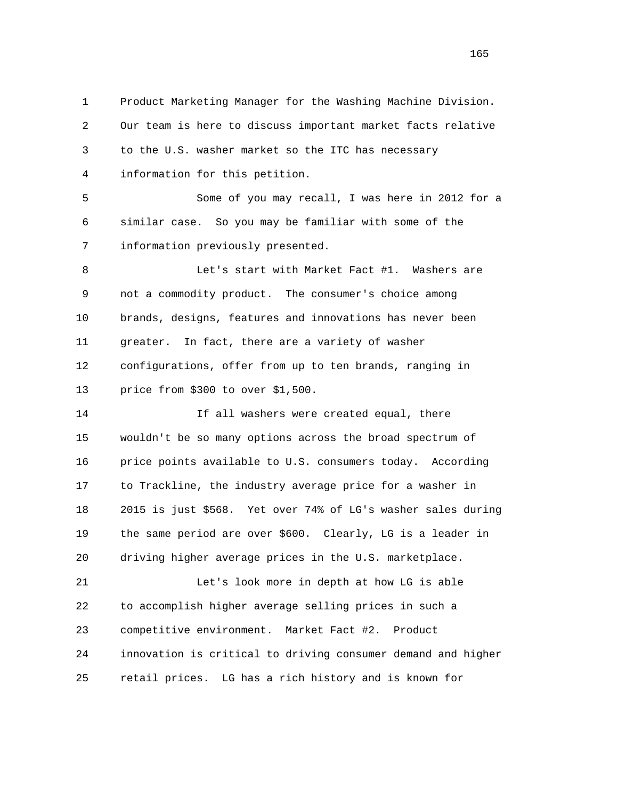1 Product Marketing Manager for the Washing Machine Division. 2 Our team is here to discuss important market facts relative 3 to the U.S. washer market so the ITC has necessary 4 information for this petition. 5 Some of you may recall, I was here in 2012 for a 6 similar case. So you may be familiar with some of the 7 information previously presented. 8 Let's start with Market Fact #1. Washers are 9 not a commodity product. The consumer's choice among 10 brands, designs, features and innovations has never been 11 greater. In fact, there are a variety of washer 12 configurations, offer from up to ten brands, ranging in 13 price from \$300 to over \$1,500. 14 If all washers were created equal, there 15 wouldn't be so many options across the broad spectrum of 16 price points available to U.S. consumers today. According 17 to Trackline, the industry average price for a washer in 18 2015 is just \$568. Yet over 74% of LG's washer sales during 19 the same period are over \$600. Clearly, LG is a leader in 20 driving higher average prices in the U.S. marketplace. 21 Let's look more in depth at how LG is able 22 to accomplish higher average selling prices in such a 23 competitive environment. Market Fact #2. Product 24 innovation is critical to driving consumer demand and higher

25 retail prices. LG has a rich history and is known for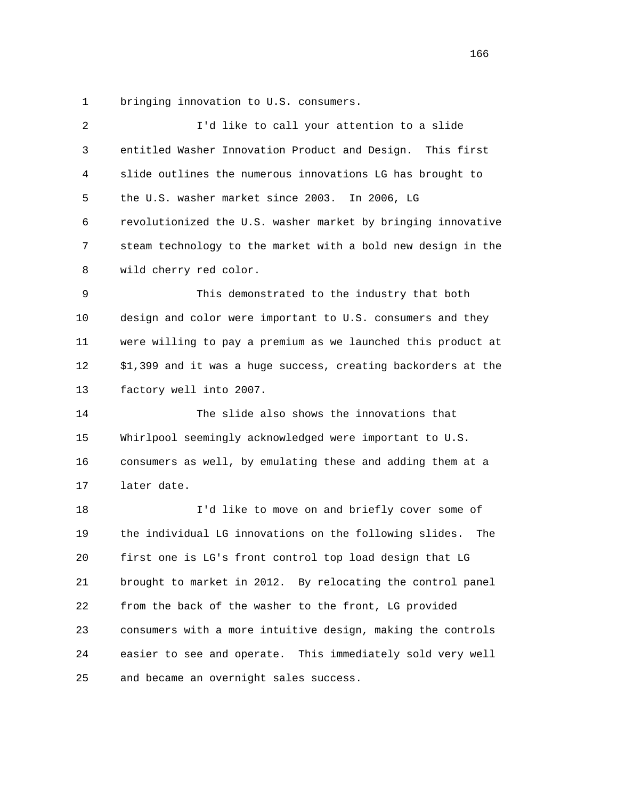1 bringing innovation to U.S. consumers.

| 2  | I'd like to call your attention to a slide                    |
|----|---------------------------------------------------------------|
| 3  | entitled Washer Innovation Product and Design. This first     |
| 4  | slide outlines the numerous innovations LG has brought to     |
| 5  | the U.S. washer market since 2003. In 2006, LG                |
| 6  | revolutionized the U.S. washer market by bringing innovative  |
| 7  | steam technology to the market with a bold new design in the  |
| 8  | wild cherry red color.                                        |
| 9  | This demonstrated to the industry that both                   |
| 10 | design and color were important to U.S. consumers and they    |
| 11 | were willing to pay a premium as we launched this product at  |
| 12 | \$1,399 and it was a huge success, creating backorders at the |
| 13 | factory well into 2007.                                       |
| 14 | The slide also shows the innovations that                     |
| 15 | Whirlpool seemingly acknowledged were important to U.S.       |
| 16 | consumers as well, by emulating these and adding them at a    |
| 17 | later date.                                                   |
| 18 | I'd like to move on and briefly cover some of                 |
| 19 | the individual LG innovations on the following slides.<br>The |
| 20 | first one is LG's front control top load design that LG       |
| 21 | brought to market in 2012. By relocating the control panel    |
| 22 | from the back of the washer to the front, LG provided         |
| 23 | consumers with a more intuitive design, making the controls   |
| 24 | easier to see and operate. This immediately sold very well    |
| 25 | and became an overnight sales success.                        |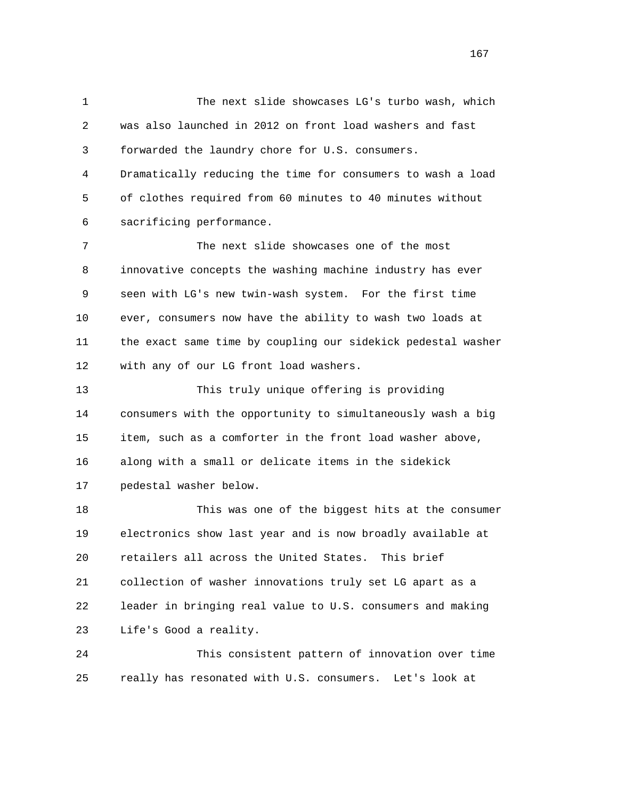1 The next slide showcases LG's turbo wash, which 2 was also launched in 2012 on front load washers and fast 3 forwarded the laundry chore for U.S. consumers. 4 Dramatically reducing the time for consumers to wash a load 5 of clothes required from 60 minutes to 40 minutes without 6 sacrificing performance. 7 The next slide showcases one of the most 8 innovative concepts the washing machine industry has ever 9 seen with LG's new twin-wash system. For the first time 10 ever, consumers now have the ability to wash two loads at 11 the exact same time by coupling our sidekick pedestal washer 12 with any of our LG front load washers. 13 This truly unique offering is providing 14 consumers with the opportunity to simultaneously wash a big 15 item, such as a comforter in the front load washer above, 16 along with a small or delicate items in the sidekick 17 pedestal washer below. 18 This was one of the biggest hits at the consumer 19 electronics show last year and is now broadly available at 20 retailers all across the United States. This brief 21 collection of washer innovations truly set LG apart as a 22 leader in bringing real value to U.S. consumers and making 23 Life's Good a reality. 24 This consistent pattern of innovation over time

25 really has resonated with U.S. consumers. Let's look at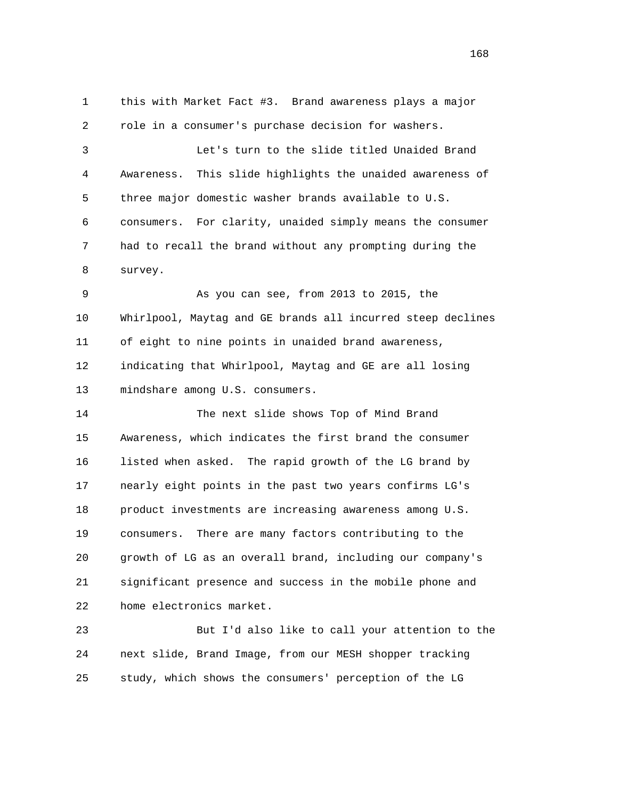1 this with Market Fact #3. Brand awareness plays a major 2 role in a consumer's purchase decision for washers. 3 Let's turn to the slide titled Unaided Brand 4 Awareness. This slide highlights the unaided awareness of 5 three major domestic washer brands available to U.S. 6 consumers. For clarity, unaided simply means the consumer 7 had to recall the brand without any prompting during the 8 survey. 9 As you can see, from 2013 to 2015, the 10 Whirlpool, Maytag and GE brands all incurred steep declines 11 of eight to nine points in unaided brand awareness, 12 indicating that Whirlpool, Maytag and GE are all losing 13 mindshare among U.S. consumers. 14 The next slide shows Top of Mind Brand 15 Awareness, which indicates the first brand the consumer 16 listed when asked. The rapid growth of the LG brand by

 17 nearly eight points in the past two years confirms LG's 18 product investments are increasing awareness among U.S. 19 consumers. There are many factors contributing to the 20 growth of LG as an overall brand, including our company's 21 significant presence and success in the mobile phone and 22 home electronics market.

 23 But I'd also like to call your attention to the 24 next slide, Brand Image, from our MESH shopper tracking 25 study, which shows the consumers' perception of the LG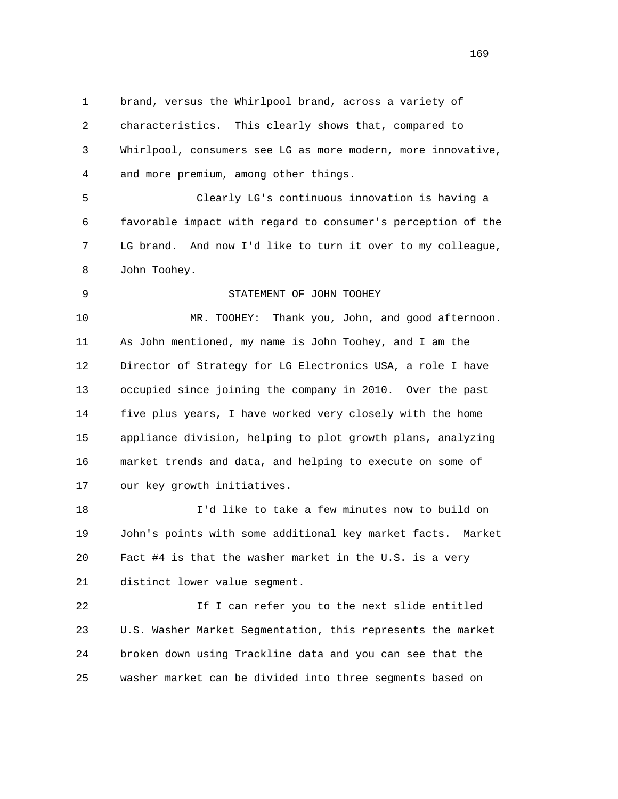1 brand, versus the Whirlpool brand, across a variety of 2 characteristics. This clearly shows that, compared to 3 Whirlpool, consumers see LG as more modern, more innovative, 4 and more premium, among other things.

 5 Clearly LG's continuous innovation is having a 6 favorable impact with regard to consumer's perception of the 7 LG brand. And now I'd like to turn it over to my colleague, 8 John Toohey.

9 STATEMENT OF JOHN TOOHEY

 10 MR. TOOHEY: Thank you, John, and good afternoon. 11 As John mentioned, my name is John Toohey, and I am the 12 Director of Strategy for LG Electronics USA, a role I have 13 occupied since joining the company in 2010. Over the past 14 five plus years, I have worked very closely with the home 15 appliance division, helping to plot growth plans, analyzing 16 market trends and data, and helping to execute on some of 17 our key growth initiatives.

 18 I'd like to take a few minutes now to build on 19 John's points with some additional key market facts. Market 20 Fact #4 is that the washer market in the U.S. is a very 21 distinct lower value segment.

 22 If I can refer you to the next slide entitled 23 U.S. Washer Market Segmentation, this represents the market 24 broken down using Trackline data and you can see that the 25 washer market can be divided into three segments based on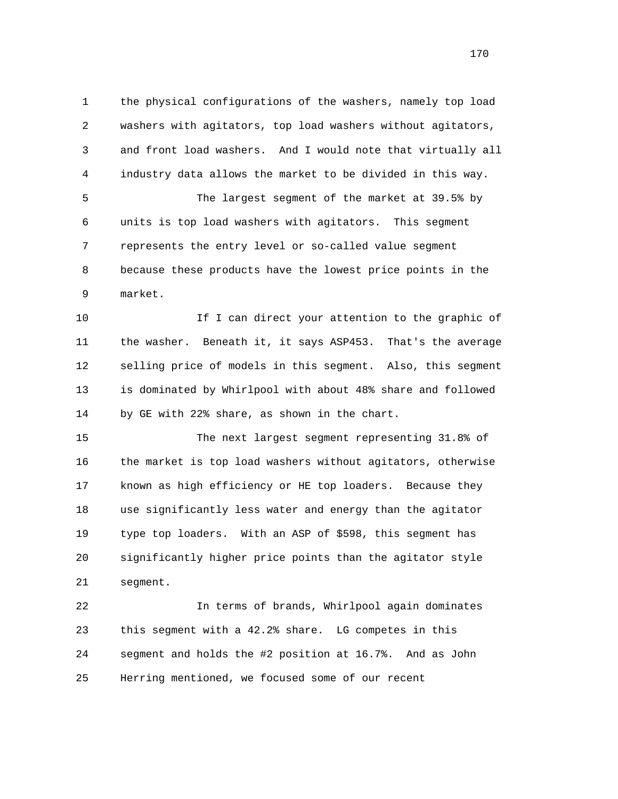1 the physical configurations of the washers, namely top load 2 washers with agitators, top load washers without agitators, 3 and front load washers. And I would note that virtually all 4 industry data allows the market to be divided in this way. 5 The largest segment of the market at 39.5% by 6 units is top load washers with agitators. This segment 7 represents the entry level or so-called value segment 8 because these products have the lowest price points in the

9 market.

10 10 If I can direct your attention to the graphic of 11 the washer. Beneath it, it says ASP453. That's the average 12 selling price of models in this segment. Also, this segment 13 is dominated by Whirlpool with about 48% share and followed 14 by GE with 22% share, as shown in the chart.

 15 The next largest segment representing 31.8% of 16 the market is top load washers without agitators, otherwise 17 known as high efficiency or HE top loaders. Because they 18 use significantly less water and energy than the agitator 19 type top loaders. With an ASP of \$598, this segment has 20 significantly higher price points than the agitator style 21 segment.

 22 In terms of brands, Whirlpool again dominates 23 this segment with a 42.2% share. LG competes in this 24 segment and holds the #2 position at 16.7%. And as John 25 Herring mentioned, we focused some of our recent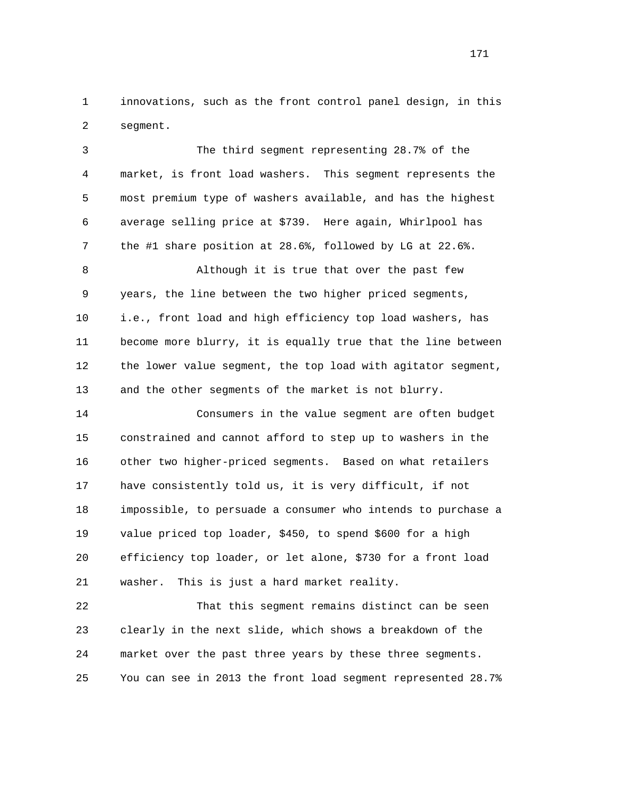1 innovations, such as the front control panel design, in this 2 segment.

 3 The third segment representing 28.7% of the 4 market, is front load washers. This segment represents the 5 most premium type of washers available, and has the highest 6 average selling price at \$739. Here again, Whirlpool has 7 the #1 share position at 28.6%, followed by LG at 22.6%. 8 Although it is true that over the past few 9 years, the line between the two higher priced segments, 10 i.e., front load and high efficiency top load washers, has 11 become more blurry, it is equally true that the line between 12 the lower value segment, the top load with agitator segment, 13 and the other segments of the market is not blurry. 14 Consumers in the value segment are often budget 15 constrained and cannot afford to step up to washers in the 16 other two higher-priced segments. Based on what retailers 17 have consistently told us, it is very difficult, if not 18 impossible, to persuade a consumer who intends to purchase a 19 value priced top loader, \$450, to spend \$600 for a high 20 efficiency top loader, or let alone, \$730 for a front load 21 washer. This is just a hard market reality. 22 That this segment remains distinct can be seen

 23 clearly in the next slide, which shows a breakdown of the 24 market over the past three years by these three segments. 25 You can see in 2013 the front load segment represented 28.7%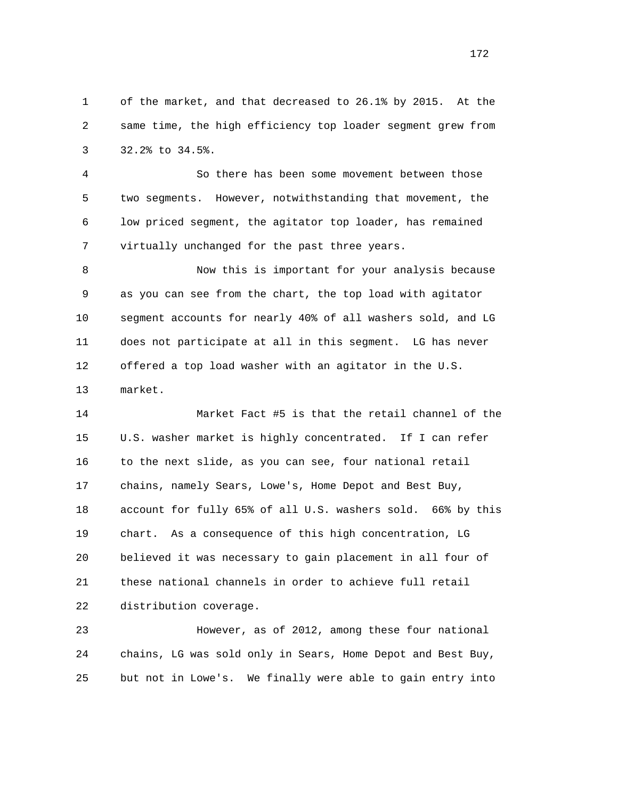1 of the market, and that decreased to 26.1% by 2015. At the 2 same time, the high efficiency top loader segment grew from 3 32.2% to 34.5%.

 4 So there has been some movement between those 5 two segments. However, notwithstanding that movement, the 6 low priced segment, the agitator top loader, has remained 7 virtually unchanged for the past three years.

 8 Now this is important for your analysis because 9 as you can see from the chart, the top load with agitator 10 segment accounts for nearly 40% of all washers sold, and LG 11 does not participate at all in this segment. LG has never 12 offered a top load washer with an agitator in the U.S. 13 market.

 14 Market Fact #5 is that the retail channel of the 15 U.S. washer market is highly concentrated. If I can refer 16 to the next slide, as you can see, four national retail 17 chains, namely Sears, Lowe's, Home Depot and Best Buy, 18 account for fully 65% of all U.S. washers sold. 66% by this 19 chart. As a consequence of this high concentration, LG 20 believed it was necessary to gain placement in all four of 21 these national channels in order to achieve full retail 22 distribution coverage.

 23 However, as of 2012, among these four national 24 chains, LG was sold only in Sears, Home Depot and Best Buy, 25 but not in Lowe's. We finally were able to gain entry into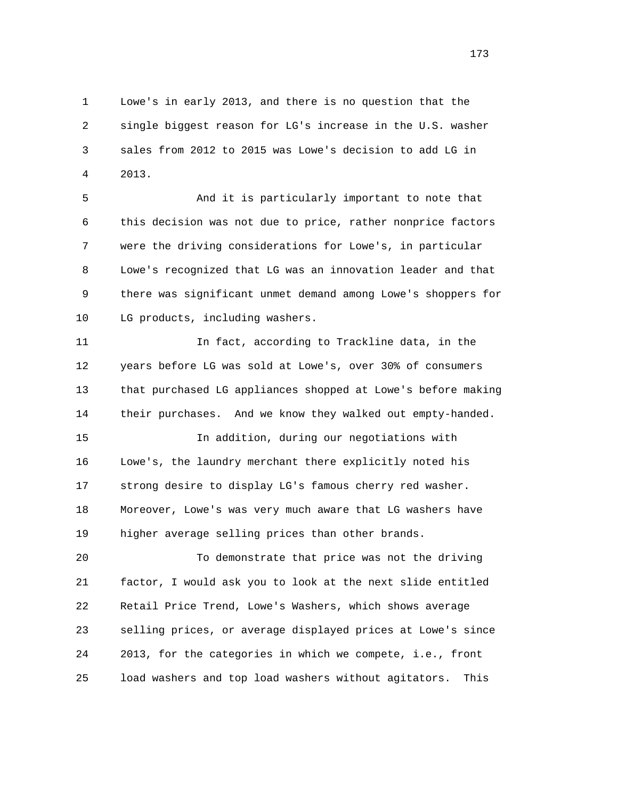1 Lowe's in early 2013, and there is no question that the 2 single biggest reason for LG's increase in the U.S. washer 3 sales from 2012 to 2015 was Lowe's decision to add LG in 4 2013.

 5 And it is particularly important to note that 6 this decision was not due to price, rather nonprice factors 7 were the driving considerations for Lowe's, in particular 8 Lowe's recognized that LG was an innovation leader and that 9 there was significant unmet demand among Lowe's shoppers for 10 LG products, including washers.

 11 In fact, according to Trackline data, in the 12 years before LG was sold at Lowe's, over 30% of consumers 13 that purchased LG appliances shopped at Lowe's before making 14 their purchases. And we know they walked out empty-handed.

 15 In addition, during our negotiations with 16 Lowe's, the laundry merchant there explicitly noted his 17 strong desire to display LG's famous cherry red washer. 18 Moreover, Lowe's was very much aware that LG washers have 19 higher average selling prices than other brands.

 20 To demonstrate that price was not the driving 21 factor, I would ask you to look at the next slide entitled 22 Retail Price Trend, Lowe's Washers, which shows average 23 selling prices, or average displayed prices at Lowe's since 24 2013, for the categories in which we compete, i.e., front 25 load washers and top load washers without agitators. This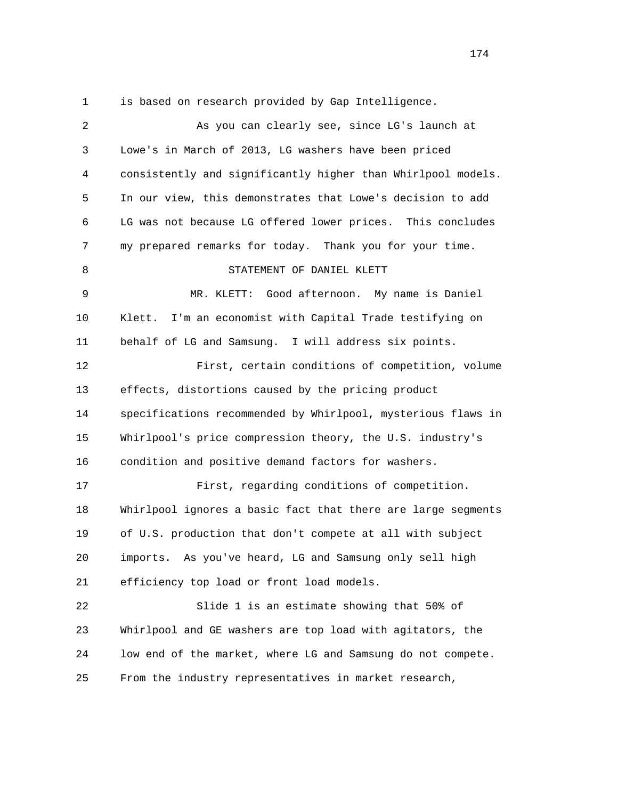1 is based on research provided by Gap Intelligence.

| 2  | As you can clearly see, since LG's launch at                 |
|----|--------------------------------------------------------------|
| 3  | Lowe's in March of 2013, LG washers have been priced         |
| 4  | consistently and significantly higher than Whirlpool models. |
| 5  | In our view, this demonstrates that Lowe's decision to add   |
| 6  | LG was not because LG offered lower prices. This concludes   |
| 7  | my prepared remarks for today. Thank you for your time.      |
| 8  | STATEMENT OF DANIEL KLETT                                    |
| 9  | Good afternoon. My name is Daniel<br>MR. KLETT:              |
| 10 | I'm an economist with Capital Trade testifying on<br>Klett.  |
| 11 | behalf of LG and Samsung. I will address six points.         |
| 12 | First, certain conditions of competition, volume             |
| 13 | effects, distortions caused by the pricing product           |
| 14 | specifications recommended by Whirlpool, mysterious flaws in |
| 15 | Whirlpool's price compression theory, the U.S. industry's    |
| 16 | condition and positive demand factors for washers.           |
| 17 | First, regarding conditions of competition.                  |
| 18 | Whirlpool ignores a basic fact that there are large segments |
| 19 | of U.S. production that don't compete at all with subject    |
| 20 | As you've heard, LG and Samsung only sell high<br>imports.   |
| 21 | efficiency top load or front load models.                    |
| 22 | Slide 1 is an estimate showing that 50% of                   |
| 23 | Whirlpool and GE washers are top load with agitators, the    |
| 24 | low end of the market, where LG and Samsung do not compete.  |
| 25 | From the industry representatives in market research,        |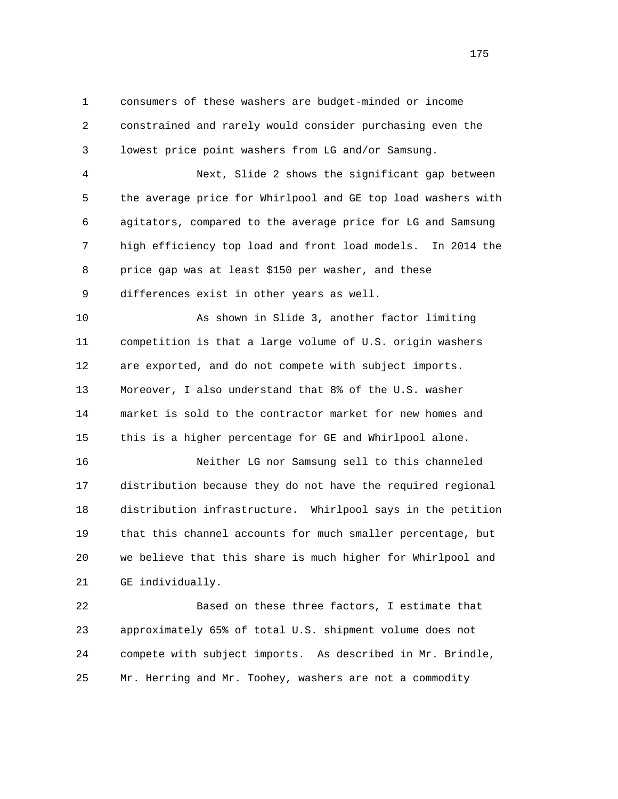1 consumers of these washers are budget-minded or income 2 constrained and rarely would consider purchasing even the 3 lowest price point washers from LG and/or Samsung.

 4 Next, Slide 2 shows the significant gap between 5 the average price for Whirlpool and GE top load washers with 6 agitators, compared to the average price for LG and Samsung 7 high efficiency top load and front load models. In 2014 the 8 price gap was at least \$150 per washer, and these 9 differences exist in other years as well.

 10 As shown in Slide 3, another factor limiting 11 competition is that a large volume of U.S. origin washers 12 are exported, and do not compete with subject imports. 13 Moreover, I also understand that 8% of the U.S. washer 14 market is sold to the contractor market for new homes and 15 this is a higher percentage for GE and Whirlpool alone.

 16 Neither LG nor Samsung sell to this channeled 17 distribution because they do not have the required regional 18 distribution infrastructure. Whirlpool says in the petition 19 that this channel accounts for much smaller percentage, but 20 we believe that this share is much higher for Whirlpool and 21 GE individually.

 22 Based on these three factors, I estimate that 23 approximately 65% of total U.S. shipment volume does not 24 compete with subject imports. As described in Mr. Brindle, 25 Mr. Herring and Mr. Toohey, washers are not a commodity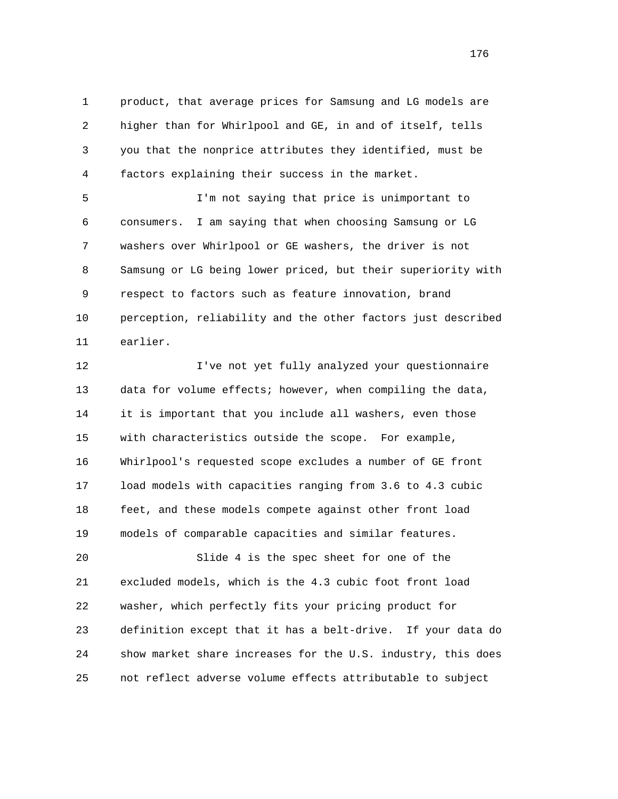1 product, that average prices for Samsung and LG models are 2 higher than for Whirlpool and GE, in and of itself, tells 3 you that the nonprice attributes they identified, must be 4 factors explaining their success in the market.

 5 I'm not saying that price is unimportant to 6 consumers. I am saying that when choosing Samsung or LG 7 washers over Whirlpool or GE washers, the driver is not 8 Samsung or LG being lower priced, but their superiority with 9 respect to factors such as feature innovation, brand 10 perception, reliability and the other factors just described 11 earlier.

 12 I've not yet fully analyzed your questionnaire 13 data for volume effects; however, when compiling the data, 14 it is important that you include all washers, even those 15 with characteristics outside the scope. For example, 16 Whirlpool's requested scope excludes a number of GE front 17 load models with capacities ranging from 3.6 to 4.3 cubic 18 feet, and these models compete against other front load 19 models of comparable capacities and similar features.

 20 Slide 4 is the spec sheet for one of the 21 excluded models, which is the 4.3 cubic foot front load 22 washer, which perfectly fits your pricing product for 23 definition except that it has a belt-drive. If your data do 24 show market share increases for the U.S. industry, this does 25 not reflect adverse volume effects attributable to subject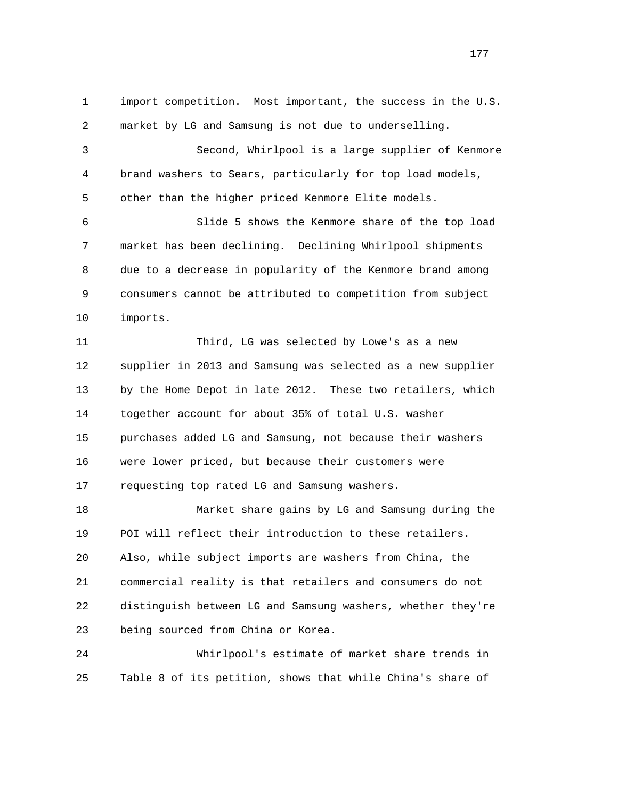1 import competition. Most important, the success in the U.S. 2 market by LG and Samsung is not due to underselling. 3 Second, Whirlpool is a large supplier of Kenmore 4 brand washers to Sears, particularly for top load models, 5 other than the higher priced Kenmore Elite models. 6 Slide 5 shows the Kenmore share of the top load 7 market has been declining. Declining Whirlpool shipments 8 due to a decrease in popularity of the Kenmore brand among 9 consumers cannot be attributed to competition from subject 10 imports. 11 Third, LG was selected by Lowe's as a new 12 supplier in 2013 and Samsung was selected as a new supplier 13 by the Home Depot in late 2012. These two retailers, which 14 together account for about 35% of total U.S. washer 15 purchases added LG and Samsung, not because their washers 16 were lower priced, but because their customers were 17 requesting top rated LG and Samsung washers. 18 Market share gains by LG and Samsung during the 19 POI will reflect their introduction to these retailers. 20 Also, while subject imports are washers from China, the 21 commercial reality is that retailers and consumers do not 22 distinguish between LG and Samsung washers, whether they're 23 being sourced from China or Korea. 24 Whirlpool's estimate of market share trends in

25 Table 8 of its petition, shows that while China's share of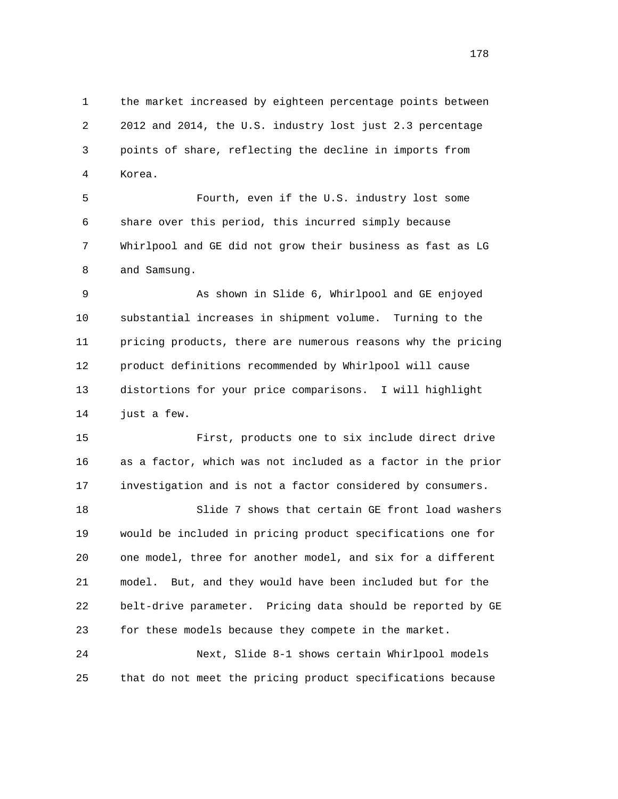1 the market increased by eighteen percentage points between 2 2012 and 2014, the U.S. industry lost just 2.3 percentage 3 points of share, reflecting the decline in imports from 4 Korea.

 5 Fourth, even if the U.S. industry lost some 6 share over this period, this incurred simply because 7 Whirlpool and GE did not grow their business as fast as LG 8 and Samsung.

 9 As shown in Slide 6, Whirlpool and GE enjoyed 10 substantial increases in shipment volume. Turning to the 11 pricing products, there are numerous reasons why the pricing 12 product definitions recommended by Whirlpool will cause 13 distortions for your price comparisons. I will highlight 14 just a few.

 15 First, products one to six include direct drive 16 as a factor, which was not included as a factor in the prior 17 investigation and is not a factor considered by consumers.

 18 Slide 7 shows that certain GE front load washers 19 would be included in pricing product specifications one for 20 one model, three for another model, and six for a different 21 model. But, and they would have been included but for the 22 belt-drive parameter. Pricing data should be reported by GE 23 for these models because they compete in the market. 24 Next, Slide 8-1 shows certain Whirlpool models

25 that do not meet the pricing product specifications because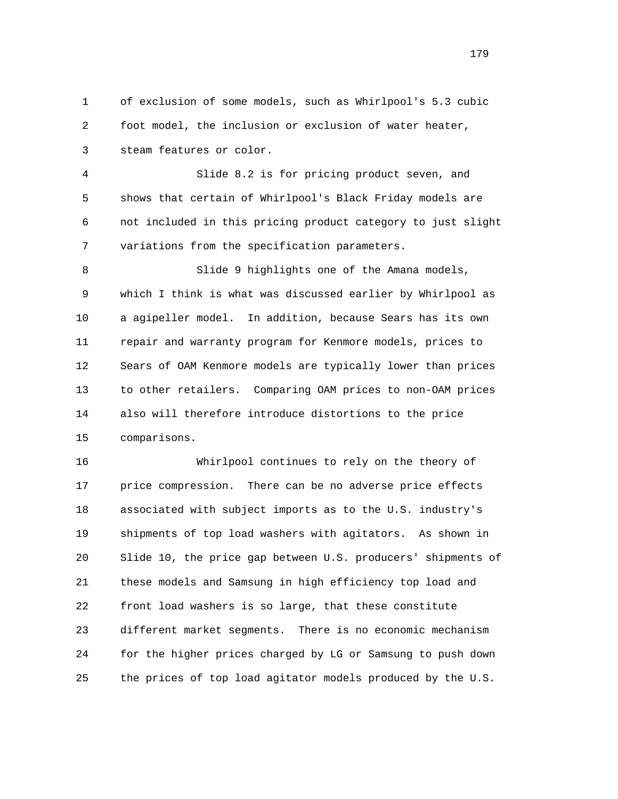1 of exclusion of some models, such as Whirlpool's 5.3 cubic 2 foot model, the inclusion or exclusion of water heater, 3 steam features or color.

 4 Slide 8.2 is for pricing product seven, and 5 shows that certain of Whirlpool's Black Friday models are 6 not included in this pricing product category to just slight 7 variations from the specification parameters.

 8 Slide 9 highlights one of the Amana models, 9 which I think is what was discussed earlier by Whirlpool as 10 a agipeller model. In addition, because Sears has its own 11 repair and warranty program for Kenmore models, prices to 12 Sears of OAM Kenmore models are typically lower than prices 13 to other retailers. Comparing OAM prices to non-OAM prices 14 also will therefore introduce distortions to the price 15 comparisons.

 16 Whirlpool continues to rely on the theory of 17 price compression. There can be no adverse price effects 18 associated with subject imports as to the U.S. industry's 19 shipments of top load washers with agitators. As shown in 20 Slide 10, the price gap between U.S. producers' shipments of 21 these models and Samsung in high efficiency top load and 22 front load washers is so large, that these constitute 23 different market segments. There is no economic mechanism 24 for the higher prices charged by LG or Samsung to push down 25 the prices of top load agitator models produced by the U.S.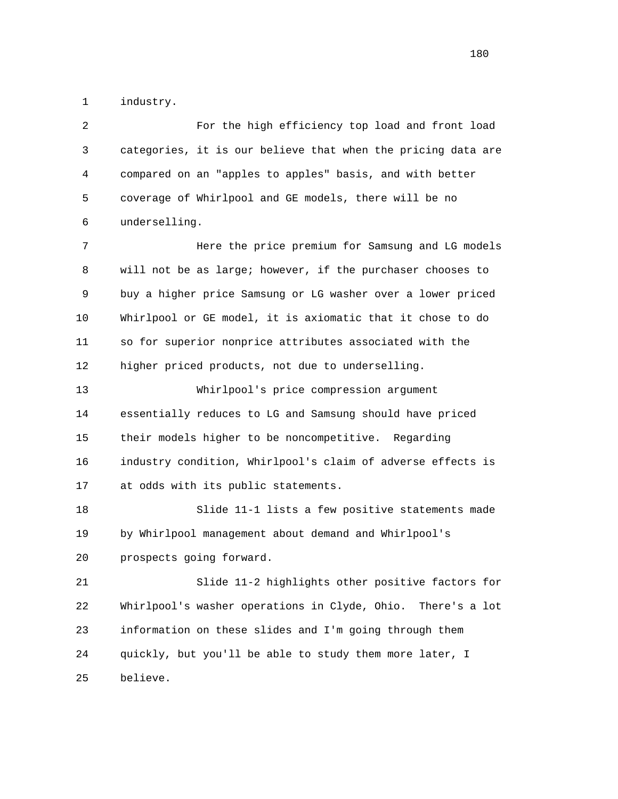1 industry.

| 2  | For the high efficiency top load and front load                |
|----|----------------------------------------------------------------|
| 3  | categories, it is our believe that when the pricing data are   |
| 4  | compared on an "apples to apples" basis, and with better       |
| 5  | coverage of Whirlpool and GE models, there will be no          |
| 6  | underselling.                                                  |
| 7  | Here the price premium for Samsung and LG models               |
| 8  | will not be as large; however, if the purchaser chooses to     |
| 9  | buy a higher price Samsung or LG washer over a lower priced    |
| 10 | Whirlpool or GE model, it is axiomatic that it chose to do     |
| 11 | so for superior nonprice attributes associated with the        |
| 12 | higher priced products, not due to underselling.               |
| 13 | Whirlpool's price compression argument                         |
| 14 | essentially reduces to LG and Samsung should have priced       |
| 15 | their models higher to be noncompetitive. Regarding            |
| 16 | industry condition, Whirlpool's claim of adverse effects is    |
| 17 | at odds with its public statements.                            |
| 18 | Slide 11-1 lists a few positive statements made                |
| 19 | by Whirlpool management about demand and Whirlpool's           |
| 20 | prospects going forward.                                       |
| 21 | Slide 11-2 highlights other positive factors for               |
| 22 | Whirlpool's washer operations in Clyde, Ohio.<br>There's a lot |
| 23 | information on these slides and I'm going through them         |
| 24 | quickly, but you'll be able to study them more later, I        |
| 25 | believe.                                                       |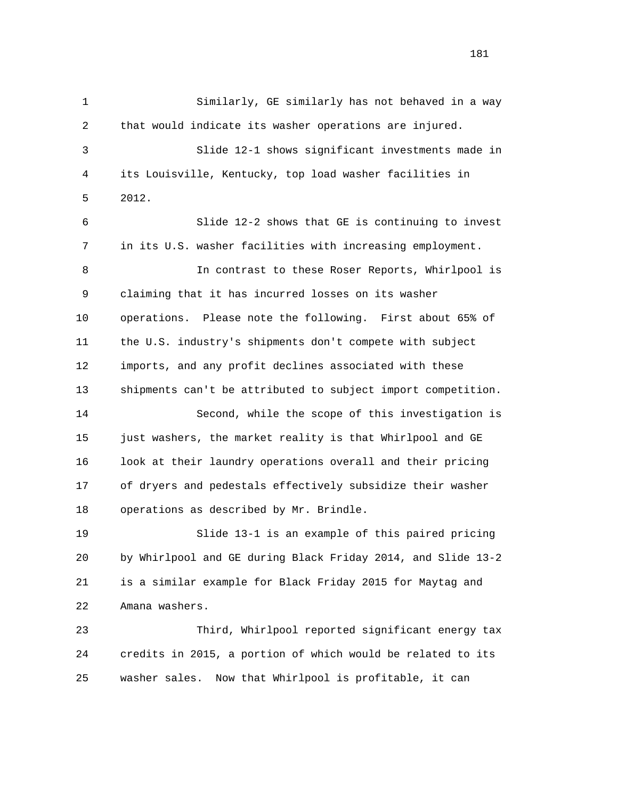1 Similarly, GE similarly has not behaved in a way 2 that would indicate its washer operations are injured. 3 Slide 12-1 shows significant investments made in 4 its Louisville, Kentucky, top load washer facilities in 5 2012. 6 Slide 12-2 shows that GE is continuing to invest 7 in its U.S. washer facilities with increasing employment. 8 In contrast to these Roser Reports, Whirlpool is 9 claiming that it has incurred losses on its washer 10 operations. Please note the following. First about 65% of 11 the U.S. industry's shipments don't compete with subject 12 imports, and any profit declines associated with these 13 shipments can't be attributed to subject import competition. 14 Second, while the scope of this investigation is 15 just washers, the market reality is that Whirlpool and GE 16 look at their laundry operations overall and their pricing 17 of dryers and pedestals effectively subsidize their washer 18 operations as described by Mr. Brindle. 19 Slide 13-1 is an example of this paired pricing 20 by Whirlpool and GE during Black Friday 2014, and Slide 13-2 21 is a similar example for Black Friday 2015 for Maytag and 22 Amana washers. 23 Third, Whirlpool reported significant energy tax 24 credits in 2015, a portion of which would be related to its 25 washer sales. Now that Whirlpool is profitable, it can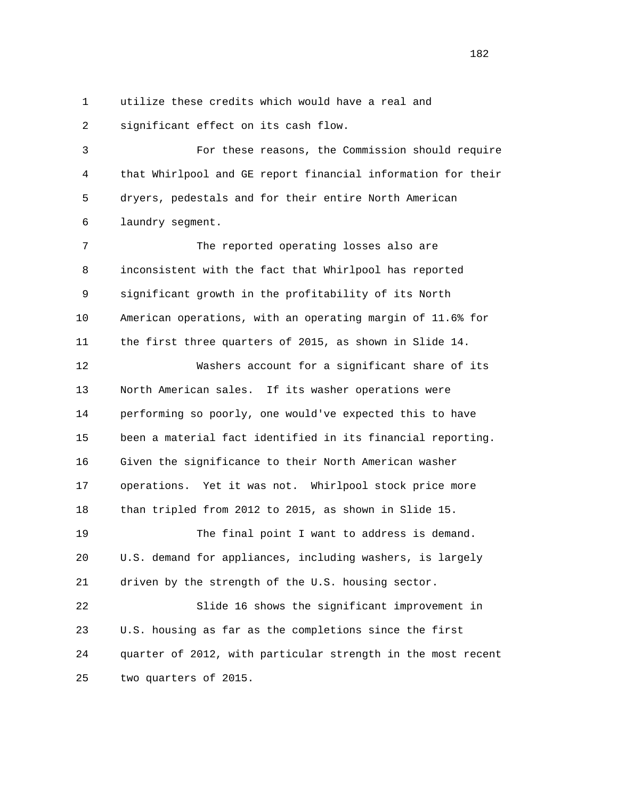1 utilize these credits which would have a real and

2 significant effect on its cash flow.

 3 For these reasons, the Commission should require 4 that Whirlpool and GE report financial information for their 5 dryers, pedestals and for their entire North American 6 laundry segment.

 7 The reported operating losses also are 8 inconsistent with the fact that Whirlpool has reported 9 significant growth in the profitability of its North 10 American operations, with an operating margin of 11.6% for 11 the first three quarters of 2015, as shown in Slide 14.

 12 Washers account for a significant share of its 13 North American sales. If its washer operations were 14 performing so poorly, one would've expected this to have 15 been a material fact identified in its financial reporting. 16 Given the significance to their North American washer 17 operations. Yet it was not. Whirlpool stock price more 18 than tripled from 2012 to 2015, as shown in Slide 15. 19 The final point I want to address is demand.

 20 U.S. demand for appliances, including washers, is largely 21 driven by the strength of the U.S. housing sector.

 22 Slide 16 shows the significant improvement in 23 U.S. housing as far as the completions since the first 24 quarter of 2012, with particular strength in the most recent 25 two quarters of 2015.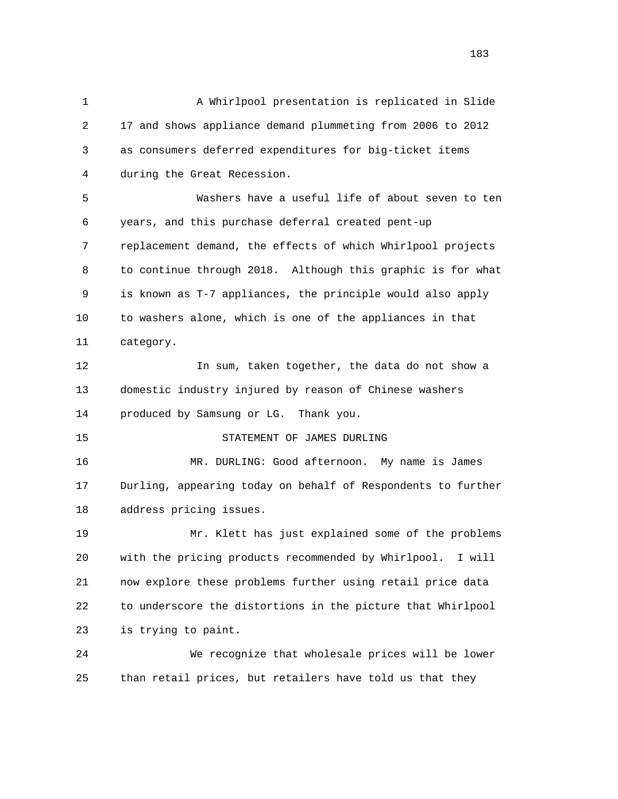1 A Whirlpool presentation is replicated in Slide 2 17 and shows appliance demand plummeting from 2006 to 2012 3 as consumers deferred expenditures for big-ticket items 4 during the Great Recession. 5 Washers have a useful life of about seven to ten 6 years, and this purchase deferral created pent-up 7 replacement demand, the effects of which Whirlpool projects 8 to continue through 2018. Although this graphic is for what 9 is known as T-7 appliances, the principle would also apply 10 to washers alone, which is one of the appliances in that 11 category. 12 In sum, taken together, the data do not show a 13 domestic industry injured by reason of Chinese washers 14 produced by Samsung or LG. Thank you. 15 STATEMENT OF JAMES DURLING 16 MR. DURLING: Good afternoon. My name is James 17 Durling, appearing today on behalf of Respondents to further 18 address pricing issues. 19 Mr. Klett has just explained some of the problems 20 with the pricing products recommended by Whirlpool. I will 21 now explore these problems further using retail price data 22 to underscore the distortions in the picture that Whirlpool 23 is trying to paint. 24 We recognize that wholesale prices will be lower 25 than retail prices, but retailers have told us that they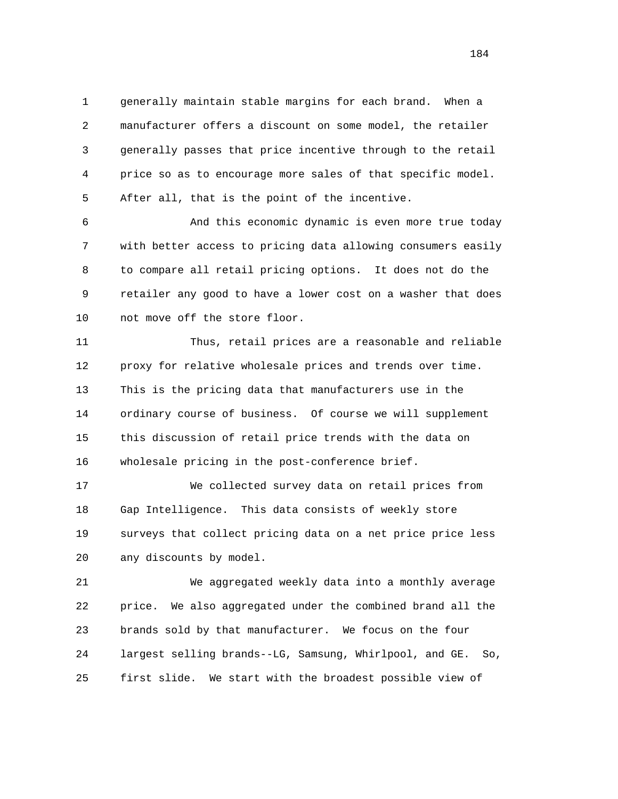1 generally maintain stable margins for each brand. When a 2 manufacturer offers a discount on some model, the retailer 3 generally passes that price incentive through to the retail 4 price so as to encourage more sales of that specific model. 5 After all, that is the point of the incentive.

 6 And this economic dynamic is even more true today 7 with better access to pricing data allowing consumers easily 8 to compare all retail pricing options. It does not do the 9 retailer any good to have a lower cost on a washer that does 10 not move off the store floor.

 11 Thus, retail prices are a reasonable and reliable 12 proxy for relative wholesale prices and trends over time. 13 This is the pricing data that manufacturers use in the 14 ordinary course of business. Of course we will supplement 15 this discussion of retail price trends with the data on 16 wholesale pricing in the post-conference brief.

 17 We collected survey data on retail prices from 18 Gap Intelligence. This data consists of weekly store 19 surveys that collect pricing data on a net price price less 20 any discounts by model.

 21 We aggregated weekly data into a monthly average 22 price. We also aggregated under the combined brand all the 23 brands sold by that manufacturer. We focus on the four 24 largest selling brands--LG, Samsung, Whirlpool, and GE. So, 25 first slide. We start with the broadest possible view of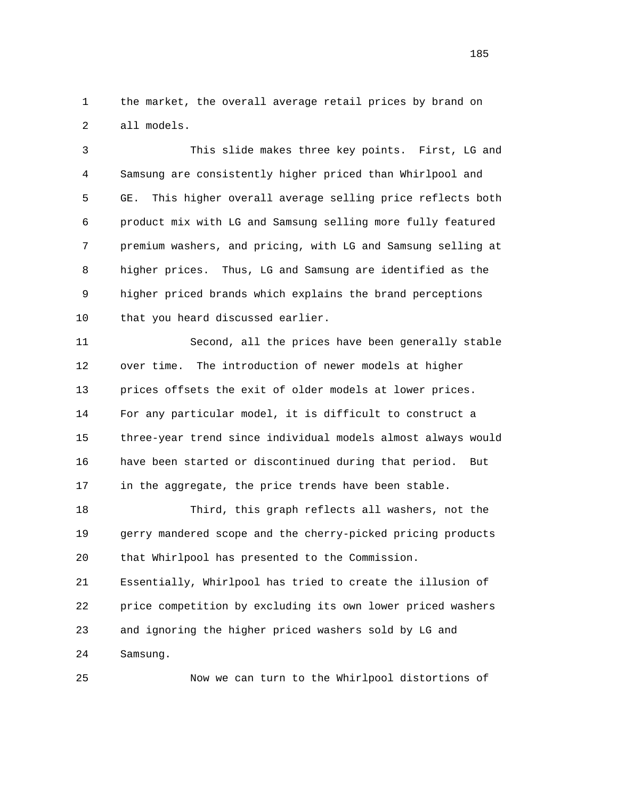1 the market, the overall average retail prices by brand on 2 all models.

 3 This slide makes three key points. First, LG and 4 Samsung are consistently higher priced than Whirlpool and 5 GE. This higher overall average selling price reflects both 6 product mix with LG and Samsung selling more fully featured 7 premium washers, and pricing, with LG and Samsung selling at 8 higher prices. Thus, LG and Samsung are identified as the 9 higher priced brands which explains the brand perceptions 10 that you heard discussed earlier.

 11 Second, all the prices have been generally stable 12 over time. The introduction of newer models at higher 13 prices offsets the exit of older models at lower prices. 14 For any particular model, it is difficult to construct a 15 three-year trend since individual models almost always would 16 have been started or discontinued during that period. But 17 in the aggregate, the price trends have been stable.

 18 Third, this graph reflects all washers, not the 19 gerry mandered scope and the cherry-picked pricing products 20 that Whirlpool has presented to the Commission.

 21 Essentially, Whirlpool has tried to create the illusion of 22 price competition by excluding its own lower priced washers 23 and ignoring the higher priced washers sold by LG and 24 Samsung.

25 Now we can turn to the Whirlpool distortions of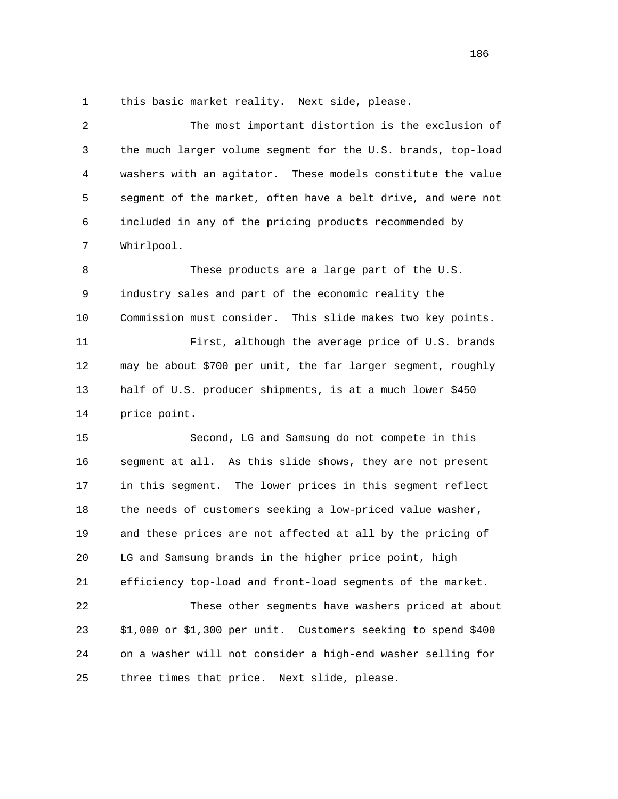1 this basic market reality. Next side, please.

| $\overline{2}$ | The most important distortion is the exclusion of             |
|----------------|---------------------------------------------------------------|
| 3              | the much larger volume segment for the U.S. brands, top-load  |
| 4              | washers with an agitator. These models constitute the value   |
| 5              | segment of the market, often have a belt drive, and were not  |
| 6              | included in any of the pricing products recommended by        |
| 7              | Whirlpool.                                                    |
| 8              | These products are a large part of the U.S.                   |
| 9              | industry sales and part of the economic reality the           |
| 10             | Commission must consider. This slide makes two key points.    |
| 11             | First, although the average price of U.S. brands              |
| 12             | may be about \$700 per unit, the far larger segment, roughly  |
| 13             | half of U.S. producer shipments, is at a much lower \$450     |
| 14             | price point.                                                  |
| 15             | Second, LG and Samsung do not compete in this                 |
| 16             | segment at all. As this slide shows, they are not present     |
| 17             | in this segment. The lower prices in this segment reflect     |
| 18             | the needs of customers seeking a low-priced value washer,     |
| 19             | and these prices are not affected at all by the pricing of    |
| 20             | LG and Samsung brands in the higher price point, high         |
| 21             | efficiency top-load and front-load segments of the market.    |
| 22             | These other segments have washers priced at about             |
| 23             | \$1,000 or \$1,300 per unit. Customers seeking to spend \$400 |
| 24             | on a washer will not consider a high-end washer selling for   |
| 25             | three times that price.<br>Next slide, please.                |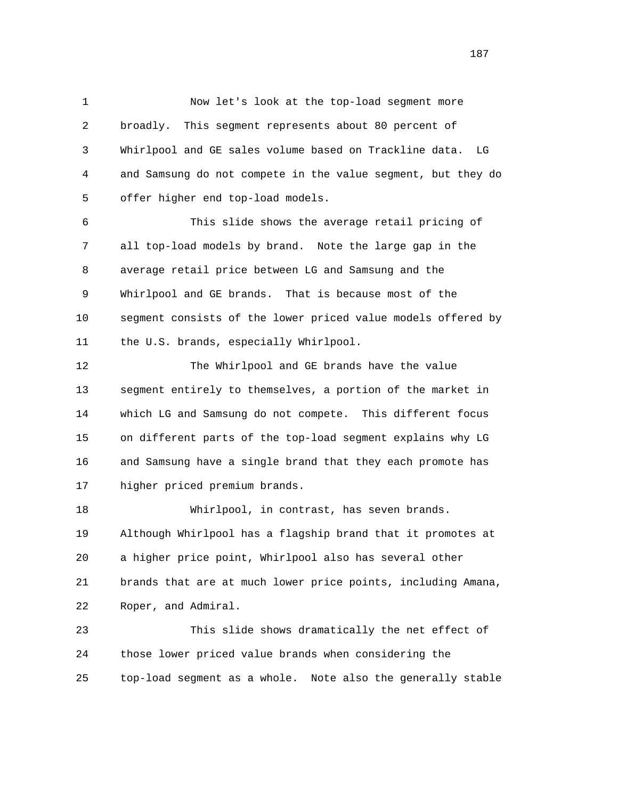1 Now let's look at the top-load segment more 2 broadly. This segment represents about 80 percent of 3 Whirlpool and GE sales volume based on Trackline data. LG 4 and Samsung do not compete in the value segment, but they do 5 offer higher end top-load models.

 6 This slide shows the average retail pricing of 7 all top-load models by brand. Note the large gap in the 8 average retail price between LG and Samsung and the 9 Whirlpool and GE brands. That is because most of the 10 segment consists of the lower priced value models offered by 11 the U.S. brands, especially Whirlpool.

 12 The Whirlpool and GE brands have the value 13 segment entirely to themselves, a portion of the market in 14 which LG and Samsung do not compete. This different focus 15 on different parts of the top-load segment explains why LG 16 and Samsung have a single brand that they each promote has 17 higher priced premium brands.

 18 Whirlpool, in contrast, has seven brands. 19 Although Whirlpool has a flagship brand that it promotes at 20 a higher price point, Whirlpool also has several other 21 brands that are at much lower price points, including Amana, 22 Roper, and Admiral.

 23 This slide shows dramatically the net effect of 24 those lower priced value brands when considering the 25 top-load segment as a whole. Note also the generally stable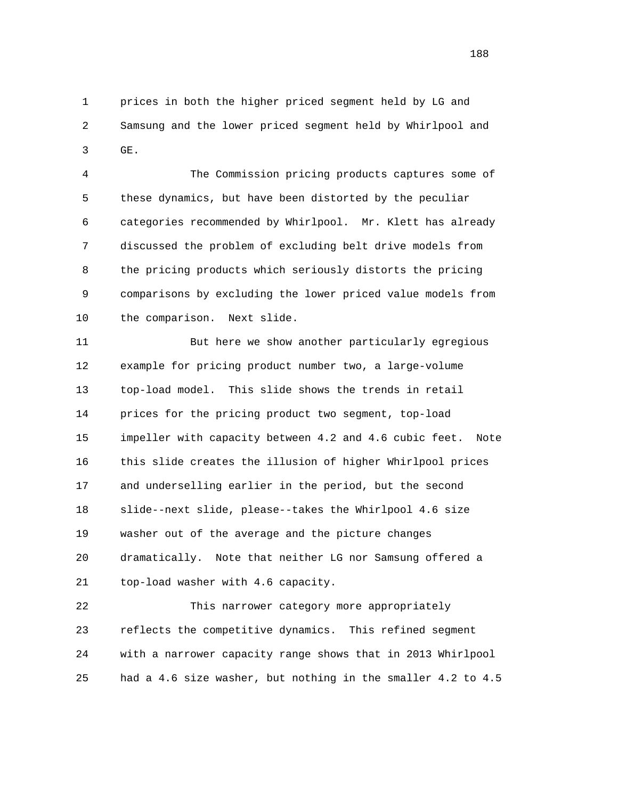1 prices in both the higher priced segment held by LG and 2 Samsung and the lower priced segment held by Whirlpool and 3 GE.

 4 The Commission pricing products captures some of 5 these dynamics, but have been distorted by the peculiar 6 categories recommended by Whirlpool. Mr. Klett has already 7 discussed the problem of excluding belt drive models from 8 the pricing products which seriously distorts the pricing 9 comparisons by excluding the lower priced value models from 10 the comparison. Next slide.

 11 But here we show another particularly egregious 12 example for pricing product number two, a large-volume 13 top-load model. This slide shows the trends in retail 14 prices for the pricing product two segment, top-load 15 impeller with capacity between 4.2 and 4.6 cubic feet. Note 16 this slide creates the illusion of higher Whirlpool prices 17 and underselling earlier in the period, but the second 18 slide--next slide, please--takes the Whirlpool 4.6 size 19 washer out of the average and the picture changes 20 dramatically. Note that neither LG nor Samsung offered a 21 top-load washer with 4.6 capacity.

 22 This narrower category more appropriately 23 reflects the competitive dynamics. This refined segment 24 with a narrower capacity range shows that in 2013 Whirlpool 25 had a 4.6 size washer, but nothing in the smaller 4.2 to 4.5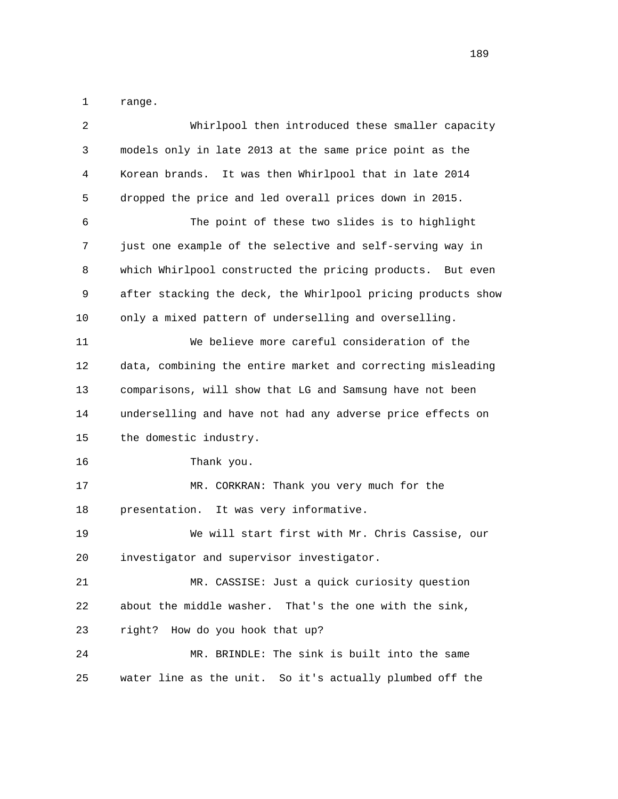1 range.

| 2  | Whirlpool then introduced these smaller capacity             |
|----|--------------------------------------------------------------|
| 3  | models only in late 2013 at the same price point as the      |
| 4  | Korean brands. It was then Whirlpool that in late 2014       |
| 5  | dropped the price and led overall prices down in 2015.       |
| 6  | The point of these two slides is to highlight                |
| 7  | just one example of the selective and self-serving way in    |
| 8  | which Whirlpool constructed the pricing products. But even   |
| 9  | after stacking the deck, the Whirlpool pricing products show |
| 10 | only a mixed pattern of underselling and overselling.        |
| 11 | We believe more careful consideration of the                 |
| 12 | data, combining the entire market and correcting misleading  |
| 13 | comparisons, will show that LG and Samsung have not been     |
| 14 | underselling and have not had any adverse price effects on   |
| 15 | the domestic industry.                                       |
| 16 | Thank you.                                                   |
| 17 | MR. CORKRAN: Thank you very much for the                     |
| 18 | It was very informative.<br>presentation.                    |
| 19 | We will start first with Mr. Chris Cassise, our              |
| 20 | investigator and supervisor investigator.                    |
| 21 | MR. CASSISE: Just a quick curiosity question                 |
| 22 | about the middle washer. That's the one with the sink,       |
| 23 | How do you hook that up?<br>right?                           |
| 24 | MR. BRINDLE: The sink is built into the same                 |
| 25 | water line as the unit. So it's actually plumbed off the     |
|    |                                                              |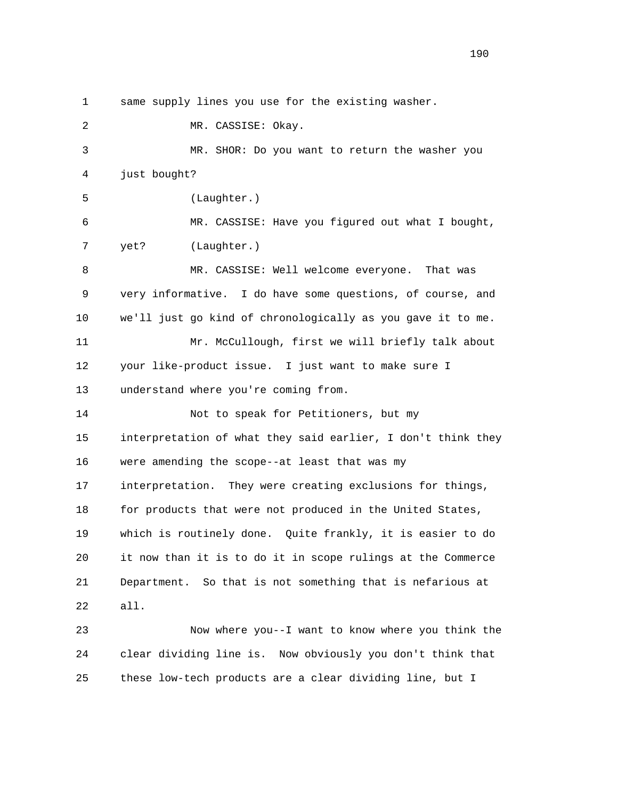1 same supply lines you use for the existing washer. 2 MR. CASSISE: Okay. 3 MR. SHOR: Do you want to return the washer you 4 just bought? 5 (Laughter.) 6 MR. CASSISE: Have you figured out what I bought, 7 yet? (Laughter.) 8 MR. CASSISE: Well welcome everyone. That was 9 very informative. I do have some questions, of course, and 10 we'll just go kind of chronologically as you gave it to me. 11 Mr. McCullough, first we will briefly talk about 12 your like-product issue. I just want to make sure I 13 understand where you're coming from. 14 Not to speak for Petitioners, but my 15 interpretation of what they said earlier, I don't think they 16 were amending the scope--at least that was my 17 interpretation. They were creating exclusions for things, 18 for products that were not produced in the United States, 19 which is routinely done. Quite frankly, it is easier to do 20 it now than it is to do it in scope rulings at the Commerce 21 Department. So that is not something that is nefarious at 22 all. 23 Now where you--I want to know where you think the 24 clear dividing line is. Now obviously you don't think that

25 these low-tech products are a clear dividing line, but I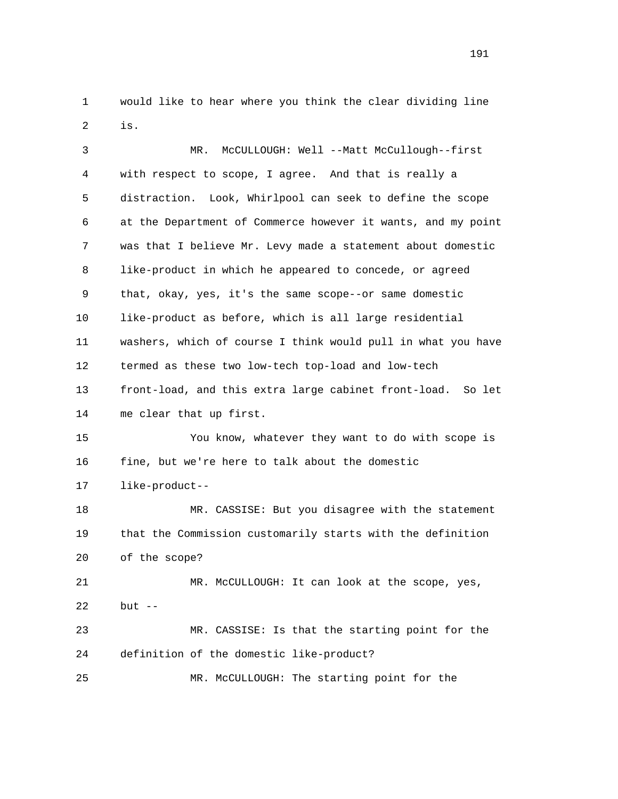1 would like to hear where you think the clear dividing line 2 is.

 3 MR. McCULLOUGH: Well --Matt McCullough--first 4 with respect to scope, I agree. And that is really a 5 distraction. Look, Whirlpool can seek to define the scope 6 at the Department of Commerce however it wants, and my point 7 was that I believe Mr. Levy made a statement about domestic 8 like-product in which he appeared to concede, or agreed 9 that, okay, yes, it's the same scope--or same domestic 10 like-product as before, which is all large residential 11 washers, which of course I think would pull in what you have 12 termed as these two low-tech top-load and low-tech 13 front-load, and this extra large cabinet front-load. So let 14 me clear that up first. 15 You know, whatever they want to do with scope is 16 fine, but we're here to talk about the domestic 17 like-product-- 18 MR. CASSISE: But you disagree with the statement 19 that the Commission customarily starts with the definition 20 of the scope? 21 MR. McCULLOUGH: It can look at the scope, yes, 22 but -- 23 MR. CASSISE: Is that the starting point for the 24 definition of the domestic like-product? 25 MR. McCULLOUGH: The starting point for the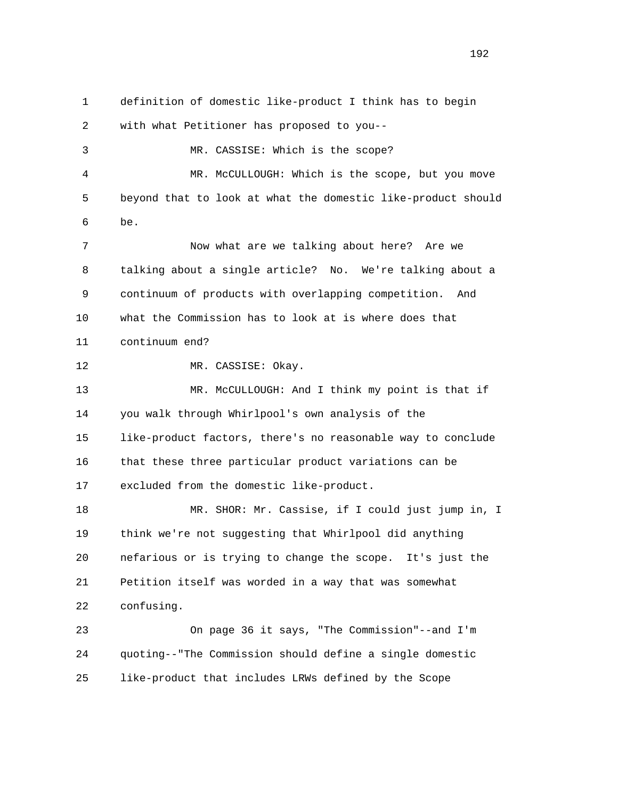1 definition of domestic like-product I think has to begin 2 with what Petitioner has proposed to you-- 3 MR. CASSISE: Which is the scope? 4 MR. McCULLOUGH: Which is the scope, but you move 5 beyond that to look at what the domestic like-product should 6 be. 7 Now what are we talking about here? Are we 8 talking about a single article? No. We're talking about a 9 continuum of products with overlapping competition. And 10 what the Commission has to look at is where does that 11 continuum end? 12 MR. CASSISE: Okay. 13 MR. McCULLOUGH: And I think my point is that if 14 you walk through Whirlpool's own analysis of the 15 like-product factors, there's no reasonable way to conclude 16 that these three particular product variations can be 17 excluded from the domestic like-product. 18 MR. SHOR: Mr. Cassise, if I could just jump in, I 19 think we're not suggesting that Whirlpool did anything 20 nefarious or is trying to change the scope. It's just the 21 Petition itself was worded in a way that was somewhat 22 confusing. 23 On page 36 it says, "The Commission"--and I'm 24 quoting--"The Commission should define a single domestic 25 like-product that includes LRWs defined by the Scope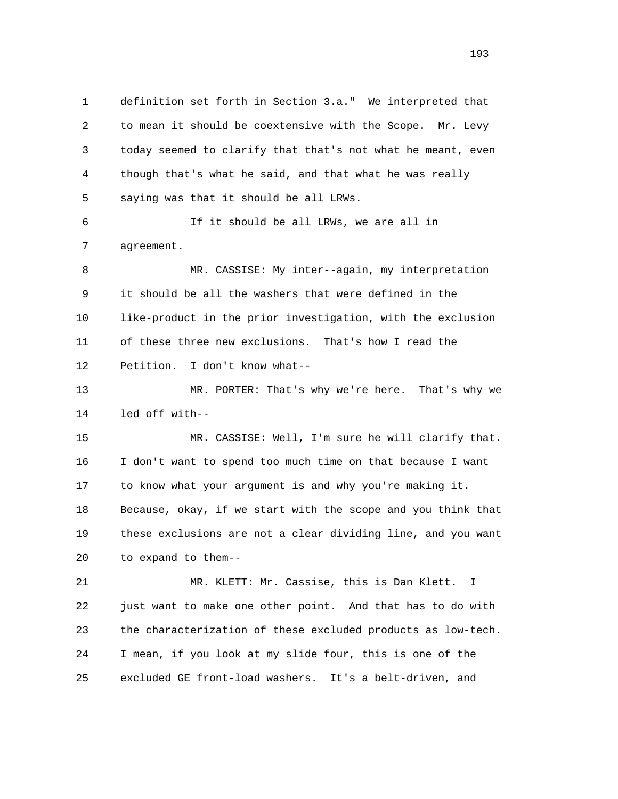1 definition set forth in Section 3.a." We interpreted that 2 to mean it should be coextensive with the Scope. Mr. Levy 3 today seemed to clarify that that's not what he meant, even 4 though that's what he said, and that what he was really 5 saying was that it should be all LRWs. 6 If it should be all LRWs, we are all in 7 agreement. 8 MR. CASSISE: My inter--again, my interpretation 9 it should be all the washers that were defined in the 10 like-product in the prior investigation, with the exclusion 11 of these three new exclusions. That's how I read the 12 Petition. I don't know what-- 13 MR. PORTER: That's why we're here. That's why we 14 led off with-- 15 MR. CASSISE: Well, I'm sure he will clarify that. 16 I don't want to spend too much time on that because I want 17 to know what your argument is and why you're making it. 18 Because, okay, if we start with the scope and you think that 19 these exclusions are not a clear dividing line, and you want 20 to expand to them-- 21 MR. KLETT: Mr. Cassise, this is Dan Klett. I 22 just want to make one other point. And that has to do with 23 the characterization of these excluded products as low-tech. 24 I mean, if you look at my slide four, this is one of the 25 excluded GE front-load washers. It's a belt-driven, and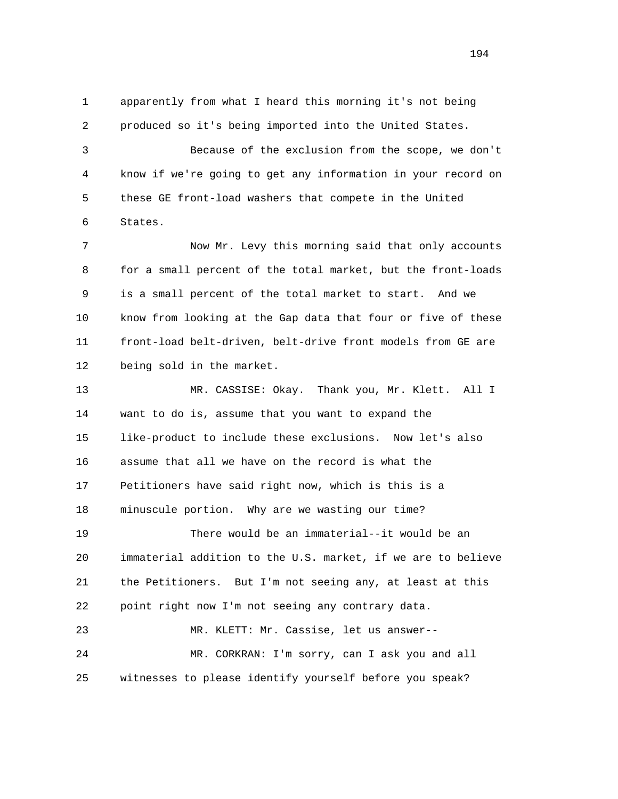1 apparently from what I heard this morning it's not being 2 produced so it's being imported into the United States.

 3 Because of the exclusion from the scope, we don't 4 know if we're going to get any information in your record on 5 these GE front-load washers that compete in the United 6 States.

 7 Now Mr. Levy this morning said that only accounts 8 for a small percent of the total market, but the front-loads 9 is a small percent of the total market to start. And we 10 know from looking at the Gap data that four or five of these 11 front-load belt-driven, belt-drive front models from GE are 12 being sold in the market.

 13 MR. CASSISE: Okay. Thank you, Mr. Klett. All I 14 want to do is, assume that you want to expand the 15 like-product to include these exclusions. Now let's also 16 assume that all we have on the record is what the 17 Petitioners have said right now, which is this is a 18 minuscule portion. Why are we wasting our time? 19 There would be an immaterial--it would be an 20 immaterial addition to the U.S. market, if we are to believe 21 the Petitioners. But I'm not seeing any, at least at this 22 point right now I'm not seeing any contrary data. 23 MR. KLETT: Mr. Cassise, let us answer--

 24 MR. CORKRAN: I'm sorry, can I ask you and all 25 witnesses to please identify yourself before you speak?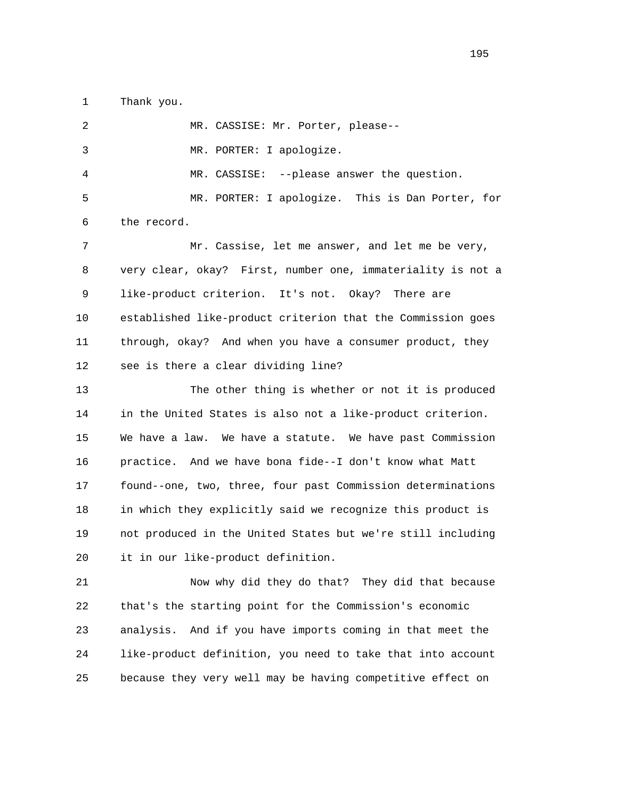1 Thank you.

 2 MR. CASSISE: Mr. Porter, please-- 3 MR. PORTER: I apologize. 4 MR. CASSISE: --please answer the question. 5 MR. PORTER: I apologize. This is Dan Porter, for 6 the record. 7 Mr. Cassise, let me answer, and let me be very, 8 very clear, okay? First, number one, immateriality is not a 9 like-product criterion. It's not. Okay? There are 10 established like-product criterion that the Commission goes 11 through, okay? And when you have a consumer product, they 12 see is there a clear dividing line? 13 The other thing is whether or not it is produced 14 in the United States is also not a like-product criterion. 15 We have a law. We have a statute. We have past Commission 16 practice. And we have bona fide--I don't know what Matt 17 found--one, two, three, four past Commission determinations 18 in which they explicitly said we recognize this product is 19 not produced in the United States but we're still including 20 it in our like-product definition. 21 Now why did they do that? They did that because

 22 that's the starting point for the Commission's economic 23 analysis. And if you have imports coming in that meet the 24 like-product definition, you need to take that into account 25 because they very well may be having competitive effect on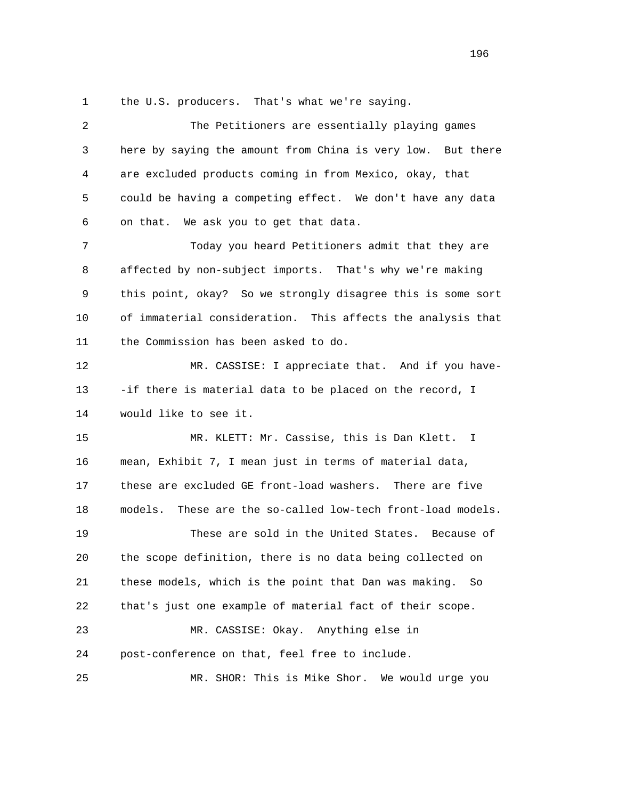1 the U.S. producers. That's what we're saying.

| 2  | The Petitioners are essentially playing games                  |
|----|----------------------------------------------------------------|
| 3  | here by saying the amount from China is very low. But there    |
| 4  | are excluded products coming in from Mexico, okay, that        |
| 5  | could be having a competing effect. We don't have any data     |
| 6  | on that. We ask you to get that data.                          |
| 7  | Today you heard Petitioners admit that they are                |
| 8  | affected by non-subject imports. That's why we're making       |
| 9  | this point, okay? So we strongly disagree this is some sort    |
| 10 | of immaterial consideration. This affects the analysis that    |
| 11 | the Commission has been asked to do.                           |
| 12 | MR. CASSISE: I appreciate that. And if you have-               |
| 13 | -if there is material data to be placed on the record, I       |
| 14 | would like to see it.                                          |
| 15 | MR. KLETT: Mr. Cassise, this is Dan Klett. I                   |
| 16 | mean, Exhibit 7, I mean just in terms of material data,        |
| 17 | these are excluded GE front-load washers.<br>There are five    |
| 18 | models.<br>These are the so-called low-tech front-load models. |
| 19 | These are sold in the United States. Because of                |
| 20 | the scope definition, there is no data being collected on      |
| 21 | these models, which is the point that Dan was making.<br>So    |
| 22 | that's just one example of material fact of their scope.       |
| 23 | MR. CASSISE: Okay. Anything else in                            |
| 24 | post-conference on that, feel free to include.                 |
| 25 | SHOR: This is Mike Shor.<br>We would urge you<br>MR.           |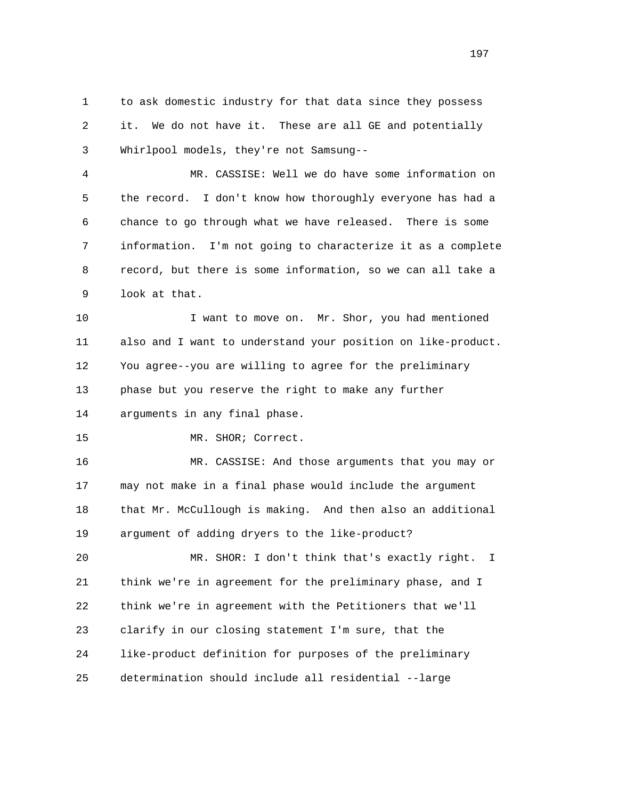1 to ask domestic industry for that data since they possess 2 it. We do not have it. These are all GE and potentially 3 Whirlpool models, they're not Samsung--

 4 MR. CASSISE: Well we do have some information on 5 the record. I don't know how thoroughly everyone has had a 6 chance to go through what we have released. There is some 7 information. I'm not going to characterize it as a complete 8 record, but there is some information, so we can all take a 9 look at that.

 10 I want to move on. Mr. Shor, you had mentioned 11 also and I want to understand your position on like-product. 12 You agree--you are willing to agree for the preliminary 13 phase but you reserve the right to make any further 14 arguments in any final phase.

15 MR. SHOR; Correct.

 16 MR. CASSISE: And those arguments that you may or 17 may not make in a final phase would include the argument 18 that Mr. McCullough is making. And then also an additional 19 argument of adding dryers to the like-product?

 20 MR. SHOR: I don't think that's exactly right. I 21 think we're in agreement for the preliminary phase, and I 22 think we're in agreement with the Petitioners that we'll 23 clarify in our closing statement I'm sure, that the 24 like-product definition for purposes of the preliminary 25 determination should include all residential --large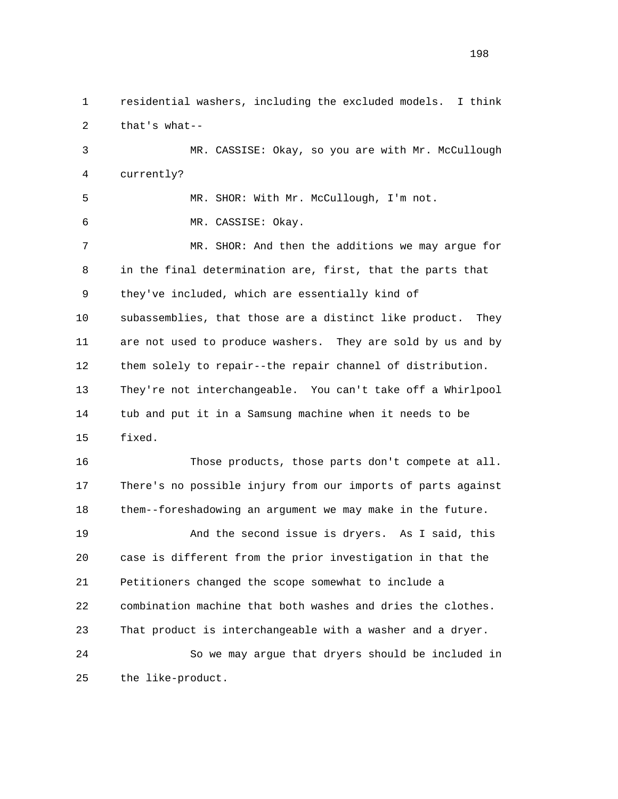1 residential washers, including the excluded models. I think 2 that's what--

 3 MR. CASSISE: Okay, so you are with Mr. McCullough 4 currently?

 5 MR. SHOR: With Mr. McCullough, I'm not. 6 MR. CASSISE: Okay.

 7 MR. SHOR: And then the additions we may argue for 8 in the final determination are, first, that the parts that 9 they've included, which are essentially kind of 10 subassemblies, that those are a distinct like product. They 11 are not used to produce washers. They are sold by us and by 12 them solely to repair--the repair channel of distribution. 13 They're not interchangeable. You can't take off a Whirlpool 14 tub and put it in a Samsung machine when it needs to be 15 fixed.

 16 Those products, those parts don't compete at all. 17 There's no possible injury from our imports of parts against 18 them--foreshadowing an argument we may make in the future. 19 And the second issue is dryers. As I said, this 20 case is different from the prior investigation in that the 21 Petitioners changed the scope somewhat to include a 22 combination machine that both washes and dries the clothes. 23 That product is interchangeable with a washer and a dryer. 24 So we may argue that dryers should be included in 25 the like-product.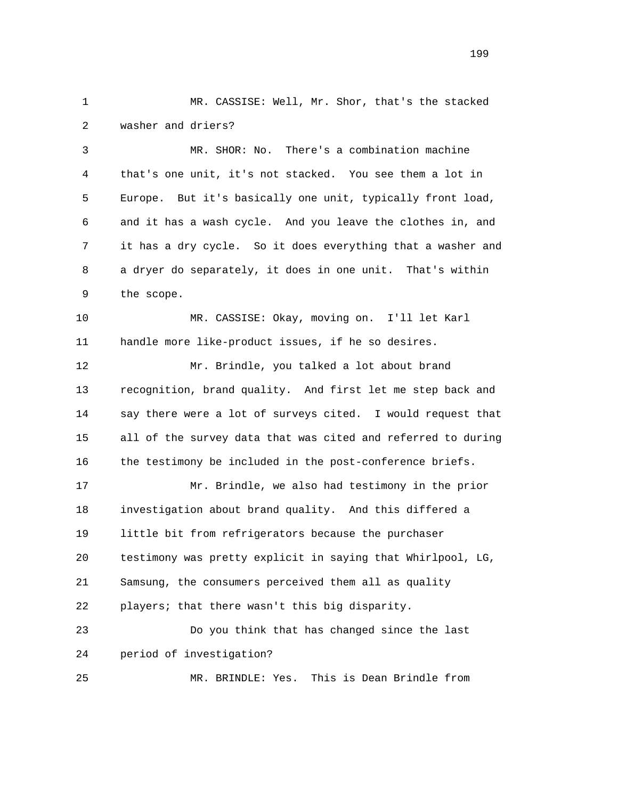1 MR. CASSISE: Well, Mr. Shor, that's the stacked 2 washer and driers?

 3 MR. SHOR: No. There's a combination machine 4 that's one unit, it's not stacked. You see them a lot in 5 Europe. But it's basically one unit, typically front load, 6 and it has a wash cycle. And you leave the clothes in, and 7 it has a dry cycle. So it does everything that a washer and 8 a dryer do separately, it does in one unit. That's within 9 the scope.

 10 MR. CASSISE: Okay, moving on. I'll let Karl 11 handle more like-product issues, if he so desires.

 12 Mr. Brindle, you talked a lot about brand 13 recognition, brand quality. And first let me step back and 14 say there were a lot of surveys cited. I would request that 15 all of the survey data that was cited and referred to during 16 the testimony be included in the post-conference briefs.

 17 Mr. Brindle, we also had testimony in the prior 18 investigation about brand quality. And this differed a 19 little bit from refrigerators because the purchaser 20 testimony was pretty explicit in saying that Whirlpool, LG, 21 Samsung, the consumers perceived them all as quality 22 players; that there wasn't this big disparity. 23 Do you think that has changed since the last

24 period of investigation?

25 MR. BRINDLE: Yes. This is Dean Brindle from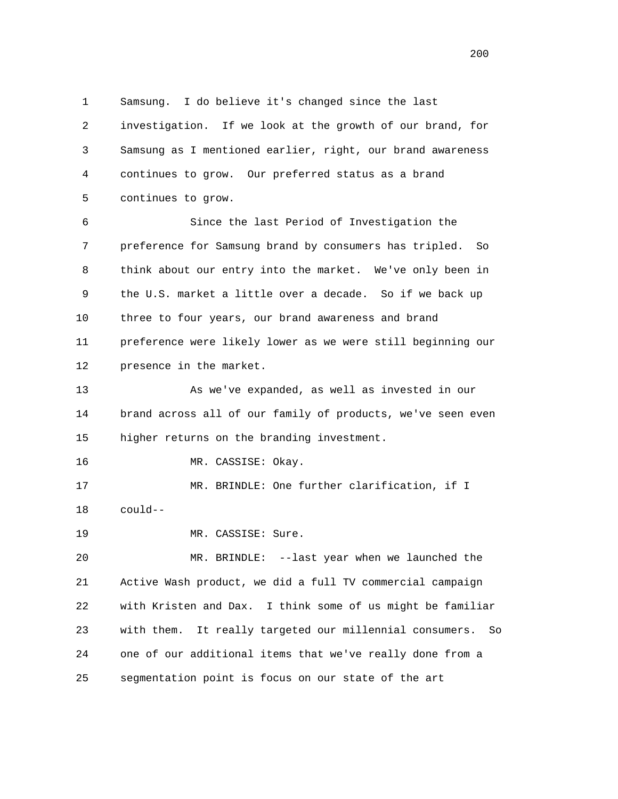1 Samsung. I do believe it's changed since the last 2 investigation. If we look at the growth of our brand, for 3 Samsung as I mentioned earlier, right, our brand awareness 4 continues to grow. Our preferred status as a brand 5 continues to grow. 6 Since the last Period of Investigation the 7 preference for Samsung brand by consumers has tripled. So 8 think about our entry into the market. We've only been in 9 the U.S. market a little over a decade. So if we back up 10 three to four years, our brand awareness and brand 11 preference were likely lower as we were still beginning our 12 presence in the market. 13 As we've expanded, as well as invested in our 14 brand across all of our family of products, we've seen even 15 higher returns on the branding investment. 16 MR. CASSISE: Okay.

 17 MR. BRINDLE: One further clarification, if I 18 could--

19 MR. CASSISE: Sure.

 20 MR. BRINDLE: --last year when we launched the 21 Active Wash product, we did a full TV commercial campaign 22 with Kristen and Dax. I think some of us might be familiar 23 with them. It really targeted our millennial consumers. So 24 one of our additional items that we've really done from a 25 segmentation point is focus on our state of the art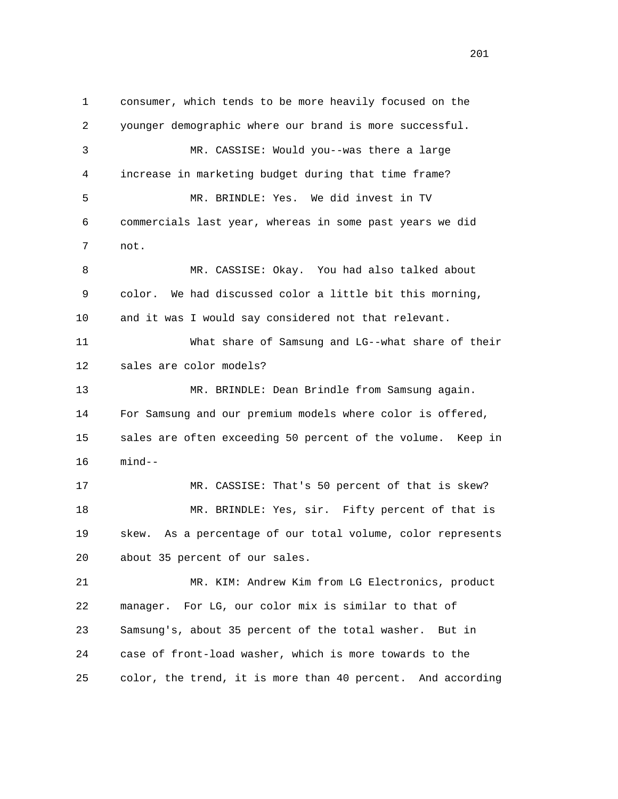1 consumer, which tends to be more heavily focused on the 2 younger demographic where our brand is more successful. 3 MR. CASSISE: Would you--was there a large 4 increase in marketing budget during that time frame? 5 MR. BRINDLE: Yes. We did invest in TV 6 commercials last year, whereas in some past years we did 7 not. 8 MR. CASSISE: Okay. You had also talked about 9 color. We had discussed color a little bit this morning, 10 and it was I would say considered not that relevant. 11 What share of Samsung and LG--what share of their 12 sales are color models? 13 MR. BRINDLE: Dean Brindle from Samsung again. 14 For Samsung and our premium models where color is offered, 15 sales are often exceeding 50 percent of the volume. Keep in 16 mind-- 17 MR. CASSISE: That's 50 percent of that is skew? 18 MR. BRINDLE: Yes, sir. Fifty percent of that is 19 skew. As a percentage of our total volume, color represents 20 about 35 percent of our sales. 21 MR. KIM: Andrew Kim from LG Electronics, product 22 manager. For LG, our color mix is similar to that of 23 Samsung's, about 35 percent of the total washer. But in 24 case of front-load washer, which is more towards to the 25 color, the trend, it is more than 40 percent. And according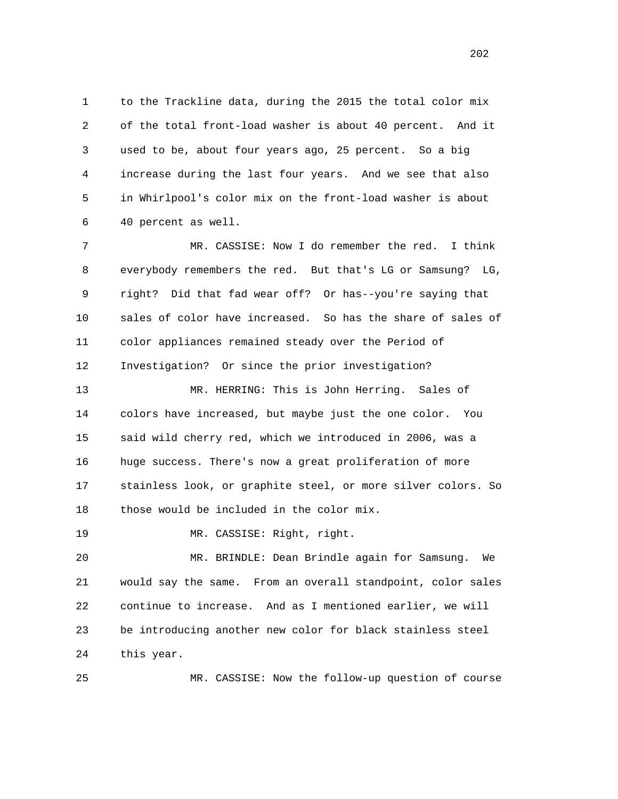1 to the Trackline data, during the 2015 the total color mix 2 of the total front-load washer is about 40 percent. And it 3 used to be, about four years ago, 25 percent. So a big 4 increase during the last four years. And we see that also 5 in Whirlpool's color mix on the front-load washer is about 6 40 percent as well.

 7 MR. CASSISE: Now I do remember the red. I think 8 everybody remembers the red. But that's LG or Samsung? LG, 9 right? Did that fad wear off? Or has--you're saying that 10 sales of color have increased. So has the share of sales of 11 color appliances remained steady over the Period of 12 Investigation? Or since the prior investigation?

 13 MR. HERRING: This is John Herring. Sales of 14 colors have increased, but maybe just the one color. You 15 said wild cherry red, which we introduced in 2006, was a 16 huge success. There's now a great proliferation of more 17 stainless look, or graphite steel, or more silver colors. So 18 those would be included in the color mix.

19 MR. CASSISE: Right, right.

 20 MR. BRINDLE: Dean Brindle again for Samsung. We 21 would say the same. From an overall standpoint, color sales 22 continue to increase. And as I mentioned earlier, we will 23 be introducing another new color for black stainless steel 24 this year.

25 MR. CASSISE: Now the follow-up question of course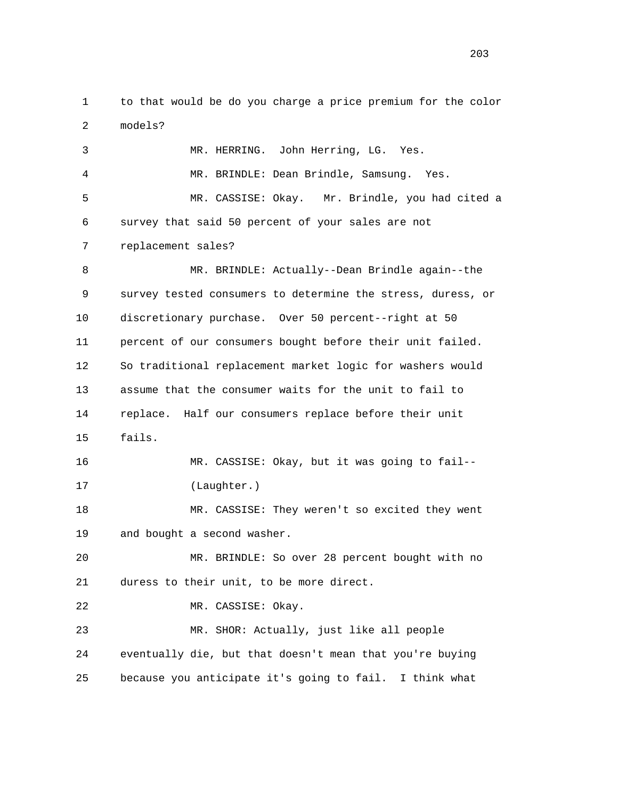1 to that would be do you charge a price premium for the color 2 models?

 3 MR. HERRING. John Herring, LG. Yes. 4 MR. BRINDLE: Dean Brindle, Samsung. Yes. 5 MR. CASSISE: Okay. Mr. Brindle, you had cited a 6 survey that said 50 percent of your sales are not 7 replacement sales? 8 MR. BRINDLE: Actually--Dean Brindle again--the 9 survey tested consumers to determine the stress, duress, or 10 discretionary purchase. Over 50 percent--right at 50 11 percent of our consumers bought before their unit failed. 12 So traditional replacement market logic for washers would 13 assume that the consumer waits for the unit to fail to 14 replace. Half our consumers replace before their unit 15 fails. 16 MR. CASSISE: Okay, but it was going to fail-- 17 (Laughter.) 18 MR. CASSISE: They weren't so excited they went 19 and bought a second washer. 20 MR. BRINDLE: So over 28 percent bought with no 21 duress to their unit, to be more direct. 22 MR. CASSISE: Okay. 23 MR. SHOR: Actually, just like all people 24 eventually die, but that doesn't mean that you're buying 25 because you anticipate it's going to fail. I think what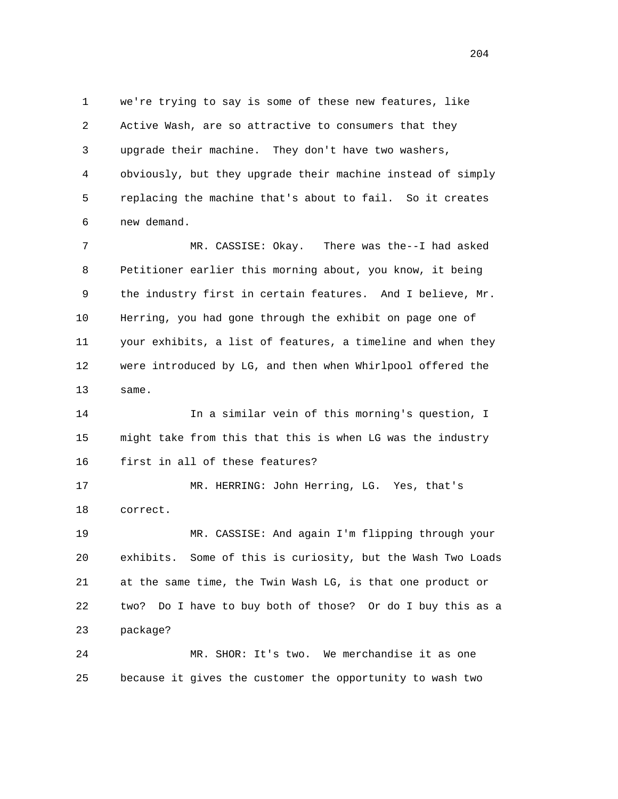1 we're trying to say is some of these new features, like 2 Active Wash, are so attractive to consumers that they 3 upgrade their machine. They don't have two washers, 4 obviously, but they upgrade their machine instead of simply 5 replacing the machine that's about to fail. So it creates 6 new demand.

 7 MR. CASSISE: Okay. There was the--I had asked 8 Petitioner earlier this morning about, you know, it being 9 the industry first in certain features. And I believe, Mr. 10 Herring, you had gone through the exhibit on page one of 11 your exhibits, a list of features, a timeline and when they 12 were introduced by LG, and then when Whirlpool offered the 13 same.

 14 In a similar vein of this morning's question, I 15 might take from this that this is when LG was the industry 16 first in all of these features?

 17 MR. HERRING: John Herring, LG. Yes, that's 18 correct.

 19 MR. CASSISE: And again I'm flipping through your 20 exhibits. Some of this is curiosity, but the Wash Two Loads 21 at the same time, the Twin Wash LG, is that one product or 22 two? Do I have to buy both of those? Or do I buy this as a 23 package?

 24 MR. SHOR: It's two. We merchandise it as one 25 because it gives the customer the opportunity to wash two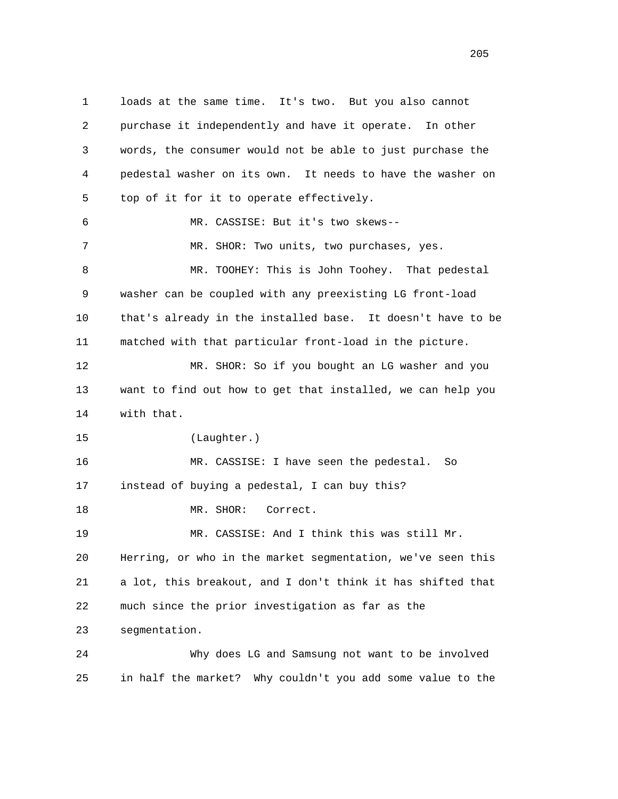1 loads at the same time. It's two. But you also cannot 2 purchase it independently and have it operate. In other 3 words, the consumer would not be able to just purchase the 4 pedestal washer on its own. It needs to have the washer on 5 top of it for it to operate effectively. 6 MR. CASSISE: But it's two skews-- 7 MR. SHOR: Two units, two purchases, yes. 8 MR. TOOHEY: This is John Toohey. That pedestal 9 washer can be coupled with any preexisting LG front-load 10 that's already in the installed base. It doesn't have to be 11 matched with that particular front-load in the picture. 12 MR. SHOR: So if you bought an LG washer and you 13 want to find out how to get that installed, we can help you 14 with that. 15 (Laughter.) 16 MR. CASSISE: I have seen the pedestal. So 17 instead of buying a pedestal, I can buy this? 18 MR. SHOR: Correct. 19 MR. CASSISE: And I think this was still Mr. 20 Herring, or who in the market segmentation, we've seen this 21 a lot, this breakout, and I don't think it has shifted that 22 much since the prior investigation as far as the 23 segmentation. 24 Why does LG and Samsung not want to be involved 25 in half the market? Why couldn't you add some value to the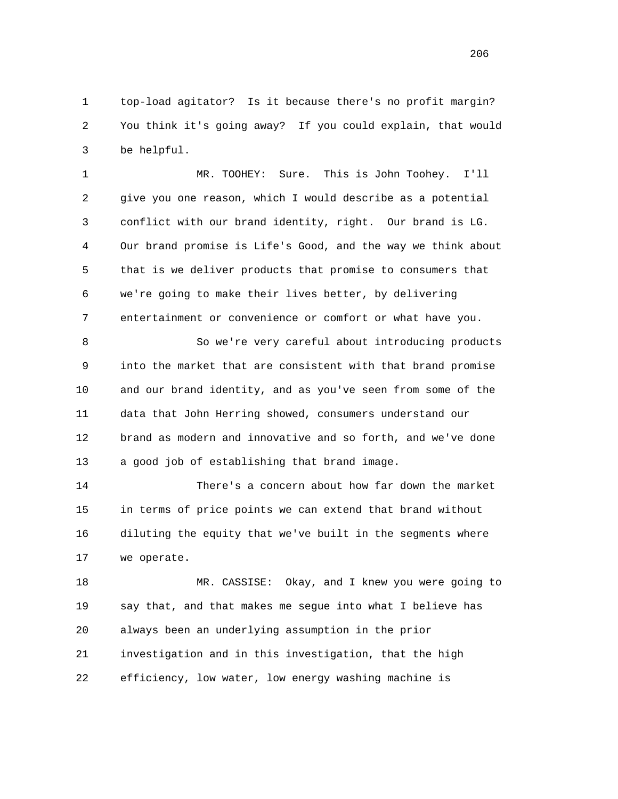1 top-load agitator? Is it because there's no profit margin? 2 You think it's going away? If you could explain, that would 3 be helpful.

 1 MR. TOOHEY: Sure. This is John Toohey. I'll 2 give you one reason, which I would describe as a potential 3 conflict with our brand identity, right. Our brand is LG. 4 Our brand promise is Life's Good, and the way we think about 5 that is we deliver products that promise to consumers that 6 we're going to make their lives better, by delivering 7 entertainment or convenience or comfort or what have you.

8 So we're very careful about introducing products 9 into the market that are consistent with that brand promise 10 and our brand identity, and as you've seen from some of the 11 data that John Herring showed, consumers understand our 12 brand as modern and innovative and so forth, and we've done 13 a good job of establishing that brand image.

 14 There's a concern about how far down the market 15 in terms of price points we can extend that brand without 16 diluting the equity that we've built in the segments where 17 we operate.

 18 MR. CASSISE: Okay, and I knew you were going to 19 say that, and that makes me segue into what I believe has 20 always been an underlying assumption in the prior 21 investigation and in this investigation, that the high 22 efficiency, low water, low energy washing machine is

<u>206</u>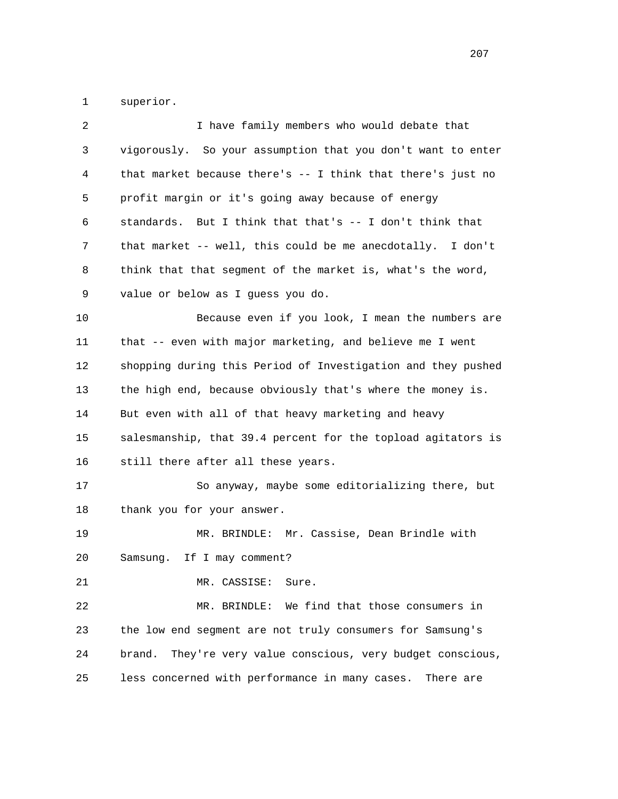1 superior.

| 2  | I have family members who would debate that                    |
|----|----------------------------------------------------------------|
| 3  | vigorously. So your assumption that you don't want to enter    |
| 4  | that market because there's -- I think that there's just no    |
| 5  | profit margin or it's going away because of energy             |
| 6  | standards. But I think that that's -- I don't think that       |
| 7  | that market -- well, this could be me anecdotally. I don't     |
| 8  | think that that segment of the market is, what's the word,     |
| 9  | value or below as I guess you do.                              |
| 10 | Because even if you look, I mean the numbers are               |
| 11 | that -- even with major marketing, and believe me I went       |
| 12 | shopping during this Period of Investigation and they pushed   |
| 13 | the high end, because obviously that's where the money is.     |
| 14 | But even with all of that heavy marketing and heavy            |
| 15 | salesmanship, that 39.4 percent for the topload agitators is   |
| 16 | still there after all these years.                             |
| 17 | So anyway, maybe some editorializing there, but                |
| 18 | thank you for your answer.                                     |
| 19 | MR. BRINDLE: Mr. Cassise, Dean Brindle with                    |
| 20 | If I may comment?<br>Samsung.                                  |
| 21 | MR. CASSISE:<br>Sure.                                          |
| 22 | We find that those consumers in<br>MR. BRINDLE:                |
| 23 | the low end segment are not truly consumers for Samsung's      |
| 24 | They're very value conscious, very budget conscious,<br>brand. |
| 25 | less concerned with performance in many cases.<br>There are    |
|    |                                                                |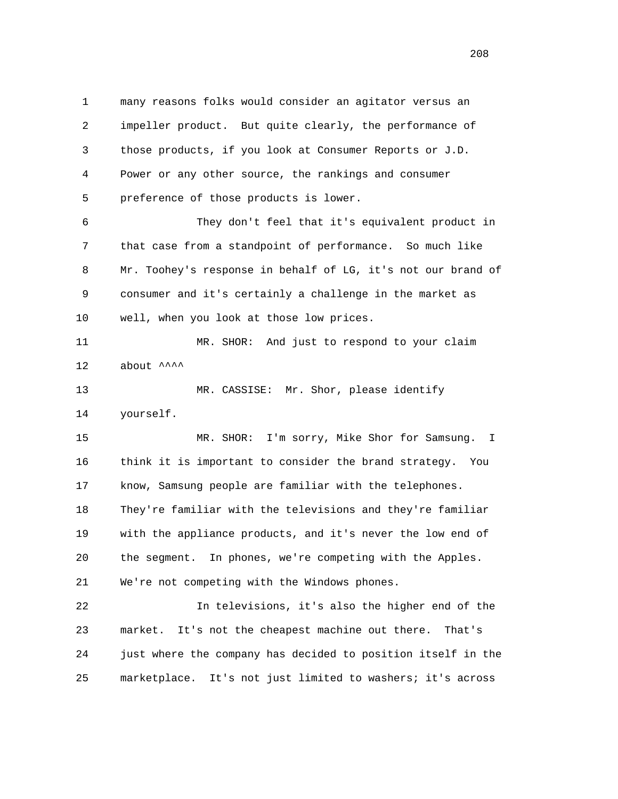1 many reasons folks would consider an agitator versus an 2 impeller product. But quite clearly, the performance of 3 those products, if you look at Consumer Reports or J.D. 4 Power or any other source, the rankings and consumer 5 preference of those products is lower. 6 They don't feel that it's equivalent product in 7 that case from a standpoint of performance. So much like 8 Mr. Toohey's response in behalf of LG, it's not our brand of 9 consumer and it's certainly a challenge in the market as 10 well, when you look at those low prices. 11 MR. SHOR: And just to respond to your claim 12 about  $\lambda$  13 MR. CASSISE: Mr. Shor, please identify 14 yourself. 15 MR. SHOR: I'm sorry, Mike Shor for Samsung. I 16 think it is important to consider the brand strategy. You 17 know, Samsung people are familiar with the telephones. 18 They're familiar with the televisions and they're familiar 19 with the appliance products, and it's never the low end of 20 the segment. In phones, we're competing with the Apples. 21 We're not competing with the Windows phones. 22 In televisions, it's also the higher end of the 23 market. It's not the cheapest machine out there. That's

24 just where the company has decided to position itself in the

25 marketplace. It's not just limited to washers; it's across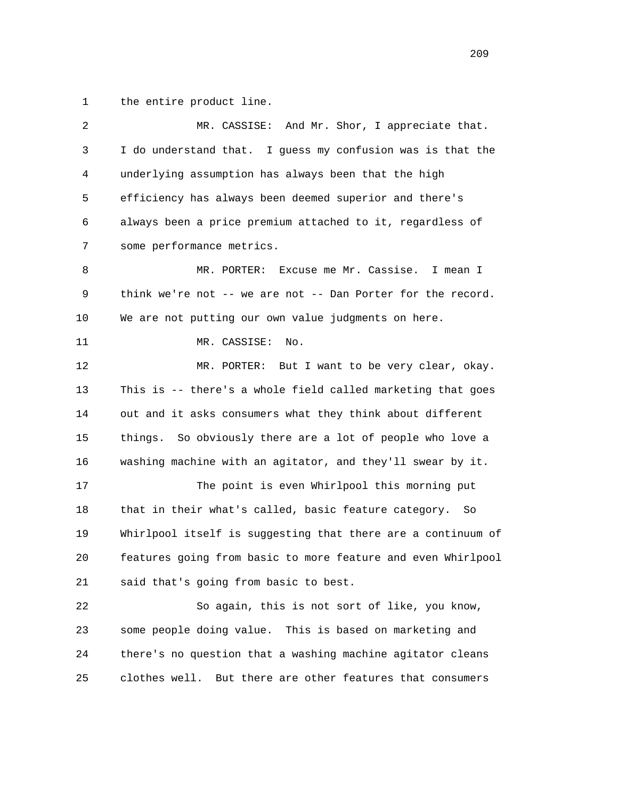1 the entire product line.

| 2  | MR. CASSISE: And Mr. Shor, I appreciate that.                |
|----|--------------------------------------------------------------|
| 3  | I do understand that. I guess my confusion was is that the   |
| 4  | underlying assumption has always been that the high          |
| 5  | efficiency has always been deemed superior and there's       |
| 6  | always been a price premium attached to it, regardless of    |
| 7  | some performance metrics.                                    |
| 8  | MR. PORTER:<br>Excuse me Mr. Cassise. I mean I               |
| 9  | think we're not -- we are not -- Dan Porter for the record.  |
| 10 | We are not putting our own value judgments on here.          |
| 11 | MR. CASSISE:<br>No.                                          |
| 12 | MR. PORTER: But I want to be very clear, okay.               |
| 13 | This is -- there's a whole field called marketing that goes  |
| 14 | out and it asks consumers what they think about different    |
| 15 | things. So obviously there are a lot of people who love a    |
| 16 | washing machine with an agitator, and they'll swear by it.   |
| 17 | The point is even Whirlpool this morning put                 |
| 18 | that in their what's called, basic feature category. So      |
| 19 | Whirlpool itself is suggesting that there are a continuum of |
| 20 | features going from basic to more feature and even Whirlpool |
| 21 | said that's going from basic to best.                        |
| 22 | So again, this is not sort of like, you know,                |
| 23 | some people doing value. This is based on marketing and      |
| 24 | there's no question that a washing machine agitator cleans   |
| 25 | clothes well.<br>But there are other features that consumers |
|    |                                                              |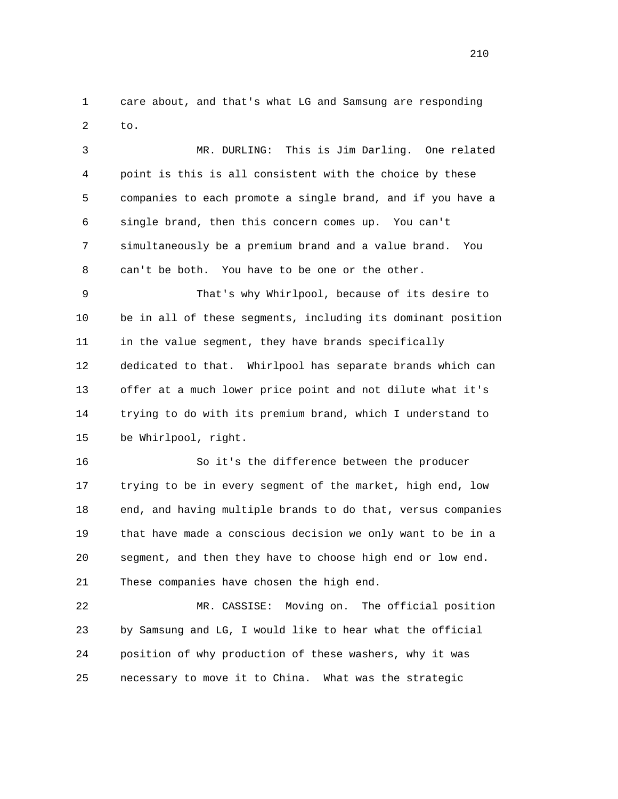1 care about, and that's what LG and Samsung are responding 2 to.

 3 MR. DURLING: This is Jim Darling. One related 4 point is this is all consistent with the choice by these 5 companies to each promote a single brand, and if you have a 6 single brand, then this concern comes up. You can't 7 simultaneously be a premium brand and a value brand. You 8 can't be both. You have to be one or the other.

 9 That's why Whirlpool, because of its desire to 10 be in all of these segments, including its dominant position 11 in the value segment, they have brands specifically 12 dedicated to that. Whirlpool has separate brands which can 13 offer at a much lower price point and not dilute what it's 14 trying to do with its premium brand, which I understand to 15 be Whirlpool, right.

 16 So it's the difference between the producer 17 trying to be in every segment of the market, high end, low 18 end, and having multiple brands to do that, versus companies 19 that have made a conscious decision we only want to be in a 20 segment, and then they have to choose high end or low end. 21 These companies have chosen the high end.

 22 MR. CASSISE: Moving on. The official position 23 by Samsung and LG, I would like to hear what the official 24 position of why production of these washers, why it was 25 necessary to move it to China. What was the strategic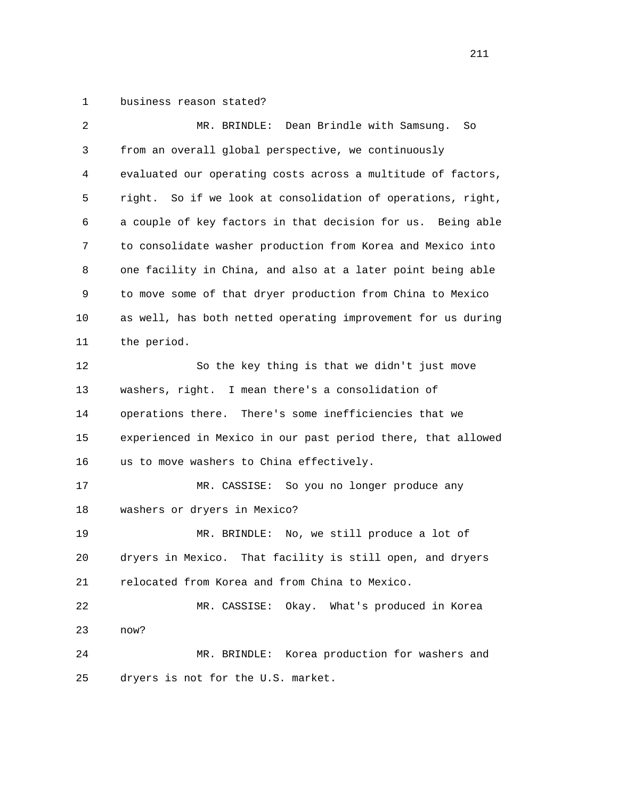1 business reason stated?

| 2  | Dean Brindle with Samsung.<br>MR. BRINDLE:<br>So             |
|----|--------------------------------------------------------------|
| 3  | from an overall global perspective, we continuously          |
| 4  | evaluated our operating costs across a multitude of factors, |
| 5  | right. So if we look at consolidation of operations, right,  |
| 6  | a couple of key factors in that decision for us. Being able  |
| 7  | to consolidate washer production from Korea and Mexico into  |
| 8  | one facility in China, and also at a later point being able  |
| 9  | to move some of that dryer production from China to Mexico   |
| 10 | as well, has both netted operating improvement for us during |
| 11 | the period.                                                  |
| 12 | So the key thing is that we didn't just move                 |
| 13 | washers, right. I mean there's a consolidation of            |
| 14 | operations there. There's some inefficiencies that we        |
| 15 | experienced in Mexico in our past period there, that allowed |
| 16 | us to move washers to China effectively.                     |
| 17 | MR. CASSISE: So you no longer produce any                    |
| 18 | washers or dryers in Mexico?                                 |
| 19 | MR. BRINDLE: No, we still produce a lot of                   |
| 20 | dryers in Mexico. That facility is still open, and dryers    |
| 21 | relocated from Korea and from China to Mexico.               |
| 22 | MR. CASSISE:<br>Okay. What's produced in Korea               |
| 23 | now?                                                         |
| 24 | Korea production for washers and<br>MR. BRINDLE:             |
| 25 | dryers is not for the U.S. market.                           |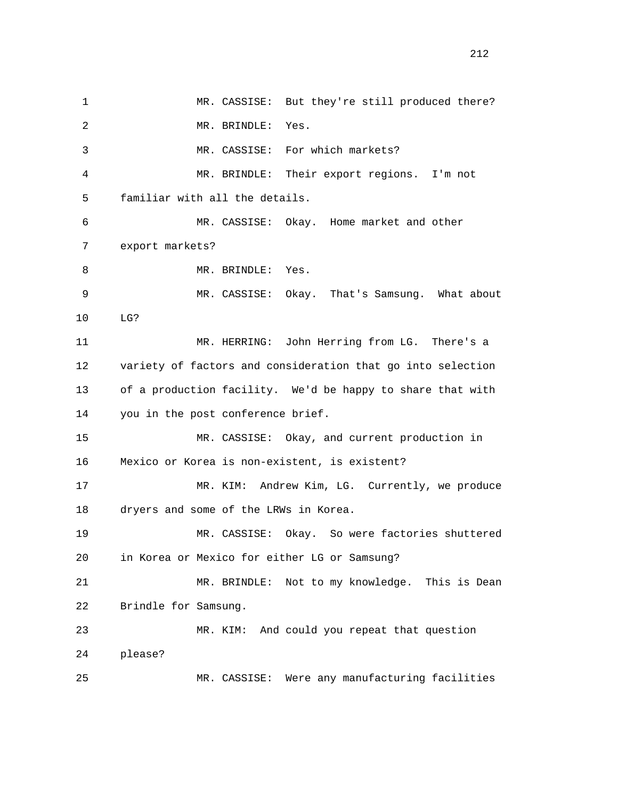1 MR. CASSISE: But they're still produced there? 2 MR. BRINDLE: Yes. 3 MR. CASSISE: For which markets? 4 MR. BRINDLE: Their export regions. I'm not 5 familiar with all the details. 6 MR. CASSISE: Okay. Home market and other 7 export markets? 8 MR. BRINDLE: Yes. 9 MR. CASSISE: Okay. That's Samsung. What about 10 LG? 11 MR. HERRING: John Herring from LG. There's a 12 variety of factors and consideration that go into selection 13 of a production facility. We'd be happy to share that with 14 you in the post conference brief. 15 MR. CASSISE: Okay, and current production in 16 Mexico or Korea is non-existent, is existent? 17 MR. KIM: Andrew Kim, LG. Currently, we produce 18 dryers and some of the LRWs in Korea. 19 MR. CASSISE: Okay. So were factories shuttered 20 in Korea or Mexico for either LG or Samsung? 21 MR. BRINDLE: Not to my knowledge. This is Dean 22 Brindle for Samsung. 23 MR. KIM: And could you repeat that question 24 please? 25 MR. CASSISE: Were any manufacturing facilities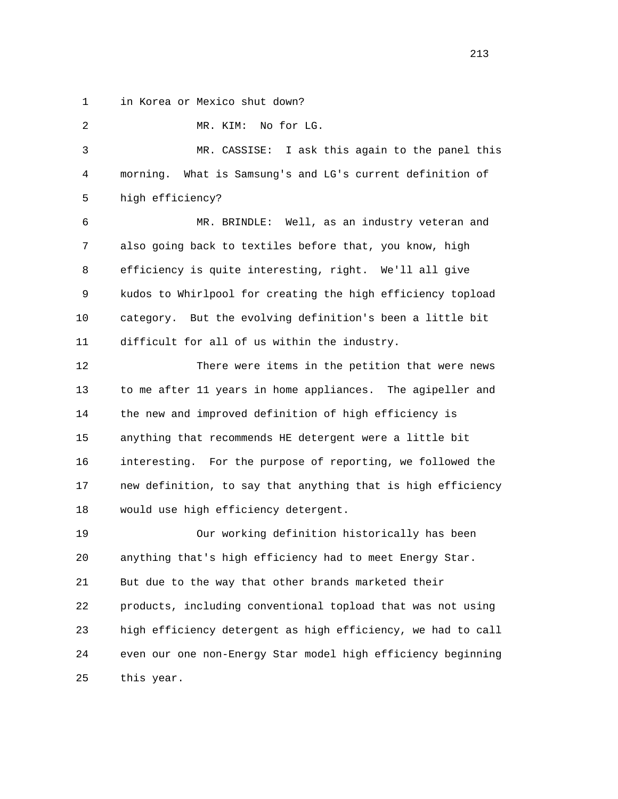1 in Korea or Mexico shut down?

 2 MR. KIM: No for LG. 3 MR. CASSISE: I ask this again to the panel this 4 morning. What is Samsung's and LG's current definition of 5 high efficiency? 6 MR. BRINDLE: Well, as an industry veteran and 7 also going back to textiles before that, you know, high 8 efficiency is quite interesting, right. We'll all give 9 kudos to Whirlpool for creating the high efficiency topload 10 category. But the evolving definition's been a little bit 11 difficult for all of us within the industry. 12 There were items in the petition that were news 13 to me after 11 years in home appliances. The agipeller and 14 the new and improved definition of high efficiency is 15 anything that recommends HE detergent were a little bit 16 interesting. For the purpose of reporting, we followed the 17 new definition, to say that anything that is high efficiency 18 would use high efficiency detergent. 19 Our working definition historically has been 20 anything that's high efficiency had to meet Energy Star. 21 But due to the way that other brands marketed their 22 products, including conventional topload that was not using 23 high efficiency detergent as high efficiency, we had to call 24 even our one non-Energy Star model high efficiency beginning 25 this year.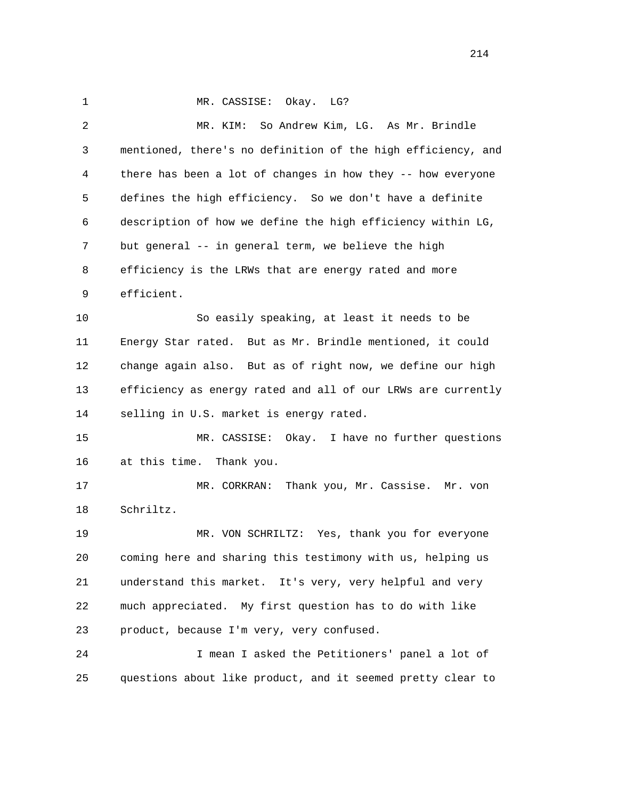1 MR. CASSISE: Okay. LG? 2 MR. KIM: So Andrew Kim, LG. As Mr. Brindle 3 mentioned, there's no definition of the high efficiency, and 4 there has been a lot of changes in how they -- how everyone 5 defines the high efficiency. So we don't have a definite 6 description of how we define the high efficiency within LG, 7 but general -- in general term, we believe the high 8 efficiency is the LRWs that are energy rated and more 9 efficient. 10 So easily speaking, at least it needs to be 11 Energy Star rated. But as Mr. Brindle mentioned, it could 12 change again also. But as of right now, we define our high 13 efficiency as energy rated and all of our LRWs are currently 14 selling in U.S. market is energy rated. 15 MR. CASSISE: Okay. I have no further questions 16 at this time. Thank you. 17 MR. CORKRAN: Thank you, Mr. Cassise. Mr. von 18 Schriltz. 19 MR. VON SCHRILTZ: Yes, thank you for everyone 20 coming here and sharing this testimony with us, helping us 21 understand this market. It's very, very helpful and very 22 much appreciated. My first question has to do with like 23 product, because I'm very, very confused. 24 I mean I asked the Petitioners' panel a lot of 25 questions about like product, and it seemed pretty clear to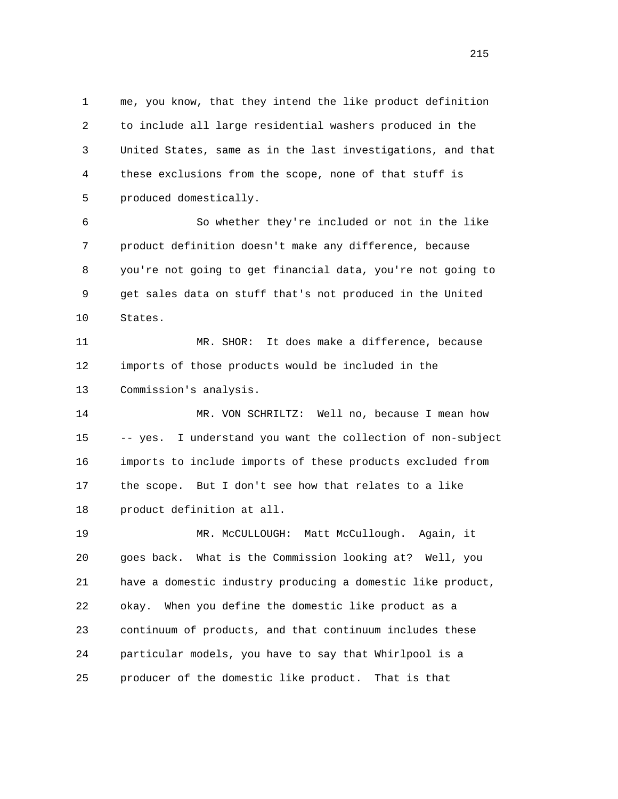1 me, you know, that they intend the like product definition 2 to include all large residential washers produced in the 3 United States, same as in the last investigations, and that 4 these exclusions from the scope, none of that stuff is 5 produced domestically.

 6 So whether they're included or not in the like 7 product definition doesn't make any difference, because 8 you're not going to get financial data, you're not going to 9 get sales data on stuff that's not produced in the United 10 States.

 11 MR. SHOR: It does make a difference, because 12 imports of those products would be included in the 13 Commission's analysis.

 14 MR. VON SCHRILTZ: Well no, because I mean how 15 -- yes. I understand you want the collection of non-subject 16 imports to include imports of these products excluded from 17 the scope. But I don't see how that relates to a like 18 product definition at all.

 19 MR. McCULLOUGH: Matt McCullough. Again, it 20 goes back. What is the Commission looking at? Well, you 21 have a domestic industry producing a domestic like product, 22 okay. When you define the domestic like product as a 23 continuum of products, and that continuum includes these 24 particular models, you have to say that Whirlpool is a 25 producer of the domestic like product. That is that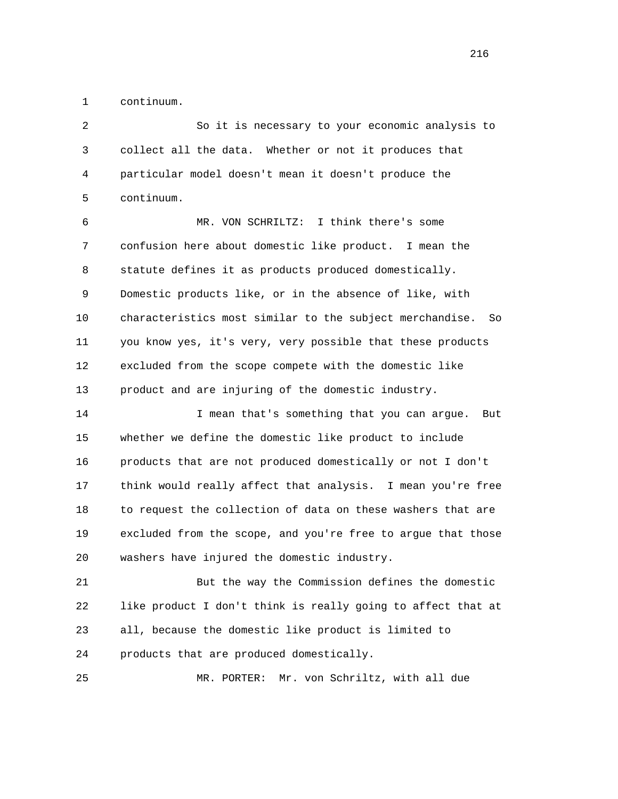1 continuum.

| 2  | So it is necessary to your economic analysis to                |
|----|----------------------------------------------------------------|
| 3  | collect all the data. Whether or not it produces that          |
| 4  | particular model doesn't mean it doesn't produce the           |
| 5  | continuum.                                                     |
| 6  | MR. VON SCHRILTZ: I think there's some                         |
| 7  | confusion here about domestic like product. I mean the         |
| 8  | statute defines it as products produced domestically.          |
| 9  | Domestic products like, or in the absence of like, with        |
| 10 | characteristics most similar to the subject merchandise.<br>So |
| 11 | you know yes, it's very, very possible that these products     |
| 12 | excluded from the scope compete with the domestic like         |
| 13 | product and are injuring of the domestic industry.             |
| 14 | I mean that's something that you can argue.<br>But             |
| 15 | whether we define the domestic like product to include         |
| 16 | products that are not produced domestically or not I don't     |
| 17 | think would really affect that analysis. I mean you're free    |
| 18 | to request the collection of data on these washers that are    |
| 19 | excluded from the scope, and you're free to argue that those   |
| 20 | washers have injured the domestic industry.                    |
| 21 | But the way the Commission defines the domestic                |
| 22 | like product I don't think is really going to affect that at   |
| 23 | all, because the domestic like product is limited to           |
| 24 | products that are produced domestically.                       |
|    |                                                                |

25 MR. PORTER: Mr. von Schriltz, with all due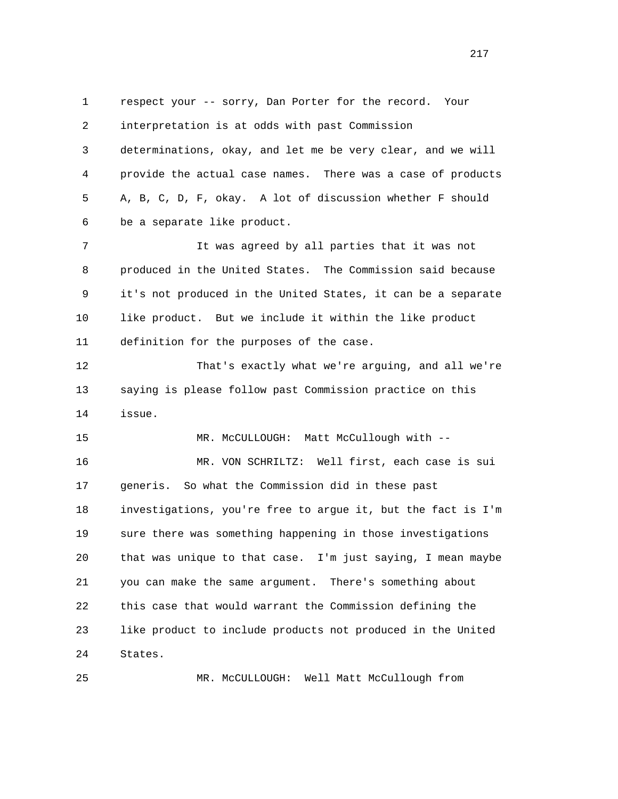1 respect your -- sorry, Dan Porter for the record. Your 2 interpretation is at odds with past Commission 3 determinations, okay, and let me be very clear, and we will 4 provide the actual case names. There was a case of products 5 A, B, C, D, F, okay. A lot of discussion whether F should 6 be a separate like product. 7 It was agreed by all parties that it was not 8 produced in the United States. The Commission said because 9 it's not produced in the United States, it can be a separate 10 like product. But we include it within the like product 11 definition for the purposes of the case. 12 That's exactly what we're arguing, and all we're 13 saying is please follow past Commission practice on this 14 issue. 15 MR. McCULLOUGH: Matt McCullough with -- 16 MR. VON SCHRILTZ: Well first, each case is sui 17 generis. So what the Commission did in these past 18 investigations, you're free to argue it, but the fact is I'm 19 sure there was something happening in those investigations 20 that was unique to that case. I'm just saying, I mean maybe 21 you can make the same argument. There's something about 22 this case that would warrant the Commission defining the 23 like product to include products not produced in the United 24 States.

25 MR. McCULLOUGH: Well Matt McCullough from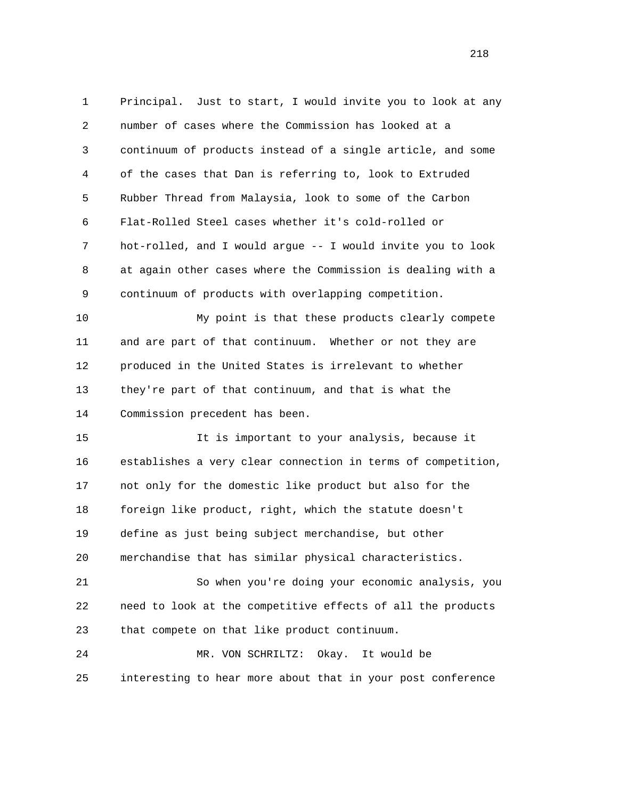1 Principal. Just to start, I would invite you to look at any 2 number of cases where the Commission has looked at a 3 continuum of products instead of a single article, and some 4 of the cases that Dan is referring to, look to Extruded 5 Rubber Thread from Malaysia, look to some of the Carbon 6 Flat-Rolled Steel cases whether it's cold-rolled or 7 hot-rolled, and I would argue -- I would invite you to look 8 at again other cases where the Commission is dealing with a 9 continuum of products with overlapping competition. 10 My point is that these products clearly compete

 11 and are part of that continuum. Whether or not they are 12 produced in the United States is irrelevant to whether 13 they're part of that continuum, and that is what the 14 Commission precedent has been.

 15 It is important to your analysis, because it 16 establishes a very clear connection in terms of competition, 17 not only for the domestic like product but also for the 18 foreign like product, right, which the statute doesn't 19 define as just being subject merchandise, but other 20 merchandise that has similar physical characteristics.

 21 So when you're doing your economic analysis, you 22 need to look at the competitive effects of all the products 23 that compete on that like product continuum.

 24 MR. VON SCHRILTZ: Okay. It would be 25 interesting to hear more about that in your post conference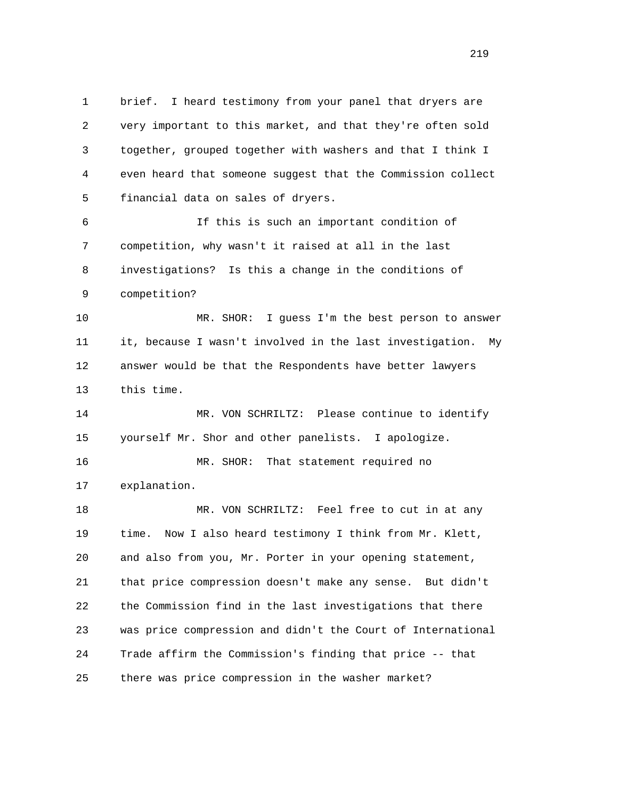1 brief. I heard testimony from your panel that dryers are 2 very important to this market, and that they're often sold 3 together, grouped together with washers and that I think I 4 even heard that someone suggest that the Commission collect 5 financial data on sales of dryers.

 6 If this is such an important condition of 7 competition, why wasn't it raised at all in the last 8 investigations? Is this a change in the conditions of 9 competition?

 10 MR. SHOR: I guess I'm the best person to answer 11 it, because I wasn't involved in the last investigation. My 12 answer would be that the Respondents have better lawyers 13 this time.

 14 MR. VON SCHRILTZ: Please continue to identify 15 yourself Mr. Shor and other panelists. I apologize.

 16 MR. SHOR: That statement required no 17 explanation.

18 MR. VON SCHRILTZ: Feel free to cut in at any 19 time. Now I also heard testimony I think from Mr. Klett, 20 and also from you, Mr. Porter in your opening statement, 21 that price compression doesn't make any sense. But didn't 22 the Commission find in the last investigations that there 23 was price compression and didn't the Court of International 24 Trade affirm the Commission's finding that price -- that 25 there was price compression in the washer market?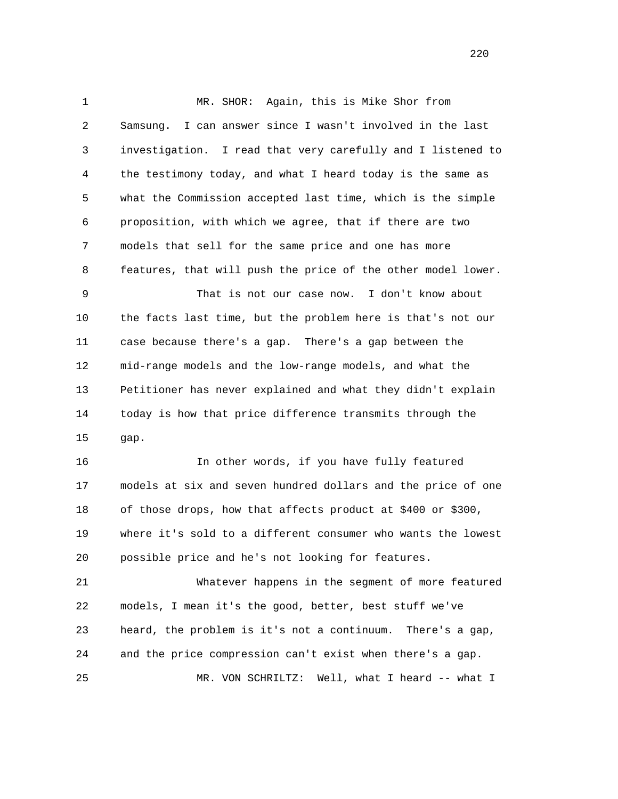1 MR. SHOR: Again, this is Mike Shor from 2 Samsung. I can answer since I wasn't involved in the last 3 investigation. I read that very carefully and I listened to 4 the testimony today, and what I heard today is the same as 5 what the Commission accepted last time, which is the simple 6 proposition, with which we agree, that if there are two 7 models that sell for the same price and one has more 8 features, that will push the price of the other model lower. 9 That is not our case now. I don't know about 10 the facts last time, but the problem here is that's not our 11 case because there's a gap. There's a gap between the 12 mid-range models and the low-range models, and what the 13 Petitioner has never explained and what they didn't explain 14 today is how that price difference transmits through the 15 gap.

 16 In other words, if you have fully featured 17 models at six and seven hundred dollars and the price of one 18 of those drops, how that affects product at \$400 or \$300, 19 where it's sold to a different consumer who wants the lowest 20 possible price and he's not looking for features.

 21 Whatever happens in the segment of more featured 22 models, I mean it's the good, better, best stuff we've 23 heard, the problem is it's not a continuum. There's a gap, 24 and the price compression can't exist when there's a gap. 25 MR. VON SCHRILTZ: Well, what I heard -- what I

<u>220</u>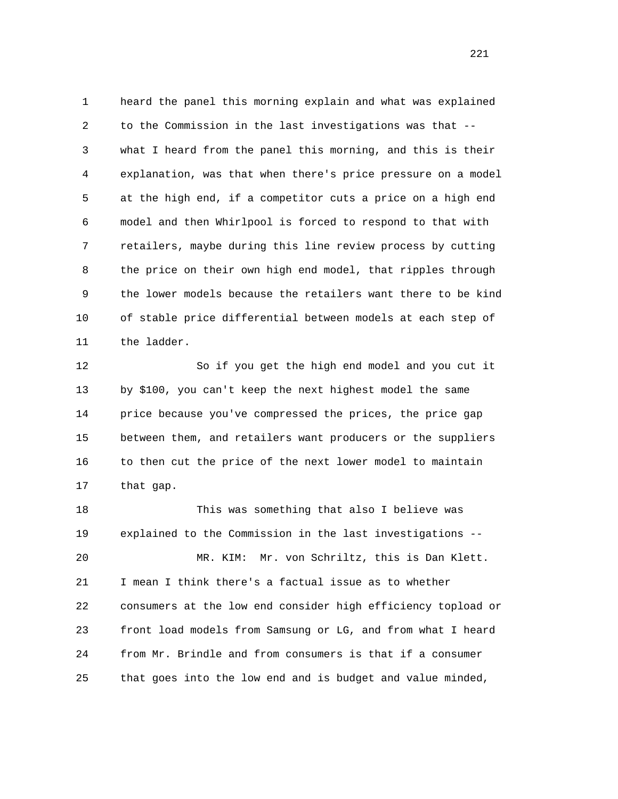1 heard the panel this morning explain and what was explained 2 to the Commission in the last investigations was that -- 3 what I heard from the panel this morning, and this is their 4 explanation, was that when there's price pressure on a model 5 at the high end, if a competitor cuts a price on a high end 6 model and then Whirlpool is forced to respond to that with 7 retailers, maybe during this line review process by cutting 8 the price on their own high end model, that ripples through 9 the lower models because the retailers want there to be kind 10 of stable price differential between models at each step of 11 the ladder.

 12 So if you get the high end model and you cut it 13 by \$100, you can't keep the next highest model the same 14 price because you've compressed the prices, the price gap 15 between them, and retailers want producers or the suppliers 16 to then cut the price of the next lower model to maintain 17 that gap.

 18 This was something that also I believe was 19 explained to the Commission in the last investigations -- 20 MR. KIM: Mr. von Schriltz, this is Dan Klett. 21 I mean I think there's a factual issue as to whether 22 consumers at the low end consider high efficiency topload or 23 front load models from Samsung or LG, and from what I heard 24 from Mr. Brindle and from consumers is that if a consumer 25 that goes into the low end and is budget and value minded,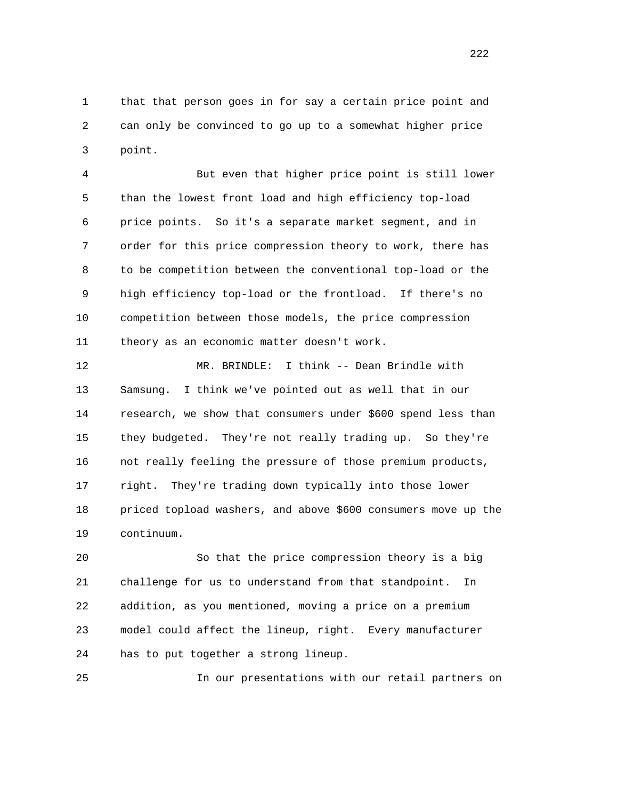1 that that person goes in for say a certain price point and 2 can only be convinced to go up to a somewhat higher price 3 point.

 4 But even that higher price point is still lower 5 than the lowest front load and high efficiency top-load 6 price points. So it's a separate market segment, and in 7 order for this price compression theory to work, there has 8 to be competition between the conventional top-load or the 9 high efficiency top-load or the frontload. If there's no 10 competition between those models, the price compression 11 theory as an economic matter doesn't work.

 12 MR. BRINDLE: I think -- Dean Brindle with 13 Samsung. I think we've pointed out as well that in our 14 research, we show that consumers under \$600 spend less than 15 they budgeted. They're not really trading up. So they're 16 not really feeling the pressure of those premium products, 17 right. They're trading down typically into those lower 18 priced topload washers, and above \$600 consumers move up the 19 continuum.

 20 So that the price compression theory is a big 21 challenge for us to understand from that standpoint. In 22 addition, as you mentioned, moving a price on a premium 23 model could affect the lineup, right. Every manufacturer 24 has to put together a strong lineup.

25 In our presentations with our retail partners on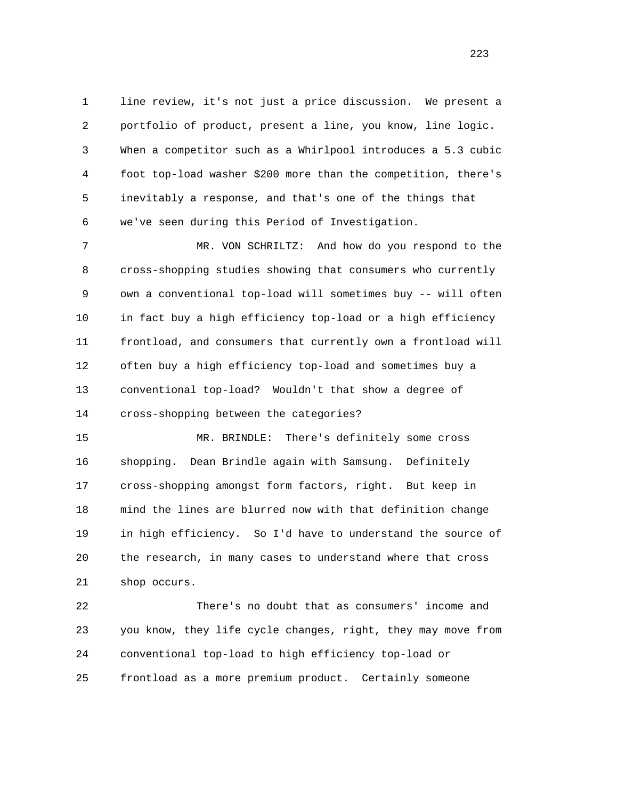1 line review, it's not just a price discussion. We present a 2 portfolio of product, present a line, you know, line logic. 3 When a competitor such as a Whirlpool introduces a 5.3 cubic 4 foot top-load washer \$200 more than the competition, there's 5 inevitably a response, and that's one of the things that 6 we've seen during this Period of Investigation.

 7 MR. VON SCHRILTZ: And how do you respond to the 8 cross-shopping studies showing that consumers who currently 9 own a conventional top-load will sometimes buy -- will often 10 in fact buy a high efficiency top-load or a high efficiency 11 frontload, and consumers that currently own a frontload will 12 often buy a high efficiency top-load and sometimes buy a 13 conventional top-load? Wouldn't that show a degree of 14 cross-shopping between the categories?

 15 MR. BRINDLE: There's definitely some cross 16 shopping. Dean Brindle again with Samsung. Definitely 17 cross-shopping amongst form factors, right. But keep in 18 mind the lines are blurred now with that definition change 19 in high efficiency. So I'd have to understand the source of 20 the research, in many cases to understand where that cross 21 shop occurs.

 22 There's no doubt that as consumers' income and 23 you know, they life cycle changes, right, they may move from 24 conventional top-load to high efficiency top-load or 25 frontload as a more premium product. Certainly someone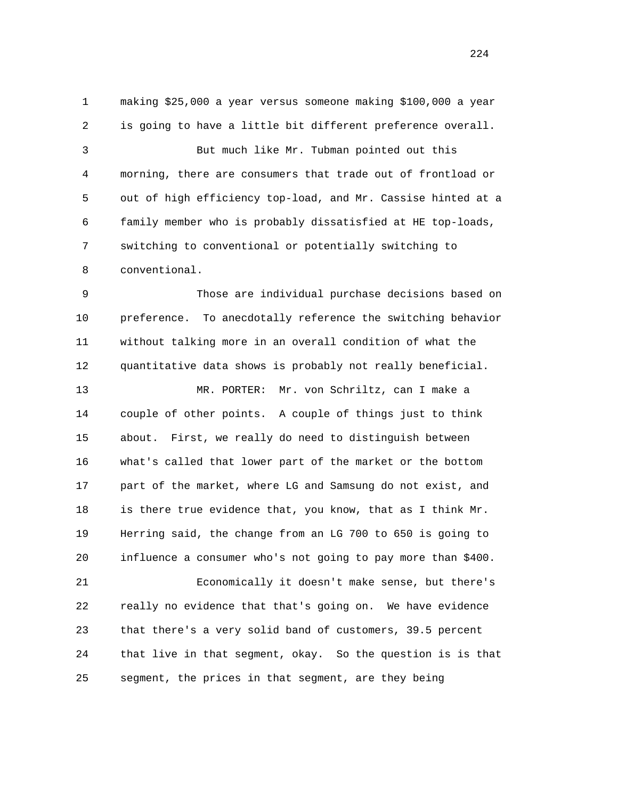1 making \$25,000 a year versus someone making \$100,000 a year 2 is going to have a little bit different preference overall. 3 But much like Mr. Tubman pointed out this 4 morning, there are consumers that trade out of frontload or 5 out of high efficiency top-load, and Mr. Cassise hinted at a 6 family member who is probably dissatisfied at HE top-loads, 7 switching to conventional or potentially switching to 8 conventional.

 9 Those are individual purchase decisions based on 10 preference. To anecdotally reference the switching behavior 11 without talking more in an overall condition of what the 12 quantitative data shows is probably not really beneficial.

 13 MR. PORTER: Mr. von Schriltz, can I make a 14 couple of other points. A couple of things just to think 15 about. First, we really do need to distinguish between 16 what's called that lower part of the market or the bottom 17 part of the market, where LG and Samsung do not exist, and 18 is there true evidence that, you know, that as I think Mr. 19 Herring said, the change from an LG 700 to 650 is going to 20 influence a consumer who's not going to pay more than \$400.

 21 Economically it doesn't make sense, but there's 22 really no evidence that that's going on. We have evidence 23 that there's a very solid band of customers, 39.5 percent 24 that live in that segment, okay. So the question is is that 25 segment, the prices in that segment, are they being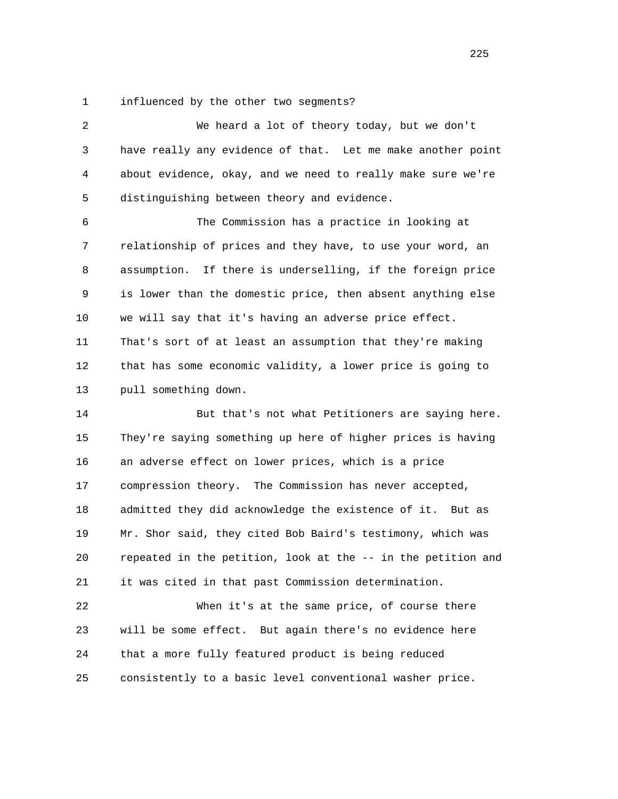1 influenced by the other two segments?

| $\overline{c}$ | We heard a lot of theory today, but we don't                  |
|----------------|---------------------------------------------------------------|
| 3              | have really any evidence of that. Let me make another point   |
| 4              | about evidence, okay, and we need to really make sure we're   |
| 5              | distinguishing between theory and evidence.                   |
| 6              | The Commission has a practice in looking at                   |
| 7              | relationship of prices and they have, to use your word, an    |
| 8              | If there is underselling, if the foreign price<br>assumption. |
| 9              | is lower than the domestic price, then absent anything else   |
| 10             | we will say that it's having an adverse price effect.         |
| 11             | That's sort of at least an assumption that they're making     |
| 12             | that has some economic validity, a lower price is going to    |
| 13             | pull something down.                                          |
| 14             | But that's not what Petitioners are saying here.              |
| 15             | They're saying something up here of higher prices is having   |
| 16             | an adverse effect on lower prices, which is a price           |
| 17             | compression theory. The Commission has never accepted,        |
| 18             | admitted they did acknowledge the existence of it. But as     |
| 19             | Mr. Shor said, they cited Bob Baird's testimony, which was    |
| 20             | repeated in the petition, look at the -- in the petition and  |
| 21             | it was cited in that past Commission determination.           |
| 22             | When it's at the same price, of course there                  |
| 23             | will be some effect. But again there's no evidence here       |
| 24             | that a more fully featured product is being reduced           |
|                |                                                               |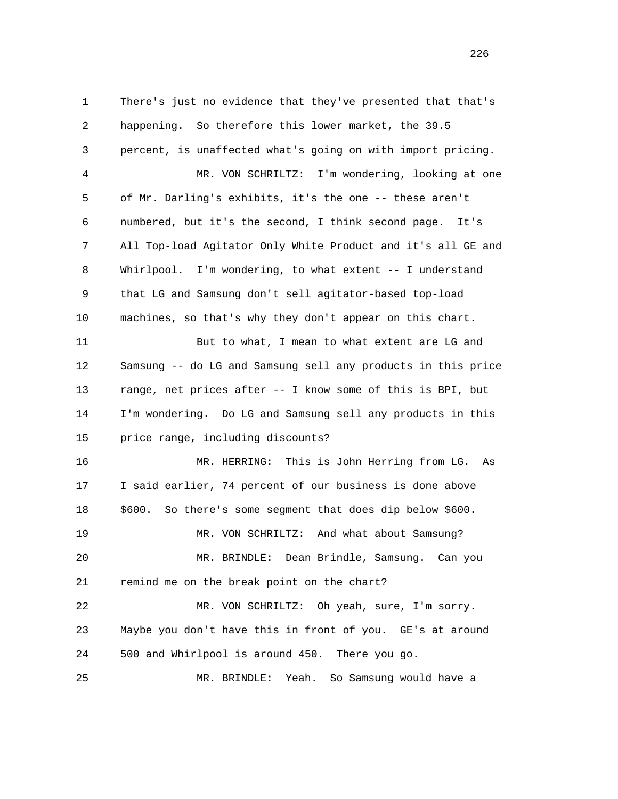1 There's just no evidence that they've presented that that's 2 happening. So therefore this lower market, the 39.5 3 percent, is unaffected what's going on with import pricing. 4 MR. VON SCHRILTZ: I'm wondering, looking at one 5 of Mr. Darling's exhibits, it's the one -- these aren't 6 numbered, but it's the second, I think second page. It's 7 All Top-load Agitator Only White Product and it's all GE and 8 Whirlpool. I'm wondering, to what extent -- I understand 9 that LG and Samsung don't sell agitator-based top-load 10 machines, so that's why they don't appear on this chart. 11 But to what, I mean to what extent are LG and 12 Samsung -- do LG and Samsung sell any products in this price 13 range, net prices after -- I know some of this is BPI, but 14 I'm wondering. Do LG and Samsung sell any products in this 15 price range, including discounts? 16 MR. HERRING: This is John Herring from LG. As 17 I said earlier, 74 percent of our business is done above 18 \$600. So there's some segment that does dip below \$600. 19 MR. VON SCHRILTZ: And what about Samsung? 20 MR. BRINDLE: Dean Brindle, Samsung. Can you 21 remind me on the break point on the chart? 22 MR. VON SCHRILTZ: Oh yeah, sure, I'm sorry. 23 Maybe you don't have this in front of you. GE's at around 24 500 and Whirlpool is around 450. There you go. 25 MR. BRINDLE: Yeah. So Samsung would have a

<u>226</u>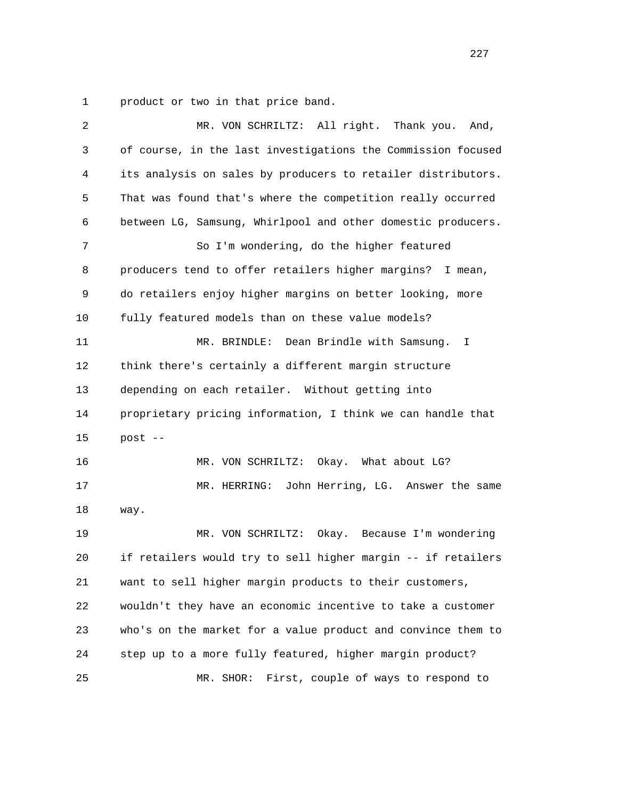1 product or two in that price band.

| 2  | MR. VON SCHRILTZ: All right.<br>Thank you.<br>And,           |
|----|--------------------------------------------------------------|
| 3  | of course, in the last investigations the Commission focused |
| 4  | its analysis on sales by producers to retailer distributors. |
| 5  | That was found that's where the competition really occurred  |
| 6  | between LG, Samsung, Whirlpool and other domestic producers. |
| 7  | So I'm wondering, do the higher featured                     |
| 8  | producers tend to offer retailers higher margins? I mean,    |
| 9  | do retailers enjoy higher margins on better looking, more    |
| 10 | fully featured models than on these value models?            |
| 11 | Dean Brindle with Samsung.<br>MR. BRINDLE:<br>I.             |
| 12 | think there's certainly a different margin structure         |
| 13 | depending on each retailer. Without getting into             |
| 14 | proprietary pricing information, I think we can handle that  |
| 15 | post --                                                      |
| 16 | MR. VON SCHRILTZ:<br>Okay. What about LG?                    |
| 17 | MR. HERRING:<br>John Herring, LG. Answer the same            |
| 18 | way.                                                         |
| 19 | MR. VON SCHRILTZ:<br>Okay. Because I'm wondering             |
| 20 | if retailers would try to sell higher margin -- if retailers |
| 21 | want to sell higher margin products to their customers,      |
| 22 | wouldn't they have an economic incentive to take a customer  |
| 23 | who's on the market for a value product and convince them to |
| 24 | step up to a more fully featured, higher margin product?     |
| 25 | First, couple of ways to respond to<br>MR. SHOR:             |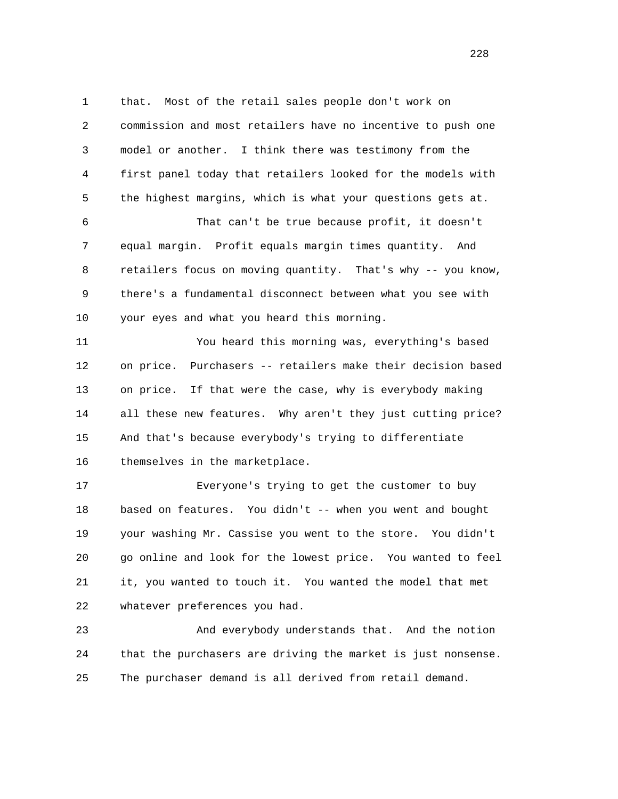1 that. Most of the retail sales people don't work on 2 commission and most retailers have no incentive to push one 3 model or another. I think there was testimony from the 4 first panel today that retailers looked for the models with 5 the highest margins, which is what your questions gets at.

 6 That can't be true because profit, it doesn't 7 equal margin. Profit equals margin times quantity. And 8 retailers focus on moving quantity. That's why -- you know, 9 there's a fundamental disconnect between what you see with 10 your eyes and what you heard this morning.

 11 You heard this morning was, everything's based 12 on price. Purchasers -- retailers make their decision based 13 on price. If that were the case, why is everybody making 14 all these new features. Why aren't they just cutting price? 15 And that's because everybody's trying to differentiate 16 themselves in the marketplace.

 17 Everyone's trying to get the customer to buy 18 based on features. You didn't -- when you went and bought 19 your washing Mr. Cassise you went to the store. You didn't 20 go online and look for the lowest price. You wanted to feel 21 it, you wanted to touch it. You wanted the model that met 22 whatever preferences you had.

 23 And everybody understands that. And the notion 24 that the purchasers are driving the market is just nonsense. 25 The purchaser demand is all derived from retail demand.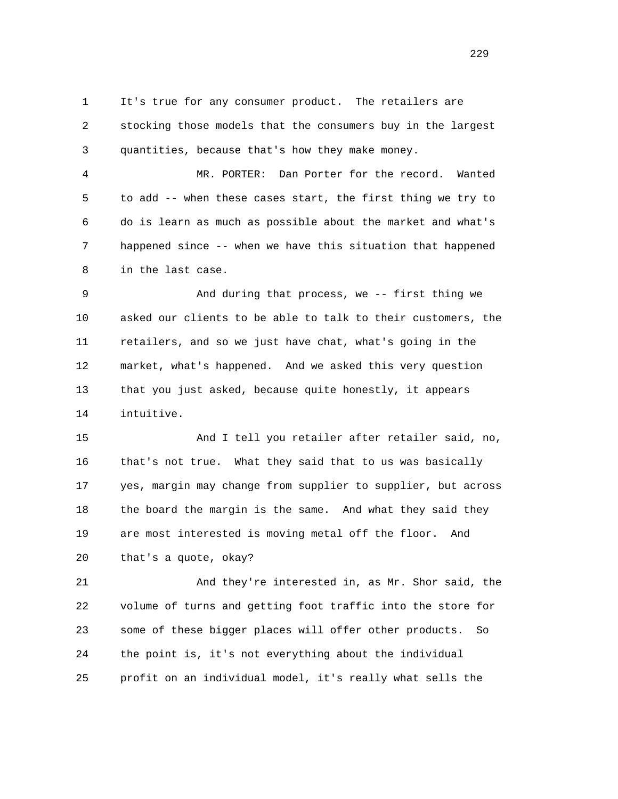1 It's true for any consumer product. The retailers are 2 stocking those models that the consumers buy in the largest 3 quantities, because that's how they make money.

 4 MR. PORTER: Dan Porter for the record. Wanted 5 to add -- when these cases start, the first thing we try to 6 do is learn as much as possible about the market and what's 7 happened since -- when we have this situation that happened 8 in the last case.

 9 And during that process, we -- first thing we 10 asked our clients to be able to talk to their customers, the 11 retailers, and so we just have chat, what's going in the 12 market, what's happened. And we asked this very question 13 that you just asked, because quite honestly, it appears 14 intuitive.

 15 And I tell you retailer after retailer said, no, 16 that's not true. What they said that to us was basically 17 yes, margin may change from supplier to supplier, but across 18 the board the margin is the same. And what they said they 19 are most interested is moving metal off the floor. And 20 that's a quote, okay?

 21 And they're interested in, as Mr. Shor said, the 22 volume of turns and getting foot traffic into the store for 23 some of these bigger places will offer other products. So 24 the point is, it's not everything about the individual 25 profit on an individual model, it's really what sells the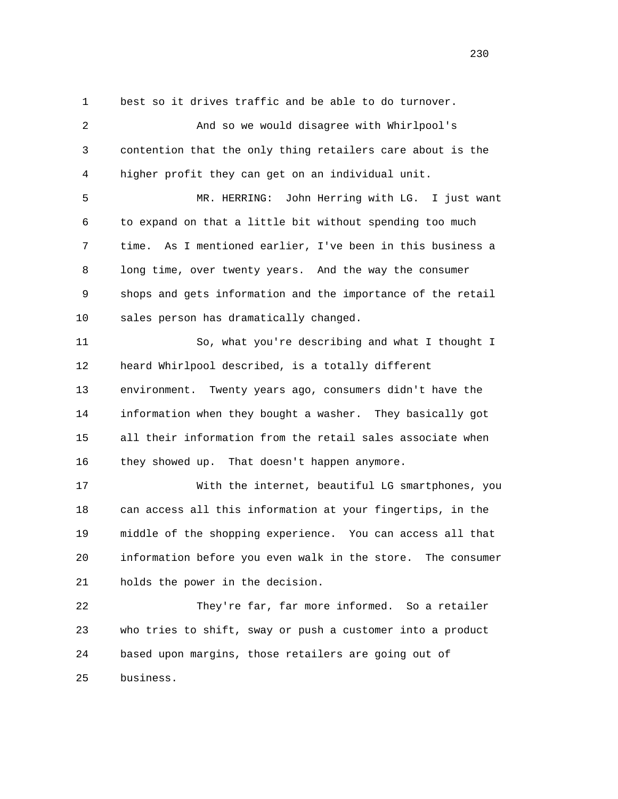1 best so it drives traffic and be able to do turnover.

 2 And so we would disagree with Whirlpool's 3 contention that the only thing retailers care about is the 4 higher profit they can get on an individual unit.

 5 MR. HERRING: John Herring with LG. I just want 6 to expand on that a little bit without spending too much 7 time. As I mentioned earlier, I've been in this business a 8 long time, over twenty years. And the way the consumer 9 shops and gets information and the importance of the retail 10 sales person has dramatically changed.

 11 So, what you're describing and what I thought I 12 heard Whirlpool described, is a totally different 13 environment. Twenty years ago, consumers didn't have the 14 information when they bought a washer. They basically got 15 all their information from the retail sales associate when 16 they showed up. That doesn't happen anymore.

 17 With the internet, beautiful LG smartphones, you 18 can access all this information at your fingertips, in the 19 middle of the shopping experience. You can access all that 20 information before you even walk in the store. The consumer 21 holds the power in the decision.

 22 They're far, far more informed. So a retailer 23 who tries to shift, sway or push a customer into a product 24 based upon margins, those retailers are going out of 25 business.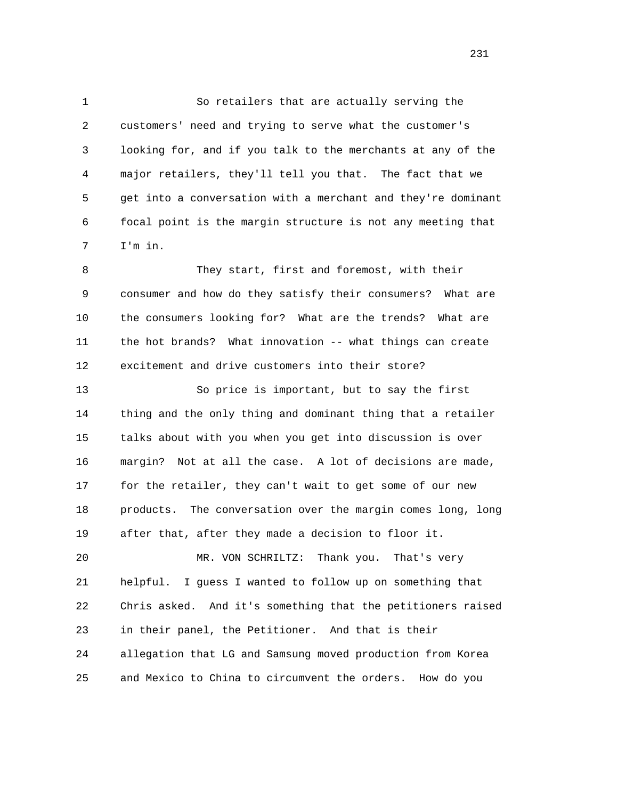1 So retailers that are actually serving the 2 customers' need and trying to serve what the customer's 3 looking for, and if you talk to the merchants at any of the 4 major retailers, they'll tell you that. The fact that we 5 get into a conversation with a merchant and they're dominant 6 focal point is the margin structure is not any meeting that 7 I'm in.

 8 They start, first and foremost, with their 9 consumer and how do they satisfy their consumers? What are 10 the consumers looking for? What are the trends? What are 11 the hot brands? What innovation -- what things can create 12 excitement and drive customers into their store?

 13 So price is important, but to say the first 14 thing and the only thing and dominant thing that a retailer 15 talks about with you when you get into discussion is over 16 margin? Not at all the case. A lot of decisions are made, 17 for the retailer, they can't wait to get some of our new 18 products. The conversation over the margin comes long, long 19 after that, after they made a decision to floor it.

 20 MR. VON SCHRILTZ: Thank you. That's very 21 helpful. I guess I wanted to follow up on something that 22 Chris asked. And it's something that the petitioners raised 23 in their panel, the Petitioner. And that is their 24 allegation that LG and Samsung moved production from Korea 25 and Mexico to China to circumvent the orders. How do you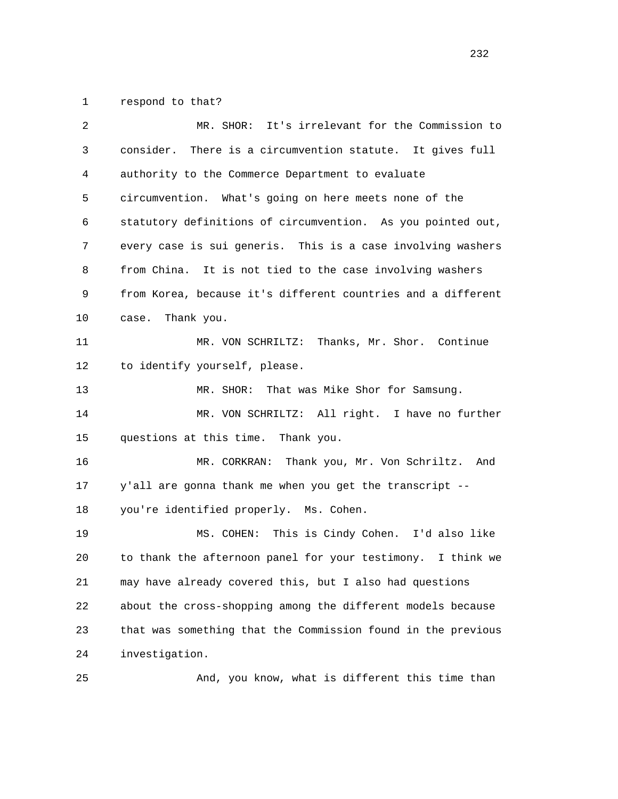1 respond to that?

| 2  | It's irrelevant for the Commission to<br>MR. SHOR:           |
|----|--------------------------------------------------------------|
| 3  | There is a circumvention statute. It gives full<br>consider. |
| 4  | authority to the Commerce Department to evaluate             |
| 5  | circumvention. What's going on here meets none of the        |
| 6  | statutory definitions of circumvention. As you pointed out,  |
| 7  | every case is sui generis. This is a case involving washers  |
| 8  | from China. It is not tied to the case involving washers     |
| 9  | from Korea, because it's different countries and a different |
| 10 | Thank you.<br>case.                                          |
| 11 | MR. VON SCHRILTZ: Thanks, Mr. Shor. Continue                 |
| 12 | to identify yourself, please.                                |
| 13 | MR. SHOR:<br>That was Mike Shor for Samsung.                 |
| 14 | MR. VON SCHRILTZ: All right. I have no further               |
| 15 | questions at this time. Thank you.                           |
| 16 | MR. CORKRAN: Thank you, Mr. Von Schriltz.<br>And             |
| 17 | y'all are gonna thank me when you get the transcript --      |
| 18 | you're identified properly. Ms. Cohen.                       |
| 19 | MS. COHEN: This is Cindy Cohen. I'd also like                |
| 20 | to thank the afternoon panel for your testimony. I think we  |
| 21 | may have already covered this, but I also had questions      |
| 22 | about the cross-shopping among the different models because  |
| 23 | that was something that the Commission found in the previous |
| 24 | investigation.                                               |
| 25 | And, you know, what is different this time than              |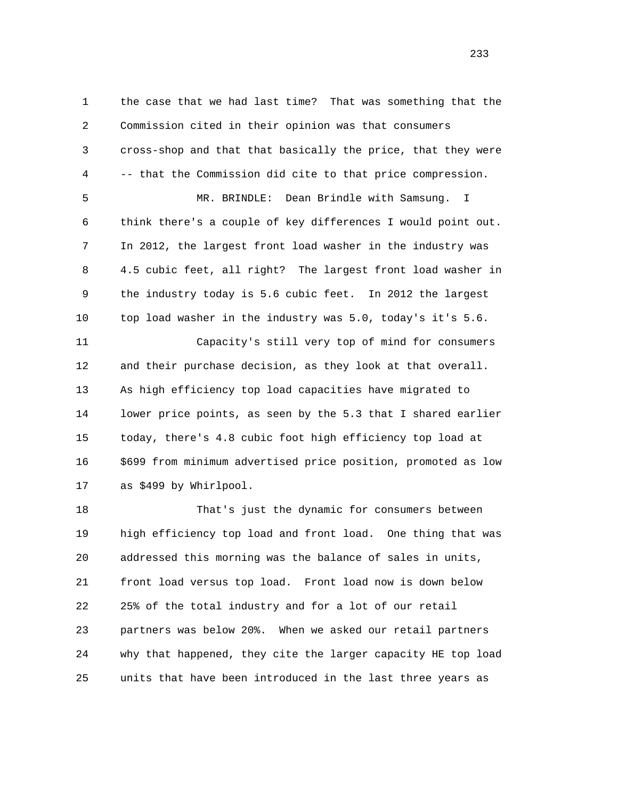1 the case that we had last time? That was something that the 2 Commission cited in their opinion was that consumers 3 cross-shop and that that basically the price, that they were 4 -- that the Commission did cite to that price compression. 5 MR. BRINDLE: Dean Brindle with Samsung. I 6 think there's a couple of key differences I would point out. 7 In 2012, the largest front load washer in the industry was 8 4.5 cubic feet, all right? The largest front load washer in 9 the industry today is 5.6 cubic feet. In 2012 the largest 10 top load washer in the industry was 5.0, today's it's 5.6. 11 Capacity's still very top of mind for consumers 12 and their purchase decision, as they look at that overall. 13 As high efficiency top load capacities have migrated to 14 lower price points, as seen by the 5.3 that I shared earlier 15 today, there's 4.8 cubic foot high efficiency top load at 16 \$699 from minimum advertised price position, promoted as low 17 as \$499 by Whirlpool. 18 That's just the dynamic for consumers between

 19 high efficiency top load and front load. One thing that was 20 addressed this morning was the balance of sales in units, 21 front load versus top load. Front load now is down below 22 25% of the total industry and for a lot of our retail 23 partners was below 20%. When we asked our retail partners 24 why that happened, they cite the larger capacity HE top load 25 units that have been introduced in the last three years as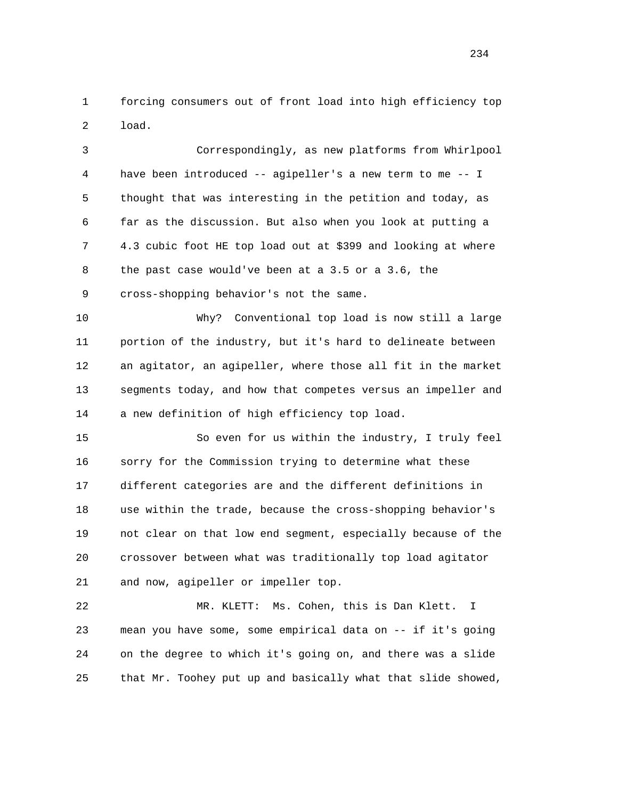1 forcing consumers out of front load into high efficiency top 2 load.

 3 Correspondingly, as new platforms from Whirlpool 4 have been introduced -- agipeller's a new term to me -- I 5 thought that was interesting in the petition and today, as 6 far as the discussion. But also when you look at putting a 7 4.3 cubic foot HE top load out at \$399 and looking at where 8 the past case would've been at a 3.5 or a 3.6, the 9 cross-shopping behavior's not the same.

 10 Why? Conventional top load is now still a large 11 portion of the industry, but it's hard to delineate between 12 an agitator, an agipeller, where those all fit in the market 13 segments today, and how that competes versus an impeller and 14 a new definition of high efficiency top load.

 15 So even for us within the industry, I truly feel 16 sorry for the Commission trying to determine what these 17 different categories are and the different definitions in 18 use within the trade, because the cross-shopping behavior's 19 not clear on that low end segment, especially because of the 20 crossover between what was traditionally top load agitator 21 and now, agipeller or impeller top.

 22 MR. KLETT: Ms. Cohen, this is Dan Klett. I 23 mean you have some, some empirical data on -- if it's going 24 on the degree to which it's going on, and there was a slide 25 that Mr. Toohey put up and basically what that slide showed,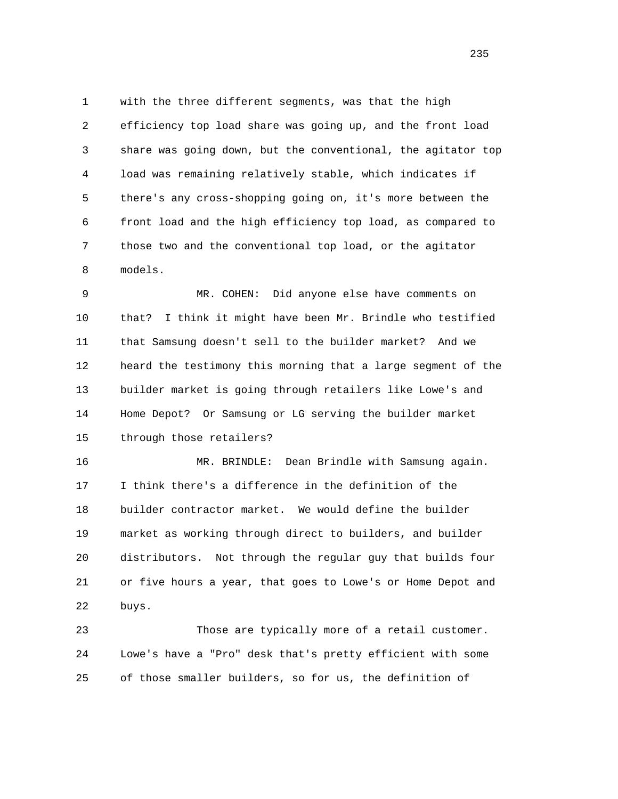1 with the three different segments, was that the high 2 efficiency top load share was going up, and the front load 3 share was going down, but the conventional, the agitator top 4 load was remaining relatively stable, which indicates if 5 there's any cross-shopping going on, it's more between the 6 front load and the high efficiency top load, as compared to 7 those two and the conventional top load, or the agitator 8 models.

 9 MR. COHEN: Did anyone else have comments on 10 that? I think it might have been Mr. Brindle who testified 11 that Samsung doesn't sell to the builder market? And we 12 heard the testimony this morning that a large segment of the 13 builder market is going through retailers like Lowe's and 14 Home Depot? Or Samsung or LG serving the builder market 15 through those retailers?

 16 MR. BRINDLE: Dean Brindle with Samsung again. 17 I think there's a difference in the definition of the 18 builder contractor market. We would define the builder 19 market as working through direct to builders, and builder 20 distributors. Not through the regular guy that builds four 21 or five hours a year, that goes to Lowe's or Home Depot and 22 buys.

 23 Those are typically more of a retail customer. 24 Lowe's have a "Pro" desk that's pretty efficient with some 25 of those smaller builders, so for us, the definition of

<u>235</u>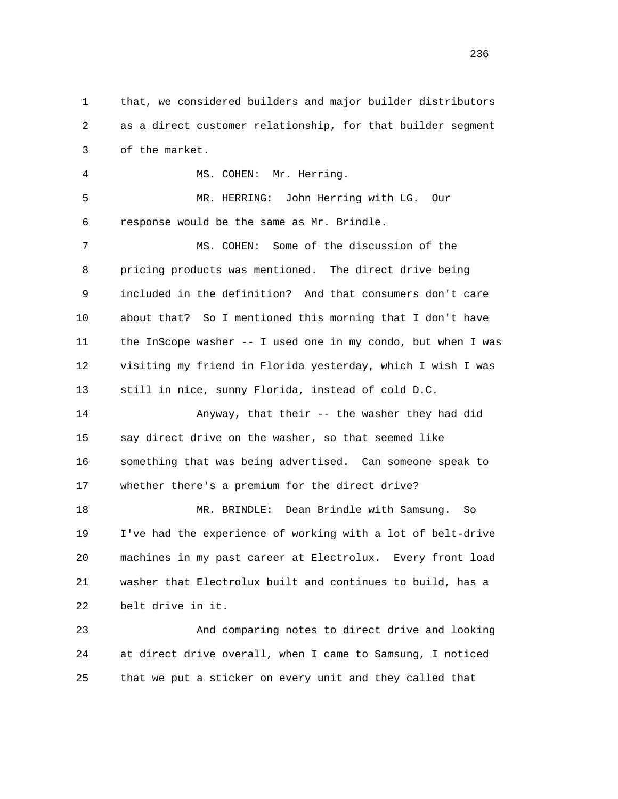1 that, we considered builders and major builder distributors 2 as a direct customer relationship, for that builder segment 3 of the market.

 4 MS. COHEN: Mr. Herring. 5 MR. HERRING: John Herring with LG. Our 6 response would be the same as Mr. Brindle. 7 MS. COHEN: Some of the discussion of the 8 pricing products was mentioned. The direct drive being 9 included in the definition? And that consumers don't care 10 about that? So I mentioned this morning that I don't have 11 the InScope washer -- I used one in my condo, but when I was 12 visiting my friend in Florida yesterday, which I wish I was 13 still in nice, sunny Florida, instead of cold D.C. 14 Anyway, that their -- the washer they had did 15 say direct drive on the washer, so that seemed like 16 something that was being advertised. Can someone speak to 17 whether there's a premium for the direct drive?

 18 MR. BRINDLE: Dean Brindle with Samsung. So 19 I've had the experience of working with a lot of belt-drive 20 machines in my past career at Electrolux. Every front load 21 washer that Electrolux built and continues to build, has a 22 belt drive in it.

 23 And comparing notes to direct drive and looking 24 at direct drive overall, when I came to Samsung, I noticed 25 that we put a sticker on every unit and they called that

<u>236</u>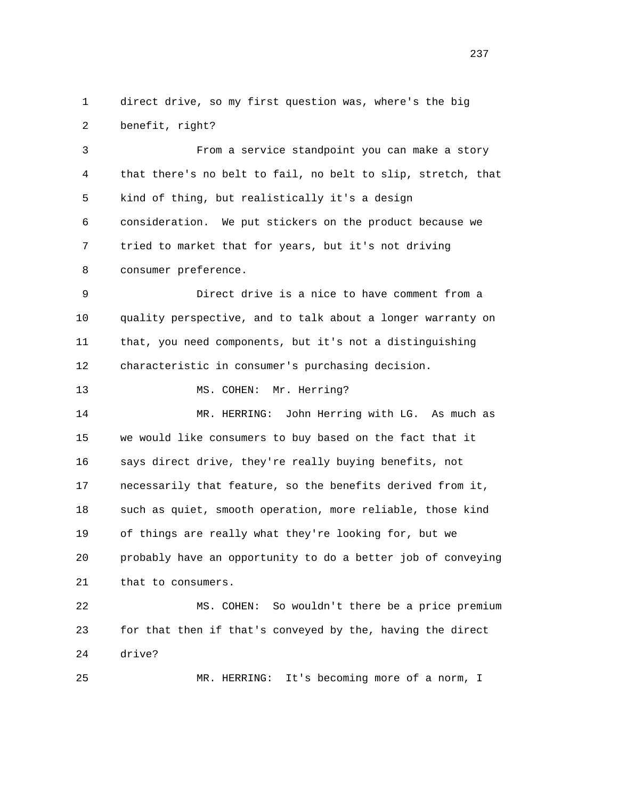1 direct drive, so my first question was, where's the big 2 benefit, right?

 3 From a service standpoint you can make a story 4 that there's no belt to fail, no belt to slip, stretch, that 5 kind of thing, but realistically it's a design 6 consideration. We put stickers on the product because we 7 tried to market that for years, but it's not driving 8 consumer preference. 9 Direct drive is a nice to have comment from a

 10 quality perspective, and to talk about a longer warranty on 11 that, you need components, but it's not a distinguishing 12 characteristic in consumer's purchasing decision.

13 MS. COHEN: Mr. Herring?

 14 MR. HERRING: John Herring with LG. As much as 15 we would like consumers to buy based on the fact that it 16 says direct drive, they're really buying benefits, not 17 necessarily that feature, so the benefits derived from it, 18 such as quiet, smooth operation, more reliable, those kind 19 of things are really what they're looking for, but we 20 probably have an opportunity to do a better job of conveying 21 that to consumers.

 22 MS. COHEN: So wouldn't there be a price premium 23 for that then if that's conveyed by the, having the direct 24 drive?

25 MR. HERRING: It's becoming more of a norm, I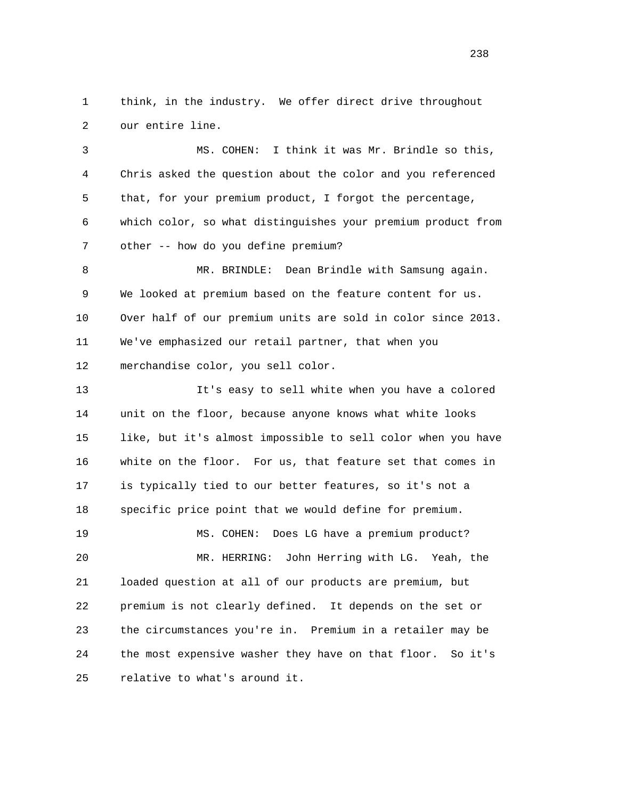1 think, in the industry. We offer direct drive throughout 2 our entire line.

 3 MS. COHEN: I think it was Mr. Brindle so this, 4 Chris asked the question about the color and you referenced 5 that, for your premium product, I forgot the percentage, 6 which color, so what distinguishes your premium product from 7 other -- how do you define premium?

 8 MR. BRINDLE: Dean Brindle with Samsung again. 9 We looked at premium based on the feature content for us. 10 Over half of our premium units are sold in color since 2013. 11 We've emphasized our retail partner, that when you 12 merchandise color, you sell color.

 13 It's easy to sell white when you have a colored 14 unit on the floor, because anyone knows what white looks 15 like, but it's almost impossible to sell color when you have 16 white on the floor. For us, that feature set that comes in 17 is typically tied to our better features, so it's not a 18 specific price point that we would define for premium. 19 MS. COHEN: Does LG have a premium product? 20 MR. HERRING: John Herring with LG. Yeah, the 21 loaded question at all of our products are premium, but 22 premium is not clearly defined. It depends on the set or 23 the circumstances you're in. Premium in a retailer may be 24 the most expensive washer they have on that floor. So it's

25 relative to what's around it.

<u>238</u>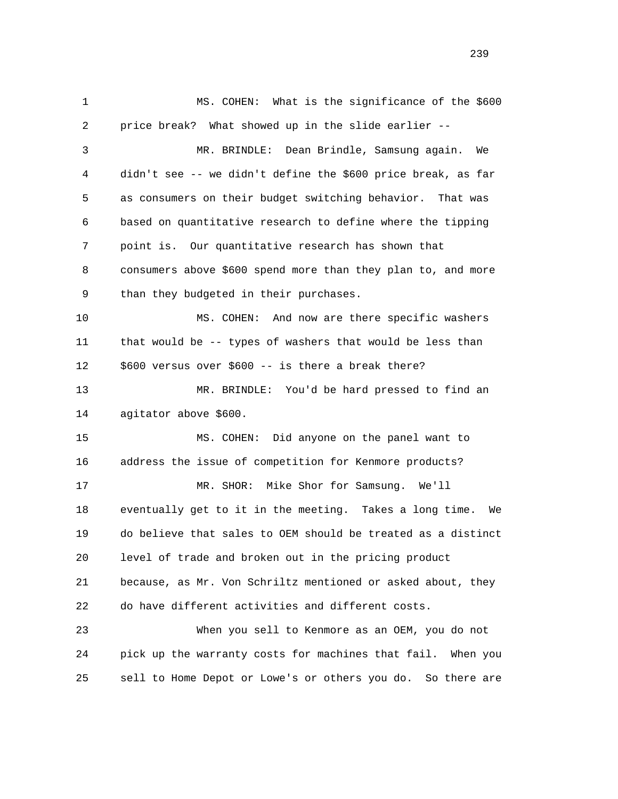1 MS. COHEN: What is the significance of the \$600 2 price break? What showed up in the slide earlier -- 3 MR. BRINDLE: Dean Brindle, Samsung again. We 4 didn't see -- we didn't define the \$600 price break, as far 5 as consumers on their budget switching behavior. That was 6 based on quantitative research to define where the tipping 7 point is. Our quantitative research has shown that 8 consumers above \$600 spend more than they plan to, and more 9 than they budgeted in their purchases. 10 MS. COHEN: And now are there specific washers 11 that would be -- types of washers that would be less than 12 \$600 versus over \$600 -- is there a break there? 13 MR. BRINDLE: You'd be hard pressed to find an 14 agitator above \$600. 15 MS. COHEN: Did anyone on the panel want to 16 address the issue of competition for Kenmore products? 17 MR. SHOR: Mike Shor for Samsung. We'll 18 eventually get to it in the meeting. Takes a long time. We 19 do believe that sales to OEM should be treated as a distinct 20 level of trade and broken out in the pricing product 21 because, as Mr. Von Schriltz mentioned or asked about, they 22 do have different activities and different costs. 23 When you sell to Kenmore as an OEM, you do not 24 pick up the warranty costs for machines that fail. When you 25 sell to Home Depot or Lowe's or others you do. So there are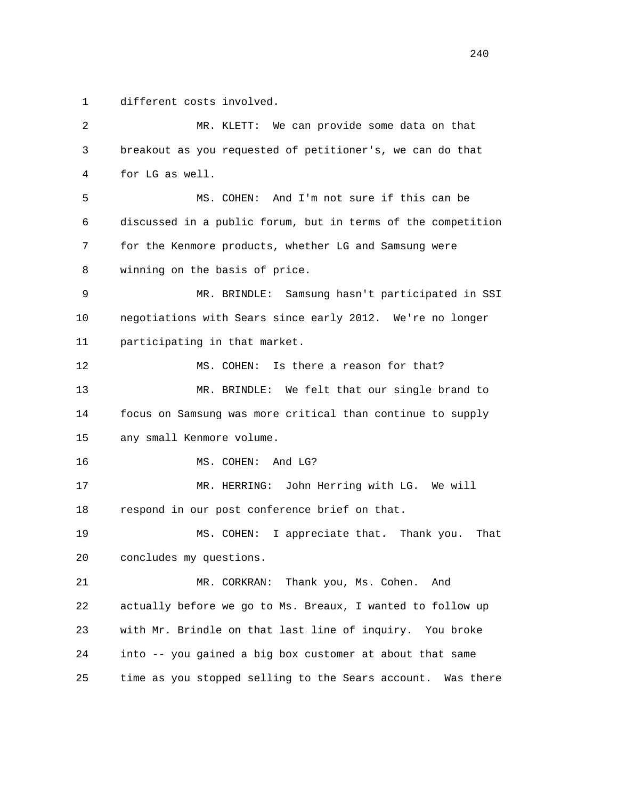1 different costs involved.

| 2  | MR. KLETT: We can provide some data on that                    |
|----|----------------------------------------------------------------|
| 3  | breakout as you requested of petitioner's, we can do that      |
| 4  | for LG as well.                                                |
| 5  | MS. COHEN: And I'm not sure if this can be                     |
| 6  | discussed in a public forum, but in terms of the competition   |
| 7  | for the Kenmore products, whether LG and Samsung were          |
| 8  | winning on the basis of price.                                 |
| 9  | MR. BRINDLE: Samsung hasn't participated in SSI                |
| 10 | negotiations with Sears since early 2012. We're no longer      |
| 11 | participating in that market.                                  |
| 12 | Is there a reason for that?<br>MS. COHEN:                      |
| 13 | MR. BRINDLE: We felt that our single brand to                  |
| 14 | focus on Samsung was more critical than continue to supply     |
| 15 | any small Kenmore volume.                                      |
| 16 | MS. COHEN:<br>And LG?                                          |
| 17 | MR. HERRING: John Herring with LG. We will                     |
| 18 | respond in our post conference brief on that.                  |
| 19 | MS. COHEN: I appreciate that. Thank you.<br>That               |
| 20 | concludes my questions.                                        |
| 21 | Thank you, Ms. Cohen.<br>MR. CORKRAN:<br>And                   |
| 22 | actually before we go to Ms. Breaux, I wanted to follow up     |
| 23 | with Mr. Brindle on that last line of inquiry. You broke       |
| 24 | into -- you gained a big box customer at about that same       |
| 25 | time as you stopped selling to the Sears account.<br>Was there |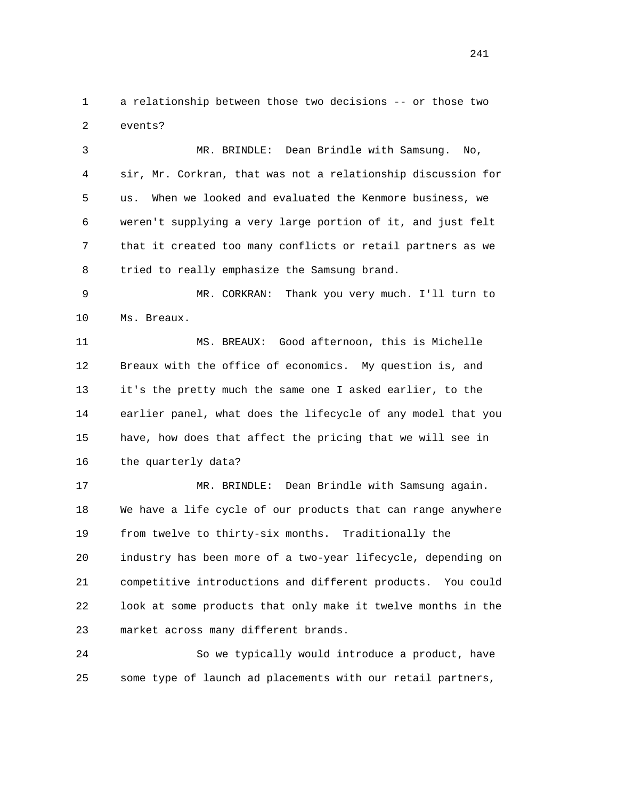1 a relationship between those two decisions -- or those two 2 events?

 3 MR. BRINDLE: Dean Brindle with Samsung. No, 4 sir, Mr. Corkran, that was not a relationship discussion for 5 us. When we looked and evaluated the Kenmore business, we 6 weren't supplying a very large portion of it, and just felt 7 that it created too many conflicts or retail partners as we 8 tried to really emphasize the Samsung brand.

 9 MR. CORKRAN: Thank you very much. I'll turn to 10 Ms. Breaux.

 11 MS. BREAUX: Good afternoon, this is Michelle 12 Breaux with the office of economics. My question is, and 13 it's the pretty much the same one I asked earlier, to the 14 earlier panel, what does the lifecycle of any model that you 15 have, how does that affect the pricing that we will see in 16 the quarterly data?

 17 MR. BRINDLE: Dean Brindle with Samsung again. 18 We have a life cycle of our products that can range anywhere 19 from twelve to thirty-six months. Traditionally the 20 industry has been more of a two-year lifecycle, depending on 21 competitive introductions and different products. You could 22 look at some products that only make it twelve months in the 23 market across many different brands.

 24 So we typically would introduce a product, have 25 some type of launch ad placements with our retail partners,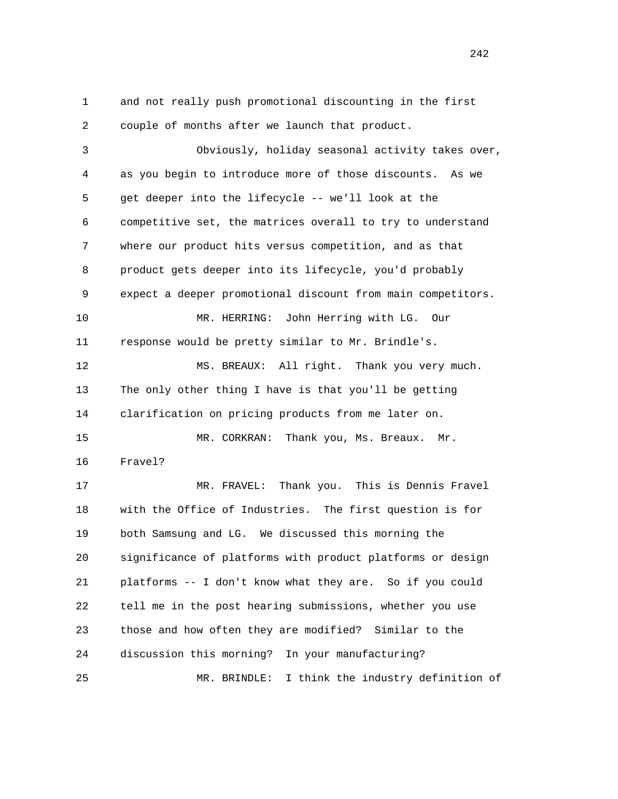1 and not really push promotional discounting in the first 2 couple of months after we launch that product. 3 Obviously, holiday seasonal activity takes over, 4 as you begin to introduce more of those discounts. As we 5 get deeper into the lifecycle -- we'll look at the 6 competitive set, the matrices overall to try to understand 7 where our product hits versus competition, and as that 8 product gets deeper into its lifecycle, you'd probably 9 expect a deeper promotional discount from main competitors. 10 MR. HERRING: John Herring with LG. Our 11 response would be pretty similar to Mr. Brindle's. 12 MS. BREAUX: All right. Thank you very much. 13 The only other thing I have is that you'll be getting 14 clarification on pricing products from me later on. 15 MR. CORKRAN: Thank you, Ms. Breaux. Mr. 16 Fravel? 17 MR. FRAVEL: Thank you. This is Dennis Fravel 18 with the Office of Industries. The first question is for 19 both Samsung and LG. We discussed this morning the 20 significance of platforms with product platforms or design 21 platforms -- I don't know what they are. So if you could 22 tell me in the post hearing submissions, whether you use 23 those and how often they are modified? Similar to the 24 discussion this morning? In your manufacturing? 25 MR. BRINDLE: I think the industry definition of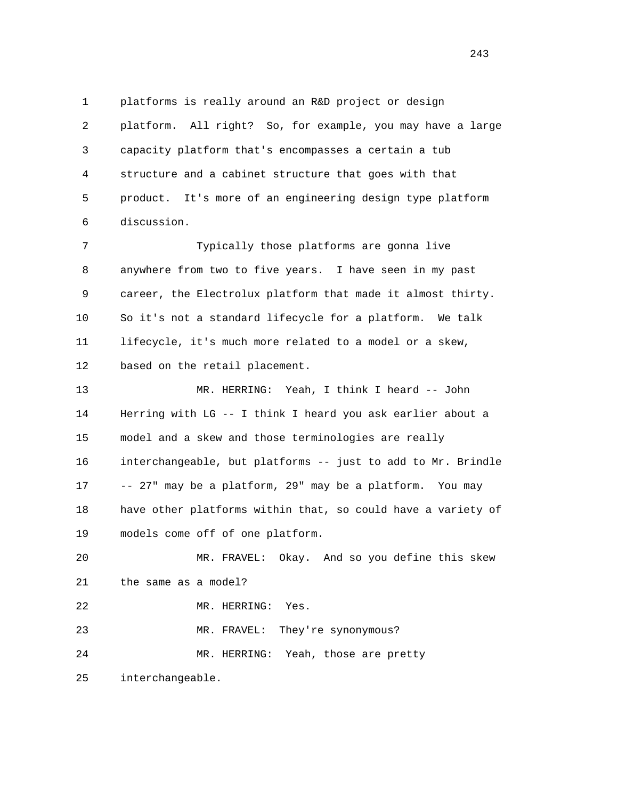1 platforms is really around an R&D project or design 2 platform. All right? So, for example, you may have a large 3 capacity platform that's encompasses a certain a tub 4 structure and a cabinet structure that goes with that 5 product. It's more of an engineering design type platform 6 discussion.

 7 Typically those platforms are gonna live 8 anywhere from two to five years. I have seen in my past 9 career, the Electrolux platform that made it almost thirty. 10 So it's not a standard lifecycle for a platform. We talk 11 lifecycle, it's much more related to a model or a skew, 12 based on the retail placement.

 13 MR. HERRING: Yeah, I think I heard -- John 14 Herring with LG -- I think I heard you ask earlier about a 15 model and a skew and those terminologies are really 16 interchangeable, but platforms -- just to add to Mr. Brindle 17 -- 27" may be a platform, 29" may be a platform. You may 18 have other platforms within that, so could have a variety of 19 models come off of one platform.

 20 MR. FRAVEL: Okay. And so you define this skew 21 the same as a model? 22 MR. HERRING: Yes. 23 MR. FRAVEL: They're synonymous?

24 MR. HERRING: Yeah, those are pretty

25 interchangeable.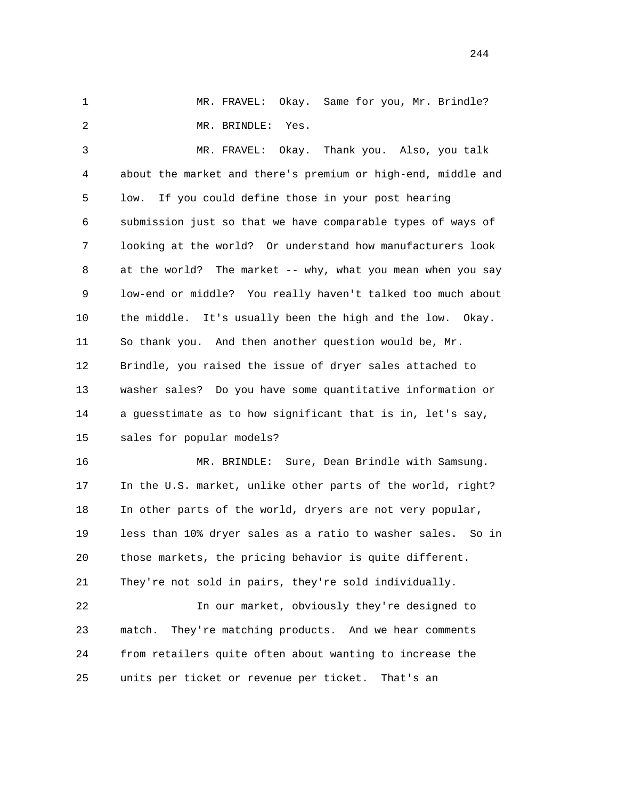1 MR. FRAVEL: Okay. Same for you, Mr. Brindle? 2 MR. BRINDLE: Yes.

 3 MR. FRAVEL: Okay. Thank you. Also, you talk 4 about the market and there's premium or high-end, middle and 5 low. If you could define those in your post hearing 6 submission just so that we have comparable types of ways of 7 looking at the world? Or understand how manufacturers look 8 at the world? The market -- why, what you mean when you say 9 low-end or middle? You really haven't talked too much about 10 the middle. It's usually been the high and the low. Okay. 11 So thank you. And then another question would be, Mr. 12 Brindle, you raised the issue of dryer sales attached to 13 washer sales? Do you have some quantitative information or 14 a guesstimate as to how significant that is in, let's say, 15 sales for popular models?

 16 MR. BRINDLE: Sure, Dean Brindle with Samsung. 17 In the U.S. market, unlike other parts of the world, right? 18 In other parts of the world, dryers are not very popular, 19 less than 10% dryer sales as a ratio to washer sales. So in 20 those markets, the pricing behavior is quite different. 21 They're not sold in pairs, they're sold individually.

 22 In our market, obviously they're designed to 23 match. They're matching products. And we hear comments 24 from retailers quite often about wanting to increase the 25 units per ticket or revenue per ticket. That's an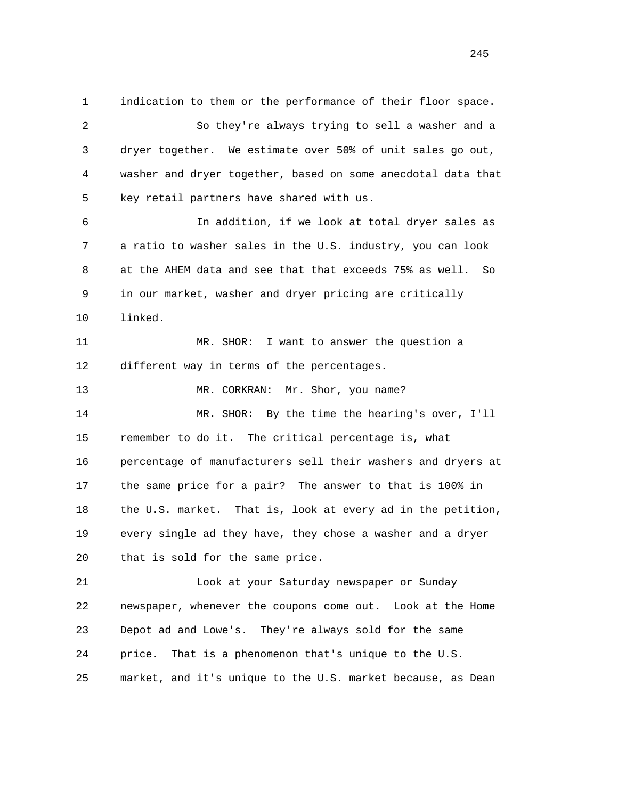1 indication to them or the performance of their floor space. 2 So they're always trying to sell a washer and a 3 dryer together. We estimate over 50% of unit sales go out, 4 washer and dryer together, based on some anecdotal data that 5 key retail partners have shared with us. 6 In addition, if we look at total dryer sales as 7 a ratio to washer sales in the U.S. industry, you can look 8 at the AHEM data and see that that exceeds 75% as well. So 9 in our market, washer and dryer pricing are critically 10 linked. 11 MR. SHOR: I want to answer the question a 12 different way in terms of the percentages. 13 MR. CORKRAN: Mr. Shor, you name? 14 MR. SHOR: By the time the hearing's over, I'll 15 remember to do it. The critical percentage is, what 16 percentage of manufacturers sell their washers and dryers at 17 the same price for a pair? The answer to that is 100% in 18 the U.S. market. That is, look at every ad in the petition, 19 every single ad they have, they chose a washer and a dryer 20 that is sold for the same price. 21 Look at your Saturday newspaper or Sunday 22 newspaper, whenever the coupons come out. Look at the Home 23 Depot ad and Lowe's. They're always sold for the same 24 price. That is a phenomenon that's unique to the U.S. 25 market, and it's unique to the U.S. market because, as Dean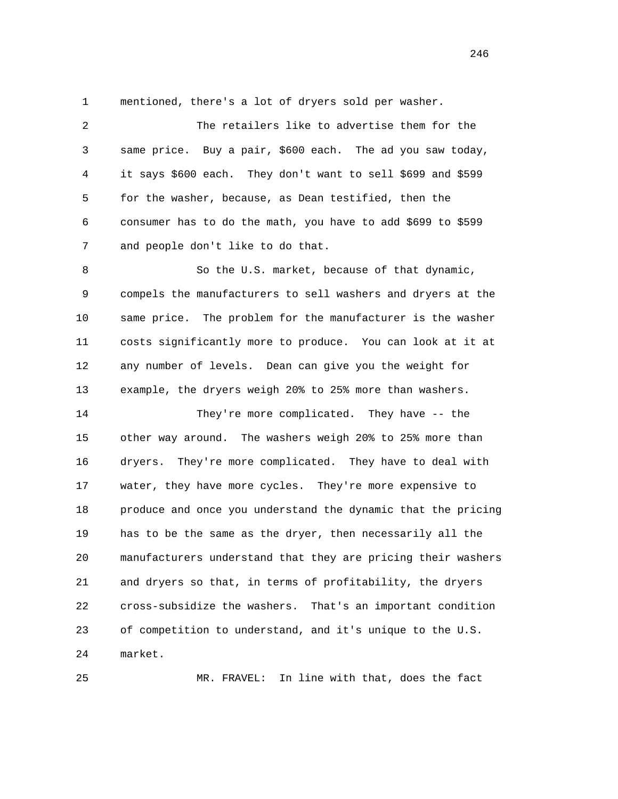1 mentioned, there's a lot of dryers sold per washer.

| $\overline{c}$ | The retailers like to advertise them for the                  |
|----------------|---------------------------------------------------------------|
| 3              | same price. Buy a pair, \$600 each. The ad you saw today,     |
| 4              | it says \$600 each. They don't want to sell \$699 and \$599   |
| 5              | for the washer, because, as Dean testified, then the          |
| 6              | consumer has to do the math, you have to add \$699 to \$599   |
| 7              | and people don't like to do that.                             |
| 8              | So the U.S. market, because of that dynamic,                  |
| 9              | compels the manufacturers to sell washers and dryers at the   |
| 10             | same price. The problem for the manufacturer is the washer    |
| 11             | costs significantly more to produce. You can look at it at    |
| 12             | any number of levels. Dean can give you the weight for        |
| 13             | example, the dryers weigh 20% to 25% more than washers.       |
| 14             | They're more complicated. They have -- the                    |
| 15             | other way around. The washers weigh 20% to 25% more than      |
| 16             | dryers. They're more complicated. They have to deal with      |
| 17             | water, they have more cycles. They're more expensive to       |
| 18             | produce and once you understand the dynamic that the pricing  |
| 19             | has to be the same as the dryer, then necessarily all the     |
| 20             | manufacturers understand that they are pricing their washers  |
| 21             | and dryers so that, in terms of profitability, the dryers     |
| 22             | cross-subsidize the washers.<br>That's an important condition |
| 23             | of competition to understand, and it's unique to the U.S.     |
| 24             | market.                                                       |

25 MR. FRAVEL: In line with that, does the fact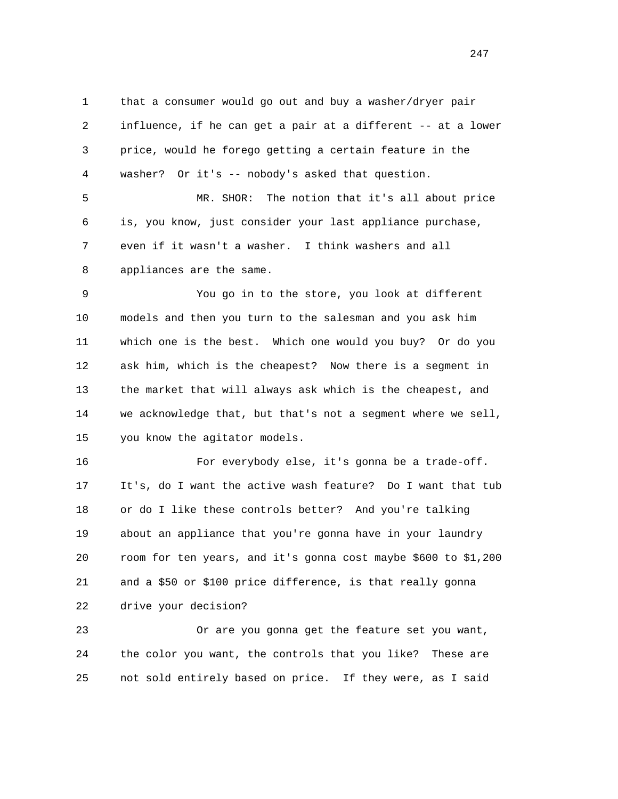1 that a consumer would go out and buy a washer/dryer pair 2 influence, if he can get a pair at a different -- at a lower 3 price, would he forego getting a certain feature in the 4 washer? Or it's -- nobody's asked that question.

 5 MR. SHOR: The notion that it's all about price 6 is, you know, just consider your last appliance purchase, 7 even if it wasn't a washer. I think washers and all 8 appliances are the same.

 9 You go in to the store, you look at different 10 models and then you turn to the salesman and you ask him 11 which one is the best. Which one would you buy? Or do you 12 ask him, which is the cheapest? Now there is a segment in 13 the market that will always ask which is the cheapest, and 14 we acknowledge that, but that's not a segment where we sell, 15 you know the agitator models.

 16 For everybody else, it's gonna be a trade-off. 17 It's, do I want the active wash feature? Do I want that tub 18 or do I like these controls better? And you're talking 19 about an appliance that you're gonna have in your laundry 20 room for ten years, and it's gonna cost maybe \$600 to \$1,200 21 and a \$50 or \$100 price difference, is that really gonna 22 drive your decision?

 23 Or are you gonna get the feature set you want, 24 the color you want, the controls that you like? These are 25 not sold entirely based on price. If they were, as I said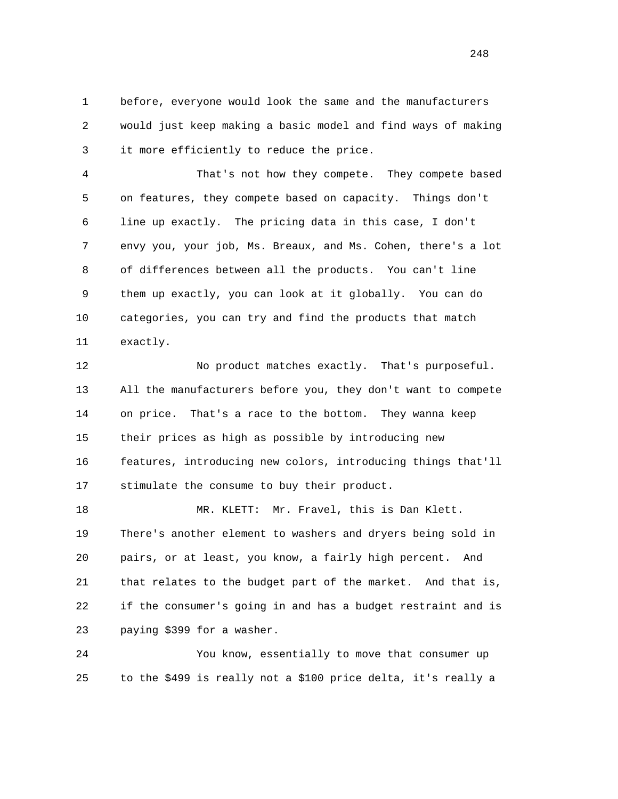1 before, everyone would look the same and the manufacturers 2 would just keep making a basic model and find ways of making 3 it more efficiently to reduce the price.

 4 That's not how they compete. They compete based 5 on features, they compete based on capacity. Things don't 6 line up exactly. The pricing data in this case, I don't 7 envy you, your job, Ms. Breaux, and Ms. Cohen, there's a lot 8 of differences between all the products. You can't line 9 them up exactly, you can look at it globally. You can do 10 categories, you can try and find the products that match 11 exactly.

 12 No product matches exactly. That's purposeful. 13 All the manufacturers before you, they don't want to compete 14 on price. That's a race to the bottom. They wanna keep 15 their prices as high as possible by introducing new 16 features, introducing new colors, introducing things that'll 17 stimulate the consume to buy their product.

18 MR. KLETT: Mr. Fravel, this is Dan Klett. 19 There's another element to washers and dryers being sold in 20 pairs, or at least, you know, a fairly high percent. And 21 that relates to the budget part of the market. And that is, 22 if the consumer's going in and has a budget restraint and is 23 paying \$399 for a washer.

 24 You know, essentially to move that consumer up 25 to the \$499 is really not a \$100 price delta, it's really a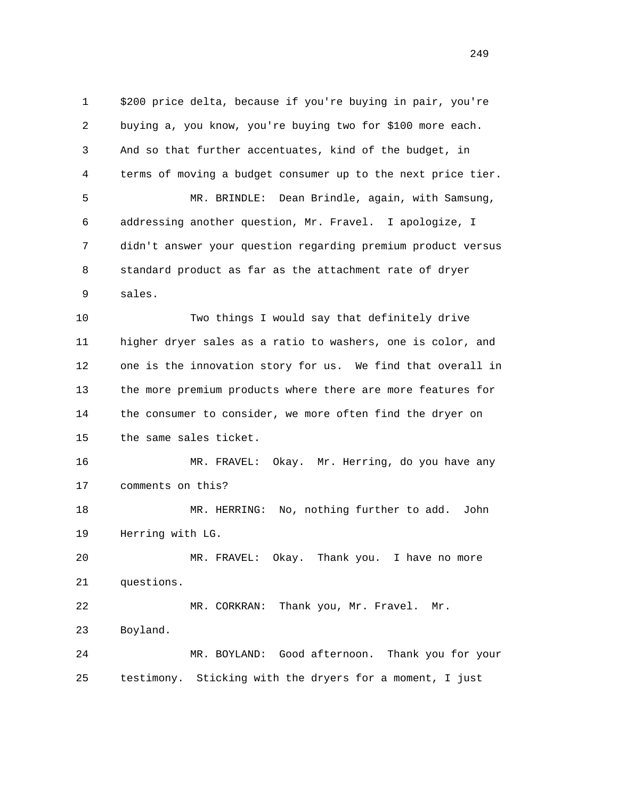1 \$200 price delta, because if you're buying in pair, you're 2 buying a, you know, you're buying two for \$100 more each. 3 And so that further accentuates, kind of the budget, in 4 terms of moving a budget consumer up to the next price tier. 5 MR. BRINDLE: Dean Brindle, again, with Samsung, 6 addressing another question, Mr. Fravel. I apologize, I 7 didn't answer your question regarding premium product versus 8 standard product as far as the attachment rate of dryer 9 sales. 10 Two things I would say that definitely drive 11 higher dryer sales as a ratio to washers, one is color, and 12 one is the innovation story for us. We find that overall in 13 the more premium products where there are more features for 14 the consumer to consider, we more often find the dryer on 15 the same sales ticket. 16 MR. FRAVEL: Okay. Mr. Herring, do you have any 17 comments on this? 18 MR. HERRING: No, nothing further to add. John 19 Herring with LG. 20 MR. FRAVEL: Okay. Thank you. I have no more 21 questions. 22 MR. CORKRAN: Thank you, Mr. Fravel. Mr. 23 Boyland. 24 MR. BOYLAND: Good afternoon. Thank you for your 25 testimony. Sticking with the dryers for a moment, I just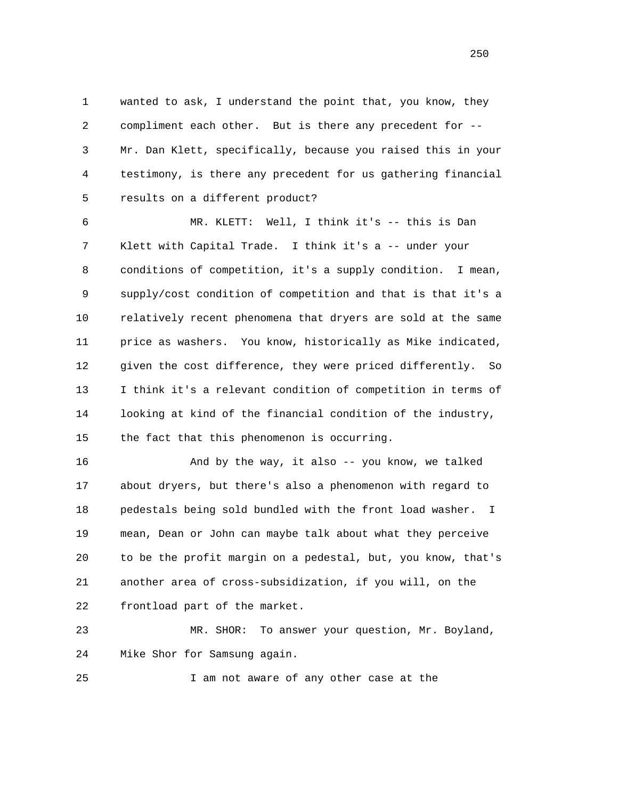1 wanted to ask, I understand the point that, you know, they 2 compliment each other. But is there any precedent for -- 3 Mr. Dan Klett, specifically, because you raised this in your 4 testimony, is there any precedent for us gathering financial 5 results on a different product?

 6 MR. KLETT: Well, I think it's -- this is Dan 7 Klett with Capital Trade. I think it's a -- under your 8 conditions of competition, it's a supply condition. I mean, 9 supply/cost condition of competition and that is that it's a 10 relatively recent phenomena that dryers are sold at the same 11 price as washers. You know, historically as Mike indicated, 12 given the cost difference, they were priced differently. So 13 I think it's a relevant condition of competition in terms of 14 looking at kind of the financial condition of the industry, 15 the fact that this phenomenon is occurring.

 16 And by the way, it also -- you know, we talked 17 about dryers, but there's also a phenomenon with regard to 18 pedestals being sold bundled with the front load washer. I 19 mean, Dean or John can maybe talk about what they perceive 20 to be the profit margin on a pedestal, but, you know, that's 21 another area of cross-subsidization, if you will, on the 22 frontload part of the market.

 23 MR. SHOR: To answer your question, Mr. Boyland, 24 Mike Shor for Samsung again.

25 I am not aware of any other case at the

<u>250</u>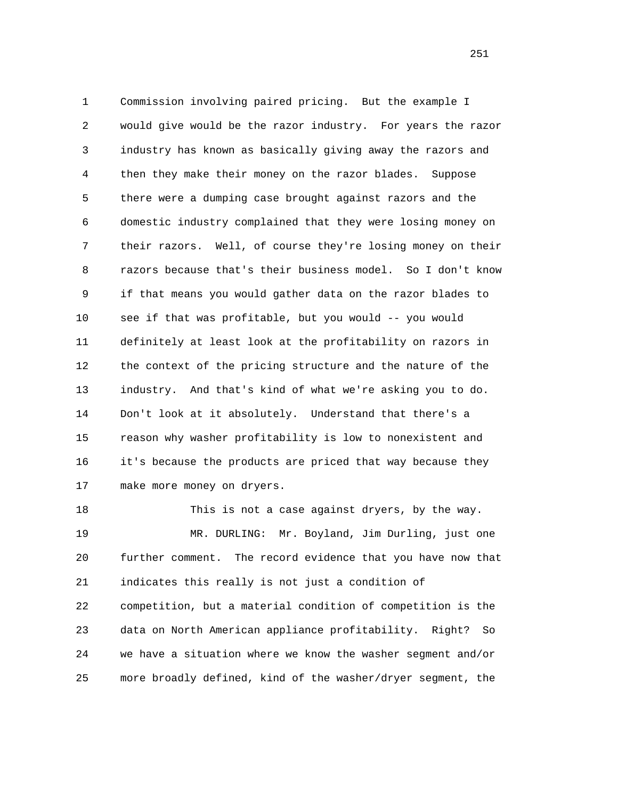1 Commission involving paired pricing. But the example I 2 would give would be the razor industry. For years the razor 3 industry has known as basically giving away the razors and 4 then they make their money on the razor blades. Suppose 5 there were a dumping case brought against razors and the 6 domestic industry complained that they were losing money on 7 their razors. Well, of course they're losing money on their 8 razors because that's their business model. So I don't know 9 if that means you would gather data on the razor blades to 10 see if that was profitable, but you would -- you would 11 definitely at least look at the profitability on razors in 12 the context of the pricing structure and the nature of the 13 industry. And that's kind of what we're asking you to do. 14 Don't look at it absolutely. Understand that there's a 15 reason why washer profitability is low to nonexistent and 16 it's because the products are priced that way because they 17 make more money on dryers.

 18 This is not a case against dryers, by the way. 19 MR. DURLING: Mr. Boyland, Jim Durling, just one 20 further comment. The record evidence that you have now that 21 indicates this really is not just a condition of 22 competition, but a material condition of competition is the 23 data on North American appliance profitability. Right? So 24 we have a situation where we know the washer segment and/or 25 more broadly defined, kind of the washer/dryer segment, the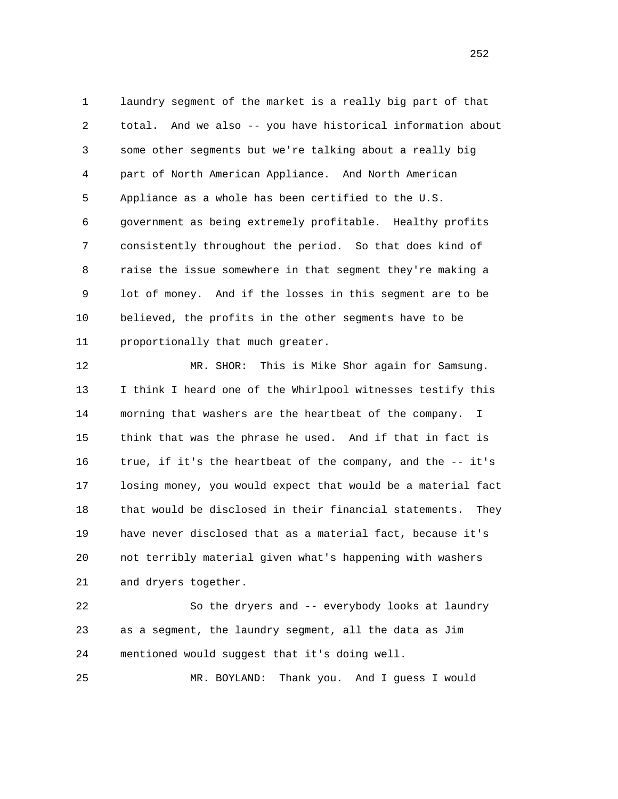1 laundry segment of the market is a really big part of that 2 total. And we also -- you have historical information about 3 some other segments but we're talking about a really big 4 part of North American Appliance. And North American 5 Appliance as a whole has been certified to the U.S. 6 government as being extremely profitable. Healthy profits 7 consistently throughout the period. So that does kind of 8 raise the issue somewhere in that segment they're making a 9 lot of money. And if the losses in this segment are to be 10 believed, the profits in the other segments have to be 11 proportionally that much greater.

 12 MR. SHOR: This is Mike Shor again for Samsung. 13 I think I heard one of the Whirlpool witnesses testify this 14 morning that washers are the heartbeat of the company. I 15 think that was the phrase he used. And if that in fact is 16 true, if it's the heartbeat of the company, and the -- it's 17 losing money, you would expect that would be a material fact 18 that would be disclosed in their financial statements. They 19 have never disclosed that as a material fact, because it's 20 not terribly material given what's happening with washers 21 and dryers together.

 22 So the dryers and -- everybody looks at laundry 23 as a segment, the laundry segment, all the data as Jim 24 mentioned would suggest that it's doing well.

25 MR. BOYLAND: Thank you. And I guess I would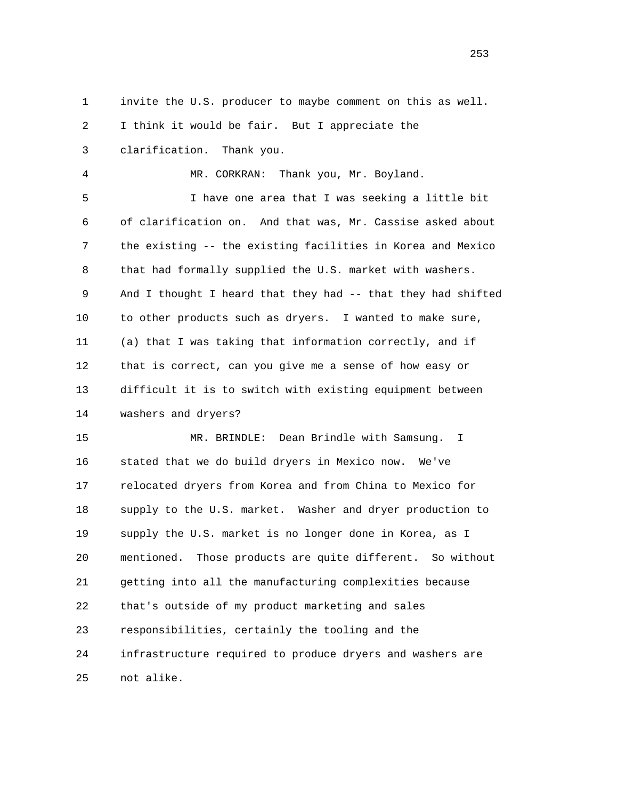1 invite the U.S. producer to maybe comment on this as well.

2 I think it would be fair. But I appreciate the

3 clarification. Thank you.

4 MR. CORKRAN: Thank you, Mr. Boyland.

 5 I have one area that I was seeking a little bit 6 of clarification on. And that was, Mr. Cassise asked about 7 the existing -- the existing facilities in Korea and Mexico 8 that had formally supplied the U.S. market with washers. 9 And I thought I heard that they had -- that they had shifted 10 to other products such as dryers. I wanted to make sure, 11 (a) that I was taking that information correctly, and if 12 that is correct, can you give me a sense of how easy or 13 difficult it is to switch with existing equipment between 14 washers and dryers?

 15 MR. BRINDLE: Dean Brindle with Samsung. I 16 stated that we do build dryers in Mexico now. We've 17 relocated dryers from Korea and from China to Mexico for 18 supply to the U.S. market. Washer and dryer production to 19 supply the U.S. market is no longer done in Korea, as I 20 mentioned. Those products are quite different. So without 21 getting into all the manufacturing complexities because 22 that's outside of my product marketing and sales 23 responsibilities, certainly the tooling and the 24 infrastructure required to produce dryers and washers are 25 not alike.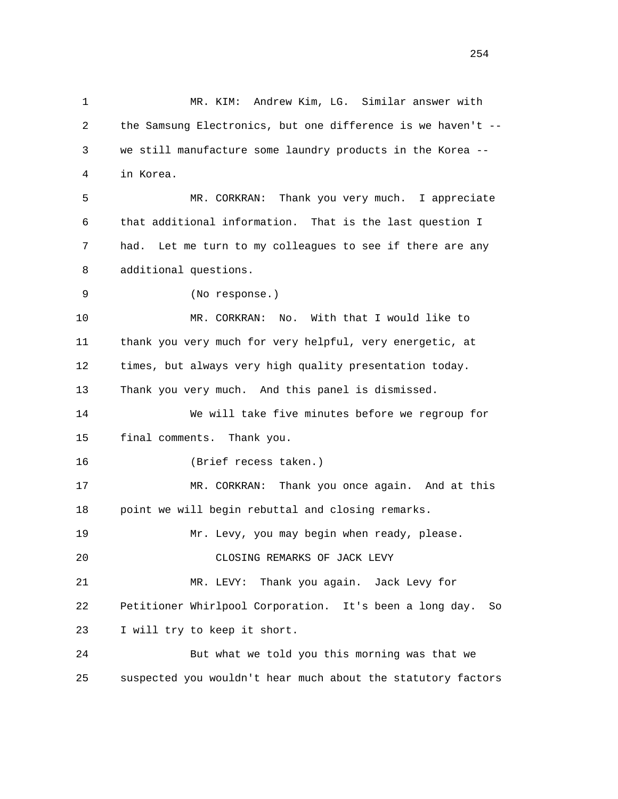1 MR. KIM: Andrew Kim, LG. Similar answer with 2 the Samsung Electronics, but one difference is we haven't -- 3 we still manufacture some laundry products in the Korea -- 4 in Korea. 5 MR. CORKRAN: Thank you very much. I appreciate 6 that additional information. That is the last question I 7 had. Let me turn to my colleagues to see if there are any 8 additional questions. 9 (No response.) 10 MR. CORKRAN: No. With that I would like to 11 thank you very much for very helpful, very energetic, at 12 times, but always very high quality presentation today. 13 Thank you very much. And this panel is dismissed. 14 We will take five minutes before we regroup for 15 final comments. Thank you. 16 (Brief recess taken.) 17 MR. CORKRAN: Thank you once again. And at this 18 point we will begin rebuttal and closing remarks. 19 Mr. Levy, you may begin when ready, please. 20 CLOSING REMARKS OF JACK LEVY 21 MR. LEVY: Thank you again. Jack Levy for 22 Petitioner Whirlpool Corporation. It's been a long day. So 23 I will try to keep it short. 24 But what we told you this morning was that we 25 suspected you wouldn't hear much about the statutory factors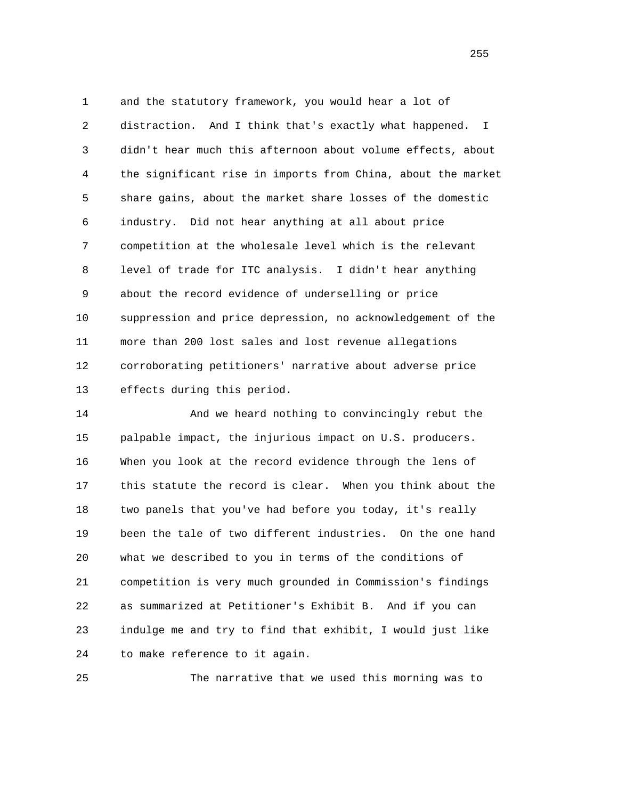1 and the statutory framework, you would hear a lot of 2 distraction. And I think that's exactly what happened. I 3 didn't hear much this afternoon about volume effects, about 4 the significant rise in imports from China, about the market 5 share gains, about the market share losses of the domestic 6 industry. Did not hear anything at all about price 7 competition at the wholesale level which is the relevant 8 level of trade for ITC analysis. I didn't hear anything 9 about the record evidence of underselling or price 10 suppression and price depression, no acknowledgement of the 11 more than 200 lost sales and lost revenue allegations 12 corroborating petitioners' narrative about adverse price 13 effects during this period.

 14 And we heard nothing to convincingly rebut the 15 palpable impact, the injurious impact on U.S. producers. 16 When you look at the record evidence through the lens of 17 this statute the record is clear. When you think about the 18 two panels that you've had before you today, it's really 19 been the tale of two different industries. On the one hand 20 what we described to you in terms of the conditions of 21 competition is very much grounded in Commission's findings 22 as summarized at Petitioner's Exhibit B. And if you can 23 indulge me and try to find that exhibit, I would just like 24 to make reference to it again.

25 The narrative that we used this morning was to

<u>255</u>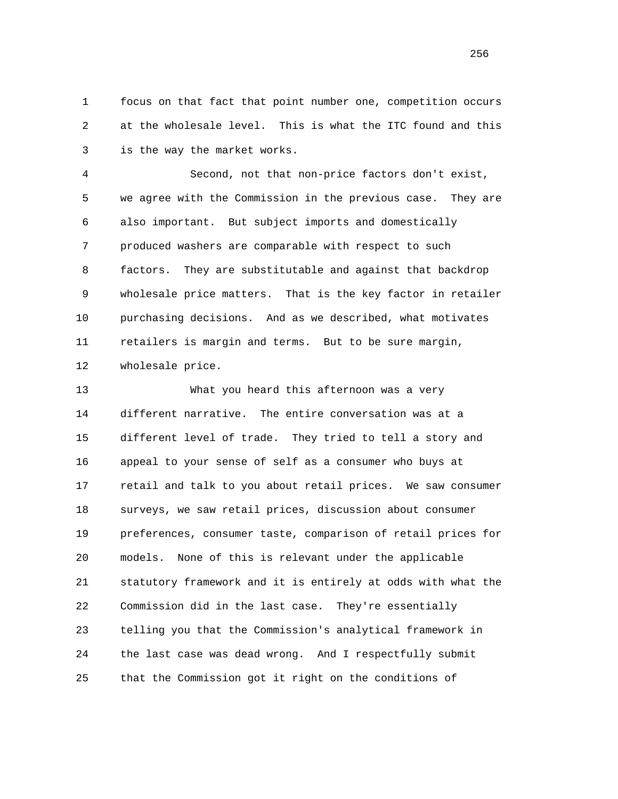1 focus on that fact that point number one, competition occurs 2 at the wholesale level. This is what the ITC found and this 3 is the way the market works.

 4 Second, not that non-price factors don't exist, 5 we agree with the Commission in the previous case. They are 6 also important. But subject imports and domestically 7 produced washers are comparable with respect to such 8 factors. They are substitutable and against that backdrop 9 wholesale price matters. That is the key factor in retailer 10 purchasing decisions. And as we described, what motivates 11 retailers is margin and terms. But to be sure margin, 12 wholesale price.

 13 What you heard this afternoon was a very 14 different narrative. The entire conversation was at a 15 different level of trade. They tried to tell a story and 16 appeal to your sense of self as a consumer who buys at 17 retail and talk to you about retail prices. We saw consumer 18 surveys, we saw retail prices, discussion about consumer 19 preferences, consumer taste, comparison of retail prices for 20 models. None of this is relevant under the applicable 21 statutory framework and it is entirely at odds with what the 22 Commission did in the last case. They're essentially 23 telling you that the Commission's analytical framework in 24 the last case was dead wrong. And I respectfully submit 25 that the Commission got it right on the conditions of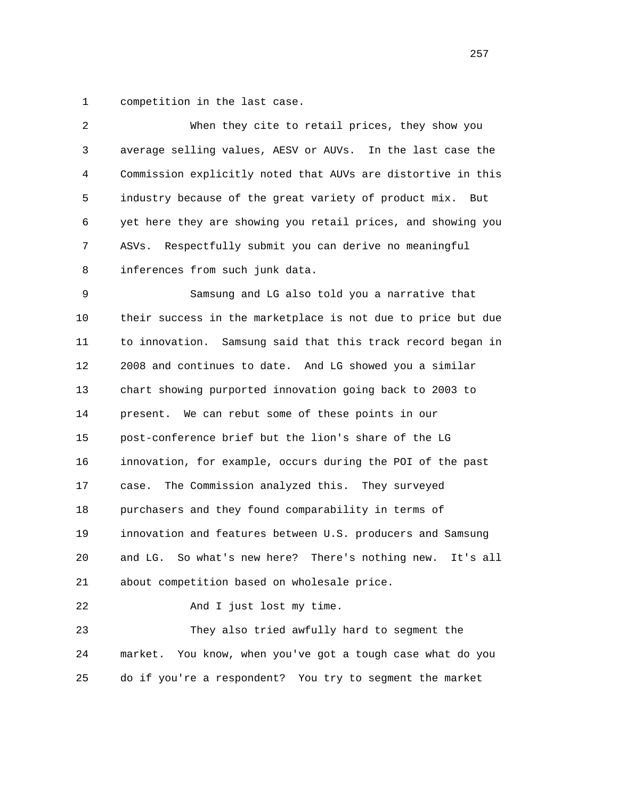1 competition in the last case.

| 2  | When they cite to retail prices, they show you                  |
|----|-----------------------------------------------------------------|
| 3  | average selling values, AESV or AUVs. In the last case the      |
| 4  | Commission explicitly noted that AUVs are distortive in this    |
| 5  | industry because of the great variety of product mix. But       |
| 6  | yet here they are showing you retail prices, and showing you    |
| 7  | Respectfully submit you can derive no meaningful<br>ASVs.       |
| 8  | inferences from such junk data.                                 |
| 9  | Samsung and LG also told you a narrative that                   |
| 10 | their success in the marketplace is not due to price but due    |
| 11 | to innovation. Samsung said that this track record began in     |
| 12 | 2008 and continues to date. And LG showed you a similar         |
| 13 | chart showing purported innovation going back to 2003 to        |
| 14 | present. We can rebut some of these points in our               |
| 15 | post-conference brief but the lion's share of the LG            |
| 16 | innovation, for example, occurs during the POI of the past      |
| 17 | The Commission analyzed this. They surveyed<br>case.            |
| 18 | purchasers and they found comparability in terms of             |
| 19 | innovation and features between U.S. producers and Samsung      |
| 20 | So what's new here? There's nothing new.<br>and LG.<br>It's all |
| 21 | about competition based on wholesale price.                     |
| 22 | And I just lost my time.                                        |
| 23 | They also tried awfully hard to segment the                     |
| 24 | You know, when you've got a tough case what do you<br>market.   |
| 25 | do if you're a respondent? You try to segment the market        |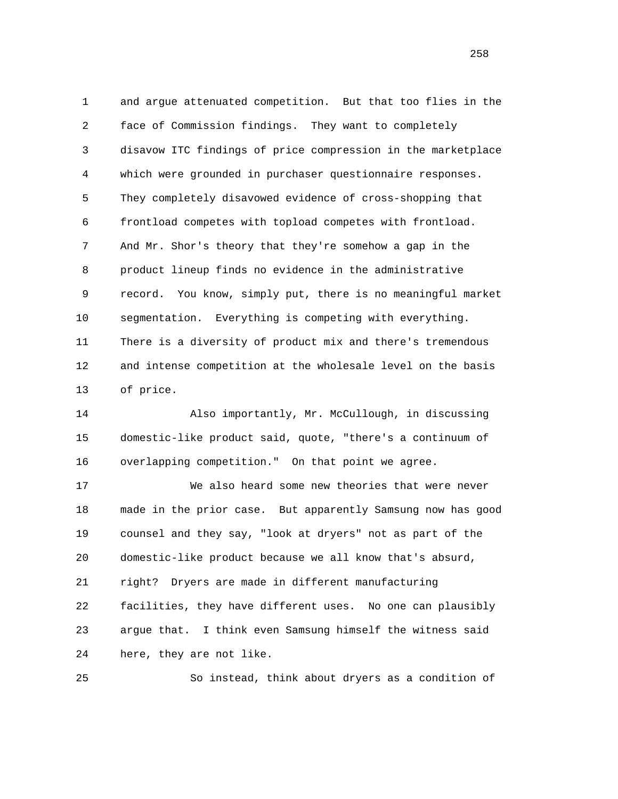1 and argue attenuated competition. But that too flies in the 2 face of Commission findings. They want to completely 3 disavow ITC findings of price compression in the marketplace 4 which were grounded in purchaser questionnaire responses. 5 They completely disavowed evidence of cross-shopping that 6 frontload competes with topload competes with frontload. 7 And Mr. Shor's theory that they're somehow a gap in the 8 product lineup finds no evidence in the administrative 9 record. You know, simply put, there is no meaningful market 10 segmentation. Everything is competing with everything. 11 There is a diversity of product mix and there's tremendous 12 and intense competition at the wholesale level on the basis 13 of price.

 14 Also importantly, Mr. McCullough, in discussing 15 domestic-like product said, quote, "there's a continuum of 16 overlapping competition." On that point we agree.

 17 We also heard some new theories that were never 18 made in the prior case. But apparently Samsung now has good 19 counsel and they say, "look at dryers" not as part of the 20 domestic-like product because we all know that's absurd, 21 right? Dryers are made in different manufacturing 22 facilities, they have different uses. No one can plausibly 23 argue that. I think even Samsung himself the witness said 24 here, they are not like.

25 So instead, think about dryers as a condition of

<u>258</u>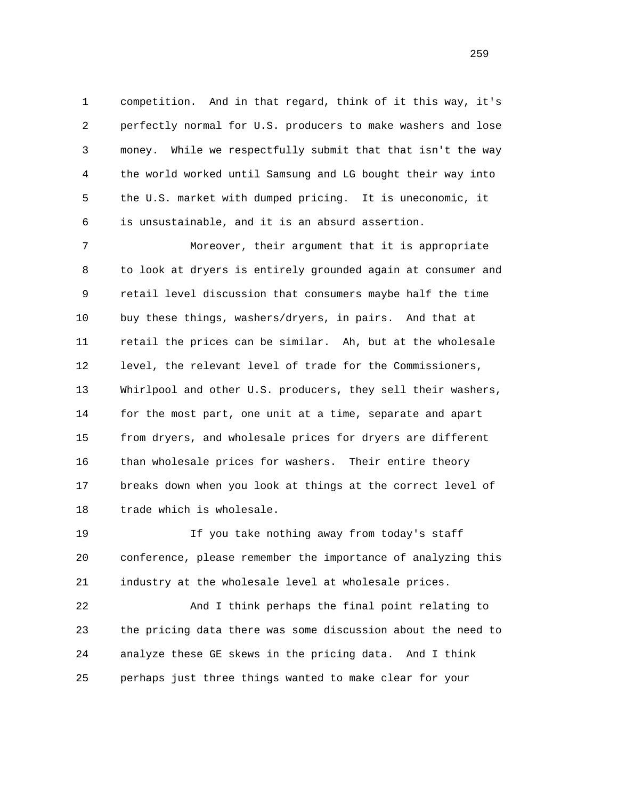1 competition. And in that regard, think of it this way, it's 2 perfectly normal for U.S. producers to make washers and lose 3 money. While we respectfully submit that that isn't the way 4 the world worked until Samsung and LG bought their way into 5 the U.S. market with dumped pricing. It is uneconomic, it 6 is unsustainable, and it is an absurd assertion.

 7 Moreover, their argument that it is appropriate 8 to look at dryers is entirely grounded again at consumer and 9 retail level discussion that consumers maybe half the time 10 buy these things, washers/dryers, in pairs. And that at 11 retail the prices can be similar. Ah, but at the wholesale 12 level, the relevant level of trade for the Commissioners, 13 Whirlpool and other U.S. producers, they sell their washers, 14 for the most part, one unit at a time, separate and apart 15 from dryers, and wholesale prices for dryers are different 16 than wholesale prices for washers. Their entire theory 17 breaks down when you look at things at the correct level of 18 trade which is wholesale.

 19 If you take nothing away from today's staff 20 conference, please remember the importance of analyzing this 21 industry at the wholesale level at wholesale prices.

 22 And I think perhaps the final point relating to 23 the pricing data there was some discussion about the need to 24 analyze these GE skews in the pricing data. And I think 25 perhaps just three things wanted to make clear for your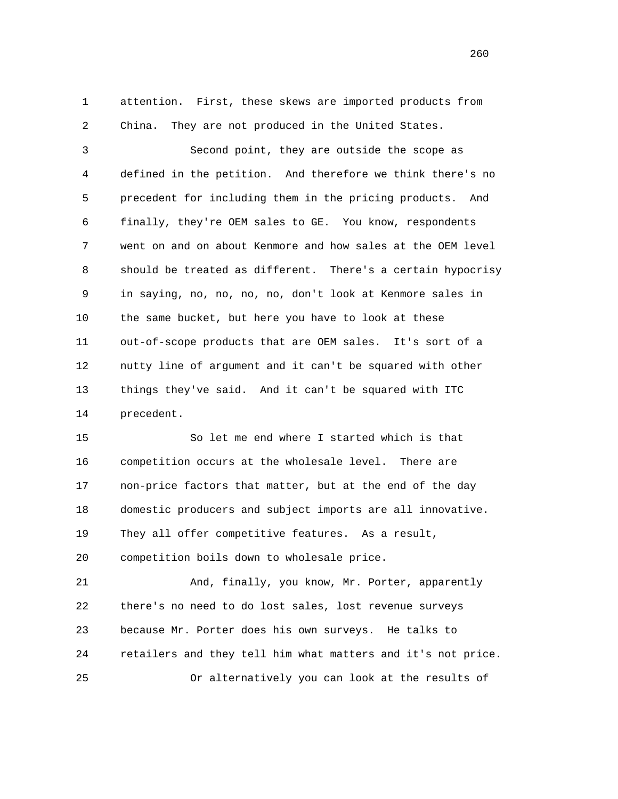1 attention. First, these skews are imported products from 2 China. They are not produced in the United States.

 3 Second point, they are outside the scope as 4 defined in the petition. And therefore we think there's no 5 precedent for including them in the pricing products. And 6 finally, they're OEM sales to GE. You know, respondents 7 went on and on about Kenmore and how sales at the OEM level 8 should be treated as different. There's a certain hypocrisy 9 in saying, no, no, no, no, don't look at Kenmore sales in 10 the same bucket, but here you have to look at these 11 out-of-scope products that are OEM sales. It's sort of a 12 nutty line of argument and it can't be squared with other 13 things they've said. And it can't be squared with ITC 14 precedent.

 15 So let me end where I started which is that 16 competition occurs at the wholesale level. There are 17 non-price factors that matter, but at the end of the day 18 domestic producers and subject imports are all innovative. 19 They all offer competitive features. As a result, 20 competition boils down to wholesale price.

 21 And, finally, you know, Mr. Porter, apparently 22 there's no need to do lost sales, lost revenue surveys 23 because Mr. Porter does his own surveys. He talks to 24 retailers and they tell him what matters and it's not price. 25 Or alternatively you can look at the results of

<u>260</u>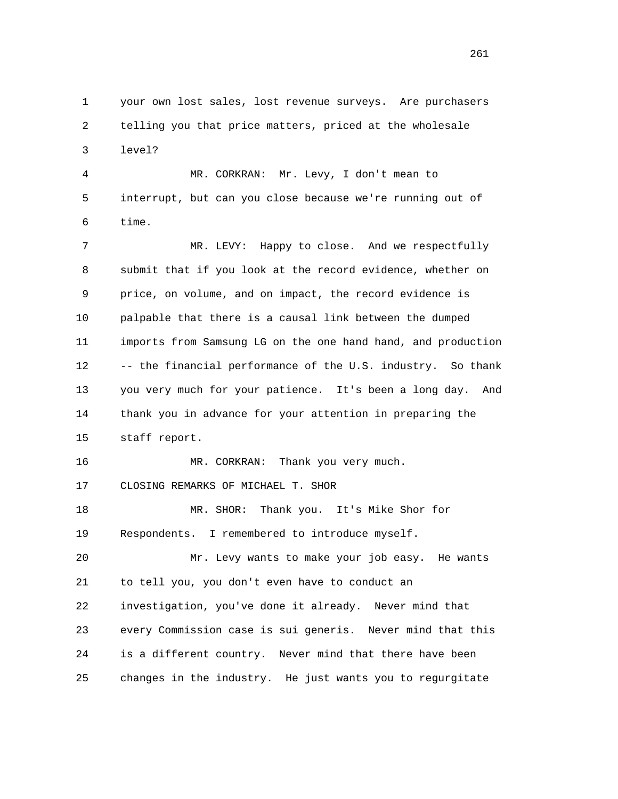1 your own lost sales, lost revenue surveys. Are purchasers 2 telling you that price matters, priced at the wholesale 3 level? 4 MR. CORKRAN: Mr. Levy, I don't mean to

 5 interrupt, but can you close because we're running out of 6 time.

 7 MR. LEVY: Happy to close. And we respectfully 8 submit that if you look at the record evidence, whether on 9 price, on volume, and on impact, the record evidence is 10 palpable that there is a causal link between the dumped 11 imports from Samsung LG on the one hand hand, and production 12 -- the financial performance of the U.S. industry. So thank 13 you very much for your patience. It's been a long day. And 14 thank you in advance for your attention in preparing the 15 staff report.

16 MR. CORKRAN: Thank you very much. 17 CLOSING REMARKS OF MICHAEL T. SHOR

 18 MR. SHOR: Thank you. It's Mike Shor for 19 Respondents. I remembered to introduce myself.

 20 Mr. Levy wants to make your job easy. He wants 21 to tell you, you don't even have to conduct an 22 investigation, you've done it already. Never mind that 23 every Commission case is sui generis. Never mind that this 24 is a different country. Never mind that there have been 25 changes in the industry. He just wants you to regurgitate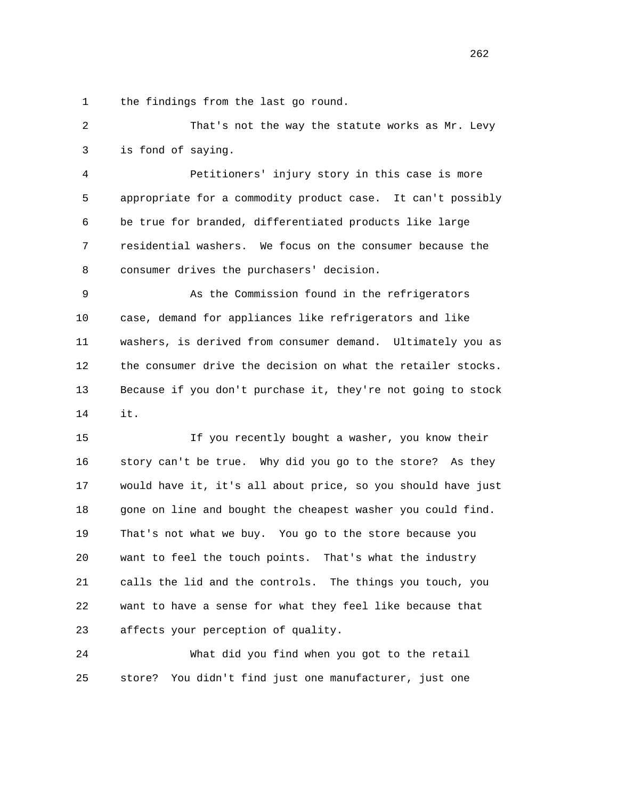1 the findings from the last go round.

 2 That's not the way the statute works as Mr. Levy 3 is fond of saying.

 4 Petitioners' injury story in this case is more 5 appropriate for a commodity product case. It can't possibly 6 be true for branded, differentiated products like large 7 residential washers. We focus on the consumer because the 8 consumer drives the purchasers' decision.

 9 As the Commission found in the refrigerators 10 case, demand for appliances like refrigerators and like 11 washers, is derived from consumer demand. Ultimately you as 12 the consumer drive the decision on what the retailer stocks. 13 Because if you don't purchase it, they're not going to stock 14 it.

 15 If you recently bought a washer, you know their 16 story can't be true. Why did you go to the store? As they 17 would have it, it's all about price, so you should have just 18 gone on line and bought the cheapest washer you could find. 19 That's not what we buy. You go to the store because you 20 want to feel the touch points. That's what the industry 21 calls the lid and the controls. The things you touch, you 22 want to have a sense for what they feel like because that 23 affects your perception of quality.

 24 What did you find when you got to the retail 25 store? You didn't find just one manufacturer, just one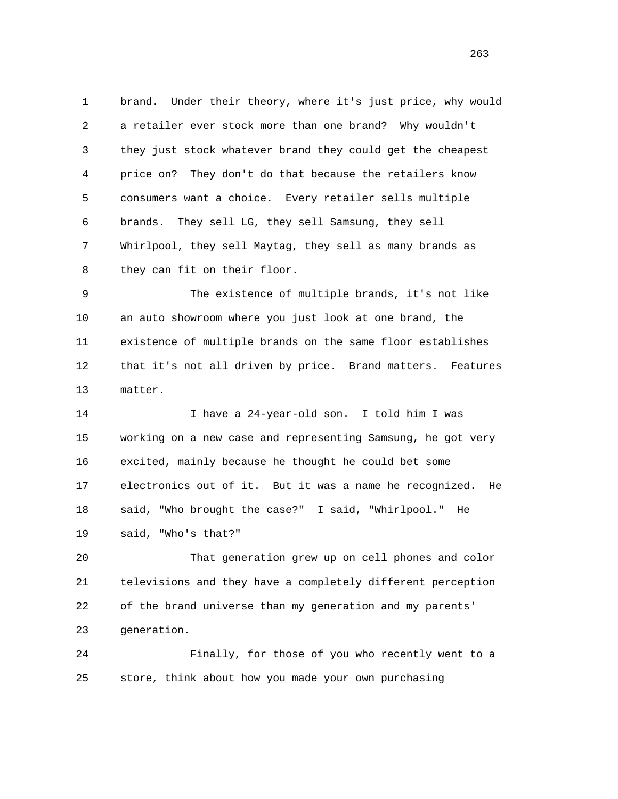1 brand. Under their theory, where it's just price, why would 2 a retailer ever stock more than one brand? Why wouldn't 3 they just stock whatever brand they could get the cheapest 4 price on? They don't do that because the retailers know 5 consumers want a choice. Every retailer sells multiple 6 brands. They sell LG, they sell Samsung, they sell 7 Whirlpool, they sell Maytag, they sell as many brands as 8 they can fit on their floor.

 9 The existence of multiple brands, it's not like 10 an auto showroom where you just look at one brand, the 11 existence of multiple brands on the same floor establishes 12 that it's not all driven by price. Brand matters. Features 13 matter.

 14 I have a 24-year-old son. I told him I was 15 working on a new case and representing Samsung, he got very 16 excited, mainly because he thought he could bet some 17 electronics out of it. But it was a name he recognized. He 18 said, "Who brought the case?" I said, "Whirlpool." He 19 said, "Who's that?"

 20 That generation grew up on cell phones and color 21 televisions and they have a completely different perception 22 of the brand universe than my generation and my parents' 23 generation.

 24 Finally, for those of you who recently went to a 25 store, think about how you made your own purchasing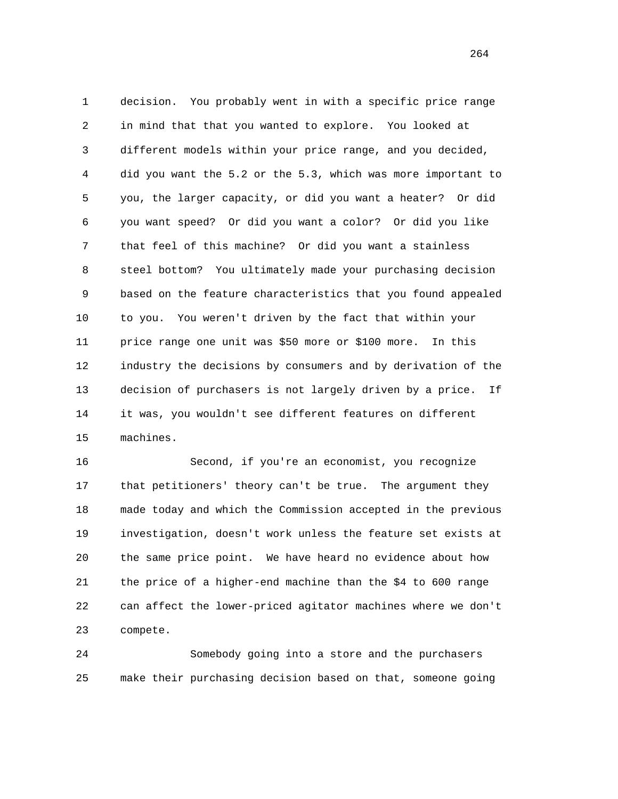1 decision. You probably went in with a specific price range 2 in mind that that you wanted to explore. You looked at 3 different models within your price range, and you decided, 4 did you want the 5.2 or the 5.3, which was more important to 5 you, the larger capacity, or did you want a heater? Or did 6 you want speed? Or did you want a color? Or did you like 7 that feel of this machine? Or did you want a stainless 8 steel bottom? You ultimately made your purchasing decision 9 based on the feature characteristics that you found appealed 10 to you. You weren't driven by the fact that within your 11 price range one unit was \$50 more or \$100 more. In this 12 industry the decisions by consumers and by derivation of the 13 decision of purchasers is not largely driven by a price. If 14 it was, you wouldn't see different features on different 15 machines.

 16 Second, if you're an economist, you recognize 17 that petitioners' theory can't be true. The argument they 18 made today and which the Commission accepted in the previous 19 investigation, doesn't work unless the feature set exists at 20 the same price point. We have heard no evidence about how 21 the price of a higher-end machine than the \$4 to 600 range 22 can affect the lower-priced agitator machines where we don't 23 compete.

 24 Somebody going into a store and the purchasers 25 make their purchasing decision based on that, someone going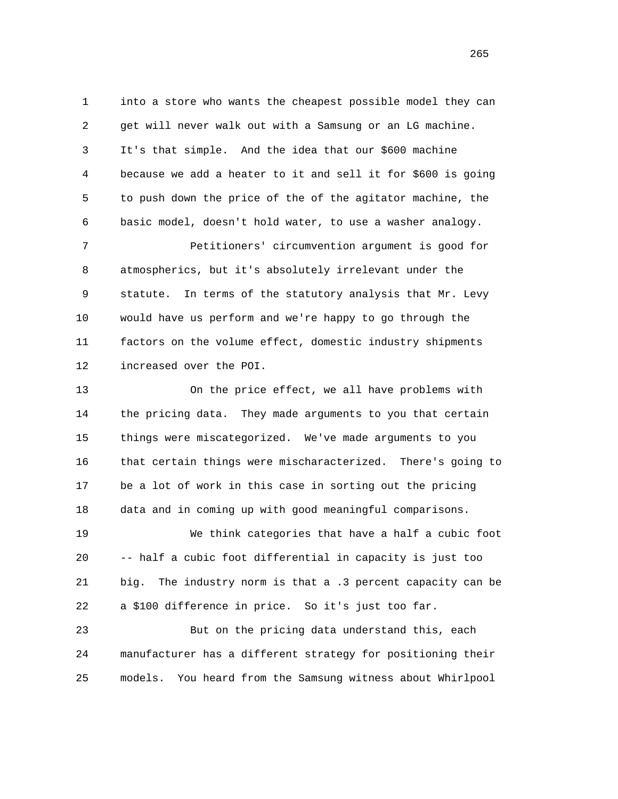1 into a store who wants the cheapest possible model they can 2 get will never walk out with a Samsung or an LG machine. 3 It's that simple. And the idea that our \$600 machine 4 because we add a heater to it and sell it for \$600 is going 5 to push down the price of the of the agitator machine, the 6 basic model, doesn't hold water, to use a washer analogy.

 7 Petitioners' circumvention argument is good for 8 atmospherics, but it's absolutely irrelevant under the 9 statute. In terms of the statutory analysis that Mr. Levy 10 would have us perform and we're happy to go through the 11 factors on the volume effect, domestic industry shipments 12 increased over the POI.

 13 On the price effect, we all have problems with 14 the pricing data. They made arguments to you that certain 15 things were miscategorized. We've made arguments to you 16 that certain things were mischaracterized. There's going to 17 be a lot of work in this case in sorting out the pricing 18 data and in coming up with good meaningful comparisons.

 19 We think categories that have a half a cubic foot 20 -- half a cubic foot differential in capacity is just too 21 big. The industry norm is that a .3 percent capacity can be 22 a \$100 difference in price. So it's just too far.

 23 But on the pricing data understand this, each 24 manufacturer has a different strategy for positioning their 25 models. You heard from the Samsung witness about Whirlpool

<u>265</u>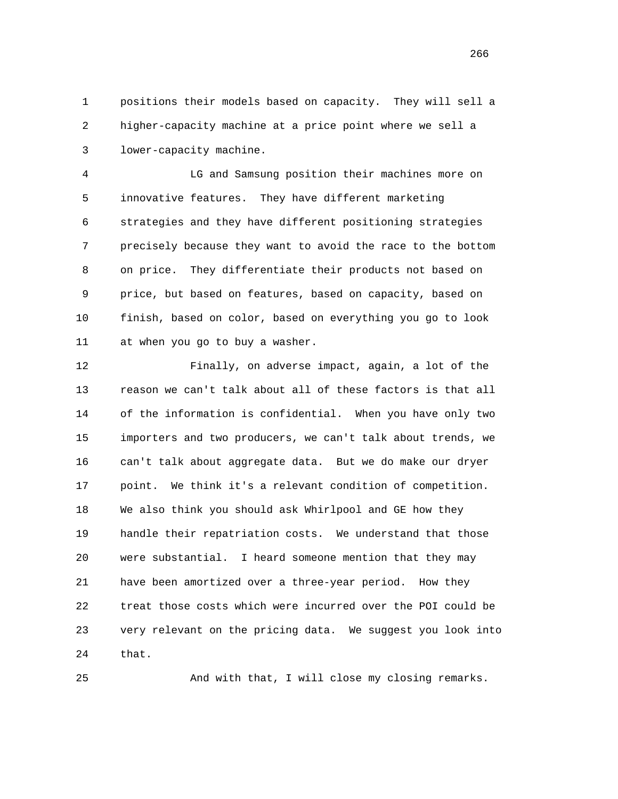1 positions their models based on capacity. They will sell a 2 higher-capacity machine at a price point where we sell a 3 lower-capacity machine.

 4 LG and Samsung position their machines more on 5 innovative features. They have different marketing 6 strategies and they have different positioning strategies 7 precisely because they want to avoid the race to the bottom 8 on price. They differentiate their products not based on 9 price, but based on features, based on capacity, based on 10 finish, based on color, based on everything you go to look 11 at when you go to buy a washer.

 12 Finally, on adverse impact, again, a lot of the 13 reason we can't talk about all of these factors is that all 14 of the information is confidential. When you have only two 15 importers and two producers, we can't talk about trends, we 16 can't talk about aggregate data. But we do make our dryer 17 point. We think it's a relevant condition of competition. 18 We also think you should ask Whirlpool and GE how they 19 handle their repatriation costs. We understand that those 20 were substantial. I heard someone mention that they may 21 have been amortized over a three-year period. How they 22 treat those costs which were incurred over the POI could be 23 very relevant on the pricing data. We suggest you look into 24 that.

25 And with that, I will close my closing remarks.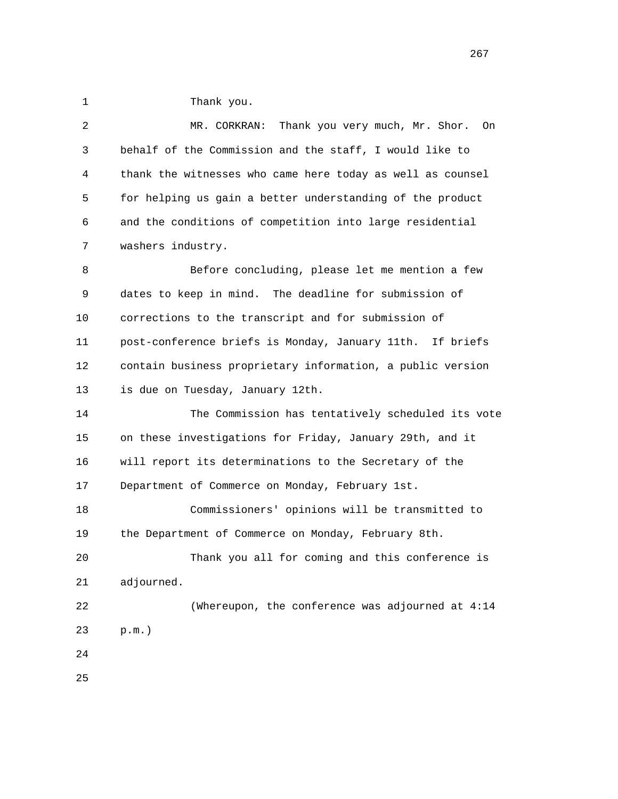1 Thank you.

 2 MR. CORKRAN: Thank you very much, Mr. Shor. On 3 behalf of the Commission and the staff, I would like to 4 thank the witnesses who came here today as well as counsel 5 for helping us gain a better understanding of the product 6 and the conditions of competition into large residential 7 washers industry. 8 Before concluding, please let me mention a few 9 dates to keep in mind. The deadline for submission of 10 corrections to the transcript and for submission of 11 post-conference briefs is Monday, January 11th. If briefs 12 contain business proprietary information, a public version 13 is due on Tuesday, January 12th. 14 The Commission has tentatively scheduled its vote 15 on these investigations for Friday, January 29th, and it 16 will report its determinations to the Secretary of the 17 Department of Commerce on Monday, February 1st. 18 Commissioners' opinions will be transmitted to 19 the Department of Commerce on Monday, February 8th. 20 Thank you all for coming and this conference is 21 adjourned. 22 (Whereupon, the conference was adjourned at 4:14 23 p.m.) 24